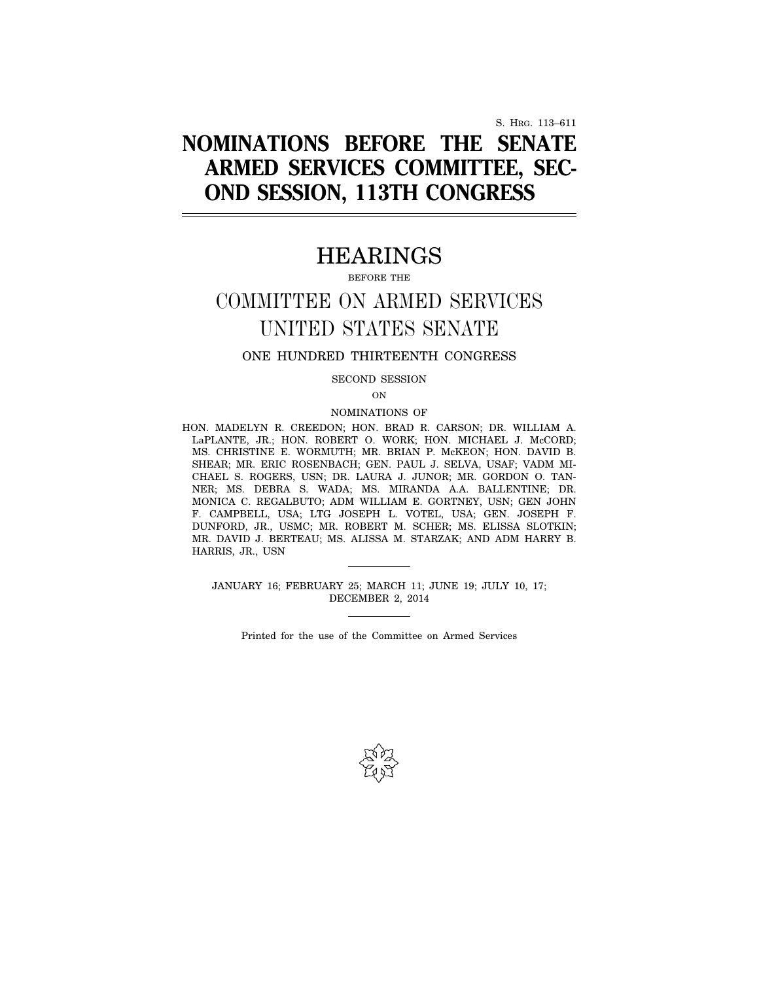S. HRG. 113–611

# **NOMINATIONS BEFORE THE SENATE ARMED SERVICES COMMITTEE, SEC-OND SESSION, 113TH CONGRESS**

## HEARINGS

BEFORE THE

## COMMITTEE ON ARMED SERVICES UNITED STATES SENATE

## ONE HUNDRED THIRTEENTH CONGRESS

SECOND SESSION

ON

### NOMINATIONS OF

HON. MADELYN R. CREEDON; HON. BRAD R. CARSON; DR. WILLIAM A. LaPLANTE, JR.; HON. ROBERT O. WORK; HON. MICHAEL J. McCORD; MS. CHRISTINE E. WORMUTH; MR. BRIAN P. McKEON; HON. DAVID B. SHEAR; MR. ERIC ROSENBACH; GEN. PAUL J. SELVA, USAF; VADM MI-CHAEL S. ROGERS, USN; DR. LAURA J. JUNOR; MR. GORDON O. TAN-NER; MS. DEBRA S. WADA; MS. MIRANDA A.A. BALLENTINE; DR. MONICA C. REGALBUTO; ADM WILLIAM E. GORTNEY, USN; GEN JOHN F. CAMPBELL, USA; LTG JOSEPH L. VOTEL, USA; GEN. JOSEPH F. DUNFORD, JR., USMC; MR. ROBERT M. SCHER; MS. ELISSA SLOTKIN; MR. DAVID J. BERTEAU; MS. ALISSA M. STARZAK; AND ADM HARRY B. HARRIS, JR., USN

JANUARY 16; FEBRUARY 25; MARCH 11; JUNE 19; JULY 10, 17; DECEMBER 2, 2014

Printed for the use of the Committee on Armed Services

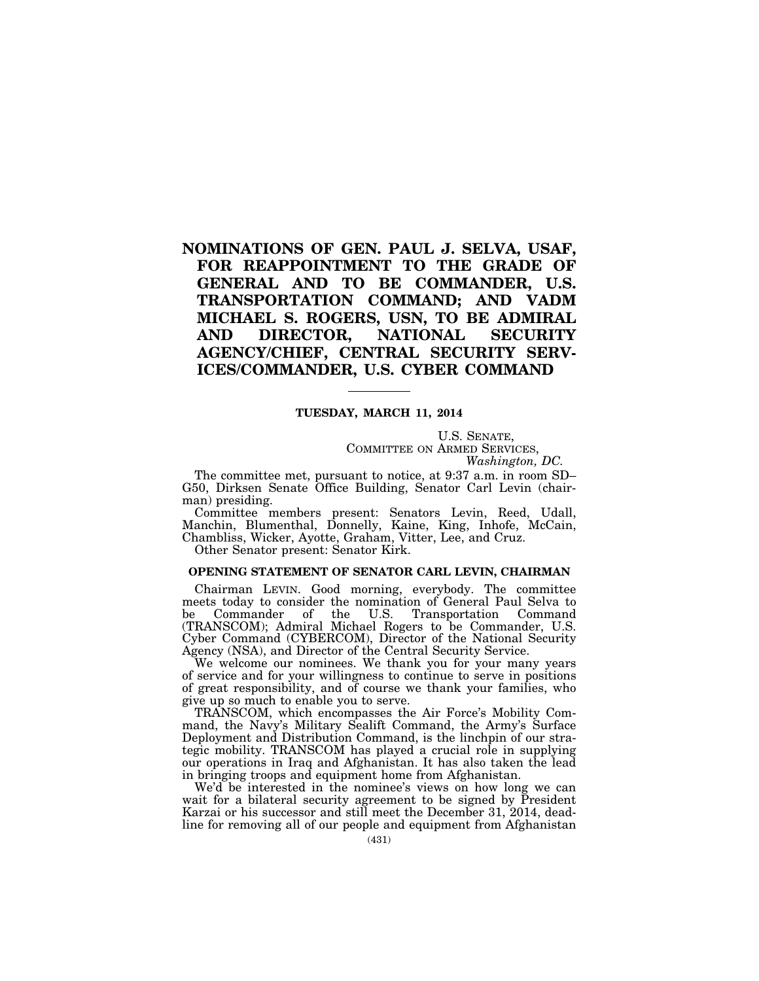## **NOMINATIONS OF GEN. PAUL J. SELVA, USAF, FOR REAPPOINTMENT TO THE GRADE OF GENERAL AND TO BE COMMANDER, U.S. TRANSPORTATION COMMAND; AND VADM MICHAEL S. ROGERS, USN, TO BE ADMIRAL AND DIRECTOR, NATIONAL SECURITY AGENCY/CHIEF, CENTRAL SECURITY SERV-ICES/COMMANDER, U.S. CYBER COMMAND**

## **TUESDAY, MARCH 11, 2014**

U.S. SENATE, COMMITTEE ON ARMED SERVICES, *Washington, DC.* 

The committee met, pursuant to notice, at 9:37 a.m. in room SD– G50, Dirksen Senate Office Building, Senator Carl Levin (chairman) presiding.

Committee members present: Senators Levin, Reed, Udall, Manchin, Blumenthal, Donnelly, Kaine, King, Inhofe, McCain, Chambliss, Wicker, Ayotte, Graham, Vitter, Lee, and Cruz.

Other Senator present: Senator Kirk.

#### **OPENING STATEMENT OF SENATOR CARL LEVIN, CHAIRMAN**

Chairman LEVIN. Good morning, everybody. The committee meets today to consider the nomination of General Paul Selva to be Commander of the U.S. Transportation Command (TRANSCOM); Admiral Michael Rogers to be Commander, U.S. Cyber Command (CYBERCOM), Director of the National Security Agency (NSA), and Director of the Central Security Service.

We welcome our nominees. We thank you for your many years of service and for your willingness to continue to serve in positions of great responsibility, and of course we thank your families, who give up so much to enable you to serve.

TRANSCOM, which encompasses the Air Force's Mobility Command, the Navy's Military Sealift Command, the Army's Surface Deployment and Distribution Command, is the linchpin of our strategic mobility. TRANSCOM has played a crucial role in supplying our operations in Iraq and Afghanistan. It has also taken the lead in bringing troops and equipment home from Afghanistan.

We'd be interested in the nominee's views on how long we can wait for a bilateral security agreement to be signed by President Karzai or his successor and still meet the December 31, 2014, deadline for removing all of our people and equipment from Afghanistan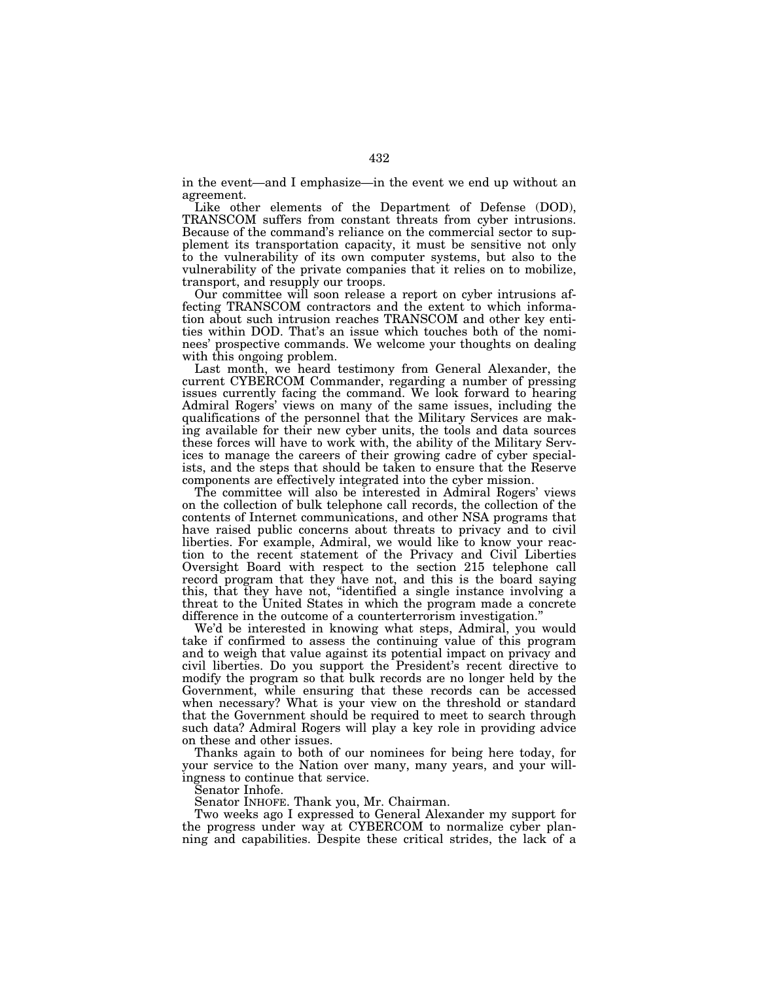in the event—and I emphasize—in the event we end up without an agreement.

Like other elements of the Department of Defense (DOD), TRANSCOM suffers from constant threats from cyber intrusions. Because of the command's reliance on the commercial sector to supplement its transportation capacity, it must be sensitive not only to the vulnerability of its own computer systems, but also to the vulnerability of the private companies that it relies on to mobilize, transport, and resupply our troops.

Our committee will soon release a report on cyber intrusions affecting TRANSCOM contractors and the extent to which information about such intrusion reaches TRANSCOM and other key entities within DOD. That's an issue which touches both of the nominees' prospective commands. We welcome your thoughts on dealing with this ongoing problem.

Last month, we heard testimony from General Alexander, the current CYBERCOM Commander, regarding a number of pressing issues currently facing the command. We look forward to hearing Admiral Rogers' views on many of the same issues, including the qualifications of the personnel that the Military Services are making available for their new cyber units, the tools and data sources these forces will have to work with, the ability of the Military Services to manage the careers of their growing cadre of cyber specialists, and the steps that should be taken to ensure that the Reserve components are effectively integrated into the cyber mission.

The committee will also be interested in Admiral Rogers' views on the collection of bulk telephone call records, the collection of the contents of Internet communications, and other NSA programs that have raised public concerns about threats to privacy and to civil liberties. For example, Admiral, we would like to know your reaction to the recent statement of the Privacy and Civil Liberties Oversight Board with respect to the section 215 telephone call record program that they have not, and this is the board saying this, that they have not, ''identified a single instance involving a threat to the United States in which the program made a concrete difference in the outcome of a counterterrorism investigation.''

We'd be interested in knowing what steps, Admiral, you would take if confirmed to assess the continuing value of this program and to weigh that value against its potential impact on privacy and civil liberties. Do you support the President's recent directive to modify the program so that bulk records are no longer held by the Government, while ensuring that these records can be accessed when necessary? What is your view on the threshold or standard that the Government should be required to meet to search through such data? Admiral Rogers will play a key role in providing advice on these and other issues.

Thanks again to both of our nominees for being here today, for your service to the Nation over many, many years, and your willingness to continue that service.

Senator Inhofe.

Senator INHOFE. Thank you, Mr. Chairman.

Two weeks ago I expressed to General Alexander my support for the progress under way at CYBERCOM to normalize cyber planning and capabilities. Despite these critical strides, the lack of a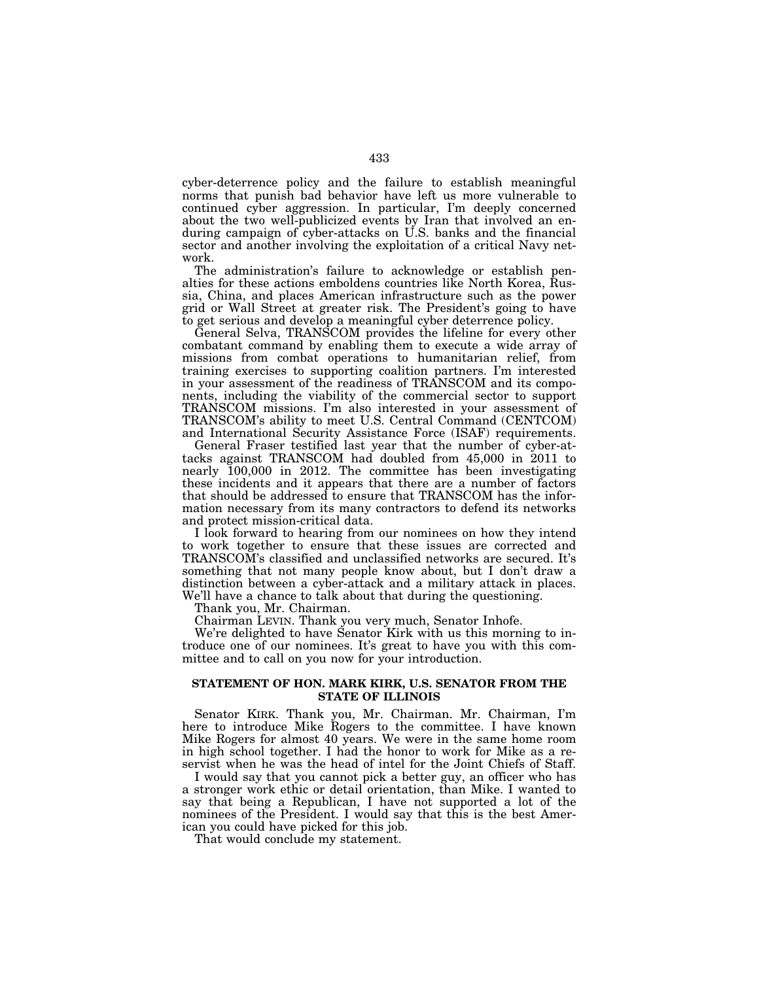cyber-deterrence policy and the failure to establish meaningful norms that punish bad behavior have left us more vulnerable to continued cyber aggression. In particular, I'm deeply concerned about the two well-publicized events by Iran that involved an enduring campaign of cyber-attacks on U.S. banks and the financial sector and another involving the exploitation of a critical Navy network.

The administration's failure to acknowledge or establish penalties for these actions emboldens countries like North Korea, Russia, China, and places American infrastructure such as the power grid or Wall Street at greater risk. The President's going to have to get serious and develop a meaningful cyber deterrence policy.

General Selva, TRANSCOM provides the lifeline for every other combatant command by enabling them to execute a wide array of missions from combat operations to humanitarian relief, from training exercises to supporting coalition partners. I'm interested in your assessment of the readiness of TRANSCOM and its components, including the viability of the commercial sector to support TRANSCOM missions. I'm also interested in your assessment of TRANSCOM's ability to meet U.S. Central Command (CENTCOM) and International Security Assistance Force (ISAF) requirements.

General Fraser testified last year that the number of cyber-attacks against TRANSCOM had doubled from 45,000 in 2011 to nearly 100,000 in 2012. The committee has been investigating these incidents and it appears that there are a number of factors that should be addressed to ensure that TRANSCOM has the information necessary from its many contractors to defend its networks and protect mission-critical data.

I look forward to hearing from our nominees on how they intend to work together to ensure that these issues are corrected and TRANSCOM's classified and unclassified networks are secured. It's something that not many people know about, but I don't draw a distinction between a cyber-attack and a military attack in places. We'll have a chance to talk about that during the questioning.

Thank you, Mr. Chairman.

Chairman LEVIN. Thank you very much, Senator Inhofe.

We're delighted to have Senator Kirk with us this morning to introduce one of our nominees. It's great to have you with this committee and to call on you now for your introduction.

### **STATEMENT OF HON. MARK KIRK, U.S. SENATOR FROM THE STATE OF ILLINOIS**

Senator KIRK. Thank you, Mr. Chairman. Mr. Chairman, I'm here to introduce Mike Rogers to the committee. I have known Mike Rogers for almost 40 years. We were in the same home room in high school together. I had the honor to work for Mike as a reservist when he was the head of intel for the Joint Chiefs of Staff.

I would say that you cannot pick a better guy, an officer who has a stronger work ethic or detail orientation, than Mike. I wanted to say that being a Republican, I have not supported a lot of the nominees of the President. I would say that this is the best American you could have picked for this job.

That would conclude my statement.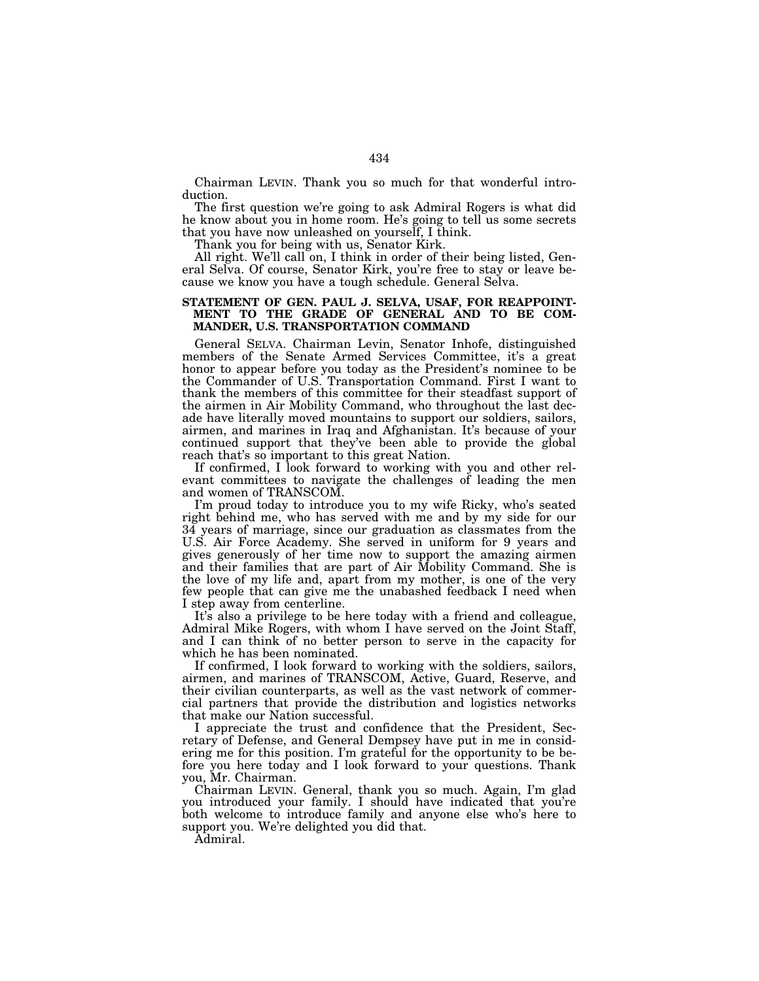Chairman LEVIN. Thank you so much for that wonderful introduction.

The first question we're going to ask Admiral Rogers is what did he know about you in home room. He's going to tell us some secrets that you have now unleashed on yourself, I think.

Thank you for being with us, Senator Kirk.

All right. We'll call on, I think in order of their being listed, General Selva. Of course, Senator Kirk, you're free to stay or leave because we know you have a tough schedule. General Selva.

### **STATEMENT OF GEN. PAUL J. SELVA, USAF, FOR REAPPOINT-MENT TO THE GRADE OF GENERAL AND TO BE COM-MANDER, U.S. TRANSPORTATION COMMAND**

General SELVA. Chairman Levin, Senator Inhofe, distinguished members of the Senate Armed Services Committee, it's a great honor to appear before you today as the President's nominee to be the Commander of U.S. Transportation Command. First I want to thank the members of this committee for their steadfast support of the airmen in Air Mobility Command, who throughout the last decade have literally moved mountains to support our soldiers, sailors, airmen, and marines in Iraq and Afghanistan. It's because of your continued support that they've been able to provide the global reach that's so important to this great Nation.

If confirmed, I look forward to working with you and other relevant committees to navigate the challenges of leading the men and women of TRANSCOM.

I'm proud today to introduce you to my wife Ricky, who's seated right behind me, who has served with me and by my side for our 34 years of marriage, since our graduation as classmates from the U.S. Air Force Academy. She served in uniform for 9 years and gives generously of her time now to support the amazing airmen and their families that are part of Air Mobility Command. She is the love of my life and, apart from my mother, is one of the very few people that can give me the unabashed feedback I need when I step away from centerline.

It's also a privilege to be here today with a friend and colleague, Admiral Mike Rogers, with whom I have served on the Joint Staff, and I can think of no better person to serve in the capacity for which he has been nominated.

If confirmed, I look forward to working with the soldiers, sailors, airmen, and marines of TRANSCOM, Active, Guard, Reserve, and their civilian counterparts, as well as the vast network of commercial partners that provide the distribution and logistics networks that make our Nation successful.

I appreciate the trust and confidence that the President, Secretary of Defense, and General Dempsey have put in me in considering me for this position. I'm grateful for the opportunity to be before you here today and I look forward to your questions. Thank you, Mr. Chairman.

Chairman LEVIN. General, thank you so much. Again, I'm glad you introduced your family. I should have indicated that you're both welcome to introduce family and anyone else who's here to support you. We're delighted you did that.

Admiral.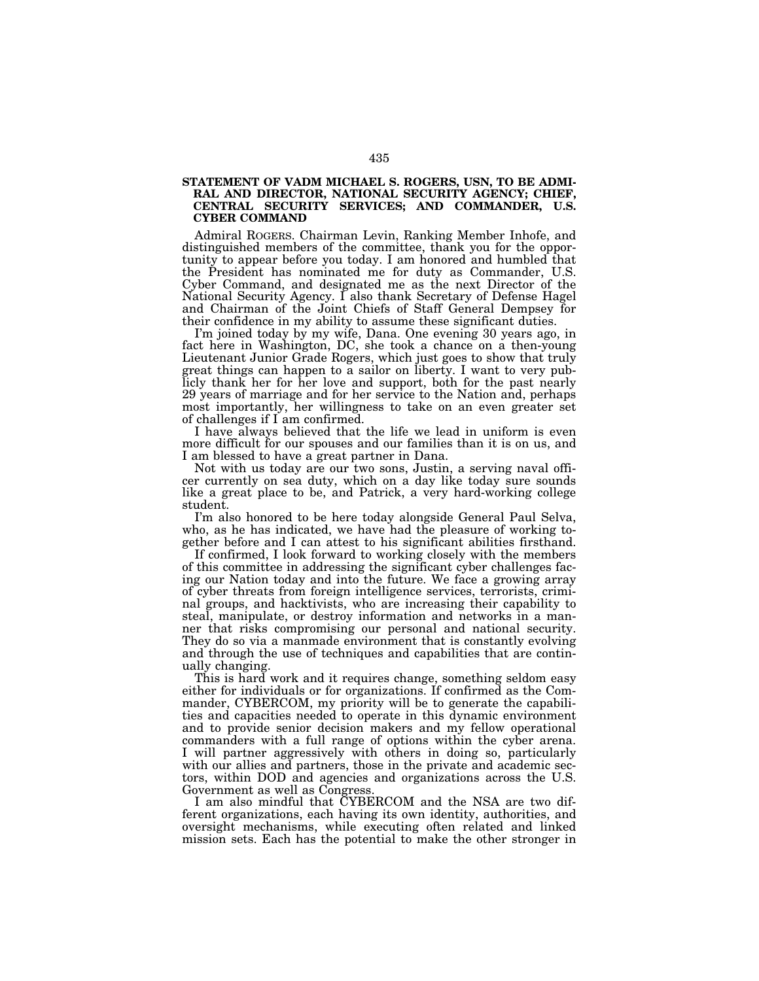#### **STATEMENT OF VADM MICHAEL S. ROGERS, USN, TO BE ADMI-RAL AND DIRECTOR, NATIONAL SECURITY AGENCY; CHIEF, CENTRAL SECURITY SERVICES; AND COMMANDER, U.S. CYBER COMMAND**

Admiral ROGERS. Chairman Levin, Ranking Member Inhofe, and distinguished members of the committee, thank you for the opportunity to appear before you today. I am honored and humbled that the President has nominated me for duty as Commander, U.S. Cyber Command, and designated me as the next Director of the National Security Agency. I also thank Secretary of Defense Hagel and Chairman of the Joint Chiefs of Staff General Dempsey for their confidence in my ability to assume these significant duties.

I'm joined today by my wife, Dana. One evening 30 years ago, in fact here in Washington, DC, she took a chance on a then-young Lieutenant Junior Grade Rogers, which just goes to show that truly great things can happen to a sailor on liberty. I want to very publicly thank her for her love and support, both for the past nearly 29 years of marriage and for her service to the Nation and, perhaps most importantly, her willingness to take on an even greater set of challenges if I am confirmed.

I have always believed that the life we lead in uniform is even more difficult for our spouses and our families than it is on us, and I am blessed to have a great partner in Dana.

Not with us today are our two sons, Justin, a serving naval officer currently on sea duty, which on a day like today sure sounds like a great place to be, and Patrick, a very hard-working college student.

I'm also honored to be here today alongside General Paul Selva, who, as he has indicated, we have had the pleasure of working together before and I can attest to his significant abilities firsthand.

If confirmed, I look forward to working closely with the members of this committee in addressing the significant cyber challenges facing our Nation today and into the future. We face a growing array of cyber threats from foreign intelligence services, terrorists, criminal groups, and hacktivists, who are increasing their capability to steal, manipulate, or destroy information and networks in a manner that risks compromising our personal and national security. They do so via a manmade environment that is constantly evolving and through the use of techniques and capabilities that are continually changing.

This is hard work and it requires change, something seldom easy either for individuals or for organizations. If confirmed as the Commander, CYBERCOM, my priority will be to generate the capabilities and capacities needed to operate in this dynamic environment and to provide senior decision makers and my fellow operational commanders with a full range of options within the cyber arena. I will partner aggressively with others in doing so, particularly with our allies and partners, those in the private and academic sectors, within DOD and agencies and organizations across the U.S. Government as well as Congress.

I am also mindful that CYBERCOM and the NSA are two different organizations, each having its own identity, authorities, and oversight mechanisms, while executing often related and linked mission sets. Each has the potential to make the other stronger in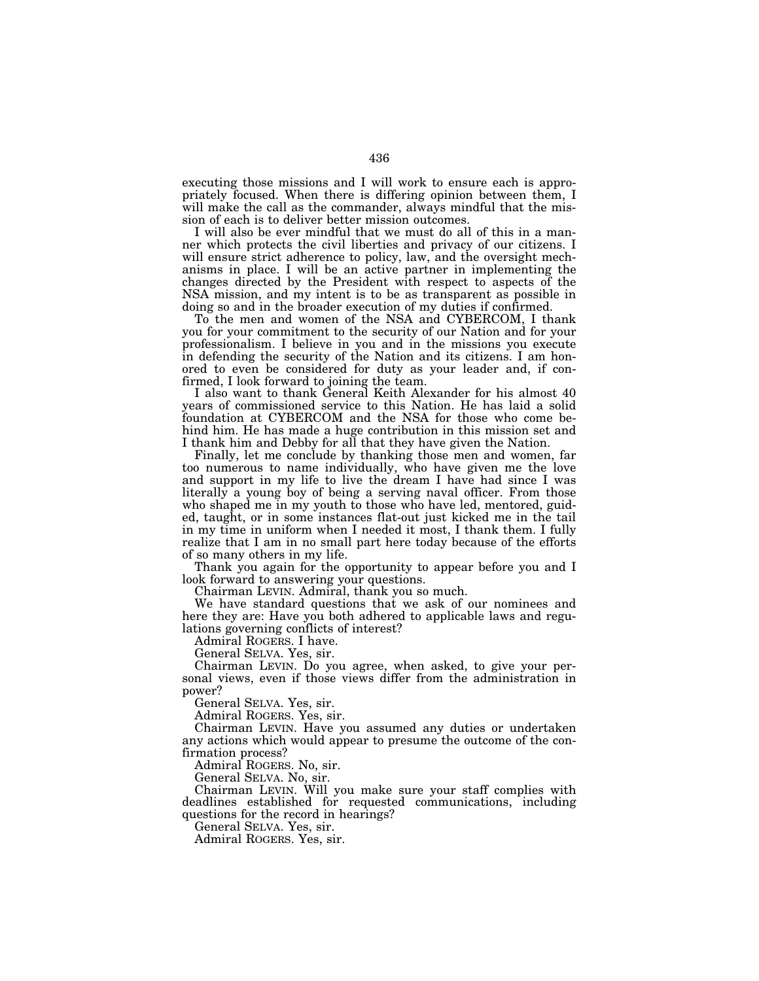executing those missions and I will work to ensure each is appropriately focused. When there is differing opinion between them, I will make the call as the commander, always mindful that the mission of each is to deliver better mission outcomes.

I will also be ever mindful that we must do all of this in a manner which protects the civil liberties and privacy of our citizens. I will ensure strict adherence to policy, law, and the oversight mechanisms in place. I will be an active partner in implementing the changes directed by the President with respect to aspects of the NSA mission, and my intent is to be as transparent as possible in doing so and in the broader execution of my duties if confirmed.

To the men and women of the NSA and CYBERCOM, I thank you for your commitment to the security of our Nation and for your professionalism. I believe in you and in the missions you execute in defending the security of the Nation and its citizens. I am honored to even be considered for duty as your leader and, if confirmed, I look forward to joining the team.

I also want to thank General Keith Alexander for his almost 40 years of commissioned service to this Nation. He has laid a solid foundation at CYBERCOM and the NSA for those who come behind him. He has made a huge contribution in this mission set and I thank him and Debby for all that they have given the Nation.

Finally, let me conclude by thanking those men and women, far too numerous to name individually, who have given me the love and support in my life to live the dream I have had since I was literally a young boy of being a serving naval officer. From those who shaped me in my youth to those who have led, mentored, guided, taught, or in some instances flat-out just kicked me in the tail in my time in uniform when I needed it most, I thank them. I fully realize that I am in no small part here today because of the efforts of so many others in my life.

Thank you again for the opportunity to appear before you and I look forward to answering your questions.

Chairman LEVIN. Admiral, thank you so much.

We have standard questions that we ask of our nominees and here they are: Have you both adhered to applicable laws and regulations governing conflicts of interest?

Admiral ROGERS. I have.

General SELVA. Yes, sir.

Chairman LEVIN. Do you agree, when asked, to give your personal views, even if those views differ from the administration in power?

General SELVA. Yes, sir.

Admiral ROGERS. Yes, sir.

Chairman LEVIN. Have you assumed any duties or undertaken any actions which would appear to presume the outcome of the confirmation process?

Admiral ROGERS. No, sir.

General SELVA. No, sir.

Chairman LEVIN. Will you make sure your staff complies with deadlines established for requested communications, including questions for the record in hearings?

General SELVA. Yes, sir.

Admiral ROGERS. Yes, sir.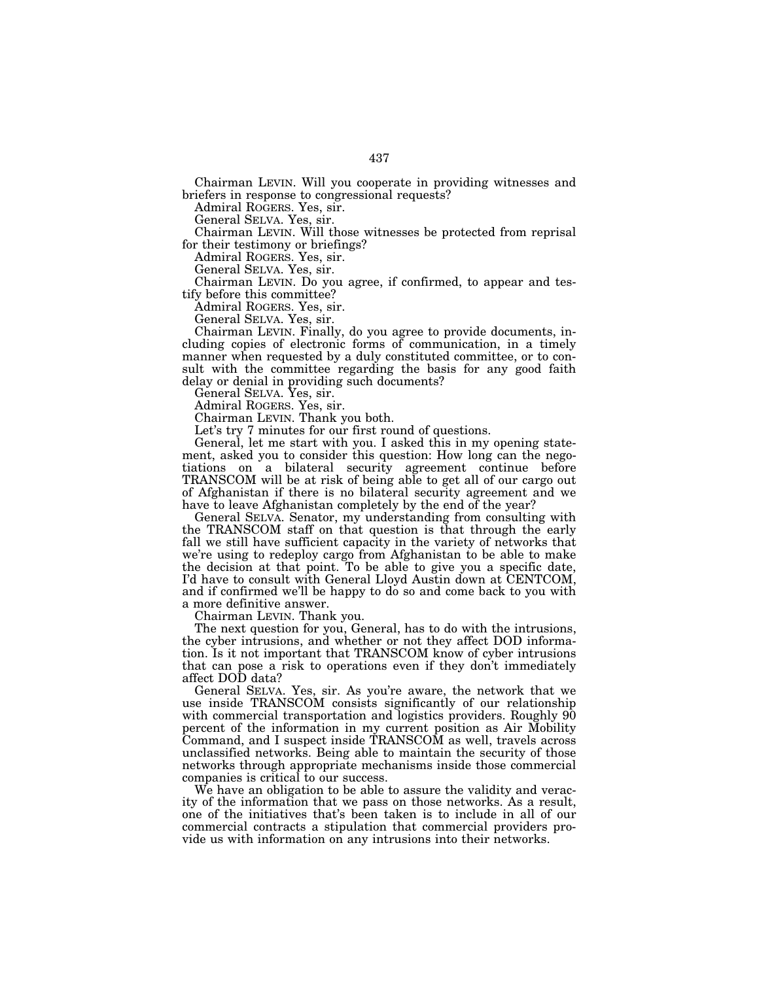Chairman LEVIN. Will you cooperate in providing witnesses and briefers in response to congressional requests?

Admiral ROGERS. Yes, sir.

General SELVA. Yes, sir.

Chairman LEVIN. Will those witnesses be protected from reprisal for their testimony or briefings?

Admiral ROGERS. Yes, sir.

General SELVA. Yes, sir.

Chairman LEVIN. Do you agree, if confirmed, to appear and testify before this committee?

Admiral ROGERS. Yes, sir.

General SELVA. Yes, sir.

Chairman LEVIN. Finally, do you agree to provide documents, including copies of electronic forms of communication, in a timely manner when requested by a duly constituted committee, or to consult with the committee regarding the basis for any good faith delay or denial in providing such documents?

General SELVA. Yes, sir.

Admiral ROGERS. Yes, sir.

Chairman LEVIN. Thank you both.

Let's try 7 minutes for our first round of questions.

General, let me start with you. I asked this in my opening statement, asked you to consider this question: How long can the negotiations on a bilateral security agreement continue before TRANSCOM will be at risk of being able to get all of our cargo out of Afghanistan if there is no bilateral security agreement and we have to leave Afghanistan completely by the end of the year?

General SELVA. Senator, my understanding from consulting with the TRANSCOM staff on that question is that through the early fall we still have sufficient capacity in the variety of networks that we're using to redeploy cargo from Afghanistan to be able to make the decision at that point. To be able to give you a specific date, I'd have to consult with General Lloyd Austin down at CENTCOM, and if confirmed we'll be happy to do so and come back to you with a more definitive answer.

Chairman LEVIN. Thank you.

The next question for you, General, has to do with the intrusions, the cyber intrusions, and whether or not they affect DOD information. Is it not important that TRANSCOM know of cyber intrusions that can pose a risk to operations even if they don't immediately affect DOD data?

General SELVA. Yes, sir. As you're aware, the network that we use inside TRANSCOM consists significantly of our relationship with commercial transportation and logistics providers. Roughly  $90$ percent of the information in my current position as Air Mobility Command, and I suspect inside TRANSCOM as well, travels across unclassified networks. Being able to maintain the security of those networks through appropriate mechanisms inside those commercial companies is critical to our success.

We have an obligation to be able to assure the validity and veracity of the information that we pass on those networks. As a result, one of the initiatives that's been taken is to include in all of our commercial contracts a stipulation that commercial providers provide us with information on any intrusions into their networks.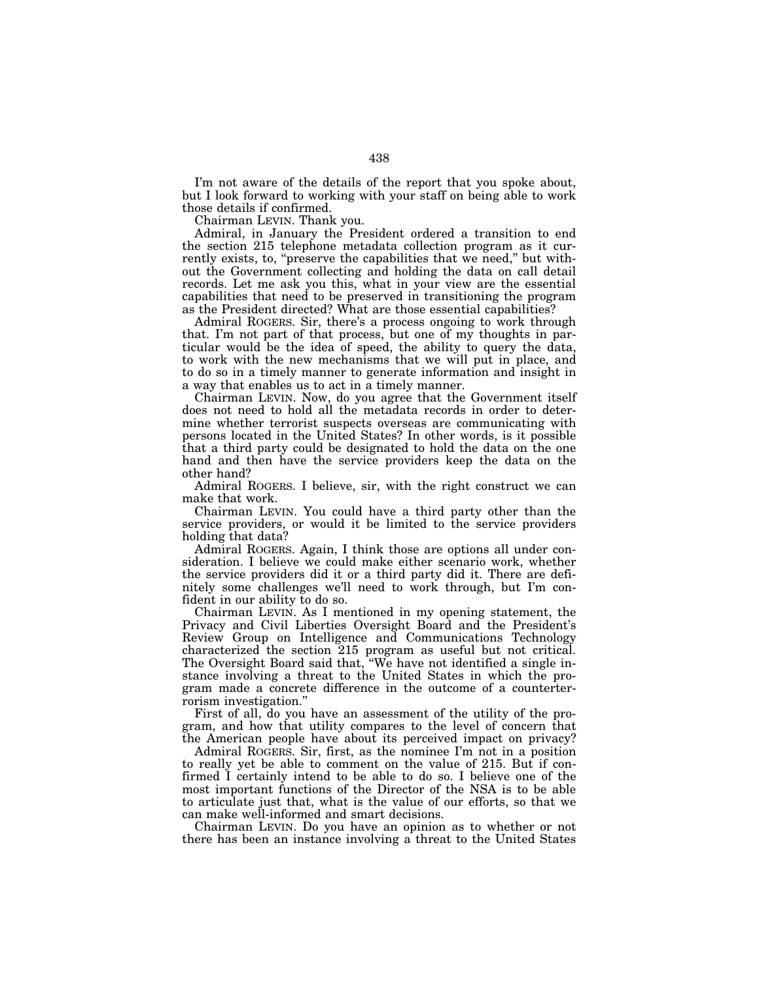I'm not aware of the details of the report that you spoke about, but I look forward to working with your staff on being able to work those details if confirmed.

Chairman LEVIN. Thank you.

Admiral, in January the President ordered a transition to end the section 215 telephone metadata collection program as it currently exists, to, "preserve the capabilities that we need," but without the Government collecting and holding the data on call detail records. Let me ask you this, what in your view are the essential capabilities that need to be preserved in transitioning the program as the President directed? What are those essential capabilities?

Admiral ROGERS. Sir, there's a process ongoing to work through that. I'm not part of that process, but one of my thoughts in particular would be the idea of speed, the ability to query the data, to work with the new mechanisms that we will put in place, and to do so in a timely manner to generate information and insight in a way that enables us to act in a timely manner.

Chairman LEVIN. Now, do you agree that the Government itself does not need to hold all the metadata records in order to determine whether terrorist suspects overseas are communicating with persons located in the United States? In other words, is it possible that a third party could be designated to hold the data on the one hand and then have the service providers keep the data on the other hand?

Admiral ROGERS. I believe, sir, with the right construct we can make that work.

Chairman LEVIN. You could have a third party other than the service providers, or would it be limited to the service providers holding that data?

Admiral ROGERS. Again, I think those are options all under consideration. I believe we could make either scenario work, whether the service providers did it or a third party did it. There are definitely some challenges we'll need to work through, but I'm confident in our ability to do so.

Chairman LEVIN. As I mentioned in my opening statement, the Privacy and Civil Liberties Oversight Board and the President's Review Group on Intelligence and Communications Technology characterized the section 215 program as useful but not critical. The Oversight Board said that, "We have not identified a single instance involving a threat to the United States in which the program made a concrete difference in the outcome of a counterterrorism investigation.''

First of all, do you have an assessment of the utility of the program, and how that utility compares to the level of concern that the American people have about its perceived impact on privacy?

Admiral ROGERS. Sir, first, as the nominee I'm not in a position to really yet be able to comment on the value of 215. But if confirmed I certainly intend to be able to do so. I believe one of the most important functions of the Director of the NSA is to be able to articulate just that, what is the value of our efforts, so that we can make well-informed and smart decisions.

Chairman LEVIN. Do you have an opinion as to whether or not there has been an instance involving a threat to the United States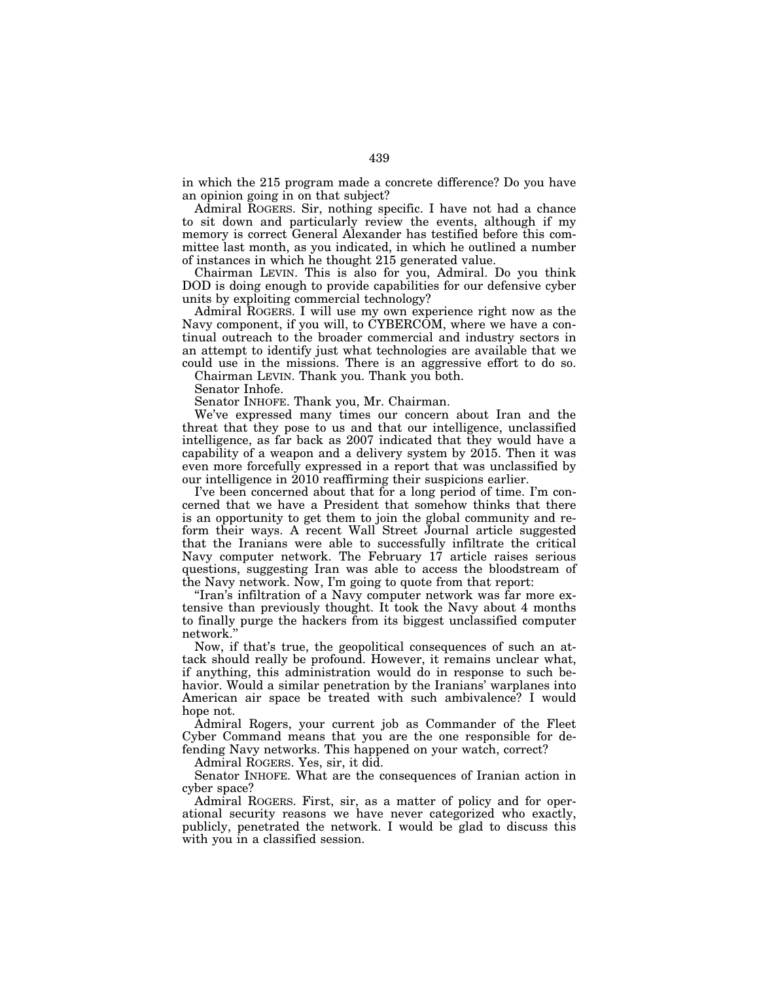in which the 215 program made a concrete difference? Do you have an opinion going in on that subject?

Admiral ROGERS. Sir, nothing specific. I have not had a chance to sit down and particularly review the events, although if my memory is correct General Alexander has testified before this committee last month, as you indicated, in which he outlined a number of instances in which he thought 215 generated value.

Chairman LEVIN. This is also for you, Admiral. Do you think DOD is doing enough to provide capabilities for our defensive cyber units by exploiting commercial technology?

Admiral ROGERS. I will use my own experience right now as the Navy component, if you will, to CYBERCOM, where we have a continual outreach to the broader commercial and industry sectors in an attempt to identify just what technologies are available that we could use in the missions. There is an aggressive effort to do so.

Chairman LEVIN. Thank you. Thank you both.

Senator Inhofe.

Senator INHOFE. Thank you, Mr. Chairman.

We've expressed many times our concern about Iran and the threat that they pose to us and that our intelligence, unclassified intelligence, as far back as 2007 indicated that they would have a capability of a weapon and a delivery system by 2015. Then it was even more forcefully expressed in a report that was unclassified by our intelligence in 2010 reaffirming their suspicions earlier.

I've been concerned about that for a long period of time. I'm concerned that we have a President that somehow thinks that there is an opportunity to get them to join the global community and reform their ways. A recent Wall Street Journal article suggested that the Iranians were able to successfully infiltrate the critical Navy computer network. The February 17 article raises serious questions, suggesting Iran was able to access the bloodstream of the Navy network. Now, I'm going to quote from that report:

''Iran's infiltration of a Navy computer network was far more extensive than previously thought. It took the Navy about 4 months to finally purge the hackers from its biggest unclassified computer network.

Now, if that's true, the geopolitical consequences of such an attack should really be profound. However, it remains unclear what, if anything, this administration would do in response to such behavior. Would a similar penetration by the Iranians' warplanes into American air space be treated with such ambivalence? I would hope not.

Admiral Rogers, your current job as Commander of the Fleet Cyber Command means that you are the one responsible for defending Navy networks. This happened on your watch, correct?

Admiral ROGERS. Yes, sir, it did.

Senator INHOFE. What are the consequences of Iranian action in cyber space?

Admiral ROGERS. First, sir, as a matter of policy and for operational security reasons we have never categorized who exactly, publicly, penetrated the network. I would be glad to discuss this with you in a classified session.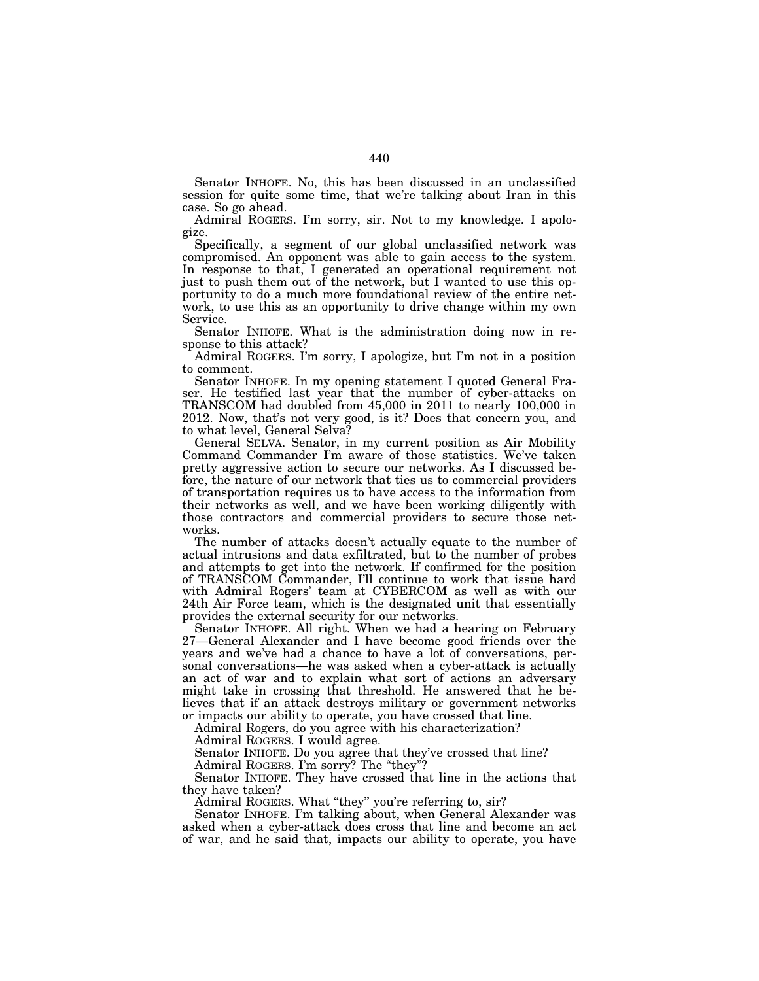Senator INHOFE. No, this has been discussed in an unclassified session for quite some time, that we're talking about Iran in this case. So go ahead.

Admiral ROGERS. I'm sorry, sir. Not to my knowledge. I apologize.

Specifically, a segment of our global unclassified network was compromised. An opponent was able to gain access to the system. In response to that, I generated an operational requirement not just to push them out of the network, but I wanted to use this opportunity to do a much more foundational review of the entire network, to use this as an opportunity to drive change within my own Service.

Senator INHOFE. What is the administration doing now in response to this attack?

Admiral ROGERS. I'm sorry, I apologize, but I'm not in a position to comment.

Senator INHOFE. In my opening statement I quoted General Fraser. He testified last year that the number of cyber-attacks on TRANSCOM had doubled from 45,000 in 2011 to nearly 100,000 in 2012. Now, that's not very good, is it? Does that concern you, and to what level, General Selva?

General SELVA. Senator, in my current position as Air Mobility Command Commander I'm aware of those statistics. We've taken pretty aggressive action to secure our networks. As I discussed before, the nature of our network that ties us to commercial providers of transportation requires us to have access to the information from their networks as well, and we have been working diligently with those contractors and commercial providers to secure those networks.

The number of attacks doesn't actually equate to the number of actual intrusions and data exfiltrated, but to the number of probes and attempts to get into the network. If confirmed for the position of TRANSCOM Commander, I'll continue to work that issue hard with Admiral Rogers' team at CYBERCOM as well as with our 24th Air Force team, which is the designated unit that essentially provides the external security for our networks.

Senator INHOFE. All right. When we had a hearing on February 27—General Alexander and I have become good friends over the years and we've had a chance to have a lot of conversations, personal conversations—he was asked when a cyber-attack is actually an act of war and to explain what sort of actions an adversary might take in crossing that threshold. He answered that he believes that if an attack destroys military or government networks or impacts our ability to operate, you have crossed that line.

Admiral Rogers, do you agree with his characterization?

Admiral ROGERS. I would agree.

Senator INHOFE. Do you agree that they've crossed that line?

Admiral ROGERS. I'm sorry? The "they"?

Senator INHOFE. They have crossed that line in the actions that they have taken?

Admiral ROGERS. What ''they'' you're referring to, sir?

Senator INHOFE. I'm talking about, when General Alexander was asked when a cyber-attack does cross that line and become an act of war, and he said that, impacts our ability to operate, you have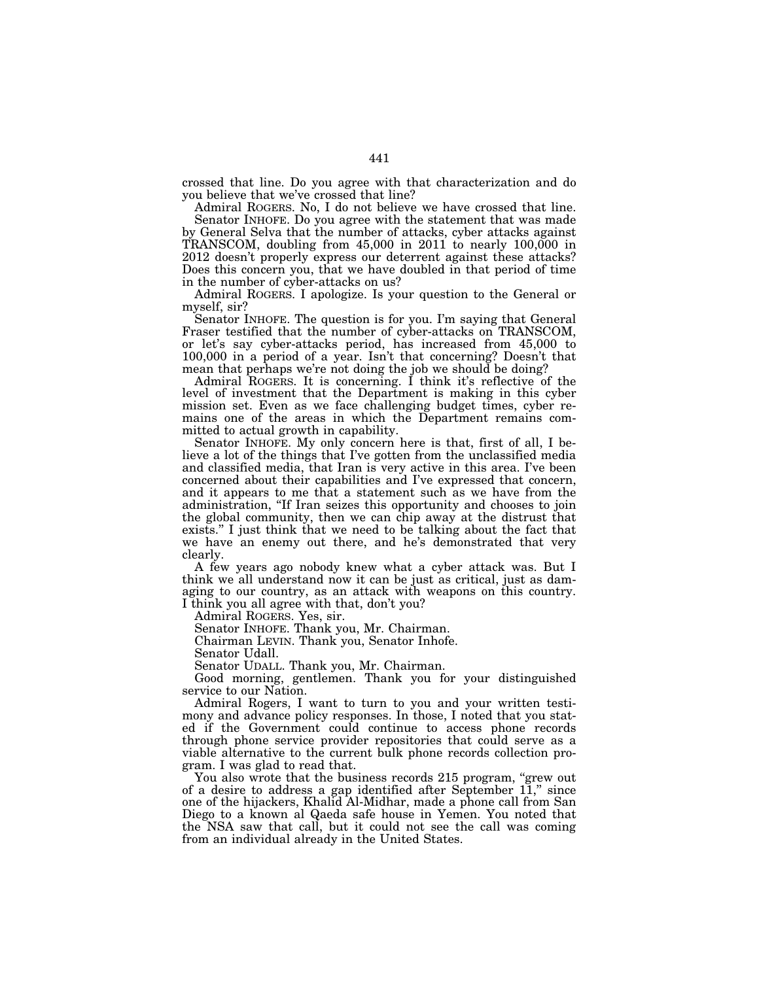crossed that line. Do you agree with that characterization and do you believe that we've crossed that line?

Admiral ROGERS. No, I do not believe we have crossed that line. Senator INHOFE. Do you agree with the statement that was made

by General Selva that the number of attacks, cyber attacks against TRANSCOM, doubling from 45,000 in 2011 to nearly 100,000 in 2012 doesn't properly express our deterrent against these attacks? Does this concern you, that we have doubled in that period of time in the number of cyber-attacks on us?

Admiral ROGERS. I apologize. Is your question to the General or myself, sir?

Senator INHOFE. The question is for you. I'm saying that General Fraser testified that the number of cyber-attacks on TRANSCOM, or let's say cyber-attacks period, has increased from 45,000 to 100,000 in a period of a year. Isn't that concerning? Doesn't that mean that perhaps we're not doing the job we should be doing?

Admiral ROGERS. It is concerning. I think it's reflective of the level of investment that the Department is making in this cyber mission set. Even as we face challenging budget times, cyber remains one of the areas in which the Department remains committed to actual growth in capability.

Senator INHOFE. My only concern here is that, first of all, I believe a lot of the things that I've gotten from the unclassified media and classified media, that Iran is very active in this area. I've been concerned about their capabilities and I've expressed that concern, and it appears to me that a statement such as we have from the administration, ''If Iran seizes this opportunity and chooses to join the global community, then we can chip away at the distrust that exists.'' I just think that we need to be talking about the fact that we have an enemy out there, and he's demonstrated that very clearly.

A few years ago nobody knew what a cyber attack was. But I think we all understand now it can be just as critical, just as damaging to our country, as an attack with weapons on this country. I think you all agree with that, don't you?

Admiral ROGERS. Yes, sir.

Senator INHOFE. Thank you, Mr. Chairman.

Chairman LEVIN. Thank you, Senator Inhofe.

Senator Udall.

Senator UDALL. Thank you, Mr. Chairman.

Good morning, gentlemen. Thank you for your distinguished service to our Nation.

Admiral Rogers, I want to turn to you and your written testimony and advance policy responses. In those, I noted that you stated if the Government could continue to access phone records through phone service provider repositories that could serve as a viable alternative to the current bulk phone records collection program. I was glad to read that.

You also wrote that the business records 215 program, "grew out of a desire to address a gap identified after September 11,'' since one of the hijackers, Khalid Al-Midhar, made a phone call from San Diego to a known al Qaeda safe house in Yemen. You noted that the NSA saw that call, but it could not see the call was coming from an individual already in the United States.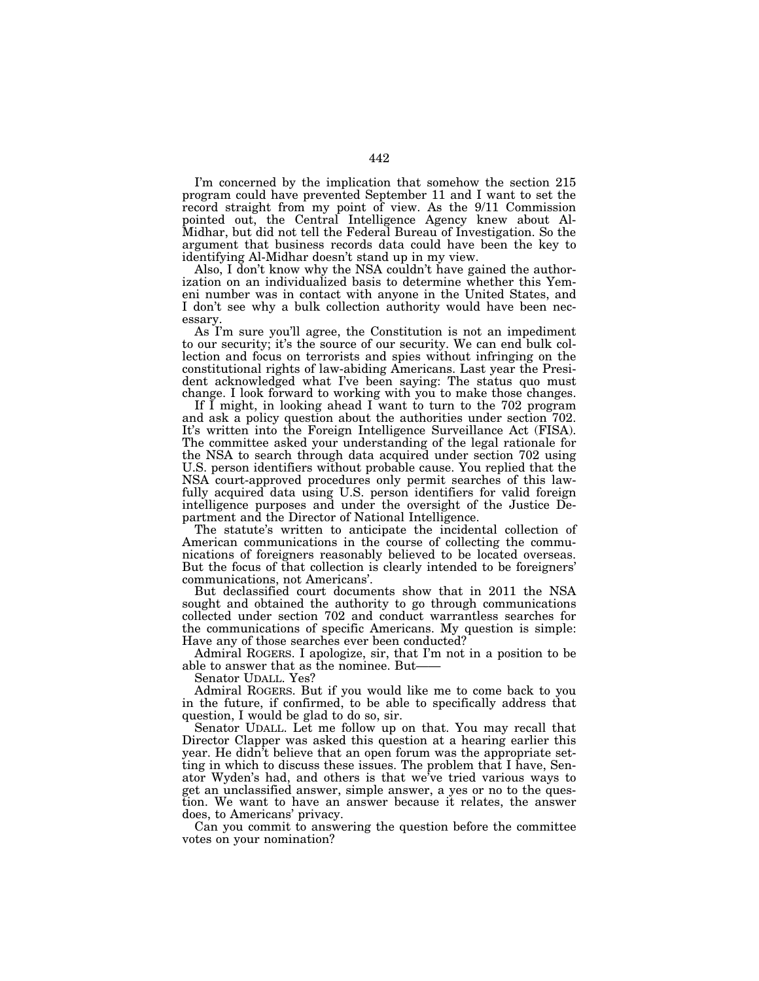I'm concerned by the implication that somehow the section 215 program could have prevented September 11 and I want to set the record straight from my point of view. As the 9/11 Commission pointed out, the Central Intelligence Agency knew about Al-Midhar, but did not tell the Federal Bureau of Investigation. So the argument that business records data could have been the key to identifying Al-Midhar doesn't stand up in my view.

Also, I don't know why the NSA couldn't have gained the authorization on an individualized basis to determine whether this Yemeni number was in contact with anyone in the United States, and I don't see why a bulk collection authority would have been necessary.

As I'm sure you'll agree, the Constitution is not an impediment to our security; it's the source of our security. We can end bulk collection and focus on terrorists and spies without infringing on the constitutional rights of law-abiding Americans. Last year the President acknowledged what I've been saying: The status quo must change. I look forward to working with you to make those changes.

If I might, in looking ahead I want to turn to the 702 program and ask a policy question about the authorities under section 702. It's written into the Foreign Intelligence Surveillance Act (FISA). The committee asked your understanding of the legal rationale for the NSA to search through data acquired under section 702 using U.S. person identifiers without probable cause. You replied that the NSA court-approved procedures only permit searches of this lawfully acquired data using U.S. person identifiers for valid foreign intelligence purposes and under the oversight of the Justice Department and the Director of National Intelligence.

The statute's written to anticipate the incidental collection of American communications in the course of collecting the communications of foreigners reasonably believed to be located overseas. But the focus of that collection is clearly intended to be foreigners' communications, not Americans'.

But declassified court documents show that in 2011 the NSA sought and obtained the authority to go through communications collected under section 702 and conduct warrantless searches for the communications of specific Americans. My question is simple: Have any of those searches ever been conducted?

Admiral ROGERS. I apologize, sir, that I'm not in a position to be able to answer that as the nominee. But-

Senator UDALL. Yes?

Admiral ROGERS. But if you would like me to come back to you in the future, if confirmed, to be able to specifically address that question, I would be glad to do so, sir.

Senator UDALL. Let me follow up on that. You may recall that Director Clapper was asked this question at a hearing earlier this year. He didn't believe that an open forum was the appropriate setting in which to discuss these issues. The problem that I have, Senator Wyden's had, and others is that we've tried various ways to get an unclassified answer, simple answer, a yes or no to the question. We want to have an answer because it relates, the answer does, to Americans' privacy.

Can you commit to answering the question before the committee votes on your nomination?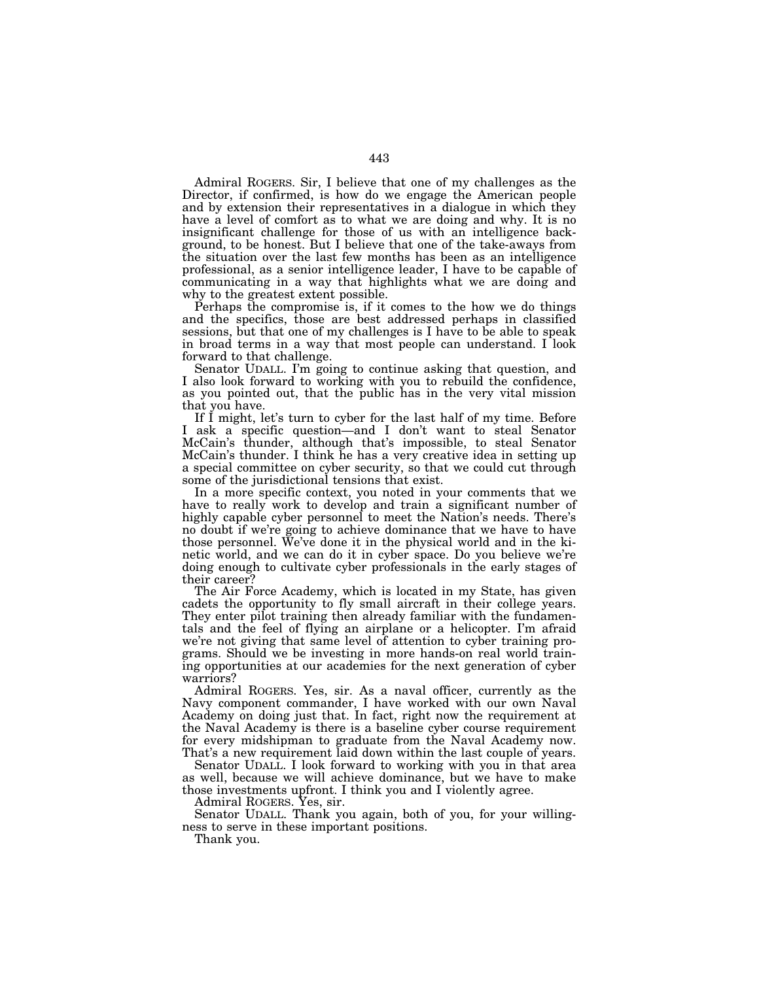Admiral ROGERS. Sir, I believe that one of my challenges as the Director, if confirmed, is how do we engage the American people and by extension their representatives in a dialogue in which they have a level of comfort as to what we are doing and why. It is no insignificant challenge for those of us with an intelligence background, to be honest. But I believe that one of the take-aways from the situation over the last few months has been as an intelligence professional, as a senior intelligence leader, I have to be capable of communicating in a way that highlights what we are doing and why to the greatest extent possible.

Perhaps the compromise is, if it comes to the how we do things and the specifics, those are best addressed perhaps in classified sessions, but that one of my challenges is I have to be able to speak in broad terms in a way that most people can understand. I look forward to that challenge.

Senator UDALL. I'm going to continue asking that question, and I also look forward to working with you to rebuild the confidence, as you pointed out, that the public has in the very vital mission that you have.

If I might, let's turn to cyber for the last half of my time. Before I ask a specific question—and I don't want to steal Senator McCain's thunder, although that's impossible, to steal Senator McCain's thunder. I think he has a very creative idea in setting up a special committee on cyber security, so that we could cut through some of the jurisdictional tensions that exist.

In a more specific context, you noted in your comments that we have to really work to develop and train a significant number of highly capable cyber personnel to meet the Nation's needs. There's no doubt if we're going to achieve dominance that we have to have those personnel. We've done it in the physical world and in the kinetic world, and we can do it in cyber space. Do you believe we're doing enough to cultivate cyber professionals in the early stages of their career?

The Air Force Academy, which is located in my State, has given cadets the opportunity to fly small aircraft in their college years. They enter pilot training then already familiar with the fundamentals and the feel of flying an airplane or a helicopter. I'm afraid we're not giving that same level of attention to cyber training programs. Should we be investing in more hands-on real world training opportunities at our academies for the next generation of cyber warriors?

Admiral ROGERS. Yes, sir. As a naval officer, currently as the Navy component commander, I have worked with our own Naval Academy on doing just that. In fact, right now the requirement at the Naval Academy is there is a baseline cyber course requirement for every midshipman to graduate from the Naval Academy now. That's a new requirement laid down within the last couple of years.

Senator UDALL. I look forward to working with you in that area as well, because we will achieve dominance, but we have to make those investments upfront. I think you and I violently agree.

Admiral ROGERS. Yes, sir.

Senator UDALL. Thank you again, both of you, for your willingness to serve in these important positions.

Thank you.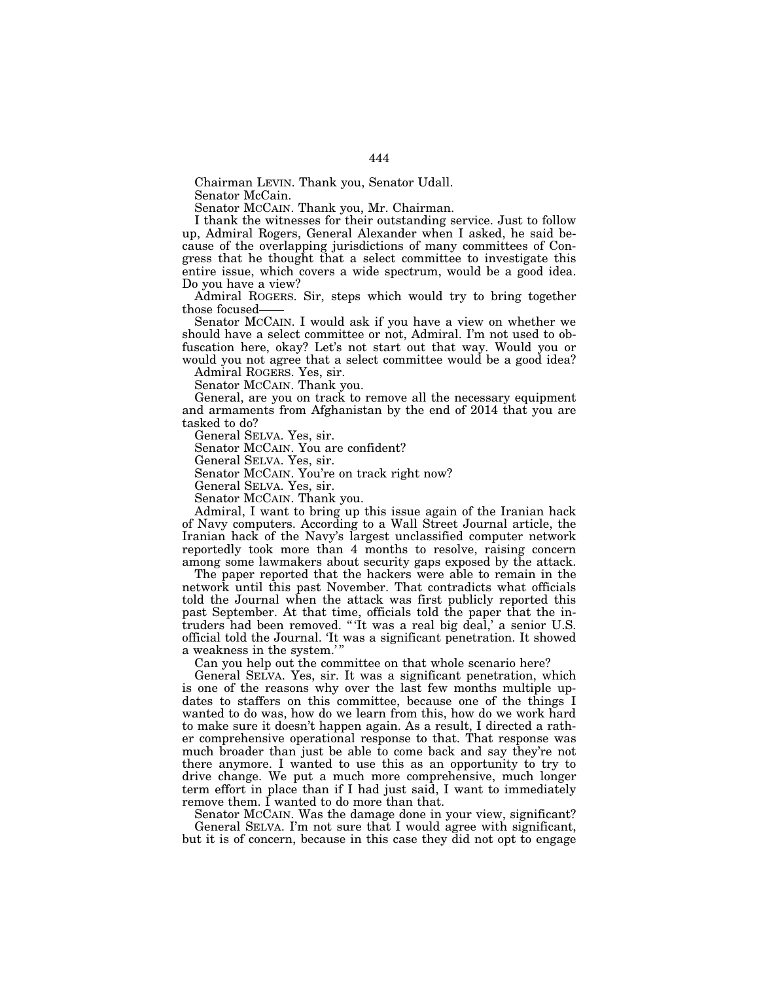Chairman LEVIN. Thank you, Senator Udall. Senator McCain.

Senator MCCAIN. Thank you, Mr. Chairman.

I thank the witnesses for their outstanding service. Just to follow up, Admiral Rogers, General Alexander when I asked, he said because of the overlapping jurisdictions of many committees of Congress that he thought that a select committee to investigate this entire issue, which covers a wide spectrum, would be a good idea. Do you have a view?

Admiral ROGERS. Sir, steps which would try to bring together those focused-

Senator MCCAIN. I would ask if you have a view on whether we should have a select committee or not, Admiral. I'm not used to obfuscation here, okay? Let's not start out that way. Would you or would you not agree that a select committee would be a good idea?

Admiral ROGERS. Yes, sir.

Senator MCCAIN. Thank you.

General, are you on track to remove all the necessary equipment and armaments from Afghanistan by the end of 2014 that you are tasked to do?

General SELVA. Yes, sir.

Senator MCCAIN. You are confident?

General SELVA. Yes, sir.

Senator MCCAIN. You're on track right now?

General SELVA. Yes, sir.

Senator MCCAIN. Thank you.

Admiral, I want to bring up this issue again of the Iranian hack of Navy computers. According to a Wall Street Journal article, the Iranian hack of the Navy's largest unclassified computer network reportedly took more than 4 months to resolve, raising concern among some lawmakers about security gaps exposed by the attack.

The paper reported that the hackers were able to remain in the network until this past November. That contradicts what officials told the Journal when the attack was first publicly reported this past September. At that time, officials told the paper that the intruders had been removed. '' 'It was a real big deal,' a senior U.S. official told the Journal. 'It was a significant penetration. It showed a weakness in the system.' ''

Can you help out the committee on that whole scenario here?

General SELVA. Yes, sir. It was a significant penetration, which is one of the reasons why over the last few months multiple updates to staffers on this committee, because one of the things I wanted to do was, how do we learn from this, how do we work hard to make sure it doesn't happen again. As a result, I directed a rather comprehensive operational response to that. That response was much broader than just be able to come back and say they're not there anymore. I wanted to use this as an opportunity to try to drive change. We put a much more comprehensive, much longer term effort in place than if I had just said, I want to immediately remove them. I wanted to do more than that.

Senator MCCAIN. Was the damage done in your view, significant? General SELVA. I'm not sure that I would agree with significant, but it is of concern, because in this case they did not opt to engage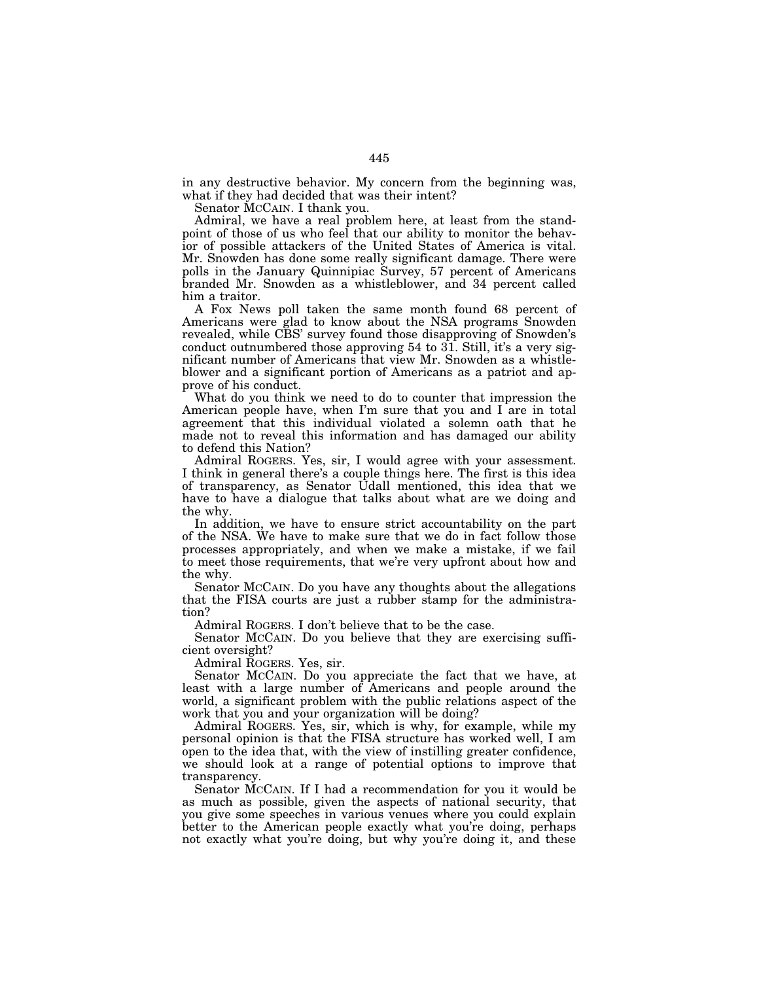in any destructive behavior. My concern from the beginning was, what if they had decided that was their intent?

Senator MCCAIN. I thank you.

Admiral, we have a real problem here, at least from the standpoint of those of us who feel that our ability to monitor the behavior of possible attackers of the United States of America is vital. Mr. Snowden has done some really significant damage. There were polls in the January Quinnipiac Survey, 57 percent of Americans branded Mr. Snowden as a whistleblower, and 34 percent called him a traitor.

A Fox News poll taken the same month found 68 percent of Americans were glad to know about the NSA programs Snowden revealed, while CBS' survey found those disapproving of Snowden's conduct outnumbered those approving 54 to 31. Still, it's a very significant number of Americans that view Mr. Snowden as a whistleblower and a significant portion of Americans as a patriot and approve of his conduct.

What do you think we need to do to counter that impression the American people have, when I'm sure that you and I are in total agreement that this individual violated a solemn oath that he made not to reveal this information and has damaged our ability to defend this Nation?

Admiral ROGERS. Yes, sir, I would agree with your assessment. I think in general there's a couple things here. The first is this idea of transparency, as Senator Udall mentioned, this idea that we have to have a dialogue that talks about what are we doing and the why.

In addition, we have to ensure strict accountability on the part of the NSA. We have to make sure that we do in fact follow those processes appropriately, and when we make a mistake, if we fail to meet those requirements, that we're very upfront about how and the why.

Senator MCCAIN. Do you have any thoughts about the allegations that the FISA courts are just a rubber stamp for the administration?

Admiral ROGERS. I don't believe that to be the case.

Senator MCCAIN. Do you believe that they are exercising sufficient oversight?

Admiral ROGERS. Yes, sir.

Senator MCCAIN. Do you appreciate the fact that we have, at least with a large number of Americans and people around the world, a significant problem with the public relations aspect of the work that you and your organization will be doing?

Admiral ROGERS. Yes, sir, which is why, for example, while my personal opinion is that the FISA structure has worked well, I am open to the idea that, with the view of instilling greater confidence, we should look at a range of potential options to improve that transparency.

Senator MCCAIN. If I had a recommendation for you it would be as much as possible, given the aspects of national security, that you give some speeches in various venues where you could explain better to the American people exactly what you're doing, perhaps not exactly what you're doing, but why you're doing it, and these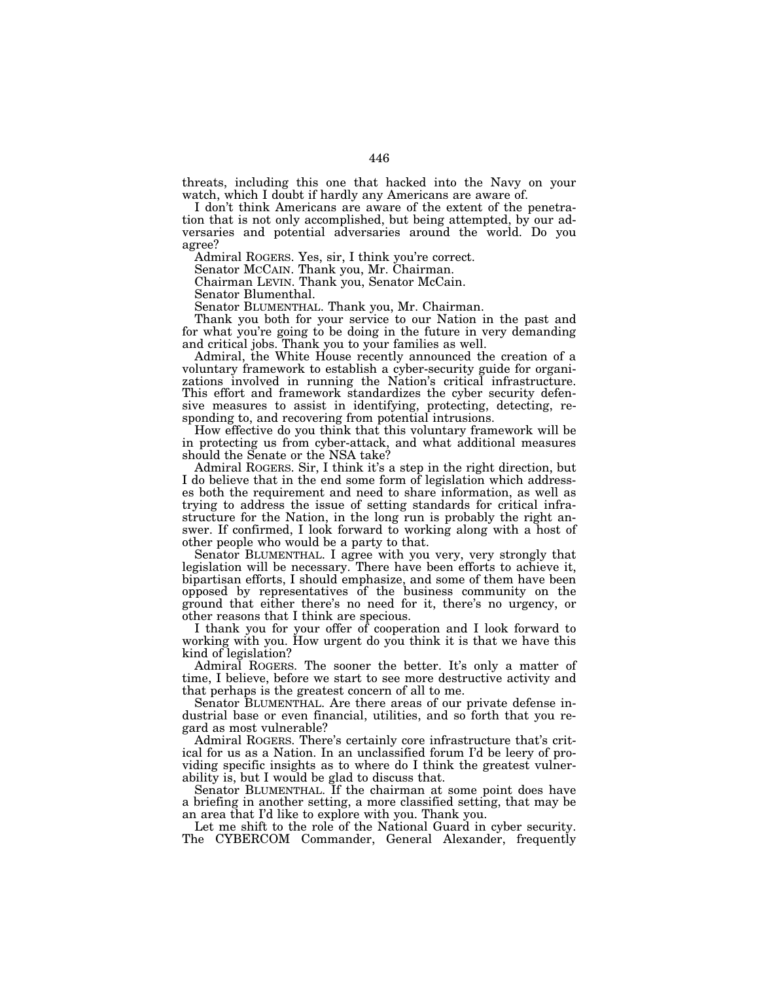threats, including this one that hacked into the Navy on your watch, which I doubt if hardly any Americans are aware of.

I don't think Americans are aware of the extent of the penetration that is not only accomplished, but being attempted, by our adversaries and potential adversaries around the world. Do you agree?

Admiral ROGERS. Yes, sir, I think you're correct.

Senator MCCAIN. Thank you, Mr. Chairman.

Chairman LEVIN. Thank you, Senator McCain.

Senator Blumenthal.

Senator BLUMENTHAL. Thank you, Mr. Chairman.

Thank you both for your service to our Nation in the past and for what you're going to be doing in the future in very demanding and critical jobs. Thank you to your families as well.

Admiral, the White House recently announced the creation of a voluntary framework to establish a cyber-security guide for organizations involved in running the Nation's critical infrastructure. This effort and framework standardizes the cyber security defensive measures to assist in identifying, protecting, detecting, responding to, and recovering from potential intrusions.

How effective do you think that this voluntary framework will be in protecting us from cyber-attack, and what additional measures should the Senate or the NSA take?

Admiral ROGERS. Sir, I think it's a step in the right direction, but I do believe that in the end some form of legislation which addresses both the requirement and need to share information, as well as trying to address the issue of setting standards for critical infrastructure for the Nation, in the long run is probably the right answer. If confirmed, I look forward to working along with a host of other people who would be a party to that.

Senator BLUMENTHAL. I agree with you very, very strongly that legislation will be necessary. There have been efforts to achieve it, bipartisan efforts, I should emphasize, and some of them have been opposed by representatives of the business community on the ground that either there's no need for it, there's no urgency, or other reasons that I think are specious.

I thank you for your offer of cooperation and I look forward to working with you. How urgent do you think it is that we have this kind of legislation?

Admiral ROGERS. The sooner the better. It's only a matter of time, I believe, before we start to see more destructive activity and that perhaps is the greatest concern of all to me.

Senator BLUMENTHAL. Are there areas of our private defense industrial base or even financial, utilities, and so forth that you regard as most vulnerable?

Admiral ROGERS. There's certainly core infrastructure that's critical for us as a Nation. In an unclassified forum I'd be leery of providing specific insights as to where do I think the greatest vulnerability is, but I would be glad to discuss that.

Senator BLUMENTHAL. If the chairman at some point does have a briefing in another setting, a more classified setting, that may be an area that I'd like to explore with you. Thank you.

Let me shift to the role of the National Guard in cyber security. The CYBERCOM Commander, General Alexander, frequently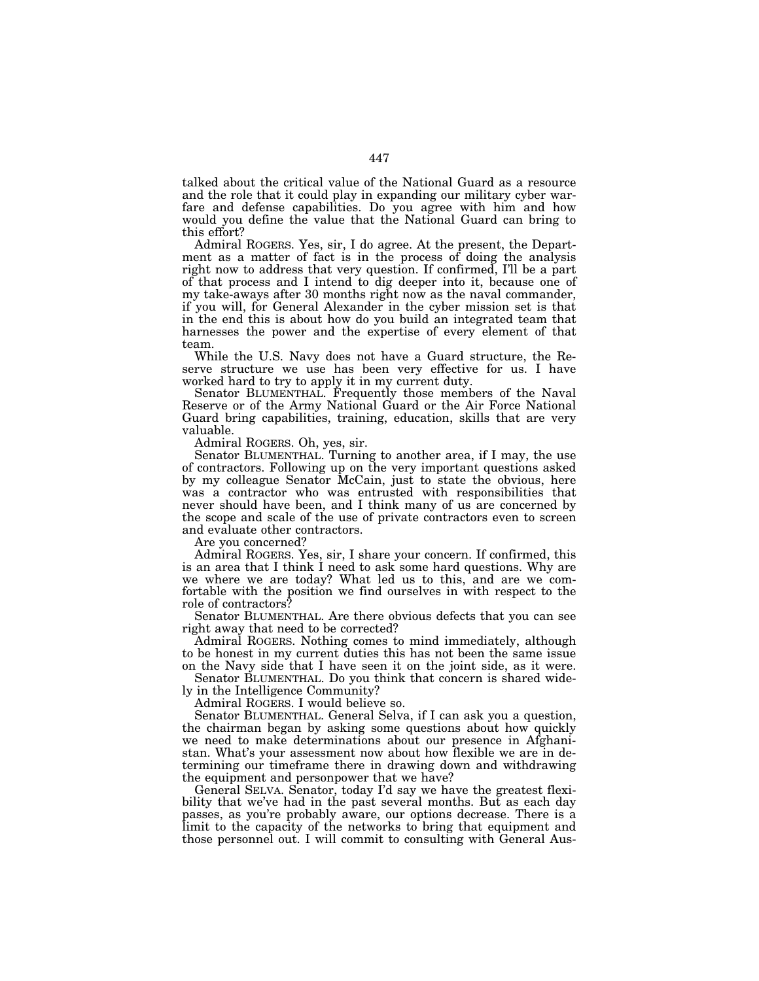talked about the critical value of the National Guard as a resource and the role that it could play in expanding our military cyber warfare and defense capabilities. Do you agree with him and how would you define the value that the National Guard can bring to this effort?

Admiral ROGERS. Yes, sir, I do agree. At the present, the Department as a matter of fact is in the process of doing the analysis right now to address that very question. If confirmed, I'll be a part of that process and I intend to dig deeper into it, because one of my take-aways after 30 months right now as the naval commander, if you will, for General Alexander in the cyber mission set is that in the end this is about how do you build an integrated team that harnesses the power and the expertise of every element of that team.

While the U.S. Navy does not have a Guard structure, the Reserve structure we use has been very effective for us. I have worked hard to try to apply it in my current duty.

Senator BLUMENTHAL. Frequently those members of the Naval Reserve or of the Army National Guard or the Air Force National Guard bring capabilities, training, education, skills that are very valuable.

Admiral ROGERS. Oh, yes, sir.

Senator BLUMENTHAL. Turning to another area, if I may, the use of contractors. Following up on the very important questions asked by my colleague Senator McCain, just to state the obvious, here was a contractor who was entrusted with responsibilities that never should have been, and I think many of us are concerned by the scope and scale of the use of private contractors even to screen and evaluate other contractors.

Are you concerned?

Admiral ROGERS. Yes, sir, I share your concern. If confirmed, this is an area that I think I need to ask some hard questions. Why are we where we are today? What led us to this, and are we comfortable with the position we find ourselves in with respect to the role of contractors?

Senator BLUMENTHAL. Are there obvious defects that you can see right away that need to be corrected?

Admiral ROGERS. Nothing comes to mind immediately, although to be honest in my current duties this has not been the same issue on the Navy side that I have seen it on the joint side, as it were.

Senator BLUMENTHAL. Do you think that concern is shared widely in the Intelligence Community?

Admiral ROGERS. I would believe so.

Senator BLUMENTHAL. General Selva, if I can ask you a question, the chairman began by asking some questions about how quickly we need to make determinations about our presence in Afghanistan. What's your assessment now about how flexible we are in determining our timeframe there in drawing down and withdrawing the equipment and personpower that we have?

General SELVA. Senator, today I'd say we have the greatest flexibility that we've had in the past several months. But as each day passes, as you're probably aware, our options decrease. There is a limit to the capacity of the networks to bring that equipment and those personnel out. I will commit to consulting with General Aus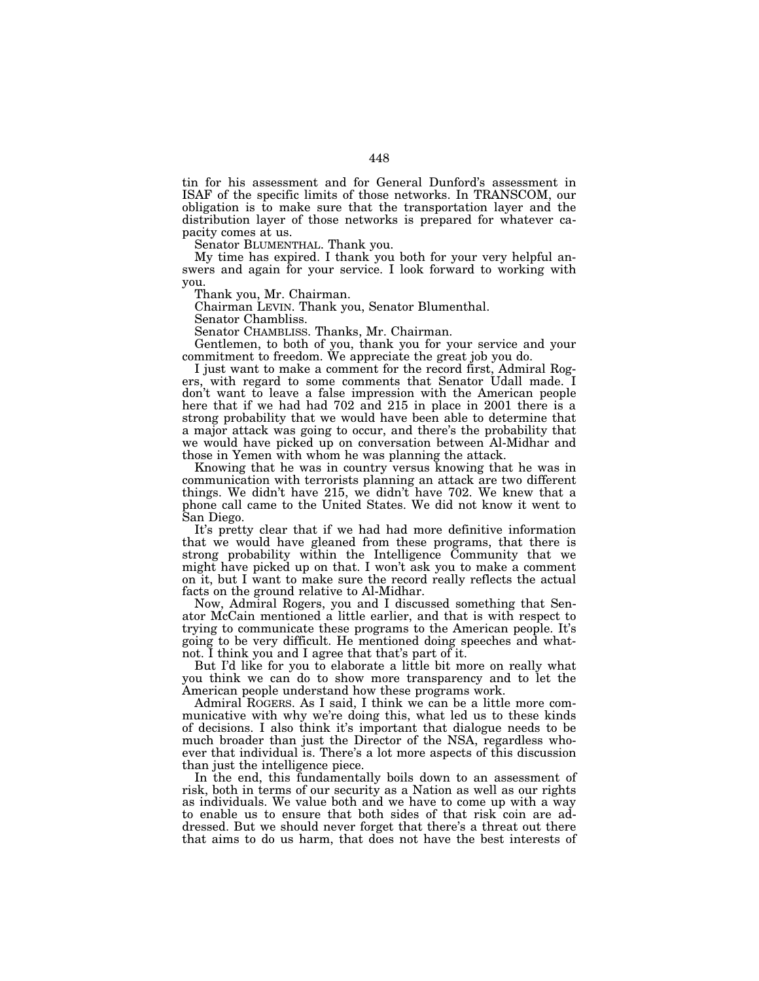tin for his assessment and for General Dunford's assessment in ISAF of the specific limits of those networks. In TRANSCOM, our obligation is to make sure that the transportation layer and the distribution layer of those networks is prepared for whatever capacity comes at us.

Senator BLUMENTHAL. Thank you.

My time has expired. I thank you both for your very helpful answers and again for your service. I look forward to working with you.

Thank you, Mr. Chairman.

Chairman LEVIN. Thank you, Senator Blumenthal.

Senator Chambliss.

Senator CHAMBLISS. Thanks, Mr. Chairman.

Gentlemen, to both of you, thank you for your service and your commitment to freedom. We appreciate the great job you do.

I just want to make a comment for the record first, Admiral Rogers, with regard to some comments that Senator Udall made. I don't want to leave a false impression with the American people here that if we had had 702 and 215 in place in 2001 there is a strong probability that we would have been able to determine that a major attack was going to occur, and there's the probability that we would have picked up on conversation between Al-Midhar and those in Yemen with whom he was planning the attack.

Knowing that he was in country versus knowing that he was in communication with terrorists planning an attack are two different things. We didn't have 215, we didn't have 702. We knew that a phone call came to the United States. We did not know it went to San Diego.

It's pretty clear that if we had had more definitive information that we would have gleaned from these programs, that there is strong probability within the Intelligence Community that we might have picked up on that. I won't ask you to make a comment on it, but I want to make sure the record really reflects the actual facts on the ground relative to Al-Midhar.

Now, Admiral Rogers, you and I discussed something that Senator McCain mentioned a little earlier, and that is with respect to trying to communicate these programs to the American people. It's going to be very difficult. He mentioned doing speeches and whatnot. I think you and I agree that that's part of it.

But I'd like for you to elaborate a little bit more on really what you think we can do to show more transparency and to let the American people understand how these programs work.

Admiral ROGERS. As I said, I think we can be a little more communicative with why we're doing this, what led us to these kinds of decisions. I also think it's important that dialogue needs to be much broader than just the Director of the NSA, regardless whoever that individual is. There's a lot more aspects of this discussion than just the intelligence piece.

In the end, this fundamentally boils down to an assessment of risk, both in terms of our security as a Nation as well as our rights as individuals. We value both and we have to come up with a way to enable us to ensure that both sides of that risk coin are addressed. But we should never forget that there's a threat out there that aims to do us harm, that does not have the best interests of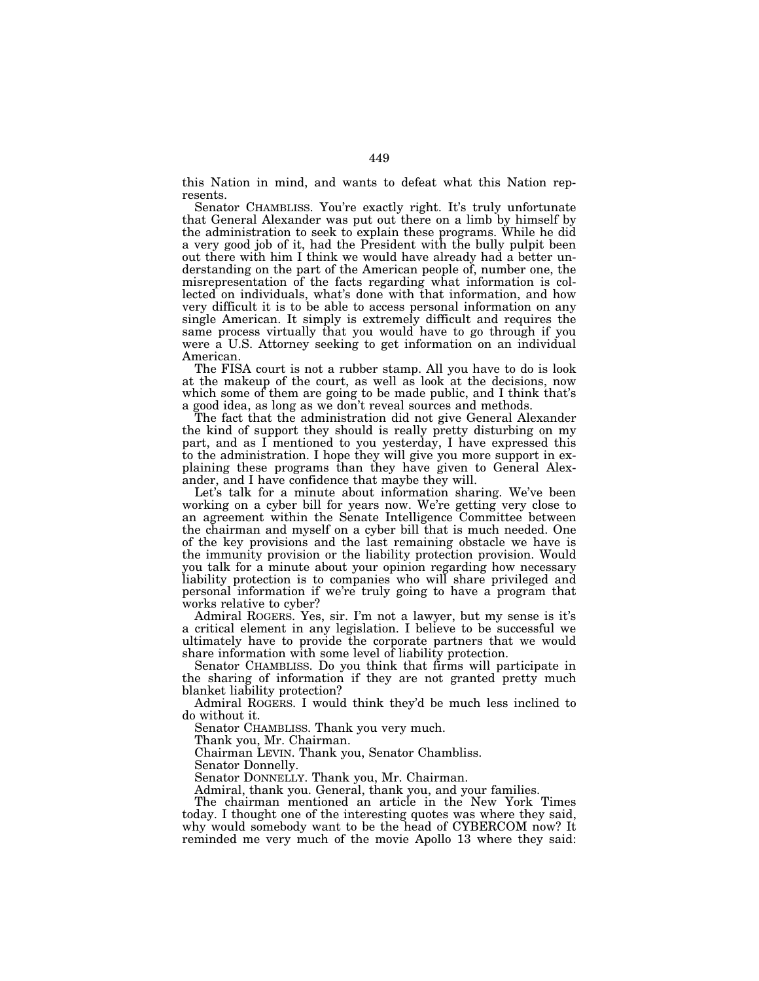this Nation in mind, and wants to defeat what this Nation represents.

Senator CHAMBLISS. You're exactly right. It's truly unfortunate that General Alexander was put out there on a limb by himself by the administration to seek to explain these programs. While he did a very good job of it, had the President with the bully pulpit been out there with him I think we would have already had a better understanding on the part of the American people of, number one, the misrepresentation of the facts regarding what information is collected on individuals, what's done with that information, and how very difficult it is to be able to access personal information on any single American. It simply is extremely difficult and requires the same process virtually that you would have to go through if you were a U.S. Attorney seeking to get information on an individual American.

The FISA court is not a rubber stamp. All you have to do is look at the makeup of the court, as well as look at the decisions, now which some of them are going to be made public, and I think that's a good idea, as long as we don't reveal sources and methods.

The fact that the administration did not give General Alexander the kind of support they should is really pretty disturbing on my part, and as I mentioned to you yesterday, I have expressed this to the administration. I hope they will give you more support in explaining these programs than they have given to General Alexander, and I have confidence that maybe they will.

Let's talk for a minute about information sharing. We've been working on a cyber bill for years now. We're getting very close to an agreement within the Senate Intelligence Committee between the chairman and myself on a cyber bill that is much needed. One of the key provisions and the last remaining obstacle we have is the immunity provision or the liability protection provision. Would you talk for a minute about your opinion regarding how necessary liability protection is to companies who will share privileged and personal information if we're truly going to have a program that works relative to cyber?

Admiral ROGERS. Yes, sir. I'm not a lawyer, but my sense is it's a critical element in any legislation. I believe to be successful we ultimately have to provide the corporate partners that we would share information with some level of liability protection.

Senator CHAMBLISS. Do you think that firms will participate in the sharing of information if they are not granted pretty much blanket liability protection?

Admiral ROGERS. I would think they'd be much less inclined to do without it.

Senator CHAMBLISS. Thank you very much.

Thank you, Mr. Chairman.

Chairman LEVIN. Thank you, Senator Chambliss.

Senator Donnelly.

Senator DONNELLY. Thank you, Mr. Chairman.

Admiral, thank you. General, thank you, and your families.

The chairman mentioned an article in the New York Times today. I thought one of the interesting quotes was where they said, why would somebody want to be the head of CYBERCOM now? It reminded me very much of the movie Apollo 13 where they said: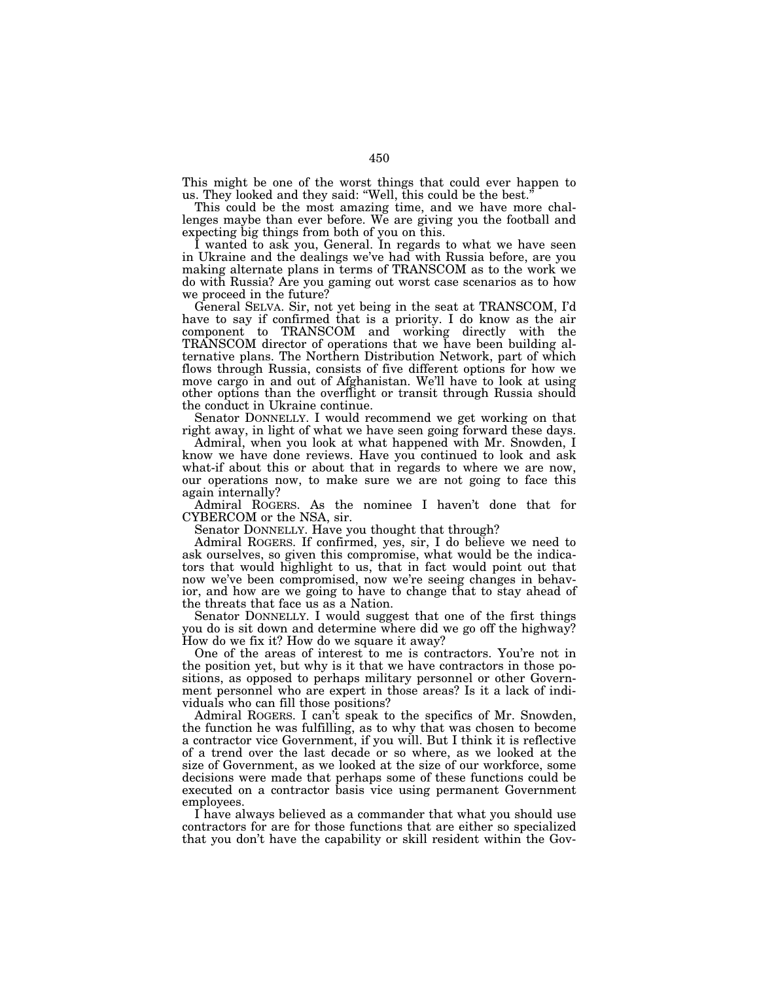This might be one of the worst things that could ever happen to us. They looked and they said: "Well, this could be the best.

This could be the most amazing time, and we have more challenges maybe than ever before. We are giving you the football and expecting big things from both of you on this.

I wanted to ask you, General. In regards to what we have seen in Ukraine and the dealings we've had with Russia before, are you making alternate plans in terms of TRANSCOM as to the work we do with Russia? Are you gaming out worst case scenarios as to how we proceed in the future?

General SELVA. Sir, not yet being in the seat at TRANSCOM, I'd have to say if confirmed that is a priority. I do know as the air component to TRANSCOM and working directly with the TRANSCOM director of operations that we have been building alternative plans. The Northern Distribution Network, part of which flows through Russia, consists of five different options for how we move cargo in and out of Afghanistan. We'll have to look at using other options than the overflight or transit through Russia should the conduct in Ukraine continue.

Senator DONNELLY. I would recommend we get working on that right away, in light of what we have seen going forward these days.

Admiral, when you look at what happened with Mr. Snowden, I know we have done reviews. Have you continued to look and ask what-if about this or about that in regards to where we are now, our operations now, to make sure we are not going to face this again internally?

Admiral ROGERS. As the nominee I haven't done that for CYBERCOM or the NSA, sir.

Senator DONNELLY. Have you thought that through?

Admiral ROGERS. If confirmed, yes, sir, I do believe we need to ask ourselves, so given this compromise, what would be the indicators that would highlight to us, that in fact would point out that now we've been compromised, now we're seeing changes in behavior, and how are we going to have to change that to stay ahead of the threats that face us as a Nation.

Senator DONNELLY. I would suggest that one of the first things you do is sit down and determine where did we go off the highway? How do we fix it? How do we square it away?

One of the areas of interest to me is contractors. You're not in the position yet, but why is it that we have contractors in those positions, as opposed to perhaps military personnel or other Government personnel who are expert in those areas? Is it a lack of individuals who can fill those positions?

Admiral ROGERS. I can't speak to the specifics of Mr. Snowden, the function he was fulfilling, as to why that was chosen to become a contractor vice Government, if you will. But I think it is reflective of a trend over the last decade or so where, as we looked at the size of Government, as we looked at the size of our workforce, some decisions were made that perhaps some of these functions could be executed on a contractor basis vice using permanent Government employees.

I have always believed as a commander that what you should use contractors for are for those functions that are either so specialized that you don't have the capability or skill resident within the Gov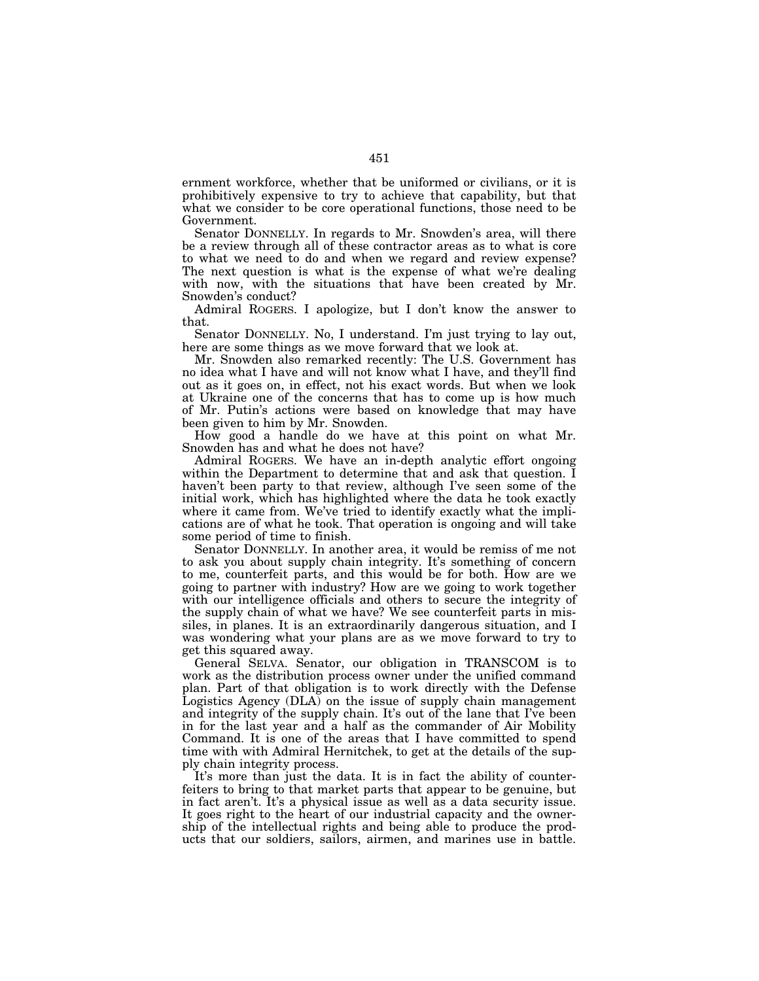ernment workforce, whether that be uniformed or civilians, or it is prohibitively expensive to try to achieve that capability, but that what we consider to be core operational functions, those need to be Government.

Senator DONNELLY. In regards to Mr. Snowden's area, will there be a review through all of these contractor areas as to what is core to what we need to do and when we regard and review expense? The next question is what is the expense of what we're dealing with now, with the situations that have been created by Mr. Snowden's conduct?

Admiral ROGERS. I apologize, but I don't know the answer to that.

Senator DONNELLY. No, I understand. I'm just trying to lay out, here are some things as we move forward that we look at.

Mr. Snowden also remarked recently: The U.S. Government has no idea what I have and will not know what I have, and they'll find out as it goes on, in effect, not his exact words. But when we look at Ukraine one of the concerns that has to come up is how much of Mr. Putin's actions were based on knowledge that may have been given to him by Mr. Snowden.

How good a handle do we have at this point on what Mr. Snowden has and what he does not have?

Admiral ROGERS. We have an in-depth analytic effort ongoing within the Department to determine that and ask that question. I haven't been party to that review, although I've seen some of the initial work, which has highlighted where the data he took exactly where it came from. We've tried to identify exactly what the implications are of what he took. That operation is ongoing and will take some period of time to finish.

Senator DONNELLY. In another area, it would be remiss of me not to ask you about supply chain integrity. It's something of concern to me, counterfeit parts, and this would be for both. How are we going to partner with industry? How are we going to work together with our intelligence officials and others to secure the integrity of the supply chain of what we have? We see counterfeit parts in missiles, in planes. It is an extraordinarily dangerous situation, and I was wondering what your plans are as we move forward to try to get this squared away.

General SELVA. Senator, our obligation in TRANSCOM is to work as the distribution process owner under the unified command plan. Part of that obligation is to work directly with the Defense Logistics Agency (DLA) on the issue of supply chain management and integrity of the supply chain. It's out of the lane that I've been in for the last year and a half as the commander of Air Mobility Command. It is one of the areas that I have committed to spend time with with Admiral Hernitchek, to get at the details of the supply chain integrity process.

It's more than just the data. It is in fact the ability of counterfeiters to bring to that market parts that appear to be genuine, but in fact aren't. It's a physical issue as well as a data security issue. It goes right to the heart of our industrial capacity and the ownership of the intellectual rights and being able to produce the products that our soldiers, sailors, airmen, and marines use in battle.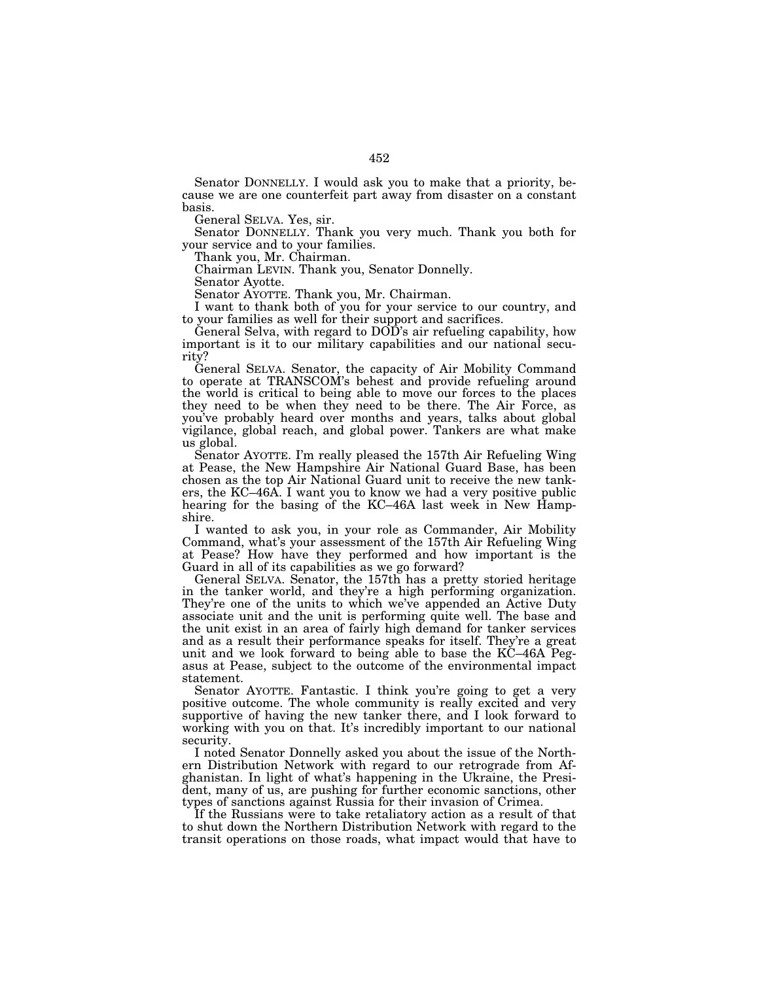Senator DONNELLY. I would ask you to make that a priority, because we are one counterfeit part away from disaster on a constant basis.

General SELVA. Yes, sir.

Senator DONNELLY. Thank you very much. Thank you both for your service and to your families.

Thank you, Mr. Chairman.

Chairman LEVIN. Thank you, Senator Donnelly.

Senator Ayotte.

Senator AYOTTE. Thank you, Mr. Chairman.

I want to thank both of you for your service to our country, and to your families as well for their support and sacrifices.

General Selva, with regard to DOD's air refueling capability, how important is it to our military capabilities and our national security?

General SELVA. Senator, the capacity of Air Mobility Command to operate at TRANSCOM's behest and provide refueling around the world is critical to being able to move our forces to the places they need to be when they need to be there. The Air Force, as you've probably heard over months and years, talks about global vigilance, global reach, and global power. Tankers are what make us global.

Senator AYOTTE. I'm really pleased the 157th Air Refueling Wing at Pease, the New Hampshire Air National Guard Base, has been chosen as the top Air National Guard unit to receive the new tankers, the KC–46A. I want you to know we had a very positive public hearing for the basing of the KC–46A last week in New Hampshire.

I wanted to ask you, in your role as Commander, Air Mobility Command, what's your assessment of the 157th Air Refueling Wing at Pease? How have they performed and how important is the Guard in all of its capabilities as we go forward?

General SELVA. Senator, the 157th has a pretty storied heritage in the tanker world, and they're a high performing organization. They're one of the units to which we've appended an Active Duty associate unit and the unit is performing quite well. The base and the unit exist in an area of fairly high demand for tanker services and as a result their performance speaks for itself. They're a great unit and we look forward to being able to base the KC–46A Pegasus at Pease, subject to the outcome of the environmental impact statement.

Senator AYOTTE. Fantastic. I think you're going to get a very positive outcome. The whole community is really excited and very supportive of having the new tanker there, and I look forward to working with you on that. It's incredibly important to our national security.

I noted Senator Donnelly asked you about the issue of the Northern Distribution Network with regard to our retrograde from Afghanistan. In light of what's happening in the Ukraine, the President, many of us, are pushing for further economic sanctions, other types of sanctions against Russia for their invasion of Crimea.

If the Russians were to take retaliatory action as a result of that to shut down the Northern Distribution Network with regard to the transit operations on those roads, what impact would that have to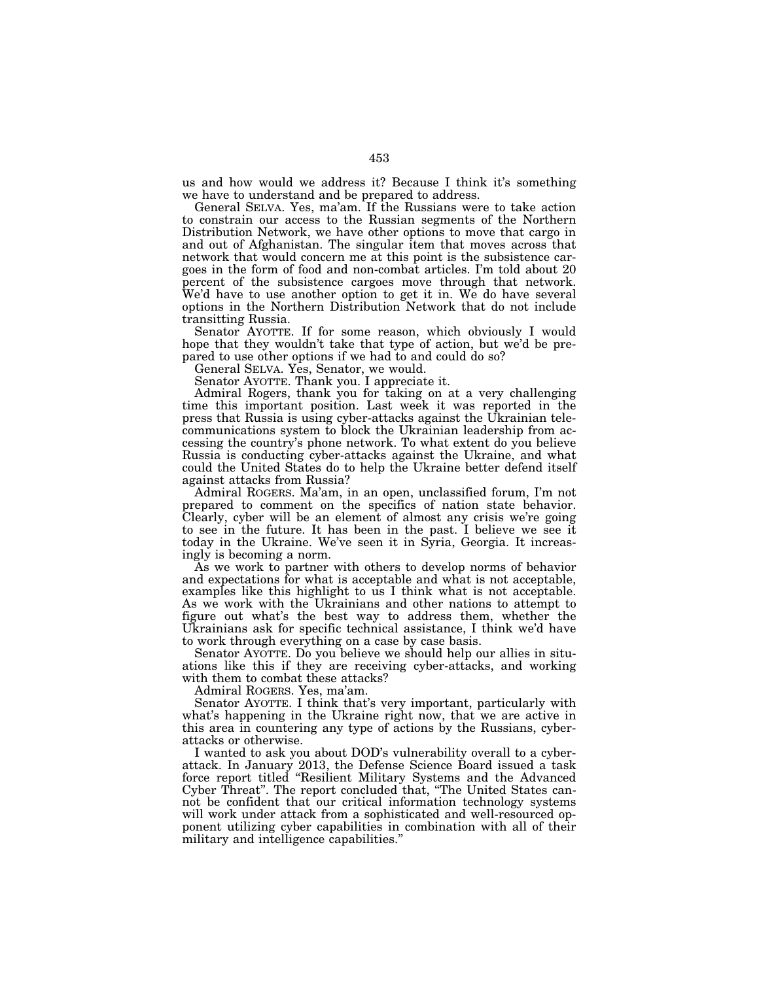us and how would we address it? Because I think it's something we have to understand and be prepared to address.

General SELVA. Yes, ma'am. If the Russians were to take action to constrain our access to the Russian segments of the Northern Distribution Network, we have other options to move that cargo in and out of Afghanistan. The singular item that moves across that network that would concern me at this point is the subsistence cargoes in the form of food and non-combat articles. I'm told about 20 percent of the subsistence cargoes move through that network. We'd have to use another option to get it in. We do have several options in the Northern Distribution Network that do not include transitting Russia.

Senator AYOTTE. If for some reason, which obviously I would hope that they wouldn't take that type of action, but we'd be prepared to use other options if we had to and could do so?

General SELVA. Yes, Senator, we would.

Senator AYOTTE. Thank you. I appreciate it.

Admiral Rogers, thank you for taking on at a very challenging time this important position. Last week it was reported in the press that Russia is using cyber-attacks against the Ukrainian telecommunications system to block the Ukrainian leadership from accessing the country's phone network. To what extent do you believe Russia is conducting cyber-attacks against the Ukraine, and what could the United States do to help the Ukraine better defend itself against attacks from Russia?

Admiral ROGERS. Ma'am, in an open, unclassified forum, I'm not prepared to comment on the specifics of nation state behavior. Clearly, cyber will be an element of almost any crisis we're going to see in the future. It has been in the past. I believe we see it today in the Ukraine. We've seen it in Syria, Georgia. It increasingly is becoming a norm.

As we work to partner with others to develop norms of behavior and expectations for what is acceptable and what is not acceptable, examples like this highlight to us I think what is not acceptable. As we work with the Ukrainians and other nations to attempt to figure out what's the best way to address them, whether the Ukrainians ask for specific technical assistance, I think we'd have to work through everything on a case by case basis.

Senator AYOTTE. Do you believe we should help our allies in situations like this if they are receiving cyber-attacks, and working with them to combat these attacks?

Admiral ROGERS. Yes, ma'am.

Senator AYOTTE. I think that's very important, particularly with what's happening in the Ukraine right now, that we are active in this area in countering any type of actions by the Russians, cyberattacks or otherwise.

I wanted to ask you about DOD's vulnerability overall to a cyberattack. In January 2013, the Defense Science Board issued a task force report titled ''Resilient Military Systems and the Advanced Cyber Threat''. The report concluded that, ''The United States cannot be confident that our critical information technology systems will work under attack from a sophisticated and well-resourced opponent utilizing cyber capabilities in combination with all of their military and intelligence capabilities.''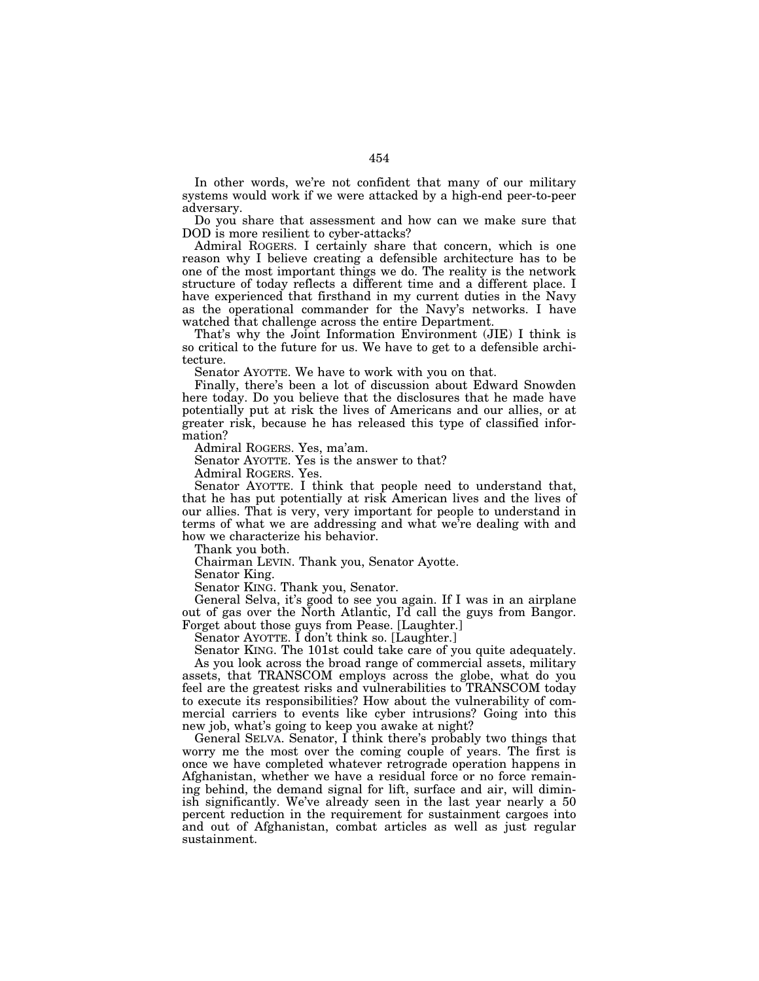In other words, we're not confident that many of our military systems would work if we were attacked by a high-end peer-to-peer adversary.

Do you share that assessment and how can we make sure that DOD is more resilient to cyber-attacks?

Admiral ROGERS. I certainly share that concern, which is one reason why I believe creating a defensible architecture has to be one of the most important things we do. The reality is the network structure of today reflects a different time and a different place. I have experienced that firsthand in my current duties in the Navy as the operational commander for the Navy's networks. I have watched that challenge across the entire Department.

That's why the Joint Information Environment (JIE) I think is so critical to the future for us. We have to get to a defensible architecture.

Senator AYOTTE. We have to work with you on that.

Finally, there's been a lot of discussion about Edward Snowden here today. Do you believe that the disclosures that he made have potentially put at risk the lives of Americans and our allies, or at greater risk, because he has released this type of classified information?

Admiral ROGERS. Yes, ma'am.

Senator AYOTTE. Yes is the answer to that?

Admiral ROGERS. Yes.

Senator AYOTTE. I think that people need to understand that, that he has put potentially at risk American lives and the lives of our allies. That is very, very important for people to understand in terms of what we are addressing and what we're dealing with and how we characterize his behavior.

Thank you both.

Chairman LEVIN. Thank you, Senator Ayotte.

Senator King.

Senator KING. Thank you, Senator.

General Selva, it's good to see you again. If I was in an airplane out of gas over the North Atlantic, I'd call the guys from Bangor. Forget about those guys from Pease. [Laughter.]

Senator AYOTTE. I don't think so. [Laughter.]

Senator KING. The 101st could take care of you quite adequately.

As you look across the broad range of commercial assets, military assets, that TRANSCOM employs across the globe, what do you feel are the greatest risks and vulnerabilities to TRANSCOM today to execute its responsibilities? How about the vulnerability of commercial carriers to events like cyber intrusions? Going into this new job, what's going to keep you awake at night?

General SELVA. Senator, I think there's probably two things that worry me the most over the coming couple of years. The first is once we have completed whatever retrograde operation happens in Afghanistan, whether we have a residual force or no force remaining behind, the demand signal for lift, surface and air, will diminish significantly. We've already seen in the last year nearly a 50 percent reduction in the requirement for sustainment cargoes into and out of Afghanistan, combat articles as well as just regular sustainment.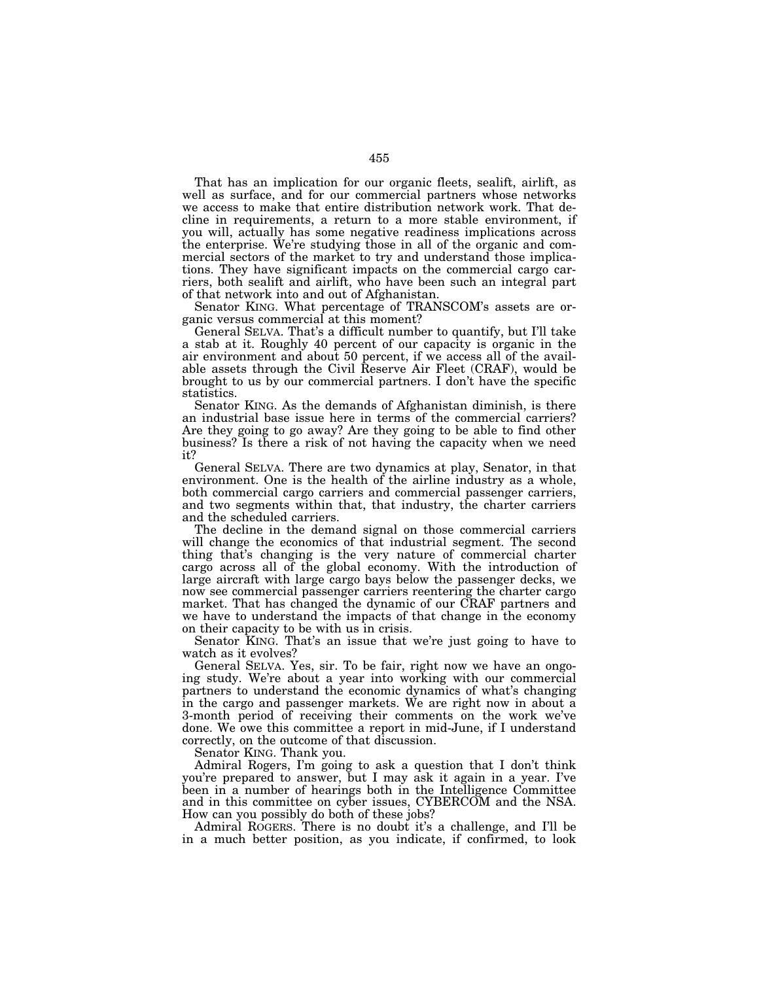That has an implication for our organic fleets, sealift, airlift, as well as surface, and for our commercial partners whose networks we access to make that entire distribution network work. That decline in requirements, a return to a more stable environment, if you will, actually has some negative readiness implications across the enterprise. We're studying those in all of the organic and commercial sectors of the market to try and understand those implications. They have significant impacts on the commercial cargo carriers, both sealift and airlift, who have been such an integral part of that network into and out of Afghanistan.

Senator KING. What percentage of TRANSCOM's assets are organic versus commercial at this moment?

General SELVA. That's a difficult number to quantify, but I'll take a stab at it. Roughly 40 percent of our capacity is organic in the air environment and about 50 percent, if we access all of the available assets through the Civil Reserve Air Fleet (CRAF), would be brought to us by our commercial partners. I don't have the specific statistics.

Senator KING. As the demands of Afghanistan diminish, is there an industrial base issue here in terms of the commercial carriers? Are they going to go away? Are they going to be able to find other business? Is there a risk of not having the capacity when we need it?

General SELVA. There are two dynamics at play, Senator, in that environment. One is the health of the airline industry as a whole, both commercial cargo carriers and commercial passenger carriers, and two segments within that, that industry, the charter carriers and the scheduled carriers.

The decline in the demand signal on those commercial carriers will change the economics of that industrial segment. The second thing that's changing is the very nature of commercial charter cargo across all of the global economy. With the introduction of large aircraft with large cargo bays below the passenger decks, we now see commercial passenger carriers reentering the charter cargo market. That has changed the dynamic of our CRAF partners and we have to understand the impacts of that change in the economy on their capacity to be with us in crisis.

Senator KING. That's an issue that we're just going to have to watch as it evolves?

General SELVA. Yes, sir. To be fair, right now we have an ongoing study. We're about a year into working with our commercial partners to understand the economic dynamics of what's changing in the cargo and passenger markets. We are right now in about a 3-month period of receiving their comments on the work we've done. We owe this committee a report in mid-June, if I understand correctly, on the outcome of that discussion.

Senator KING. Thank you.

Admiral Rogers, I'm going to ask a question that I don't think you're prepared to answer, but I may ask it again in a year. I've been in a number of hearings both in the Intelligence Committee and in this committee on cyber issues, CYBERCOM and the NSA. How can you possibly do both of these jobs?

Admiral ROGERS. There is no doubt it's a challenge, and I'll be in a much better position, as you indicate, if confirmed, to look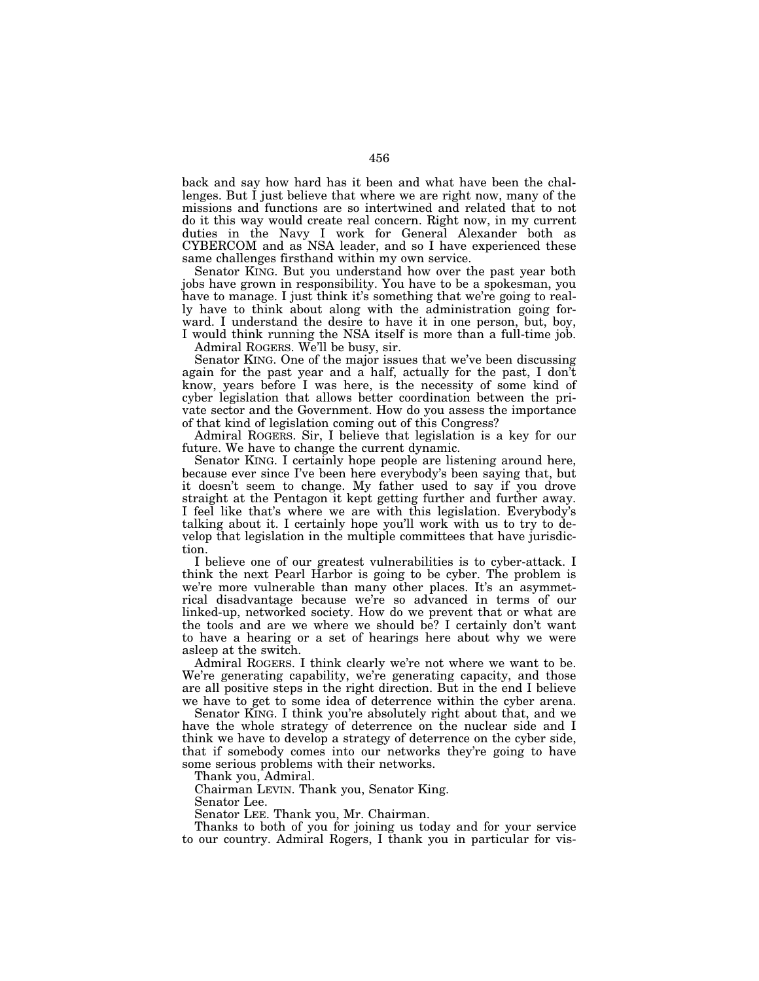back and say how hard has it been and what have been the challenges. But I just believe that where we are right now, many of the missions and functions are so intertwined and related that to not do it this way would create real concern. Right now, in my current duties in the Navy I work for General Alexander both as CYBERCOM and as NSA leader, and so I have experienced these same challenges firsthand within my own service.

Senator KING. But you understand how over the past year both jobs have grown in responsibility. You have to be a spokesman, you have to manage. I just think it's something that we're going to really have to think about along with the administration going forward. I understand the desire to have it in one person, but, boy, I would think running the NSA itself is more than a full-time job.

Admiral ROGERS. We'll be busy, sir.

Senator KING. One of the major issues that we've been discussing again for the past year and a half, actually for the past, I don't know, years before I was here, is the necessity of some kind of cyber legislation that allows better coordination between the private sector and the Government. How do you assess the importance of that kind of legislation coming out of this Congress?

Admiral ROGERS. Sir, I believe that legislation is a key for our future. We have to change the current dynamic.

Senator KING. I certainly hope people are listening around here, because ever since I've been here everybody's been saying that, but it doesn't seem to change. My father used to say if you drove straight at the Pentagon it kept getting further and further away. I feel like that's where we are with this legislation. Everybody's talking about it. I certainly hope you'll work with us to try to develop that legislation in the multiple committees that have jurisdiction.

I believe one of our greatest vulnerabilities is to cyber-attack. I think the next Pearl Harbor is going to be cyber. The problem is we're more vulnerable than many other places. It's an asymmetrical disadvantage because we're so advanced in terms of our linked-up, networked society. How do we prevent that or what are the tools and are we where we should be? I certainly don't want to have a hearing or a set of hearings here about why we were asleep at the switch.

Admiral ROGERS. I think clearly we're not where we want to be. We're generating capability, we're generating capacity, and those are all positive steps in the right direction. But in the end I believe we have to get to some idea of deterrence within the cyber arena.

Senator KING. I think you're absolutely right about that, and we have the whole strategy of deterrence on the nuclear side and I think we have to develop a strategy of deterrence on the cyber side, that if somebody comes into our networks they're going to have some serious problems with their networks.

Thank you, Admiral.

Chairman LEVIN. Thank you, Senator King.

Senator Lee.

Senator LEE. Thank you, Mr. Chairman.

Thanks to both of you for joining us today and for your service to our country. Admiral Rogers, I thank you in particular for vis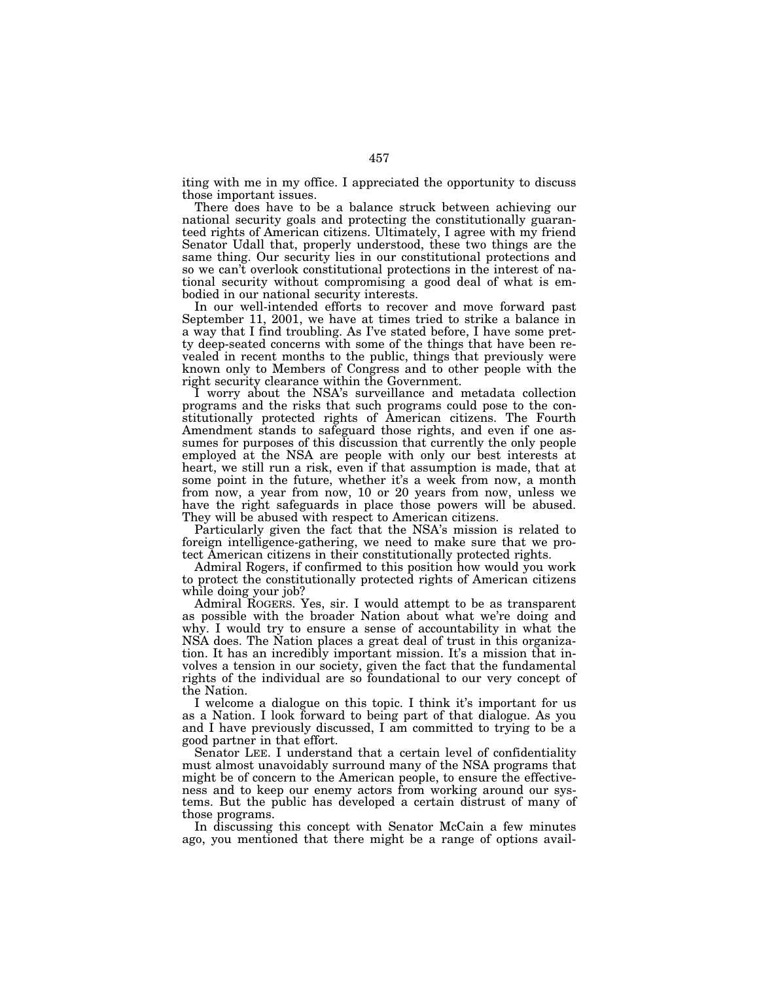iting with me in my office. I appreciated the opportunity to discuss those important issues.

There does have to be a balance struck between achieving our national security goals and protecting the constitutionally guaranteed rights of American citizens. Ultimately, I agree with my friend Senator Udall that, properly understood, these two things are the same thing. Our security lies in our constitutional protections and so we can't overlook constitutional protections in the interest of national security without compromising a good deal of what is embodied in our national security interests.

In our well-intended efforts to recover and move forward past September 11, 2001, we have at times tried to strike a balance in a way that I find troubling. As I've stated before, I have some pretty deep-seated concerns with some of the things that have been revealed in recent months to the public, things that previously were known only to Members of Congress and to other people with the right security clearance within the Government.

I worry about the NSA's surveillance and metadata collection programs and the risks that such programs could pose to the constitutionally protected rights of American citizens. The Fourth Amendment stands to safeguard those rights, and even if one assumes for purposes of this discussion that currently the only people employed at the NSA are people with only our best interests at heart, we still run a risk, even if that assumption is made, that at some point in the future, whether it's a week from now, a month from now, a year from now, 10 or 20 years from now, unless we have the right safeguards in place those powers will be abused. They will be abused with respect to American citizens.

Particularly given the fact that the NSA's mission is related to foreign intelligence-gathering, we need to make sure that we protect American citizens in their constitutionally protected rights.

Admiral Rogers, if confirmed to this position how would you work to protect the constitutionally protected rights of American citizens while doing your job?

Admiral ROGERS. Yes, sir. I would attempt to be as transparent as possible with the broader Nation about what we're doing and why. I would try to ensure a sense of accountability in what the NSA does. The Nation places a great deal of trust in this organization. It has an incredibly important mission. It's a mission that involves a tension in our society, given the fact that the fundamental rights of the individual are so foundational to our very concept of the Nation.

I welcome a dialogue on this topic. I think it's important for us as a Nation. I look forward to being part of that dialogue. As you and I have previously discussed, I am committed to trying to be a good partner in that effort.

Senator LEE. I understand that a certain level of confidentiality must almost unavoidably surround many of the NSA programs that might be of concern to the American people, to ensure the effectiveness and to keep our enemy actors from working around our systems. But the public has developed a certain distrust of many of those programs.

In discussing this concept with Senator McCain a few minutes ago, you mentioned that there might be a range of options avail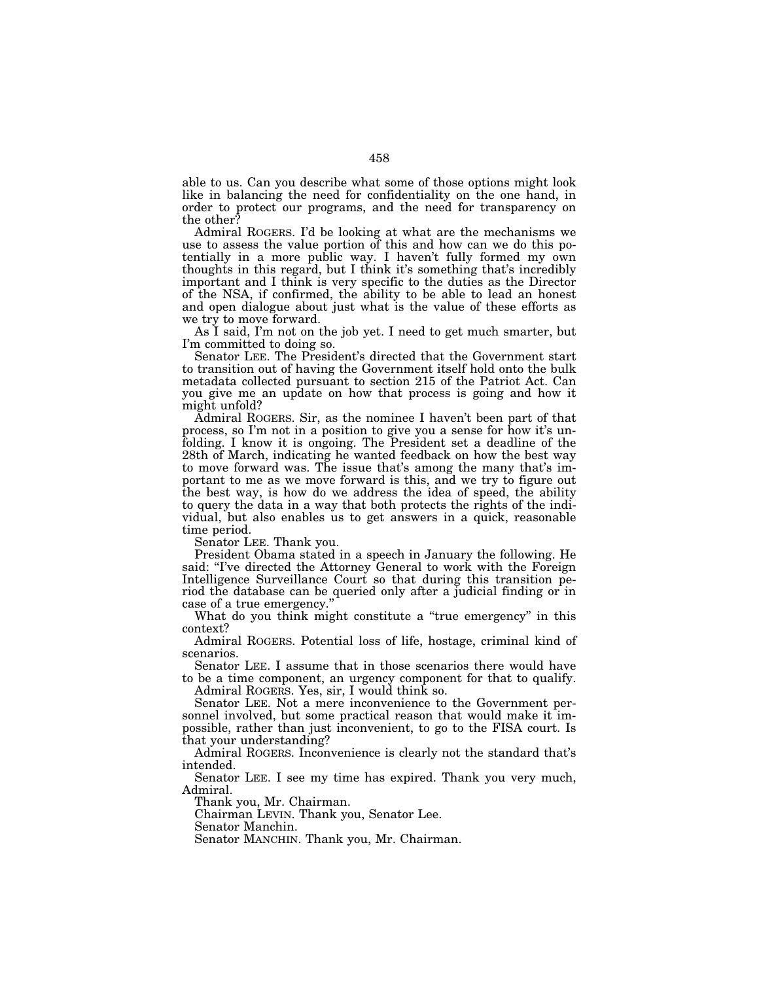able to us. Can you describe what some of those options might look like in balancing the need for confidentiality on the one hand, in order to protect our programs, and the need for transparency on the other?

Admiral ROGERS. I'd be looking at what are the mechanisms we use to assess the value portion of this and how can we do this potentially in a more public way. I haven't fully formed my own thoughts in this regard, but I think it's something that's incredibly important and I think is very specific to the duties as the Director of the NSA, if confirmed, the ability to be able to lead an honest and open dialogue about just what is the value of these efforts as we try to move forward.

As I said, I'm not on the job yet. I need to get much smarter, but I'm committed to doing so.

Senator LEE. The President's directed that the Government start to transition out of having the Government itself hold onto the bulk metadata collected pursuant to section 215 of the Patriot Act. Can you give me an update on how that process is going and how it might unfold?

Admiral ROGERS. Sir, as the nominee I haven't been part of that process, so I'm not in a position to give you a sense for how it's unfolding. I know it is ongoing. The President set a deadline of the 28th of March, indicating he wanted feedback on how the best way to move forward was. The issue that's among the many that's important to me as we move forward is this, and we try to figure out the best way, is how do we address the idea of speed, the ability to query the data in a way that both protects the rights of the individual, but also enables us to get answers in a quick, reasonable time period.

Senator LEE. Thank you.

President Obama stated in a speech in January the following. He said: "I've directed the Attorney General to work with the Foreign Intelligence Surveillance Court so that during this transition period the database can be queried only after a judicial finding or in case of a true emergency.''

What do you think might constitute a "true emergency" in this context?

Admiral ROGERS. Potential loss of life, hostage, criminal kind of scenarios.

Senator LEE. I assume that in those scenarios there would have to be a time component, an urgency component for that to qualify.

Admiral ROGERS. Yes, sir, I would think so.

Senator LEE. Not a mere inconvenience to the Government personnel involved, but some practical reason that would make it impossible, rather than just inconvenient, to go to the FISA court. Is that your understanding?

Admiral ROGERS. Inconvenience is clearly not the standard that's intended.

Senator LEE. I see my time has expired. Thank you very much, Admiral.

Thank you, Mr. Chairman.

Chairman LEVIN. Thank you, Senator Lee.

Senator Manchin.

Senator MANCHIN. Thank you, Mr. Chairman.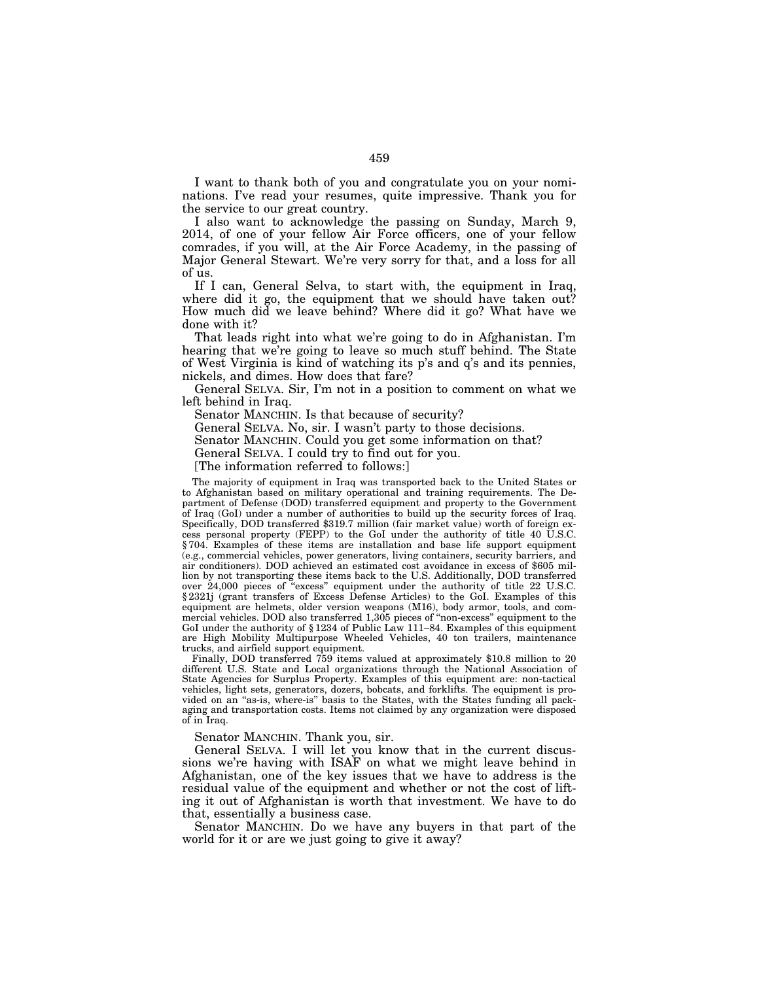I want to thank both of you and congratulate you on your nominations. I've read your resumes, quite impressive. Thank you for the service to our great country.

I also want to acknowledge the passing on Sunday, March 9, 2014, of one of your fellow Air Force officers, one of your fellow comrades, if you will, at the Air Force Academy, in the passing of Major General Stewart. We're very sorry for that, and a loss for all of us.

If I can, General Selva, to start with, the equipment in Iraq, where did it go, the equipment that we should have taken out? How much did we leave behind? Where did it go? What have we done with it?

That leads right into what we're going to do in Afghanistan. I'm hearing that we're going to leave so much stuff behind. The State of West Virginia is kind of watching its p's and q's and its pennies, nickels, and dimes. How does that fare?

General SELVA. Sir, I'm not in a position to comment on what we left behind in Iraq.

Senator MANCHIN. Is that because of security?

General SELVA. No, sir. I wasn't party to those decisions.

Senator MANCHIN. Could you get some information on that?

General SELVA. I could try to find out for you.

[The information referred to follows:]

The majority of equipment in Iraq was transported back to the United States or to Afghanistan based on military operational and training requirements. The Department of Defense (DOD) transferred equipment and property to the Government of Iraq (GoI) under a number of authorities to build up the security forces of Iraq. Specifically, DOD transferred \$319.7 million (fair market value) worth of foreign excess personal property (FEPP) to the GoI under the authority of title 40 U.S.C. § 704. Examples of these items are installation and base life support equipment (e.g., commercial vehicles, power generators, living containers, security barriers, and air conditioners). DOD achieved an estimated cost avoidance in excess of \$605 million by not transporting these items back to the U.S. Additionally, DOD transferred over 24,000 pieces of "excess" equipment under the authority of title 22 U.S.C. § 2321j (grant transfers of Excess Defense Articles) to the GoI. Examples of this equipment are helmets, older version weapons (M16), body armor, tools, and commercial vehicles. DOD also transferred 1,305 pieces of ''non-excess'' equipment to the GoI under the authority of §1234 of Public Law 111–84. Examples of this equipment are High Mobility Multipurpose Wheeled Vehicles, 40 ton trailers, maintenance trucks, and airfield support equipment.

Finally, DOD transferred 759 items valued at approximately \$10.8 million to 20 different U.S. State and Local organizations through the National Association of State Agencies for Surplus Property. Examples of this equipment are: non-tactical vehicles, light sets, generators, dozers, bobcats, and forklifts. The equipment is provided on an ''as-is, where-is'' basis to the States, with the States funding all packaging and transportation costs. Items not claimed by any organization were disposed of in Iraq.

Senator MANCHIN. Thank you, sir.

General SELVA. I will let you know that in the current discussions we're having with ISAF on what we might leave behind in Afghanistan, one of the key issues that we have to address is the residual value of the equipment and whether or not the cost of lifting it out of Afghanistan is worth that investment. We have to do that, essentially a business case.

Senator MANCHIN. Do we have any buyers in that part of the world for it or are we just going to give it away?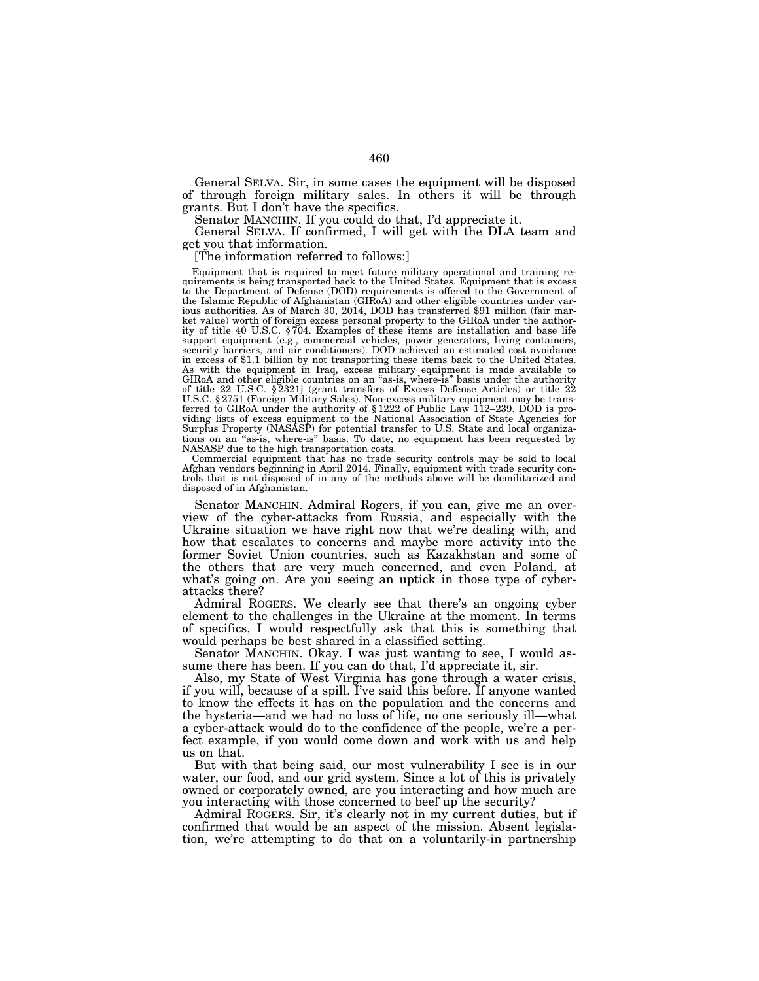General SELVA. Sir, in some cases the equipment will be disposed of through foreign military sales. In others it will be through grants. But I don't have the specifics.

Senator MANCHIN. If you could do that, I'd appreciate it.

General SELVA. If confirmed, I will get with the DLA team and get you that information.

[The information referred to follows:]

Equipment that is required to meet future military operational and training requirements is being transported back to the United States. Equipment that is excess to the Department of Defense (DOD) requirements is offered to the Government of the Islamic Republic of Afghanistan (GIRoA) and other eligible countries under various authorities. As of March 30, 2014, DOD has transferred \$91 million (fair market value) worth of foreign excess personal property to the GIRoA under the author-ity of title 40 U.S.C. § 704. Examples of these items are installation and base life support equipment (e.g., commercial vehicles, power generators, living containers, security barriers, and air conditioners). DOD achieved an estimated cost avoidance in excess of \$1.1 billion by not transporting these items back to the United States. As with the equipment in Iraq, excess military equipment is made available to GIRoA and other eligible countries on an "as-is, where-is" basis under the authority of title 22 U.S.C. § 2321j (grant transfers of Excess Defen ferred to GIRoA under the authority of § 1222 of Public Law 112–239. DOD is providing lists of excess equipment to the National Association of State Agencies for Surplus Property (NASASP) for potential transfer to U.S. State and local organizations on an ''as-is, where-is'' basis. To date, no equipment has been requested by NASASP due to the high transportation costs.

Commercial equipment that has no trade security controls may be sold to local Afghan vendors beginning in April 2014. Finally, equipment with trade security controls that is not disposed of in any of the methods above will be demilitarized and disposed of in Afghanistan.

Senator MANCHIN. Admiral Rogers, if you can, give me an overview of the cyber-attacks from Russia, and especially with the Ukraine situation we have right now that we're dealing with, and how that escalates to concerns and maybe more activity into the former Soviet Union countries, such as Kazakhstan and some of the others that are very much concerned, and even Poland, at what's going on. Are you seeing an uptick in those type of cyberattacks there?

Admiral ROGERS. We clearly see that there's an ongoing cyber element to the challenges in the Ukraine at the moment. In terms of specifics, I would respectfully ask that this is something that would perhaps be best shared in a classified setting.

Senator MANCHIN. Okay. I was just wanting to see, I would assume there has been. If you can do that, I'd appreciate it, sir.

Also, my State of West Virginia has gone through a water crisis, if you will, because of a spill. I've said this before. If anyone wanted to know the effects it has on the population and the concerns and the hysteria—and we had no loss of life, no one seriously ill—what a cyber-attack would do to the confidence of the people, we're a perfect example, if you would come down and work with us and help us on that.

But with that being said, our most vulnerability I see is in our water, our food, and our grid system. Since a lot of this is privately owned or corporately owned, are you interacting and how much are you interacting with those concerned to beef up the security?

Admiral ROGERS. Sir, it's clearly not in my current duties, but if confirmed that would be an aspect of the mission. Absent legislation, we're attempting to do that on a voluntarily-in partnership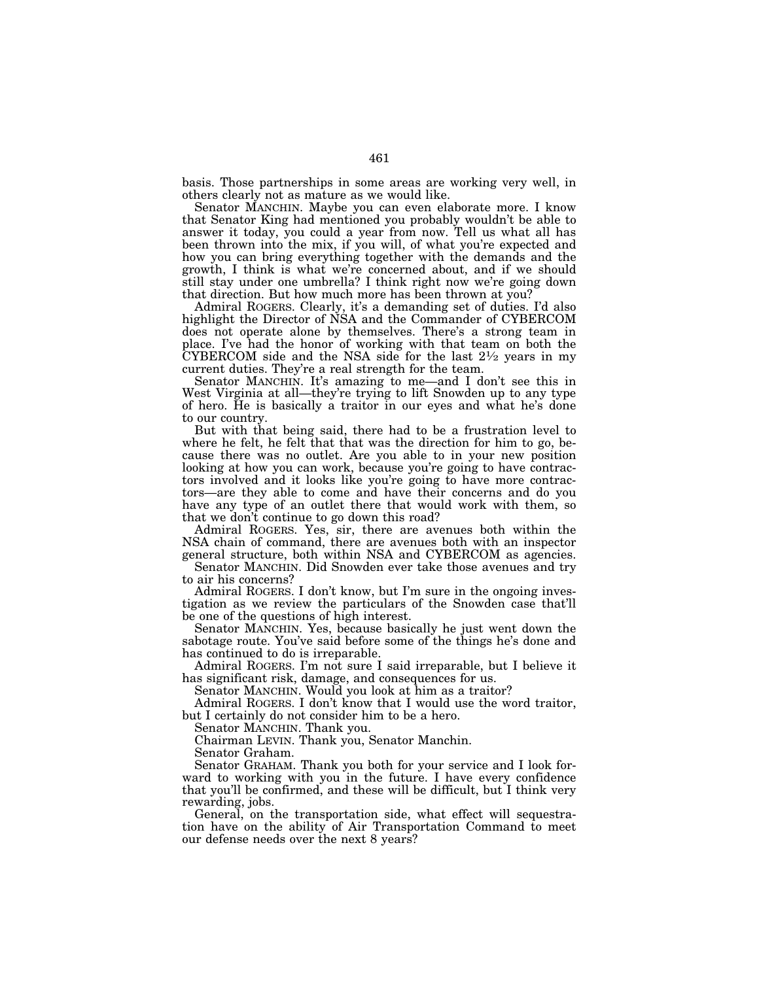basis. Those partnerships in some areas are working very well, in others clearly not as mature as we would like.

Senator MANCHIN. Maybe you can even elaborate more. I know that Senator King had mentioned you probably wouldn't be able to answer it today, you could a year from now. Tell us what all has been thrown into the mix, if you will, of what you're expected and how you can bring everything together with the demands and the growth, I think is what we're concerned about, and if we should still stay under one umbrella? I think right now we're going down that direction. But how much more has been thrown at you?

Admiral ROGERS. Clearly, it's a demanding set of duties. I'd also highlight the Director of NSA and the Commander of CYBERCOM does not operate alone by themselves. There's a strong team in place. I've had the honor of working with that team on both the CYBERCOM side and the NSA side for the last  $2\frac{1}{2}$  years in my current duties. They're a real strength for the team.

Senator MANCHIN. It's amazing to me—and I don't see this in West Virginia at all—they're trying to lift Snowden up to any type of hero. He is basically a traitor in our eyes and what he's done to our country.

But with that being said, there had to be a frustration level to where he felt, he felt that that was the direction for him to go, because there was no outlet. Are you able to in your new position looking at how you can work, because you're going to have contractors involved and it looks like you're going to have more contractors—are they able to come and have their concerns and do you have any type of an outlet there that would work with them, so that we don't continue to go down this road?

Admiral ROGERS. Yes, sir, there are avenues both within the NSA chain of command, there are avenues both with an inspector general structure, both within NSA and CYBERCOM as agencies.

Senator MANCHIN. Did Snowden ever take those avenues and try to air his concerns?

Admiral ROGERS. I don't know, but I'm sure in the ongoing investigation as we review the particulars of the Snowden case that'll be one of the questions of high interest.

Senator MANCHIN. Yes, because basically he just went down the sabotage route. You've said before some of the things he's done and has continued to do is irreparable.

Admiral ROGERS. I'm not sure I said irreparable, but I believe it has significant risk, damage, and consequences for us.

Senator MANCHIN. Would you look at him as a traitor?

Admiral ROGERS. I don't know that I would use the word traitor, but I certainly do not consider him to be a hero.

Senator MANCHIN. Thank you.

Chairman LEVIN. Thank you, Senator Manchin.

Senator Graham.

Senator GRAHAM. Thank you both for your service and I look forward to working with you in the future. I have every confidence that you'll be confirmed, and these will be difficult, but I think very rewarding, jobs.

General, on the transportation side, what effect will sequestration have on the ability of Air Transportation Command to meet our defense needs over the next 8 years?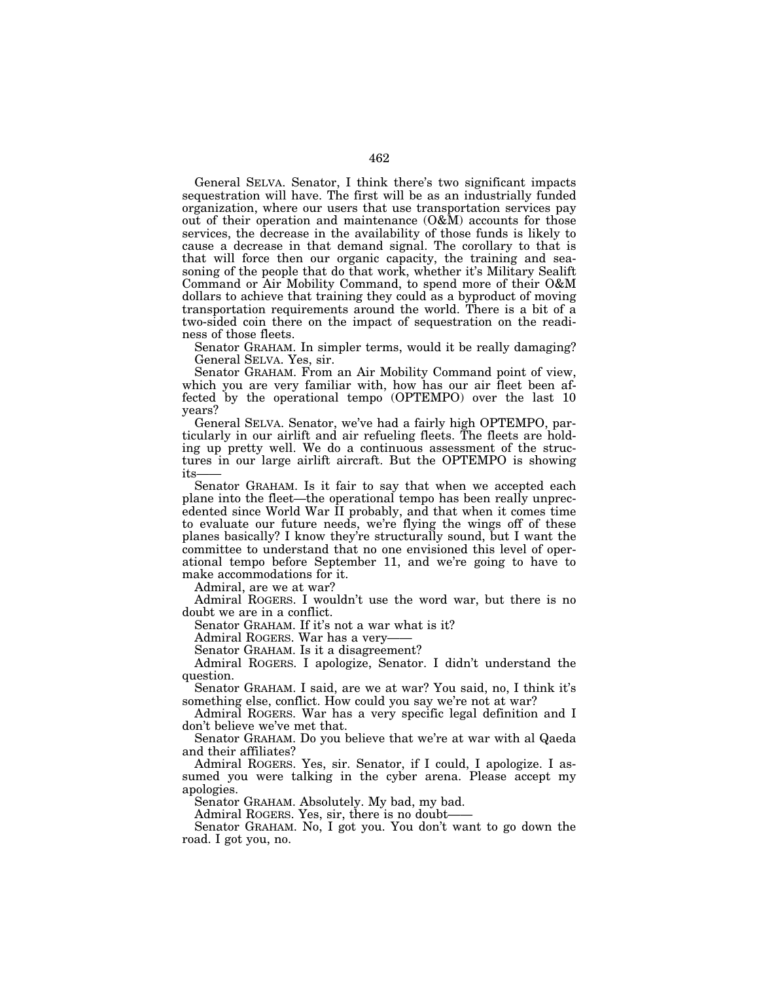General SELVA. Senator, I think there's two significant impacts sequestration will have. The first will be as an industrially funded organization, where our users that use transportation services pay out of their operation and maintenance (O&M) accounts for those services, the decrease in the availability of those funds is likely to cause a decrease in that demand signal. The corollary to that is that will force then our organic capacity, the training and seasoning of the people that do that work, whether it's Military Sealift Command or Air Mobility Command, to spend more of their O&M dollars to achieve that training they could as a byproduct of moving transportation requirements around the world. There is a bit of a two-sided coin there on the impact of sequestration on the readiness of those fleets.

Senator GRAHAM. In simpler terms, would it be really damaging? General SELVA. Yes, sir.

Senator GRAHAM. From an Air Mobility Command point of view, which you are very familiar with, how has our air fleet been affected by the operational tempo (OPTEMPO) over the last 10 years?

General SELVA. Senator, we've had a fairly high OPTEMPO, particularly in our airlift and air refueling fleets. The fleets are holding up pretty well. We do a continuous assessment of the structures in our large airlift aircraft. But the OPTEMPO is showing its

Senator GRAHAM. Is it fair to say that when we accepted each plane into the fleet—the operational tempo has been really unprecedented since World War II probably, and that when it comes time to evaluate our future needs, we're flying the wings off of these planes basically? I know they're structurally sound, but I want the committee to understand that no one envisioned this level of operational tempo before September 11, and we're going to have to make accommodations for it.

Admiral, are we at war?

Admiral ROGERS. I wouldn't use the word war, but there is no doubt we are in a conflict.

Senator GRAHAM. If it's not a war what is it?

Admiral ROGERS. War has a very——

Senator GRAHAM. Is it a disagreement?

Admiral ROGERS. I apologize, Senator. I didn't understand the question.

Senator GRAHAM. I said, are we at war? You said, no, I think it's something else, conflict. How could you say we're not at war?

Admiral ROGERS. War has a very specific legal definition and I don't believe we've met that.

Senator GRAHAM. Do you believe that we're at war with al Qaeda and their affiliates?

Admiral ROGERS. Yes, sir. Senator, if I could, I apologize. I assumed you were talking in the cyber arena. Please accept my apologies.

Senator GRAHAM. Absolutely. My bad, my bad.

Admiral ROGERS. Yes, sir, there is no doubt——

Senator GRAHAM. No, I got you. You don't want to go down the road. I got you, no.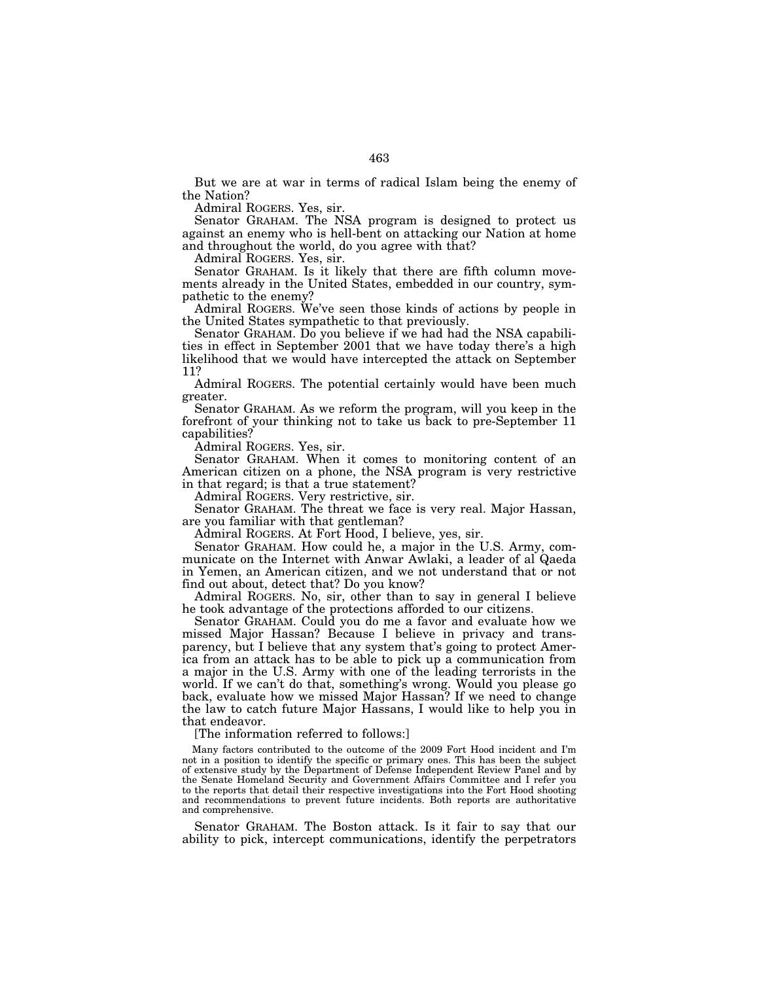But we are at war in terms of radical Islam being the enemy of the Nation?

Admiral ROGERS. Yes, sir.

Senator GRAHAM. The NSA program is designed to protect us against an enemy who is hell-bent on attacking our Nation at home and throughout the world, do you agree with that?

Admiral ROGERS. Yes, sir.

Senator GRAHAM. Is it likely that there are fifth column movements already in the United States, embedded in our country, sympathetic to the enemy?

Admiral ROGERS. We've seen those kinds of actions by people in the United States sympathetic to that previously.

Senator GRAHAM. Do you believe if we had had the NSA capabilities in effect in September 2001 that we have today there's a high likelihood that we would have intercepted the attack on September 11?

Admiral ROGERS. The potential certainly would have been much greater.

Senator GRAHAM. As we reform the program, will you keep in the forefront of your thinking not to take us back to pre-September 11 capabilities?

Admiral ROGERS. Yes, sir.

Senator GRAHAM. When it comes to monitoring content of an American citizen on a phone, the NSA program is very restrictive in that regard; is that a true statement?

Admiral ROGERS. Very restrictive, sir.

Senator GRAHAM. The threat we face is very real. Major Hassan, are you familiar with that gentleman?

Admiral ROGERS. At Fort Hood, I believe, yes, sir.

Senator GRAHAM. How could he, a major in the U.S. Army, communicate on the Internet with Anwar Awlaki, a leader of al Qaeda in Yemen, an American citizen, and we not understand that or not find out about, detect that? Do you know?

Admiral ROGERS. No, sir, other than to say in general I believe he took advantage of the protections afforded to our citizens.

Senator GRAHAM. Could you do me a favor and evaluate how we missed Major Hassan? Because I believe in privacy and transparency, but I believe that any system that's going to protect America from an attack has to be able to pick up a communication from a major in the U.S. Army with one of the leading terrorists in the world. If we can't do that, something's wrong. Would you please go back, evaluate how we missed Major Hassan? If we need to change the law to catch future Major Hassans, I would like to help you in that endeavor.

[The information referred to follows:]

Many factors contributed to the outcome of the 2009 Fort Hood incident and I'm not in a position to identify the specific or primary ones. This has been the subject of extensive study by the Department of Defense Independent Review Panel and by the Senate Homeland Security and Government Affairs Committee and I refer you to the reports that detail their respective investigations into the Fort Hood shooting and recommendations to prevent future incidents. Both reports are authoritative and comprehensive.

Senator GRAHAM. The Boston attack. Is it fair to say that our ability to pick, intercept communications, identify the perpetrators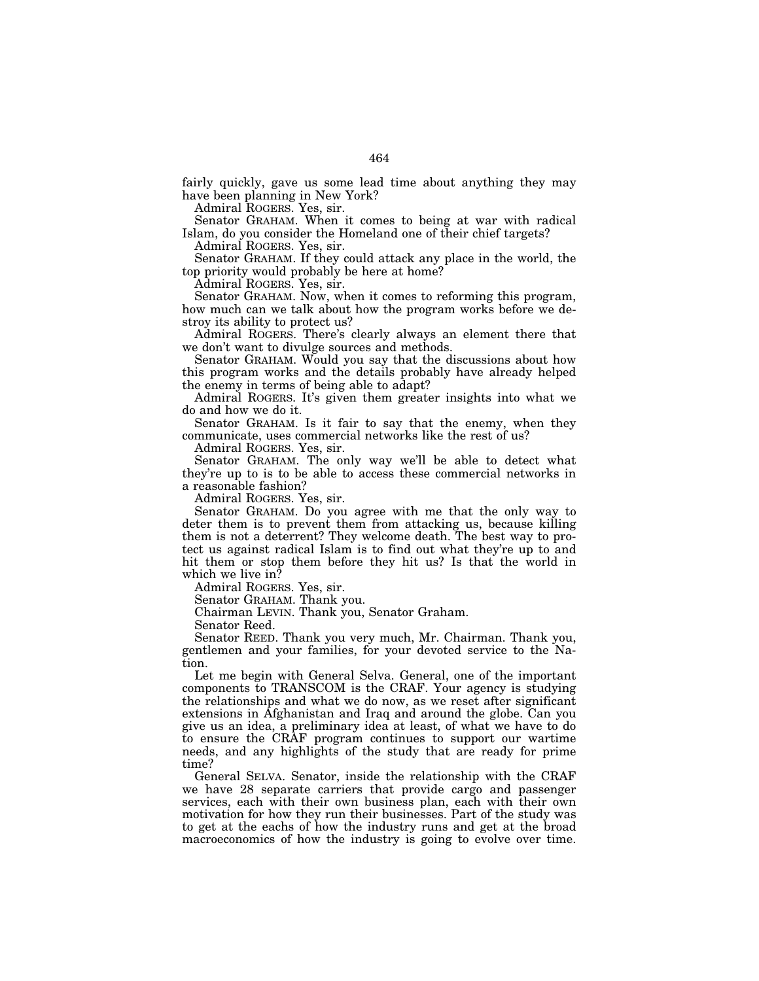fairly quickly, gave us some lead time about anything they may have been planning in New York?

Admiral ROGERS. Yes, sir.

Senator GRAHAM. When it comes to being at war with radical Islam, do you consider the Homeland one of their chief targets?

Admiral ROGERS. Yes, sir.

Senator GRAHAM. If they could attack any place in the world, the top priority would probably be here at home?

Admiral ROGERS. Yes, sir.

Senator GRAHAM. Now, when it comes to reforming this program, how much can we talk about how the program works before we destroy its ability to protect us?

Admiral ROGERS. There's clearly always an element there that we don't want to divulge sources and methods.

Senator GRAHAM. Would you say that the discussions about how this program works and the details probably have already helped the enemy in terms of being able to adapt?

Admiral ROGERS. It's given them greater insights into what we do and how we do it.

Senator GRAHAM. Is it fair to say that the enemy, when they communicate, uses commercial networks like the rest of us?

Admiral ROGERS. Yes, sir.

Senator GRAHAM. The only way we'll be able to detect what they're up to is to be able to access these commercial networks in a reasonable fashion?

Admiral ROGERS. Yes, sir.

Senator GRAHAM. Do you agree with me that the only way to deter them is to prevent them from attacking us, because killing them is not a deterrent? They welcome death. The best way to protect us against radical Islam is to find out what they're up to and hit them or stop them before they hit us? Is that the world in which we live in?

Admiral ROGERS. Yes, sir.

Senator GRAHAM. Thank you.

Chairman LEVIN. Thank you, Senator Graham.

Senator Reed.

Senator REED. Thank you very much, Mr. Chairman. Thank you, gentlemen and your families, for your devoted service to the Nation.

Let me begin with General Selva. General, one of the important components to TRANSCOM is the CRAF. Your agency is studying the relationships and what we do now, as we reset after significant extensions in Afghanistan and Iraq and around the globe. Can you give us an idea, a preliminary idea at least, of what we have to do to ensure the CRAF program continues to support our wartime needs, and any highlights of the study that are ready for prime time?

General SELVA. Senator, inside the relationship with the CRAF we have 28 separate carriers that provide cargo and passenger services, each with their own business plan, each with their own motivation for how they run their businesses. Part of the study was to get at the eachs of how the industry runs and get at the broad macroeconomics of how the industry is going to evolve over time.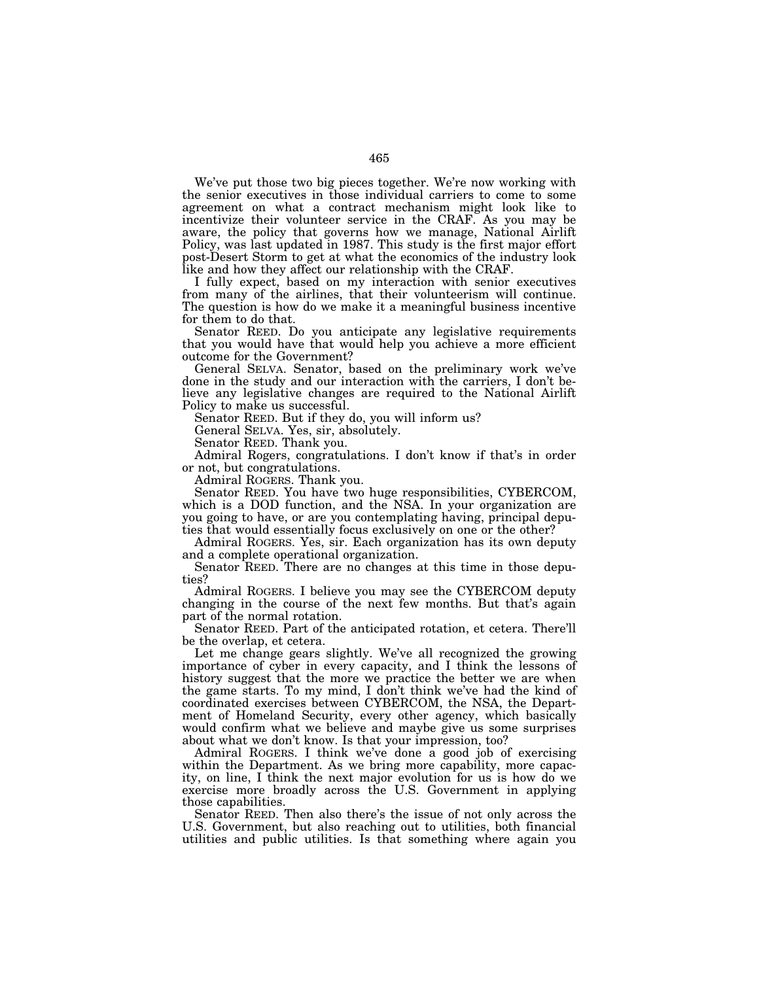We've put those two big pieces together. We're now working with the senior executives in those individual carriers to come to some agreement on what a contract mechanism might look like to incentivize their volunteer service in the CRAF. As you may be aware, the policy that governs how we manage, National Airlift Policy, was last updated in 1987. This study is the first major effort post-Desert Storm to get at what the economics of the industry look like and how they affect our relationship with the CRAF.

I fully expect, based on my interaction with senior executives from many of the airlines, that their volunteerism will continue. The question is how do we make it a meaningful business incentive for them to do that.

Senator REED. Do you anticipate any legislative requirements that you would have that would help you achieve a more efficient outcome for the Government?

General SELVA. Senator, based on the preliminary work we've done in the study and our interaction with the carriers, I don't believe any legislative changes are required to the National Airlift Policy to make us successful.

Senator REED. But if they do, you will inform us?

General SELVA. Yes, sir, absolutely.

Senator REED. Thank you.

Admiral Rogers, congratulations. I don't know if that's in order or not, but congratulations.

Admiral ROGERS. Thank you.

Senator REED. You have two huge responsibilities, CYBERCOM, which is a DOD function, and the NSA. In your organization are you going to have, or are you contemplating having, principal deputies that would essentially focus exclusively on one or the other?

Admiral ROGERS. Yes, sir. Each organization has its own deputy and a complete operational organization.

Senator REED. There are no changes at this time in those deputies?

Admiral ROGERS. I believe you may see the CYBERCOM deputy changing in the course of the next few months. But that's again part of the normal rotation.

Senator REED. Part of the anticipated rotation, et cetera. There'll be the overlap, et cetera.

Let me change gears slightly. We've all recognized the growing importance of cyber in every capacity, and I think the lessons of history suggest that the more we practice the better we are when the game starts. To my mind, I don't think we've had the kind of coordinated exercises between CYBERCOM, the NSA, the Department of Homeland Security, every other agency, which basically would confirm what we believe and maybe give us some surprises about what we don't know. Is that your impression, too?

Admiral ROGERS. I think we've done a good job of exercising within the Department. As we bring more capability, more capacity, on line, I think the next major evolution for us is how do we exercise more broadly across the U.S. Government in applying those capabilities.

Senator REED. Then also there's the issue of not only across the U.S. Government, but also reaching out to utilities, both financial utilities and public utilities. Is that something where again you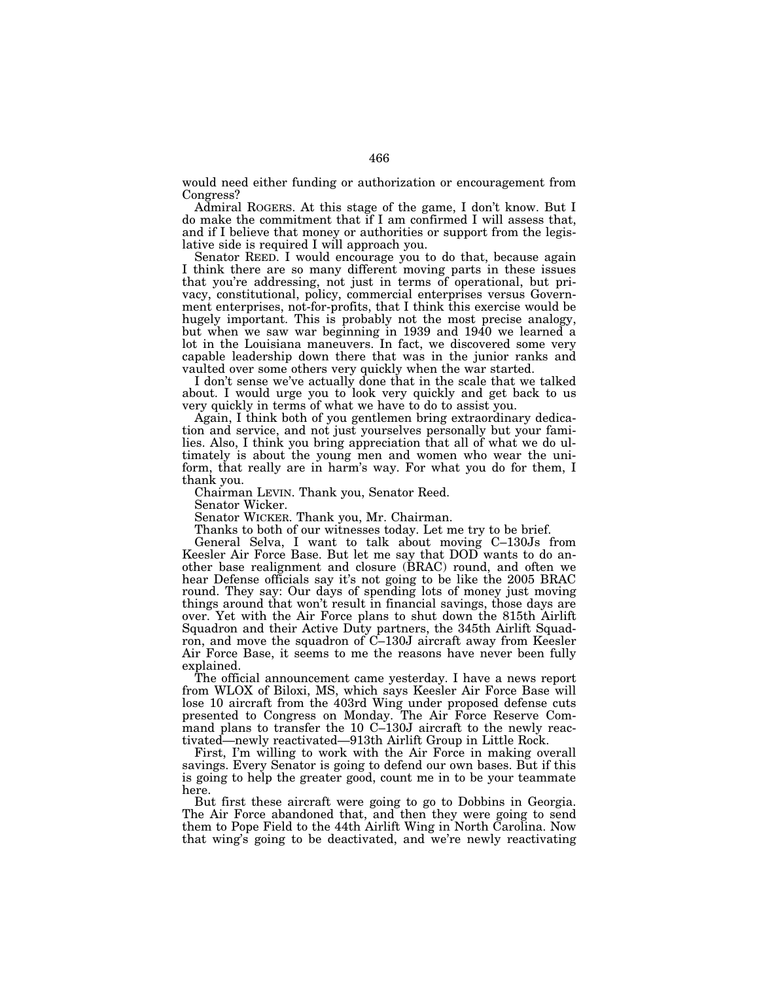would need either funding or authorization or encouragement from Congress?

Admiral ROGERS. At this stage of the game, I don't know. But I do make the commitment that if I am confirmed I will assess that, and if I believe that money or authorities or support from the legislative side is required I will approach you.

Senator REED. I would encourage you to do that, because again I think there are so many different moving parts in these issues that you're addressing, not just in terms of operational, but privacy, constitutional, policy, commercial enterprises versus Government enterprises, not-for-profits, that I think this exercise would be hugely important. This is probably not the most precise analogy, but when we saw war beginning in 1939 and 1940 we learned a lot in the Louisiana maneuvers. In fact, we discovered some very capable leadership down there that was in the junior ranks and vaulted over some others very quickly when the war started.

I don't sense we've actually done that in the scale that we talked about. I would urge you to look very quickly and get back to us very quickly in terms of what we have to do to assist you.

Again, I think both of you gentlemen bring extraordinary dedication and service, and not just yourselves personally but your families. Also, I think you bring appreciation that all of what we do ultimately is about the young men and women who wear the uniform, that really are in harm's way. For what you do for them, I thank you.

Chairman LEVIN. Thank you, Senator Reed.

Senator Wicker.

Senator WICKER. Thank you, Mr. Chairman.

Thanks to both of our witnesses today. Let me try to be brief.

General Selva, I want to talk about moving C–130Js from Keesler Air Force Base. But let me say that DOD wants to do another base realignment and closure (BRAC) round, and often we hear Defense officials say it's not going to be like the 2005 BRAC round. They say: Our days of spending lots of money just moving things around that won't result in financial savings, those days are over. Yet with the Air Force plans to shut down the 815th Airlift Squadron and their Active Duty partners, the 345th Airlift Squadron, and move the squadron of C–130J aircraft away from Keesler Air Force Base, it seems to me the reasons have never been fully explained.

The official announcement came yesterday. I have a news report from WLOX of Biloxi, MS, which says Keesler Air Force Base will lose 10 aircraft from the 403rd Wing under proposed defense cuts presented to Congress on Monday. The Air Force Reserve Command plans to transfer the 10 C–130J aircraft to the newly reactivated—newly reactivated—913th Airlift Group in Little Rock.

First, I'm willing to work with the Air Force in making overall savings. Every Senator is going to defend our own bases. But if this is going to help the greater good, count me in to be your teammate here.

But first these aircraft were going to go to Dobbins in Georgia. The Air Force abandoned that, and then they were going to send them to Pope Field to the 44th Airlift Wing in North Carolina. Now that wing's going to be deactivated, and we're newly reactivating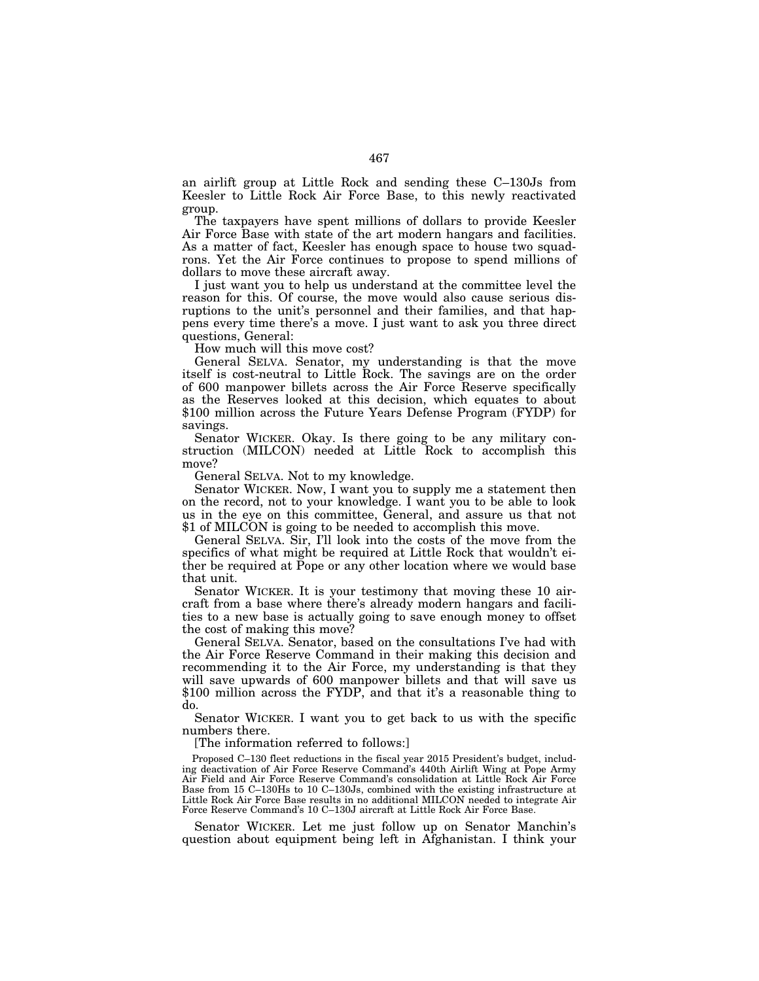an airlift group at Little Rock and sending these C–130Js from Keesler to Little Rock Air Force Base, to this newly reactivated group.

The taxpayers have spent millions of dollars to provide Keesler Air Force Base with state of the art modern hangars and facilities. As a matter of fact, Keesler has enough space to house two squadrons. Yet the Air Force continues to propose to spend millions of dollars to move these aircraft away.

I just want you to help us understand at the committee level the reason for this. Of course, the move would also cause serious disruptions to the unit's personnel and their families, and that happens every time there's a move. I just want to ask you three direct questions, General:

How much will this move cost?

General SELVA. Senator, my understanding is that the move itself is cost-neutral to Little Rock. The savings are on the order of 600 manpower billets across the Air Force Reserve specifically as the Reserves looked at this decision, which equates to about \$100 million across the Future Years Defense Program (FYDP) for savings.

Senator WICKER. Okay. Is there going to be any military construction (MILCON) needed at Little Rock to accomplish this move?

General SELVA. Not to my knowledge.

Senator WICKER. Now, I want you to supply me a statement then on the record, not to your knowledge. I want you to be able to look us in the eye on this committee, General, and assure us that not \$1 of MILCON is going to be needed to accomplish this move.

General SELVA. Sir, I'll look into the costs of the move from the specifics of what might be required at Little Rock that wouldn't either be required at Pope or any other location where we would base that unit.

Senator WICKER. It is your testimony that moving these 10 aircraft from a base where there's already modern hangars and facilities to a new base is actually going to save enough money to offset the cost of making this move?

General SELVA. Senator, based on the consultations I've had with the Air Force Reserve Command in their making this decision and recommending it to the Air Force, my understanding is that they will save upwards of 600 manpower billets and that will save us \$100 million across the FYDP, and that it's a reasonable thing to do.

Senator WICKER. I want you to get back to us with the specific numbers there.

[The information referred to follows:]

Proposed C–130 fleet reductions in the fiscal year 2015 President's budget, including deactivation of Air Force Reserve Command's 440th Airlift Wing at Pope Army Air Field and Air Force Reserve Command's consolidation at Little Rock Air Force Base from 15 C–130Hs to 10 C–130Js, combined with the existing infrastructure at Little Rock Air Force Base results in no additional MILCON needed to integrate Air Force Reserve Command's 10 C–130J aircraft at Little Rock Air Force Base.

Senator WICKER. Let me just follow up on Senator Manchin's question about equipment being left in Afghanistan. I think your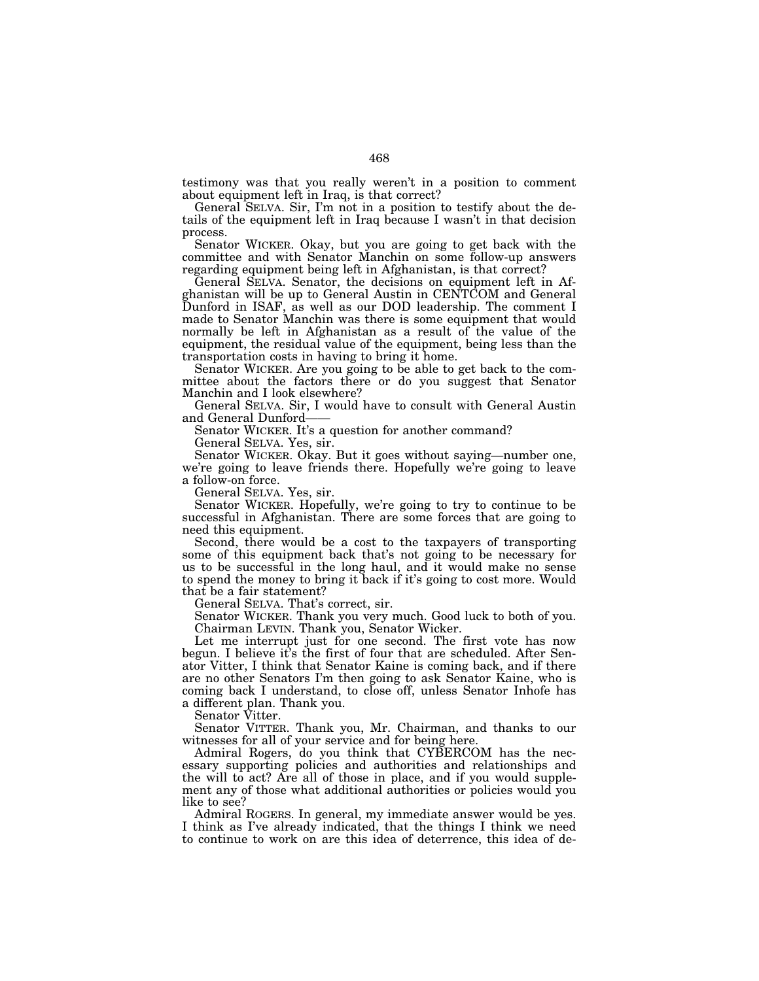testimony was that you really weren't in a position to comment about equipment left in Iraq, is that correct?

General SELVA. Sir, I'm not in a position to testify about the details of the equipment left in Iraq because I wasn't in that decision process.

Senator WICKER. Okay, but you are going to get back with the committee and with Senator Manchin on some follow-up answers regarding equipment being left in Afghanistan, is that correct?

General SELVA. Senator, the decisions on equipment left in Afghanistan will be up to General Austin in CENTCOM and General Dunford in ISAF, as well as our DOD leadership. The comment I made to Senator Manchin was there is some equipment that would normally be left in Afghanistan as a result of the value of the equipment, the residual value of the equipment, being less than the transportation costs in having to bring it home.

Senator WICKER. Are you going to be able to get back to the committee about the factors there or do you suggest that Senator Manchin and I look elsewhere?

General SELVA. Sir, I would have to consult with General Austin and General Dunford-

Senator WICKER. It's a question for another command?

General SELVA. Yes, sir.

Senator WICKER. Okay. But it goes without saying—number one, we're going to leave friends there. Hopefully we're going to leave a follow-on force.

General SELVA. Yes, sir.

Senator WICKER. Hopefully, we're going to try to continue to be successful in Afghanistan. There are some forces that are going to need this equipment.

Second, there would be a cost to the taxpayers of transporting some of this equipment back that's not going to be necessary for us to be successful in the long haul, and it would make no sense to spend the money to bring it back if it's going to cost more. Would that be a fair statement?

General SELVA. That's correct, sir.

Senator WICKER. Thank you very much. Good luck to both of you. Chairman LEVIN. Thank you, Senator Wicker.

Let me interrupt just for one second. The first vote has now begun. I believe it's the first of four that are scheduled. After Senator Vitter, I think that Senator Kaine is coming back, and if there are no other Senators I'm then going to ask Senator Kaine, who is coming back I understand, to close off, unless Senator Inhofe has a different plan. Thank you.

Senator Vitter.

Senator VITTER. Thank you, Mr. Chairman, and thanks to our witnesses for all of your service and for being here.

Admiral Rogers, do you think that CYBERCOM has the necessary supporting policies and authorities and relationships and the will to act? Are all of those in place, and if you would supplement any of those what additional authorities or policies would you like to see?

Admiral ROGERS. In general, my immediate answer would be yes. I think as I've already indicated, that the things I think we need to continue to work on are this idea of deterrence, this idea of de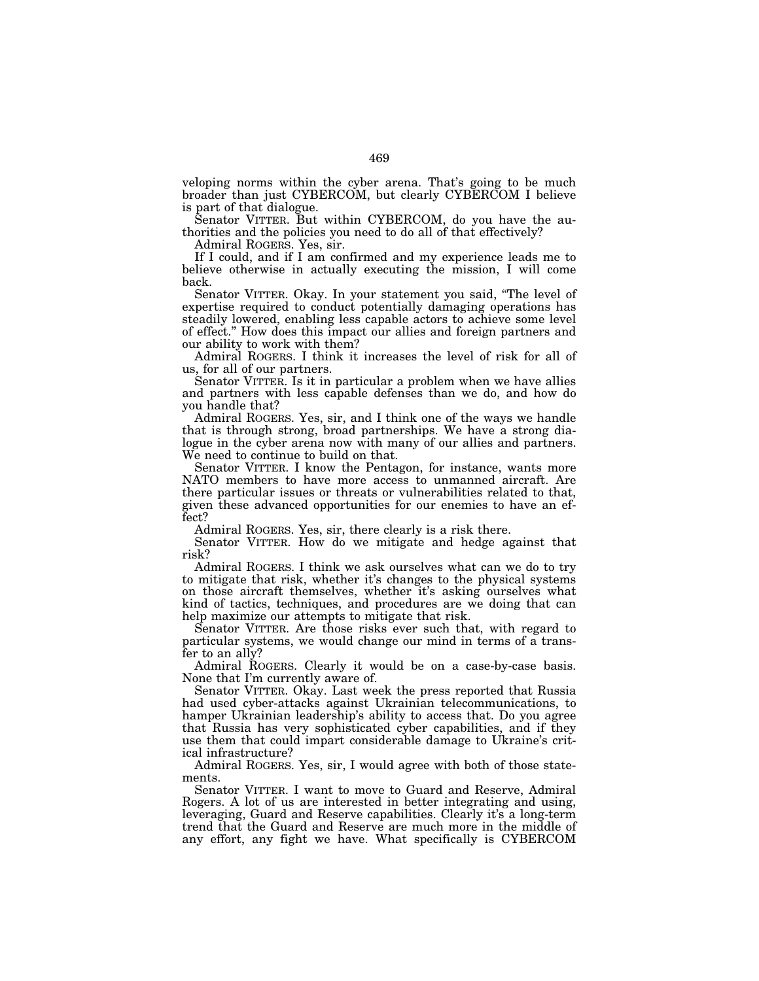veloping norms within the cyber arena. That's going to be much broader than just CYBERCOM, but clearly CYBERCOM I believe is part of that dialogue.

Senator VITTER. But within CYBERCOM, do you have the authorities and the policies you need to do all of that effectively?

Admiral ROGERS. Yes, sir.

If I could, and if I am confirmed and my experience leads me to believe otherwise in actually executing the mission, I will come back.

Senator VITTER. Okay. In your statement you said, ''The level of expertise required to conduct potentially damaging operations has steadily lowered, enabling less capable actors to achieve some level of effect.'' How does this impact our allies and foreign partners and our ability to work with them?

Admiral ROGERS. I think it increases the level of risk for all of us, for all of our partners.

Senator VITTER. Is it in particular a problem when we have allies and partners with less capable defenses than we do, and how do you handle that?

Admiral ROGERS. Yes, sir, and I think one of the ways we handle that is through strong, broad partnerships. We have a strong dialogue in the cyber arena now with many of our allies and partners. We need to continue to build on that.

Senator VITTER. I know the Pentagon, for instance, wants more NATO members to have more access to unmanned aircraft. Are there particular issues or threats or vulnerabilities related to that, given these advanced opportunities for our enemies to have an effect?

Admiral ROGERS. Yes, sir, there clearly is a risk there.

Senator VITTER. How do we mitigate and hedge against that risk?

Admiral ROGERS. I think we ask ourselves what can we do to try to mitigate that risk, whether it's changes to the physical systems on those aircraft themselves, whether it's asking ourselves what kind of tactics, techniques, and procedures are we doing that can help maximize our attempts to mitigate that risk.

Senator VITTER. Are those risks ever such that, with regard to particular systems, we would change our mind in terms of a transfer to an ally?

Admiral ROGERS. Clearly it would be on a case-by-case basis. None that I'm currently aware of.

Senator VITTER. Okay. Last week the press reported that Russia had used cyber-attacks against Ukrainian telecommunications, to hamper Ukrainian leadership's ability to access that. Do you agree that Russia has very sophisticated cyber capabilities, and if they use them that could impart considerable damage to Ukraine's critical infrastructure?

Admiral ROGERS. Yes, sir, I would agree with both of those statements.

Senator VITTER. I want to move to Guard and Reserve, Admiral Rogers. A lot of us are interested in better integrating and using, leveraging, Guard and Reserve capabilities. Clearly it's a long-term trend that the Guard and Reserve are much more in the middle of any effort, any fight we have. What specifically is CYBERCOM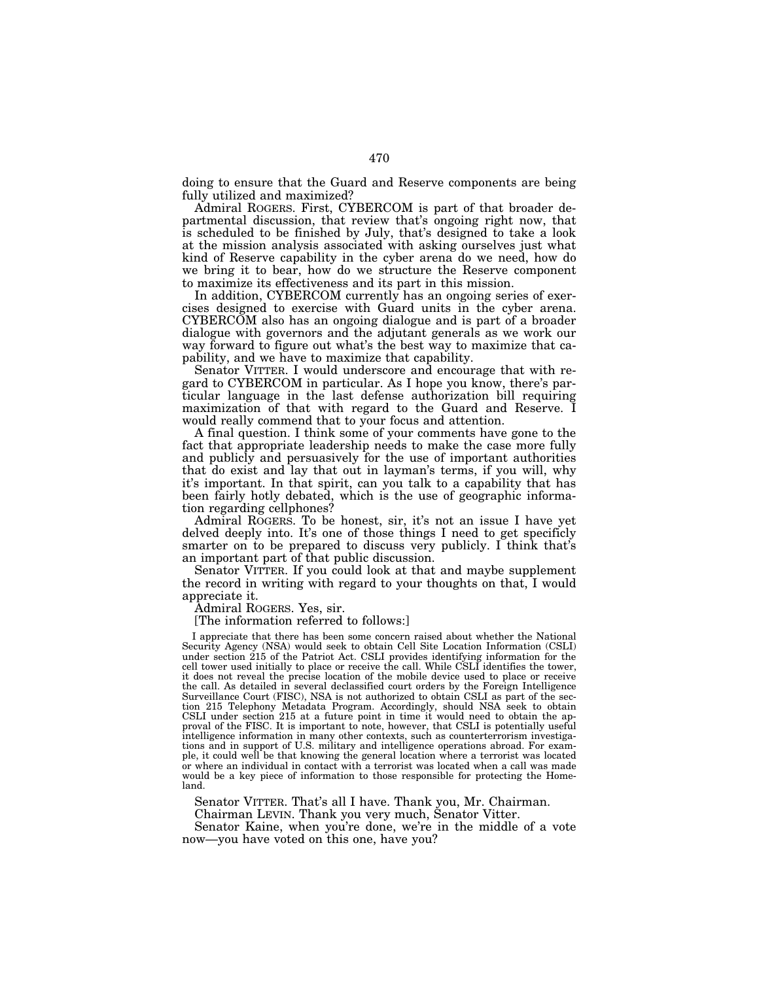doing to ensure that the Guard and Reserve components are being fully utilized and maximized?

Admiral ROGERS. First, CYBERCOM is part of that broader departmental discussion, that review that's ongoing right now, that is scheduled to be finished by July, that's designed to take a look at the mission analysis associated with asking ourselves just what kind of Reserve capability in the cyber arena do we need, how do we bring it to bear, how do we structure the Reserve component to maximize its effectiveness and its part in this mission.

In addition, CYBERCOM currently has an ongoing series of exercises designed to exercise with Guard units in the cyber arena. CYBERCOM also has an ongoing dialogue and is part of a broader dialogue with governors and the adjutant generals as we work our way forward to figure out what's the best way to maximize that capability, and we have to maximize that capability.

Senator VITTER. I would underscore and encourage that with regard to CYBERCOM in particular. As I hope you know, there's particular language in the last defense authorization bill requiring maximization of that with regard to the Guard and Reserve. I would really commend that to your focus and attention.

A final question. I think some of your comments have gone to the fact that appropriate leadership needs to make the case more fully and publicly and persuasively for the use of important authorities that do exist and lay that out in layman's terms, if you will, why it's important. In that spirit, can you talk to a capability that has been fairly hotly debated, which is the use of geographic information regarding cellphones?

Admiral ROGERS. To be honest, sir, it's not an issue I have yet delved deeply into. It's one of those things I need to get specificly smarter on to be prepared to discuss very publicly. I think that's an important part of that public discussion.

Senator VITTER. If you could look at that and maybe supplement the record in writing with regard to your thoughts on that, I would appreciate it.

Admiral ROGERS. Yes, sir.

[The information referred to follows:]

I appreciate that there has been some concern raised about whether the National Security Agency (NSA) would seek to obtain Cell Site Location Information (CSLI) under section 215 of the Patriot Act. CSLI provides identifying information for the cell tower used initially to place or receive the call. While CSLI identifies the tower, it does not reveal the precise location of the mobile device used to place or receive the call. As detailed in several declassified court orders by the Foreign Intelligence Surveillance Court (FISC), NSA is not authorized to obtain CSLI as part of the section 215 Telephony Metadata Program. Accordingly, should NSA seek to obtain CSLI under section 215 at a future point in time it would need to obtain the approval of the FISC. It is important to note, however, that CSLI is potentially useful intelligence information in many other contexts, such as counterterrorism investigations and in support of U.S. military and intelligence operations abroad. For example, it could well be that knowing the general location where a terrorist was located or where an individual in contact with a terrorist was located when a call was made would be a key piece of information to those responsible for protecting the Homeland.

Senator VITTER. That's all I have. Thank you, Mr. Chairman.

Chairman LEVIN. Thank you very much, Senator Vitter.

Senator Kaine, when you're done, we're in the middle of a vote now—you have voted on this one, have you?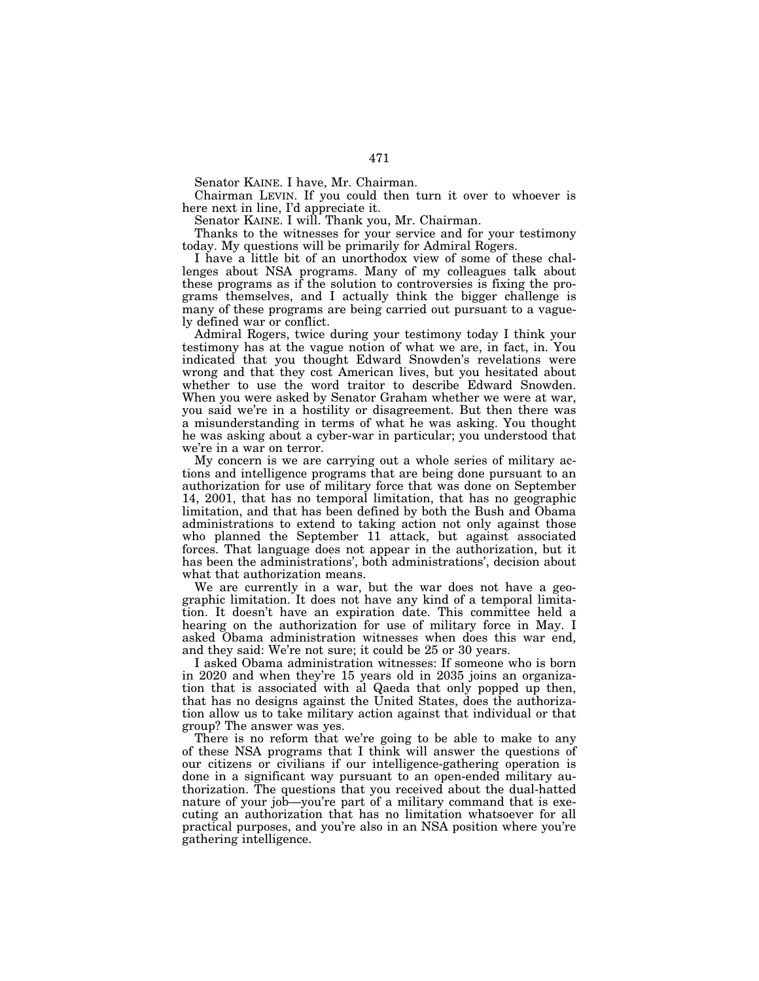Senator KAINE. I have, Mr. Chairman.

Chairman LEVIN. If you could then turn it over to whoever is here next in line, I'd appreciate it.

Senator KAINE. I will. Thank you, Mr. Chairman.

Thanks to the witnesses for your service and for your testimony today. My questions will be primarily for Admiral Rogers.

I have a little bit of an unorthodox view of some of these challenges about NSA programs. Many of my colleagues talk about these programs as if the solution to controversies is fixing the programs themselves, and I actually think the bigger challenge is many of these programs are being carried out pursuant to a vaguely defined war or conflict.

Admiral Rogers, twice during your testimony today I think your testimony has at the vague notion of what we are, in fact, in. You indicated that you thought Edward Snowden's revelations were wrong and that they cost American lives, but you hesitated about whether to use the word traitor to describe Edward Snowden. When you were asked by Senator Graham whether we were at war, you said we're in a hostility or disagreement. But then there was a misunderstanding in terms of what he was asking. You thought he was asking about a cyber-war in particular; you understood that we're in a war on terror.

My concern is we are carrying out a whole series of military actions and intelligence programs that are being done pursuant to an authorization for use of military force that was done on September 14, 2001, that has no temporal limitation, that has no geographic limitation, and that has been defined by both the Bush and Obama administrations to extend to taking action not only against those who planned the September 11 attack, but against associated forces. That language does not appear in the authorization, but it has been the administrations', both administrations', decision about what that authorization means.

We are currently in a war, but the war does not have a geographic limitation. It does not have any kind of a temporal limitation. It doesn't have an expiration date. This committee held a hearing on the authorization for use of military force in May. I asked Obama administration witnesses when does this war end, and they said: We're not sure; it could be 25 or 30 years.

I asked Obama administration witnesses: If someone who is born in 2020 and when they're 15 years old in 2035 joins an organization that is associated with al Qaeda that only popped up then, that has no designs against the United States, does the authorization allow us to take military action against that individual or that group? The answer was yes.

There is no reform that we're going to be able to make to any of these NSA programs that I think will answer the questions of our citizens or civilians if our intelligence-gathering operation is done in a significant way pursuant to an open-ended military authorization. The questions that you received about the dual-hatted nature of your job—you're part of a military command that is executing an authorization that has no limitation whatsoever for all practical purposes, and you're also in an NSA position where you're gathering intelligence.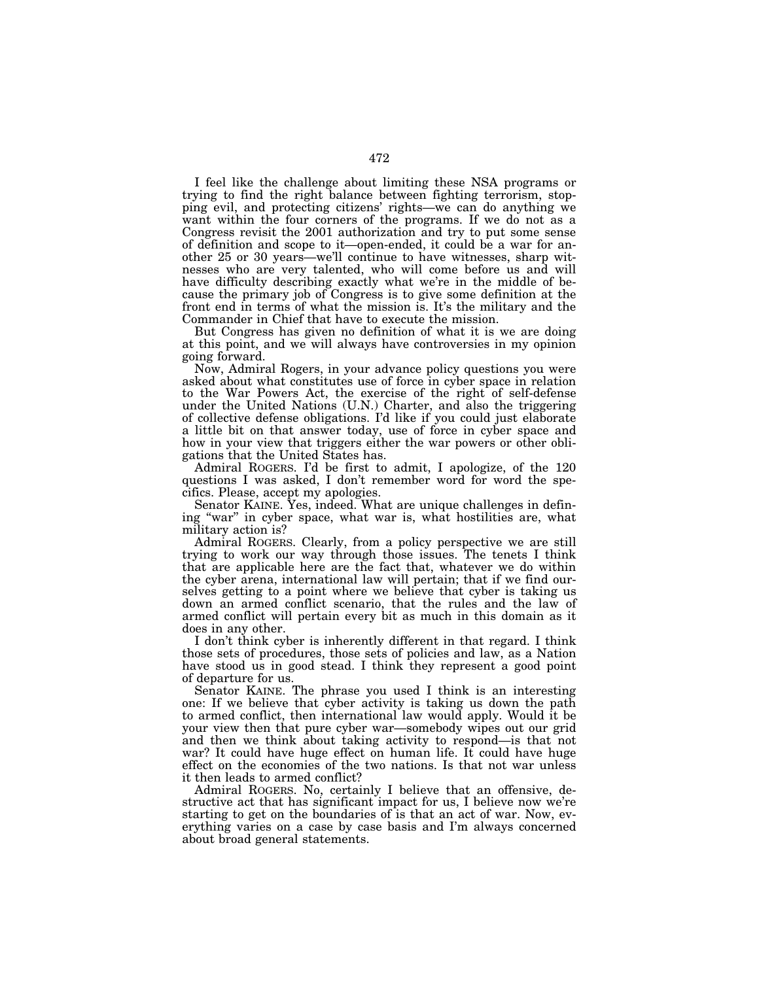I feel like the challenge about limiting these NSA programs or trying to find the right balance between fighting terrorism, stopping evil, and protecting citizens' rights—we can do anything we want within the four corners of the programs. If we do not as a Congress revisit the 2001 authorization and try to put some sense of definition and scope to it—open-ended, it could be a war for another 25 or 30 years—we'll continue to have witnesses, sharp witnesses who are very talented, who will come before us and will have difficulty describing exactly what we're in the middle of because the primary job of Congress is to give some definition at the front end in terms of what the mission is. It's the military and the Commander in Chief that have to execute the mission.

But Congress has given no definition of what it is we are doing at this point, and we will always have controversies in my opinion going forward.

Now, Admiral Rogers, in your advance policy questions you were asked about what constitutes use of force in cyber space in relation to the War Powers Act, the exercise of the right of self-defense under the United Nations (U.N.) Charter, and also the triggering of collective defense obligations. I'd like if you could just elaborate a little bit on that answer today, use of force in cyber space and how in your view that triggers either the war powers or other obligations that the United States has.

Admiral ROGERS. I'd be first to admit, I apologize, of the 120 questions I was asked, I don't remember word for word the specifics. Please, accept my apologies.

Senator KAINE. Yes, indeed. What are unique challenges in defining "war" in cyber space, what war is, what hostilities are, what military action is?

Admiral ROGERS. Clearly, from a policy perspective we are still trying to work our way through those issues. The tenets I think that are applicable here are the fact that, whatever we do within the cyber arena, international law will pertain; that if we find ourselves getting to a point where we believe that cyber is taking us down an armed conflict scenario, that the rules and the law of armed conflict will pertain every bit as much in this domain as it does in any other.

I don't think cyber is inherently different in that regard. I think those sets of procedures, those sets of policies and law, as a Nation have stood us in good stead. I think they represent a good point of departure for us.

Senator KAINE. The phrase you used I think is an interesting one: If we believe that cyber activity is taking us down the path to armed conflict, then international law would apply. Would it be your view then that pure cyber war—somebody wipes out our grid and then we think about taking activity to respond—is that not war? It could have huge effect on human life. It could have huge effect on the economies of the two nations. Is that not war unless it then leads to armed conflict?

Admiral ROGERS. No, certainly I believe that an offensive, destructive act that has significant impact for us, I believe now we're starting to get on the boundaries of is that an act of war. Now, everything varies on a case by case basis and I'm always concerned about broad general statements.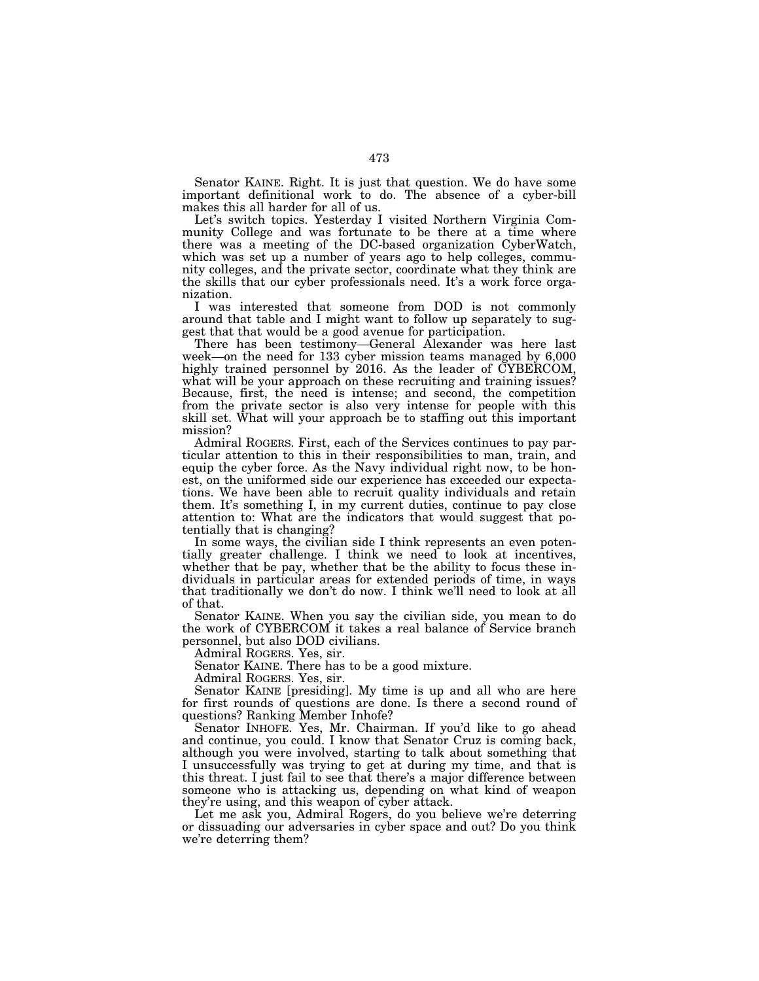Senator KAINE. Right. It is just that question. We do have some important definitional work to do. The absence of a cyber-bill makes this all harder for all of us.

Let's switch topics. Yesterday I visited Northern Virginia Community College and was fortunate to be there at a time where there was a meeting of the DC-based organization CyberWatch, which was set up a number of years ago to help colleges, community colleges, and the private sector, coordinate what they think are the skills that our cyber professionals need. It's a work force organization.

I was interested that someone from DOD is not commonly around that table and I might want to follow up separately to suggest that that would be a good avenue for participation.

There has been testimony—General Alexander was here last week—on the need for 133 cyber mission teams managed by 6,000 highly trained personnel by 2016. As the leader of CYBERCOM, what will be your approach on these recruiting and training issues? Because, first, the need is intense; and second, the competition from the private sector is also very intense for people with this skill set. What will your approach be to staffing out this important mission?

Admiral ROGERS. First, each of the Services continues to pay particular attention to this in their responsibilities to man, train, and equip the cyber force. As the Navy individual right now, to be honest, on the uniformed side our experience has exceeded our expectations. We have been able to recruit quality individuals and retain them. It's something I, in my current duties, continue to pay close attention to: What are the indicators that would suggest that potentially that is changing?

In some ways, the civilian side I think represents an even potentially greater challenge. I think we need to look at incentives, whether that be pay, whether that be the ability to focus these individuals in particular areas for extended periods of time, in ways that traditionally we don't do now. I think we'll need to look at all of that.

Senator KAINE. When you say the civilian side, you mean to do the work of CYBERCOM it takes a real balance of Service branch personnel, but also DOD civilians.

Admiral ROGERS. Yes, sir.

Senator KAINE. There has to be a good mixture.

Admiral ROGERS. Yes, sir.

Senator KAINE [presiding]. My time is up and all who are here for first rounds of questions are done. Is there a second round of questions? Ranking Member Inhofe?

Senator INHOFE. Yes, Mr. Chairman. If you'd like to go ahead and continue, you could. I know that Senator Cruz is coming back, although you were involved, starting to talk about something that I unsuccessfully was trying to get at during my time, and that is this threat. I just fail to see that there's a major difference between someone who is attacking us, depending on what kind of weapon they're using, and this weapon of cyber attack.

Let me ask you, Admiral Rogers, do you believe we're deterring or dissuading our adversaries in cyber space and out? Do you think we're deterring them?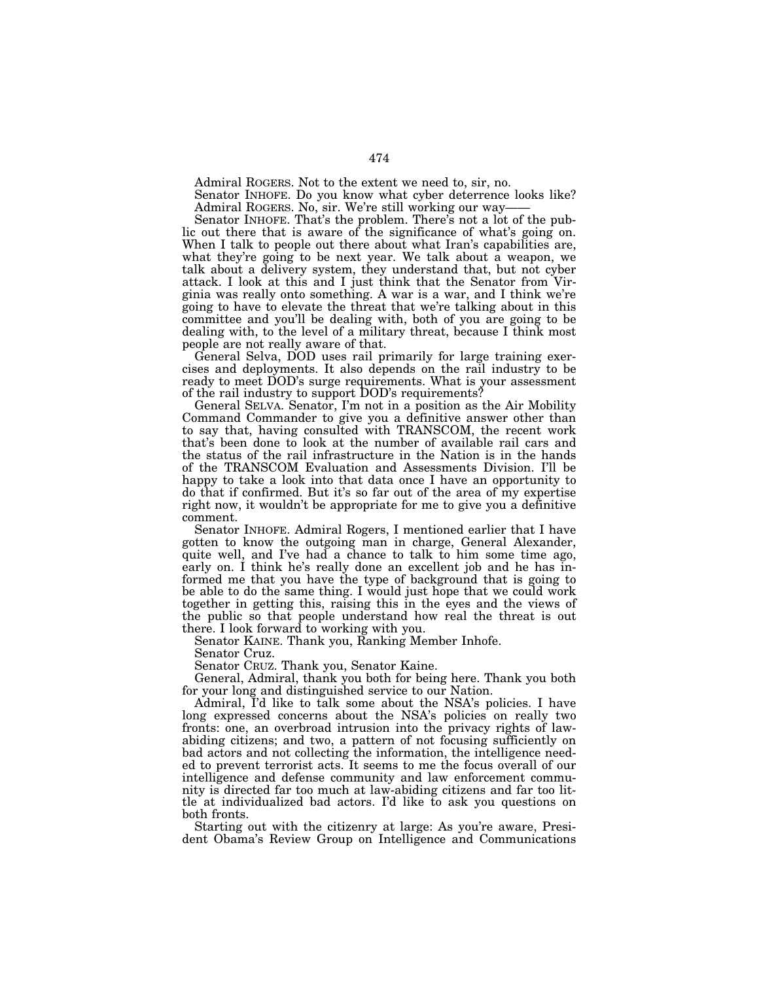Admiral ROGERS. Not to the extent we need to, sir, no.

Senator INHOFE. Do you know what cyber deterrence looks like? Admiral ROGERS. No, sir. We're still working our way——

Senator INHOFE. That's the problem. There's not a lot of the public out there that is aware of the significance of what's going on. When I talk to people out there about what Iran's capabilities are, what they're going to be next year. We talk about a weapon, we talk about a delivery system, they understand that, but not cyber attack. I look at this and I just think that the Senator from Virginia was really onto something. A war is a war, and I think we're going to have to elevate the threat that we're talking about in this committee and you'll be dealing with, both of you are going to be dealing with, to the level of a military threat, because I think most people are not really aware of that.

General Selva, DOD uses rail primarily for large training exercises and deployments. It also depends on the rail industry to be ready to meet DOD's surge requirements. What is your assessment of the rail industry to support DOD's requirements?

General SELVA. Senator, I'm not in a position as the Air Mobility Command Commander to give you a definitive answer other than to say that, having consulted with TRANSCOM, the recent work that's been done to look at the number of available rail cars and the status of the rail infrastructure in the Nation is in the hands of the TRANSCOM Evaluation and Assessments Division. I'll be happy to take a look into that data once I have an opportunity to do that if confirmed. But it's so far out of the area of my expertise right now, it wouldn't be appropriate for me to give you a definitive comment.

Senator INHOFE. Admiral Rogers, I mentioned earlier that I have gotten to know the outgoing man in charge, General Alexander, quite well, and I've had a chance to talk to him some time ago, early on. I think he's really done an excellent job and he has informed me that you have the type of background that is going to be able to do the same thing. I would just hope that we could work together in getting this, raising this in the eyes and the views of the public so that people understand how real the threat is out there. I look forward to working with you.

Senator KAINE. Thank you, Ranking Member Inhofe.

Senator Cruz.

Senator CRUZ. Thank you, Senator Kaine.

General, Admiral, thank you both for being here. Thank you both for your long and distinguished service to our Nation.

Admiral, I'd like to talk some about the NSA's policies. I have long expressed concerns about the NSA's policies on really two fronts: one, an overbroad intrusion into the privacy rights of lawabiding citizens; and two, a pattern of not focusing sufficiently on bad actors and not collecting the information, the intelligence needed to prevent terrorist acts. It seems to me the focus overall of our intelligence and defense community and law enforcement community is directed far too much at law-abiding citizens and far too little at individualized bad actors. I'd like to ask you questions on both fronts.

Starting out with the citizenry at large: As you're aware, President Obama's Review Group on Intelligence and Communications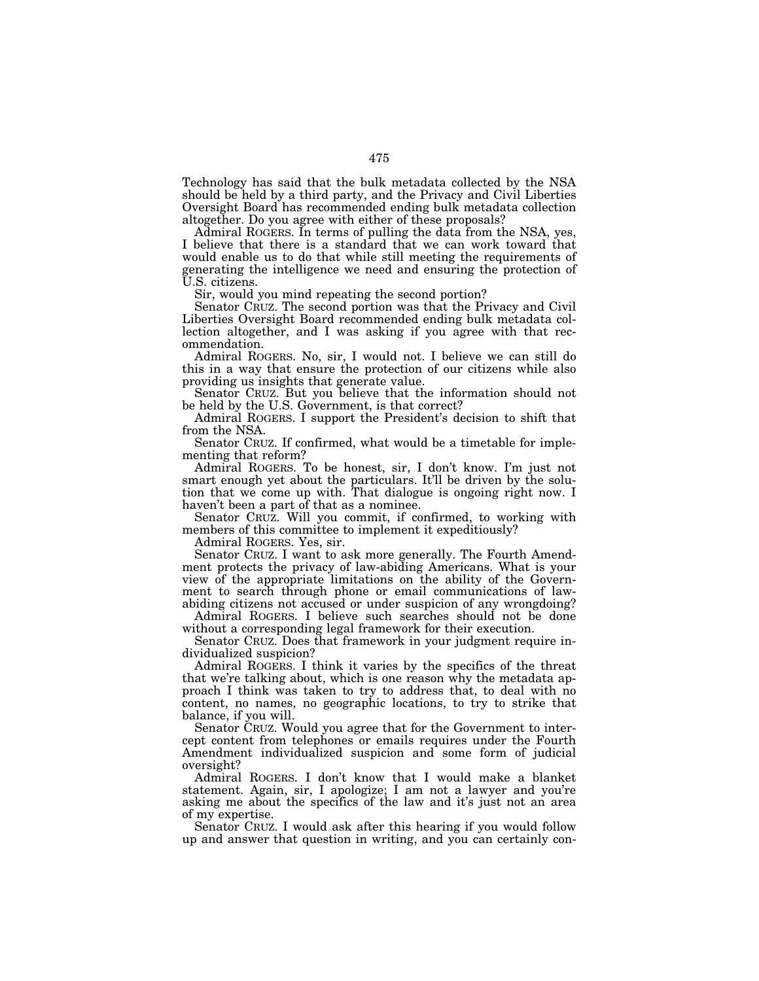Technology has said that the bulk metadata collected by the NSA should be held by a third party, and the Privacy and Civil Liberties Oversight Board has recommended ending bulk metadata collection altogether. Do you agree with either of these proposals?

Admiral ROGERS. In terms of pulling the data from the NSA, yes, I believe that there is a standard that we can work toward that would enable us to do that while still meeting the requirements of generating the intelligence we need and ensuring the protection of U.S. citizens.

Sir, would you mind repeating the second portion?

Senator CRUZ. The second portion was that the Privacy and Civil Liberties Oversight Board recommended ending bulk metadata collection altogether, and I was asking if you agree with that recommendation.

Admiral ROGERS. No, sir, I would not. I believe we can still do this in a way that ensure the protection of our citizens while also providing us insights that generate value.

Senator CRUZ. But you believe that the information should not be held by the U.S. Government, is that correct?

Admiral ROGERS. I support the President's decision to shift that from the NSA.

Senator CRUZ. If confirmed, what would be a timetable for implementing that reform?

Admiral ROGERS. To be honest, sir, I don't know. I'm just not smart enough yet about the particulars. It'll be driven by the solution that we come up with. That dialogue is ongoing right now. I haven't been a part of that as a nominee.

Senator CRUZ. Will you commit, if confirmed, to working with members of this committee to implement it expeditiously?

Admiral ROGERS. Yes, sir.

Senator CRUZ. I want to ask more generally. The Fourth Amendment protects the privacy of law-abiding Americans. What is your view of the appropriate limitations on the ability of the Government to search through phone or email communications of lawabiding citizens not accused or under suspicion of any wrongdoing?

Admiral ROGERS. I believe such searches should not be done without a corresponding legal framework for their execution.

Senator CRUZ. Does that framework in your judgment require individualized suspicion?

Admiral ROGERS. I think it varies by the specifics of the threat that we're talking about, which is one reason why the metadata approach I think was taken to try to address that, to deal with no content, no names, no geographic locations, to try to strike that balance, if you will.

Senator CRUZ. Would you agree that for the Government to intercept content from telephones or emails requires under the Fourth Amendment individualized suspicion and some form of judicial oversight?

Admiral ROGERS. I don't know that I would make a blanket statement. Again, sir, I apologize; I am not a lawyer and you're asking me about the specifics of the law and it's just not an area of my expertise.

Senator CRUZ. I would ask after this hearing if you would follow up and answer that question in writing, and you can certainly con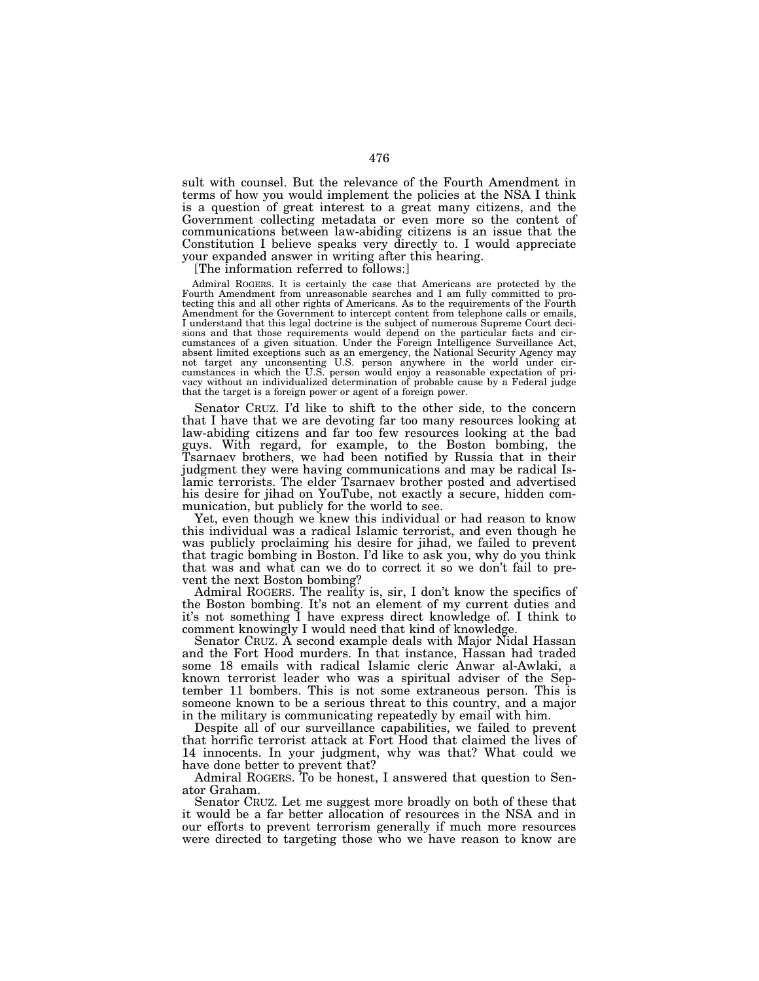sult with counsel. But the relevance of the Fourth Amendment in terms of how you would implement the policies at the NSA I think is a question of great interest to a great many citizens, and the Government collecting metadata or even more so the content of communications between law-abiding citizens is an issue that the Constitution I believe speaks very directly to. I would appreciate your expanded answer in writing after this hearing.

[The information referred to follows:]

Admiral ROGERS. It is certainly the case that Americans are protected by the Fourth Amendment from unreasonable searches and I am fully committed to protecting this and all other rights of Americans. As to the requirements of the Fourth Amendment for the Government to intercept content from telephone calls or emails, I understand that this legal doctrine is the subject of numerous Supreme Court decisions and that those requirements would depend on the particular facts and circumstances of a given situation. Under the Foreign Intelligence Surveillance Act, absent limited exceptions such as an emergency, the National Security Agency may not target any unconsenting U.S. person anywhere in the world under cir-cumstances in which the U.S. person would enjoy a reasonable expectation of privacy without an individualized determination of probable cause by a Federal judge that the target is a foreign power or agent of a foreign power.

Senator CRUZ. I'd like to shift to the other side, to the concern that I have that we are devoting far too many resources looking at law-abiding citizens and far too few resources looking at the bad guys. With regard, for example, to the Boston bombing, the Tsarnaev brothers, we had been notified by Russia that in their judgment they were having communications and may be radical Islamic terrorists. The elder Tsarnaev brother posted and advertised his desire for jihad on YouTube, not exactly a secure, hidden communication, but publicly for the world to see.

Yet, even though we knew this individual or had reason to know this individual was a radical Islamic terrorist, and even though he was publicly proclaiming his desire for jihad, we failed to prevent that tragic bombing in Boston. I'd like to ask you, why do you think that was and what can we do to correct it so we don't fail to prevent the next Boston bombing?

Admiral ROGERS. The reality is, sir, I don't know the specifics of the Boston bombing. It's not an element of my current duties and it's not something I have express direct knowledge of. I think to comment knowingly I would need that kind of knowledge.

Senator CRUZ. A second example deals with Major Nidal Hassan and the Fort Hood murders. In that instance, Hassan had traded some 18 emails with radical Islamic cleric Anwar al-Awlaki, a known terrorist leader who was a spiritual adviser of the September 11 bombers. This is not some extraneous person. This is someone known to be a serious threat to this country, and a major in the military is communicating repeatedly by email with him.

Despite all of our surveillance capabilities, we failed to prevent that horrific terrorist attack at Fort Hood that claimed the lives of 14 innocents. In your judgment, why was that? What could we have done better to prevent that?

Admiral ROGERS. To be honest, I answered that question to Senator Graham.

Senator CRUZ. Let me suggest more broadly on both of these that it would be a far better allocation of resources in the NSA and in our efforts to prevent terrorism generally if much more resources were directed to targeting those who we have reason to know are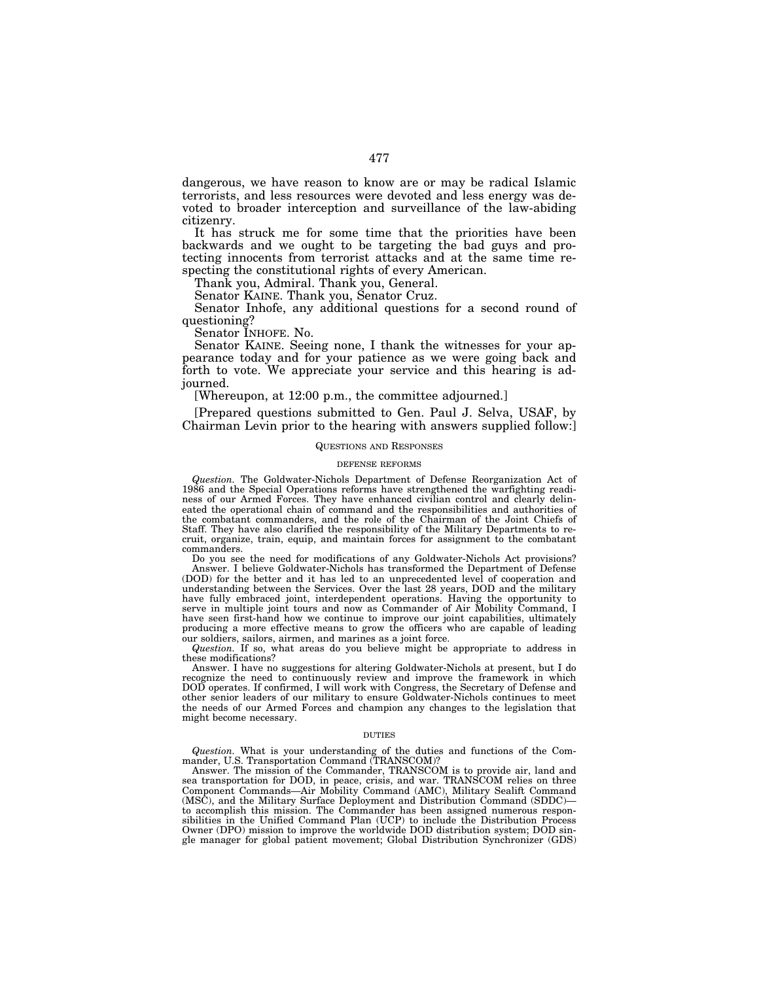dangerous, we have reason to know are or may be radical Islamic terrorists, and less resources were devoted and less energy was devoted to broader interception and surveillance of the law-abiding citizenry.

It has struck me for some time that the priorities have been backwards and we ought to be targeting the bad guys and protecting innocents from terrorist attacks and at the same time respecting the constitutional rights of every American.

Thank you, Admiral. Thank you, General.

Senator KAINE. Thank you, Senator Cruz.

Senator Inhofe, any additional questions for a second round of questioning?

Senator INHOFE. No.

Senator KAINE. Seeing none, I thank the witnesses for your appearance today and for your patience as we were going back and forth to vote. We appreciate your service and this hearing is adjourned.

[Whereupon, at 12:00 p.m., the committee adjourned.]

[Prepared questions submitted to Gen. Paul J. Selva, USAF, by Chairman Levin prior to the hearing with answers supplied follow:]

### QUESTIONS AND RESPONSES

# DEFENSE REFORMS

*Question.* The Goldwater-Nichols Department of Defense Reorganization Act of 1986 and the Special Operations reforms have strengthened the warfighting readiness of our Armed Forces. They have enhanced civilian control and clearly delineated the operational chain of command and the responsibilities and authorities of the combatant commanders, and the role of the Chairman of the Joint Chiefs of Staff. They have also clarified the responsibility of the Military Departments to recruit, organize, train, equip, and maintain forces for assignment to the combatant commanders.

Do you see the need for modifications of any Goldwater-Nichols Act provisions? Answer. I believe Goldwater-Nichols has transformed the Department of Defense (DOD) for the better and it has led to an unprecedented level of cooperation and understanding between the Services. Over the last 28 years, DOD and the military have fully embraced joint, interdependent operations. Having the opportunity to serve in multiple joint tours and now as Commander of Air Mobility Command, I have seen first-hand how we continue to improve our joint capabilities, ultimately producing a more effective means to grow the officers who are capable of leading our soldiers, sailors, airmen, and marines as a joint force.

*Question.* If so, what areas do you believe might be appropriate to address in these modifications?

Answer. I have no suggestions for altering Goldwater-Nichols at present, but I do recognize the need to continuously review and improve the framework in which DOD operates. If confirmed, I will work with Congress, the Secretary of Defense and other senior leaders of our military to ensure Goldwater-Nichols continues to meet the needs of our Armed Forces and champion any changes to the legislation that might become necessary.

### DUTIES

*Question.* What is your understanding of the duties and functions of the Commander, U.S. Transportation Command (TRANSCOM)?

Answer. The mission of the Commander, TRANSCOM is to provide air, land and sea transportation for DOD, in peace, crisis, and war. TRANSCOM relies on three Component Commands—Air Mobility Command (AMC), Military Sealift Command (MSC), and the Military Surface Deployment and Distribution Command (SDDC) to accomplish this mission. The Commander has been assigned numerous responsibilities in the Unified Command Plan (UCP) to include the Distribution Process Owner (DPO) mission to improve the worldwide DOD distribution system; DOD single manager for global patient movement; Global Distribution Synchronizer (GDS)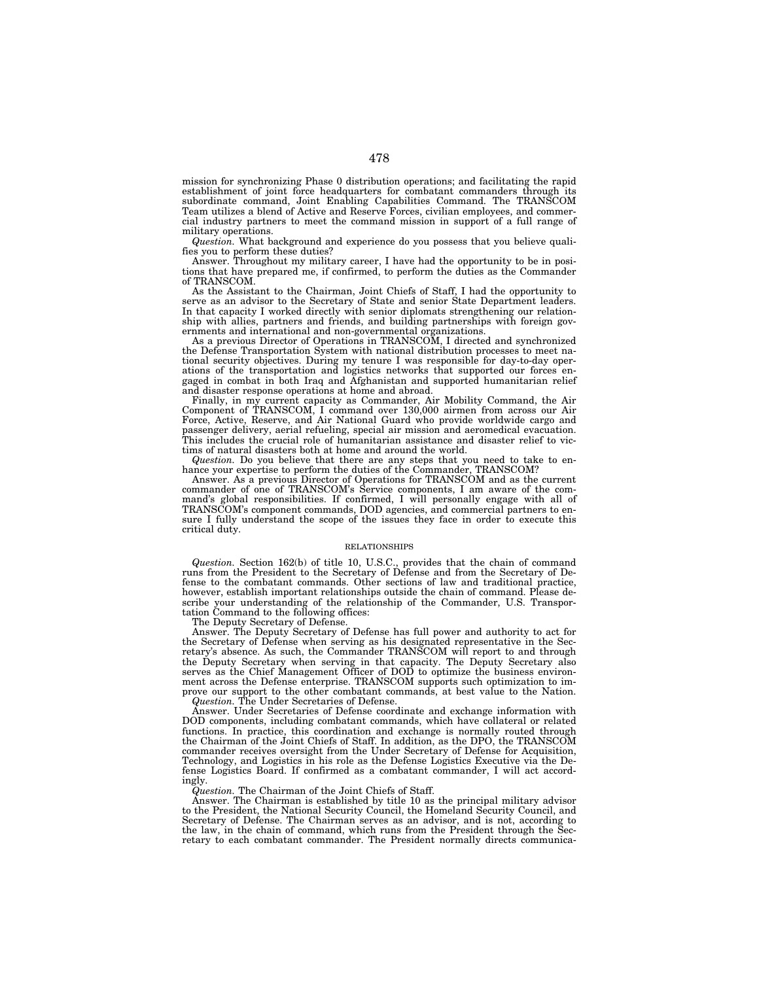mission for synchronizing Phase 0 distribution operations; and facilitating the rapid establishment of joint force headquarters for combatant commanders through its subordinate command, Joint Enabling Capabilities Command. The TRANSCOM Team utilizes a blend of Active and Reserve Forces, civilian employees, and commercial industry partners to meet the command mission in support of a full range of military operations.

*Question.* What background and experience do you possess that you believe qualifies you to perform these duties?

Answer. Throughout my military career, I have had the opportunity to be in positions that have prepared me, if confirmed, to perform the duties as the Commander of TRANSCOM.

As the Assistant to the Chairman, Joint Chiefs of Staff, I had the opportunity to serve as an advisor to the Secretary of State and senior State Department leaders. In that capacity I worked directly with senior diplomats strengthening our relationship with allies, partners and friends, and building partnerships with foreign governments and international and non-governmental organizations.

As a previous Director of Operations in TRANSCOM, I directed and synchronized the Defense Transportation System with national distribution processes to meet national security objectives. During my tenure I was responsible for day-to-day operations of the transportation and logistics networks that supported our forces engaged in combat in both Iraq and Afghanistan and supported humanitarian relief and disaster response operations at home and abroad.

Finally, in my current capacity as Commander, Air Mobility Command, the Air Component of TRANSCOM, I command over 130,000 airmen from across our Air Force, Active, Reserve, and Air National Guard who provide worldwide cargo and passenger delivery, aerial refueling, special air mission and aeromedical evacuation. This includes the crucial role of humanitarian assistance and disaster relief to victims of natural disasters both at home and around the world.

*Question.* Do you believe that there are any steps that you need to take to enhance your expertise to perform the duties of the Commander, TRANSCOM?

Answer. As a previous Director of Operations for TRANSCOM and as the current commander of one of TRANSCOM's Service components, I am aware of the command's global responsibilities. If confirmed, I will personally engage with all of TRANSCOM's component commands, DOD agencies, and commercial partners to ensure I fully understand the scope of the issues they face in order to execute this critical duty.

### RELATIONSHIPS

*Question.* Section 162(b) of title 10, U.S.C., provides that the chain of command runs from the President to the Secretary of Defense and from the Secretary of Defense to the combatant commands. Other sections of law and traditional practice, however, establish important relationships outside the chain of command. Please describe your understanding of the relationship of the Commander, U.S. Transportation Command to the following offices:

The Deputy Secretary of Defense.

Answer. The Deputy Secretary of Defense has full power and authority to act for the Secretary of Defense when serving as his designated representative in the Secretary's absence. As such, the Commander TRANSCOM will report to and through the Deputy Secretary when serving in that capacity. The Deputy Secretary also serves as the Chief Management Officer of DOD to optimize the business environment across the Defense enterprise. TRANSCOM supports such optimization to improve our support to the other combatant commands, at best value to the Nation. *Question.* The Under Secretaries of Defense.

Answer. Under Secretaries of Defense coordinate and exchange information with DOD components, including combatant commands, which have collateral or related functions. In practice, this coordination and exchange is normally routed through the Chairman of the Joint Chiefs of Staff. In addition, as the DPO, the TRANSCOM commander receives oversight from the Under Secretary of Defense for Acquisition, Technology, and Logistics in his role as the Defense Logistics Executive via the Defense Logistics Board. If confirmed as a combatant commander, I will act accordingly.

### *Question.* The Chairman of the Joint Chiefs of Staff.

Answer. The Chairman is established by title 10 as the principal military advisor to the President, the National Security Council, the Homeland Security Council, and Secretary of Defense. The Chairman serves as an advisor, and is not, according to the law, in the chain of command, which runs from the President through the  $\frac{1}{2}$ retary to each combatant commander. The President normally directs communica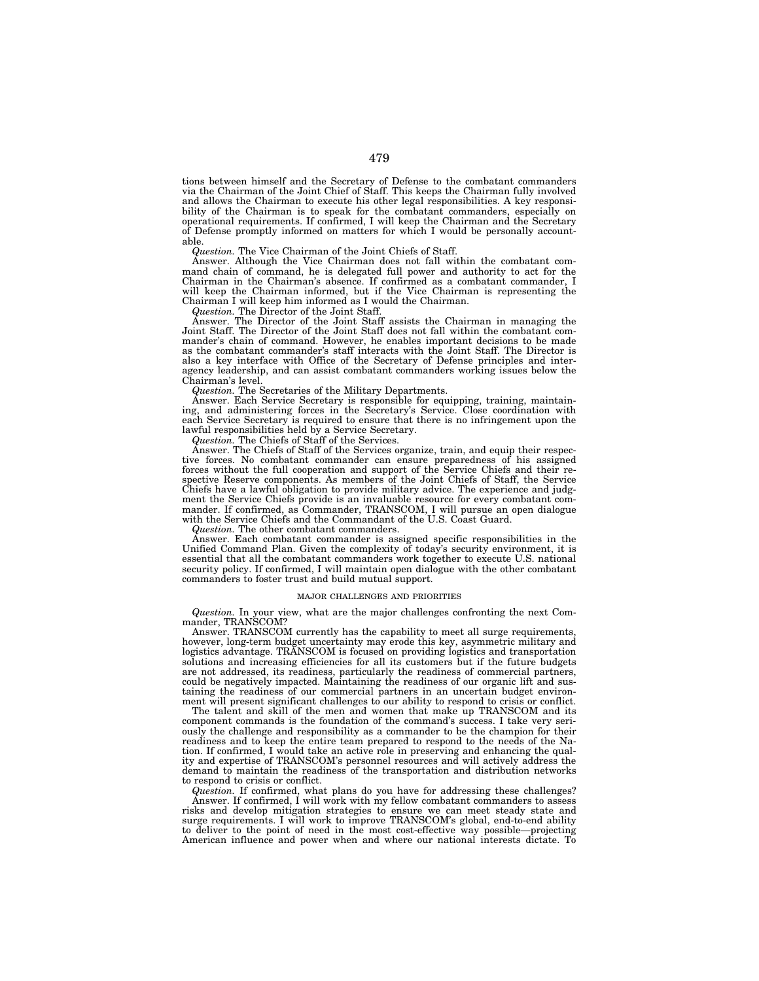tions between himself and the Secretary of Defense to the combatant commanders via the Chairman of the Joint Chief of Staff. This keeps the Chairman fully involved and allows the Chairman to execute his other legal responsibilities. A key responsibility of the Chairman is to speak for the combatant commanders, especially on operational requirements. If confirmed, I will keep the Chairman and the Secretary of Defense promptly informed on matters for which I would be personally accountable.

*Question.* The Vice Chairman of the Joint Chiefs of Staff.

Answer. Although the Vice Chairman does not fall within the combatant command chain of command, he is delegated full power and authority to act for the Chairman in the Chairman's absence. If confirmed as a combatant commander, I will keep the Chairman informed, but if the Vice Chairman is representing the Chairman I will keep him informed as I would the Chairman.

*Question.* The Director of the Joint Staff.

Answer. The Director of the Joint Staff assists the Chairman in managing the Joint Staff. The Director of the Joint Staff does not fall within the combatant commander's chain of command. However, he enables important decisions to be made as the combatant commander's staff interacts with the Joint Staff. The Director is also a key interface with Office of the Secretary of Defense principles and interagency leadership, and can assist combatant commanders working issues below the Chairman's level.

*Question.* The Secretaries of the Military Departments.

Answer. Each Service Secretary is responsible for equipping, training, maintaining, and administering forces in the Secretary's Service. Close coordination with each Service Secretary is required to ensure that there is no infringement upon the lawful responsibilities held by a Service Secretary.

*Question.* The Chiefs of Staff of the Services.

Answer. The Chiefs of Staff of the Services organize, train, and equip their respective forces. No combatant commander can ensure preparedness of his assigned forces without the full cooperation and support of the Service Chiefs and their respective Reserve components. As members of the Joint Chiefs of Staff, the Service Chiefs have a lawful obligation to provide military advice. The experience and judgment the Service Chiefs provide is an invaluable resource for every combatant commander. If confirmed, as Commander, TRANSCOM, I will pursue an open dialogue with the Service Chiefs and the Commandant of the U.S. Coast Guard.

*Question.* The other combatant commanders.

Answer. Each combatant commander is assigned specific responsibilities in the Unified Command Plan. Given the complexity of today's security environment, it is essential that all the combatant commanders work together to execute U.S. national security policy. If confirmed, I will maintain open dialogue with the other combatant commanders to foster trust and build mutual support.

#### MAJOR CHALLENGES AND PRIORITIES

*Question.* In your view, what are the major challenges confronting the next Commander, TRANSCOM?

Answer. TRANSCOM currently has the capability to meet all surge requirements, however, long-term budget uncertainty may erode this key, asymmetric military and logistics advantage. TRANSCOM is focused on providing logistics and transportation solutions and increasing efficiencies for all its customers but if the future budgets are not addressed, its readiness, particularly the readiness of commercial partners, could be negatively impacted. Maintaining the readiness of our organic lift and sustaining the readiness of our commercial partners in an uncertain budget environment will present significant challenges to our ability to respond to crisis or conflict.

The talent and skill of the men and women that make up TRANSCOM and its component commands is the foundation of the command's success. I take very seriously the challenge and responsibility as a commander to be the champion for their readiness and to keep the entire team prepared to respond to the needs of the Nation. If confirmed, I would take an active role in preserving and enhancing the quality and expertise of TRANSCOM's personnel resources and will actively address the demand to maintain the readiness of the transportation and distribution networks to respond to crisis or conflict.

*Question.* If confirmed, what plans do you have for addressing these challenges? Answer. If confirmed, I will work with my fellow combatant commanders to assess risks and develop mitigation strategies to ensure we can meet steady state and surge requirements. I will work to improve TRANSCOM's global, end-to-end ability to deliver to the point of need in the most cost-effective way possible—projecting American influence and power when and where our national interests dictate. To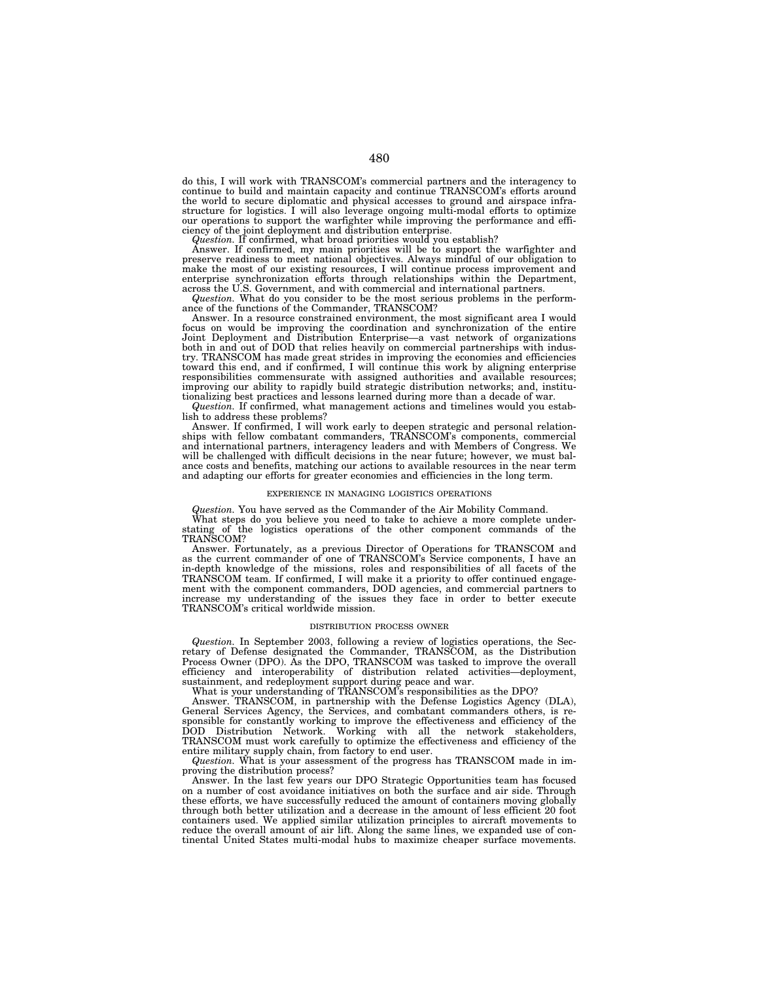do this, I will work with TRANSCOM's commercial partners and the interagency to continue to build and maintain capacity and continue TRANSCOM's efforts around the world to secure diplomatic and physical accesses to ground and airspace infrastructure for logistics. I will also leverage ongoing multi-modal efforts to optimize our operations to support the warfighter while improving the performance and efficiency of the joint deployment and distribution enterprise.

*Question.* If confirmed, what broad priorities would you establish?

Answer. If confirmed, my main priorities will be to support the warfighter and preserve readiness to meet national objectives. Always mindful of our obligation to make the most of our existing resources, I will continue process improvement and enterprise synchronization efforts through relationships within the Department, across the U.S. Government, and with commercial and international partners.

*Question.* What do you consider to be the most serious problems in the performance of the functions of the Commander, TRANSCOM?

Answer. In a resource constrained environment, the most significant area I would focus on would be improving the coordination and synchronization of the entire Joint Deployment and Distribution Enterprise—a vast network of organizations both in and out of DOD that relies heavily on commercial partnerships with indus-try. TRANSCOM has made great strides in improving the economies and efficiencies toward this end, and if confirmed, I will continue this work by aligning enterprise responsibilities commensurate with assigned authorities and available resources; improving our ability to rapidly build strategic distribution networks; and, institutionalizing best practices and lessons learned during more than a decade of war.

*Question.* If confirmed, what management actions and timelines would you establish to address these problems?

Answer. If confirmed, I will work early to deepen strategic and personal relationships with fellow combatant commanders, TRANSCOM's components, commercial and international partners, interagency leaders and with Members of Congress. We will be challenged with difficult decisions in the near future; however, we must balance costs and benefits, matching our actions to available resources in the near term and adapting our efforts for greater economies and efficiencies in the long term.

#### EXPERIENCE IN MANAGING LOGISTICS OPERATIONS

*Question.* You have served as the Commander of the Air Mobility Command.

What steps do you believe you need to take to achieve a more complete under-<br>stating of the logistics operations of the other component commands of the the logistics operations of the other component commands of the TRANSCOM?

Answer. Fortunately, as a previous Director of Operations for TRANSCOM and as the current commander of one of TRANSCOM's Service components, I have an in-depth knowledge of the missions, roles and responsibilities of all facets of the TRANSCOM team. If confirmed, I will make it a priority to offer continued engagement with the component commanders, DOD agencies, and commercial partners to increase my understanding of the issues they face in order to better execute TRANSCOM's critical worldwide mission.

# DISTRIBUTION PROCESS OWNER

*Question.* In September 2003, following a review of logistics operations, the Secretary of Defense designated the Commander, TRANSCOM, as the Distribution Process Owner (DPO). As the DPO, TRANSCOM was tasked to improve the overall efficiency and interoperability of distribution related activities—deployment, sustainment, and redeployment support during peace and war.

What is your understanding of TRANSCOM's responsibilities as the DPO?

Answer. TRANSCOM, in partnership with the Defense Logistics Agency (DLA), General Services Agency, the Services, and combatant commanders others, is responsible for constantly working to improve the effectiveness and efficiency of the DOD Distribution Network. Working with all the network stakeholders, TRANSCOM must work carefully to optimize the effectiveness and efficiency of the entire military supply chain, from factory to end user.

*Question.* What is your assessment of the progress has TRANSCOM made in improving the distribution process?

Answer. In the last few years our DPO Strategic Opportunities team has focused on a number of cost avoidance initiatives on both the surface and air side. Through these efforts, we have successfully reduced the amount of containers moving globally through both better utilization and a decrease in the amount of less efficient 20 foot containers used. We applied similar utilization principles to aircraft movements to reduce the overall amount of air lift. Along the same lines, we expanded use of continental United States multi-modal hubs to maximize cheaper surface movements.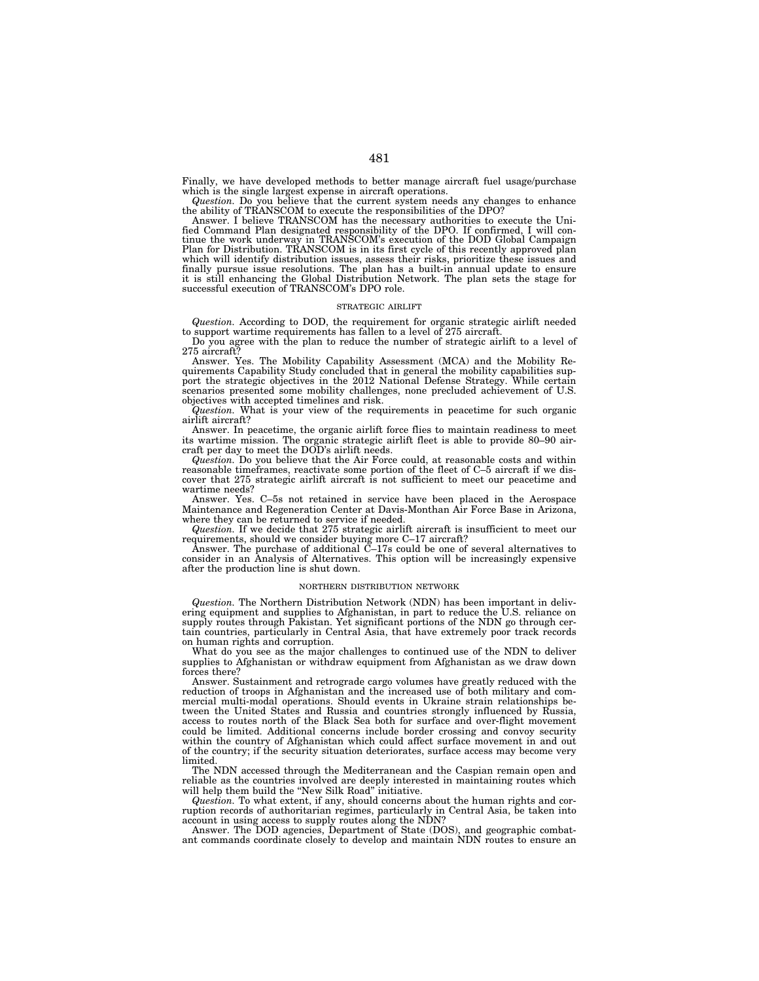Finally, we have developed methods to better manage aircraft fuel usage/purchase which is the single largest expense in aircraft operations.

Question. Do you believe that the current system needs any changes to enhance<br>the ability of TRANSCOM to execute the responsibilities of the DPO?<br>Answer. I believe TRANSCOM has the necessary authorities to execute the Uni-

fied Command Plan designated responsibility of the DPO. If confirmed, I will continue the work underway in TRANSCOM's execution of the DOD Global Campaign<br>Plan for Distribution. TRANSCOM is in its first cycle of this recen which will identify distribution issues, assess their risks, prioritize these issues and finally pursue issue resolutions. The plan has a built-in annual update to ensure it is still enhancing the Global Distribution Network. The plan sets the stage for successful execution of TRANSCOM's DPO role.

#### STRATEGIC AIRLIFT

*Question.* According to DOD, the requirement for organic strategic airlift needed

to support wartime requirements has fallen to a level of 275 aircraft. Do you agree with the plan to reduce the number of strategic airlift to a level of 275 aircraft?

Answer. Yes. The Mobility Capability Assessment (MCA) and the Mobility Requirements Capability Study concluded that in general the mobility capabilities sup-port the strategic objectives in the 2012 National Defense Strategy. While certain scenarios presented some mobility challenges, none precluded achievement of U.S. objectives with accepted timelines and risk.

*Question.* What is your view of the requirements in peacetime for such organic airlift aircraft?

Answer. In peacetime, the organic airlift force flies to maintain readiness to meet its wartime mission. The organic strategic airlift fleet is able to provide 80–90 aircraft per day to meet the DOD's airlift needs.

*Question.* Do you believe that the Air Force could, at reasonable costs and within reasonable timeframes, reactivate some portion of the fleet of C–5 aircraft if we discover that 275 strategic airlift aircraft is not sufficient to meet our peacetime and wartime needs?

Answer. Yes. C–5s not retained in service have been placed in the Aerospace Maintenance and Regeneration Center at Davis-Monthan Air Force Base in Arizona, where they can be returned to service if needed.

*Question.* If we decide that 275 strategic airlift aircraft is insufficient to meet our requirements, should we consider buying more C–17 aircraft?

Answer. The purchase of additional C–17s could be one of several alternatives to consider in an Analysis of Alternatives. This option will be increasingly expensive after the production line is shut down.

#### NORTHERN DISTRIBUTION NETWORK

*Question.* The Northern Distribution Network (NDN) has been important in delivering equipment and supplies to Afghanistan, in part to reduce the U.S. reliance on supply routes through Pakistan. Yet significant portions of the NDN go through certain countries, particularly in Central Asia, that have extremely poor track records on human rights and corruption.

What do you see as the major challenges to continued use of the NDN to deliver supplies to Afghanistan or withdraw equipment from Afghanistan as we draw down forces there?

Answer. Sustainment and retrograde cargo volumes have greatly reduced with the reduction of troops in Afghanistan and the increased use of both military and commercial multi-modal operations. Should events in Ukraine strain relationships between the United States and Russia and countries strongly influenced by Russia, access to routes north of the Black Sea both for surface and over-flight movement could be limited. Additional concerns include border crossing and convoy security within the country of Afghanistan which could affect surface movement in and out of the country; if the security situation deteriorates, surface access may become very limited.

The NDN accessed through the Mediterranean and the Caspian remain open and reliable as the countries involved are deeply interested in maintaining routes which will help them build the "New Silk Road" initiative.

*Question.* To what extent, if any, should concerns about the human rights and corruption records of authoritarian regimes, particularly in Central Asia, be taken into

account in using access to supply routes along the NDN? Answer. The DOD agencies, Department of State (DOS), and geographic combatant commands coordinate closely to develop and maintain NDN routes to ensure an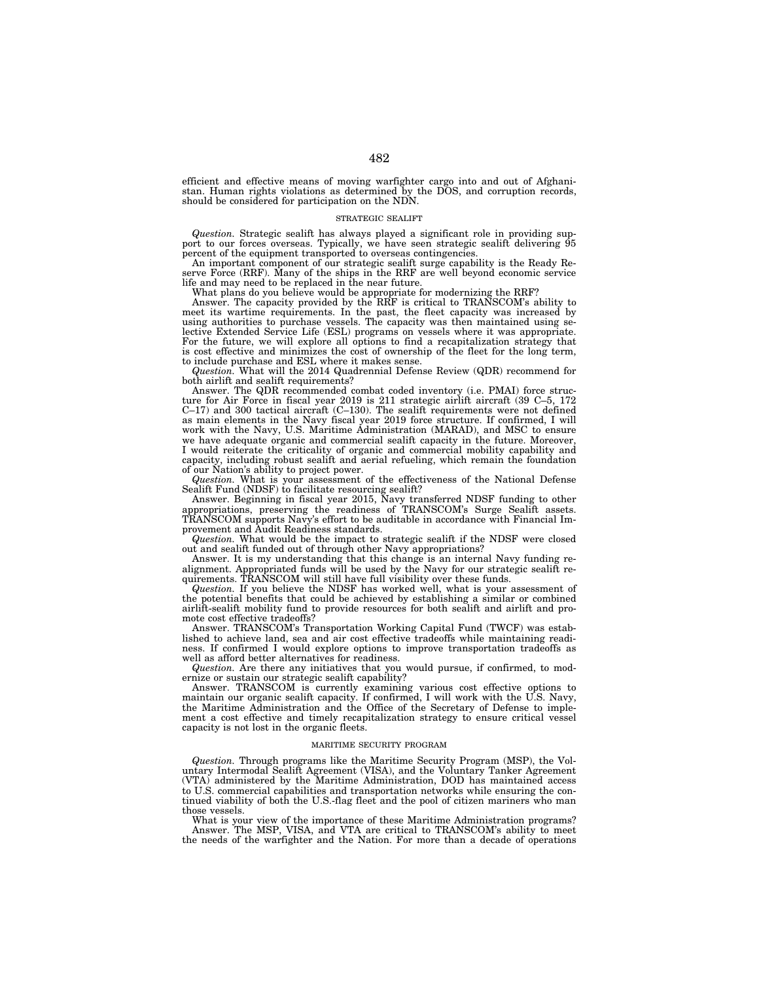efficient and effective means of moving warfighter cargo into and out of Afghani-stan. Human rights violations as determined by the DOS, and corruption records, should be considered for participation on the NDN.

### STRATEGIC SEALIFT

*Question.* Strategic sealift has always played a significant role in providing support to our forces overseas. Typically, we have seen strategic sealift delivering 95 percent of the equipment transported to overseas contingencies.

An important component of our strategic sealift surge capability is the Ready Reserve Force (RRF). Many of the ships in the RRF are well beyond economic service life and may need to be replaced in the near future.

What plans do you believe would be appropriate for modernizing the RRF? Answer. The capacity provided by the RRF is critical to TRANSCOM's ability to meet its wartime requirements. In the past, the fleet capacity was increased by using authorities to purchase vessels. The capacity was then maintained using selective Extended Service Life (ESL) programs on vessels where it was appropriate. For the future, we will explore all options to find a recapitalization strategy that is cost effective and minimizes the cost of ownership of the fleet for the long term, to include purchase and ESL where it makes sense.

*Question.* What will the 2014 Quadrennial Defense Review (QDR) recommend for both airlift and sealift requirements?

Answer. The QDR recommended combat coded inventory (i.e. PMAI) force structure for Air Force in fiscal year 2019 is 211 strategic airlift aircraft (39 C–5, 172 C–17) and 300 tactical aircraft (C–130). The sealift requirements were not defined as main elements in the Navy fiscal year 2019 force structure. If confirmed, I will work with the Navy, U.S. Maritime Administration (MARAD), and MSC to ensure we have adequate organic and commercial sealift capacity in the future. Moreover, I would reiterate the criticality of organic and commercial mobility capability and capacity, including robust sealift and aerial refueling, which remain the foundation of our Nation's ability to project power.

*Question.* What is your assessment of the effectiveness of the National Defense Sealift Fund (NDSF) to facilitate resourcing sealift?

Answer. Beginning in fiscal year 2015, Navy transferred NDSF funding to other appropriations, preserving the readiness of TRANSCOM's Surge Sealift assets. TRANSCOM supports Navy's effort to be auditable in accordance with Financial Improvement and Audit Readiness standards.

*Question.* What would be the impact to strategic sealift if the NDSF were closed out and sealift funded out of through other Navy appropriations?

Answer. It is my understanding that this change is an internal Navy funding realignment. Appropriated funds will be used by the Navy for our strategic sealift requirements. TRANSCOM will still have full visibility over these funds.

*Question.* If you believe the NDSF has worked well, what is your assessment of the potential benefits that could be achieved by establishing a similar or combined airlift-sealift mobility fund to provide resources for both sealift and airlift and promote cost effective tradeoffs?

Answer. TRANSCOM's Transportation Working Capital Fund (TWCF) was established to achieve land, sea and air cost effective tradeoffs while maintaining readiness. If confirmed I would explore options to improve transportation tradeoffs as well as afford better alternatives for readiness.

*Question.* Are there any initiatives that you would pursue, if confirmed, to modernize or sustain our strategic sealift capability?

Answer. TRANSCOM is currently examining various cost effective options to maintain our organic sealift capacity. If confirmed, I will work with the U.S. Navy, the Maritime Administration and the Office of the Secretary of Defense to implement a cost effective and timely recapitalization strategy to ensure critical vessel capacity is not lost in the organic fleets.

#### MARITIME SECURITY PROGRAM

*Question.* Through programs like the Maritime Security Program (MSP), the Voluntary Intermodal Sealift Agreement (VISA), and the Voluntary Tanker Agreement (VTA) administered by the Maritime Administration, DOD has maintained access to U.S. commercial capabilities and transportation networks while ensuring the continued viability of both the U.S.-flag fleet and the pool of citizen mariners who man those vessels.

What is your view of the importance of these Maritime Administration programs? Answer. The MSP, VISA, and VTA are critical to TRANSCOM's ability to meet the needs of the warfighter and the Nation. For more than a decade of operations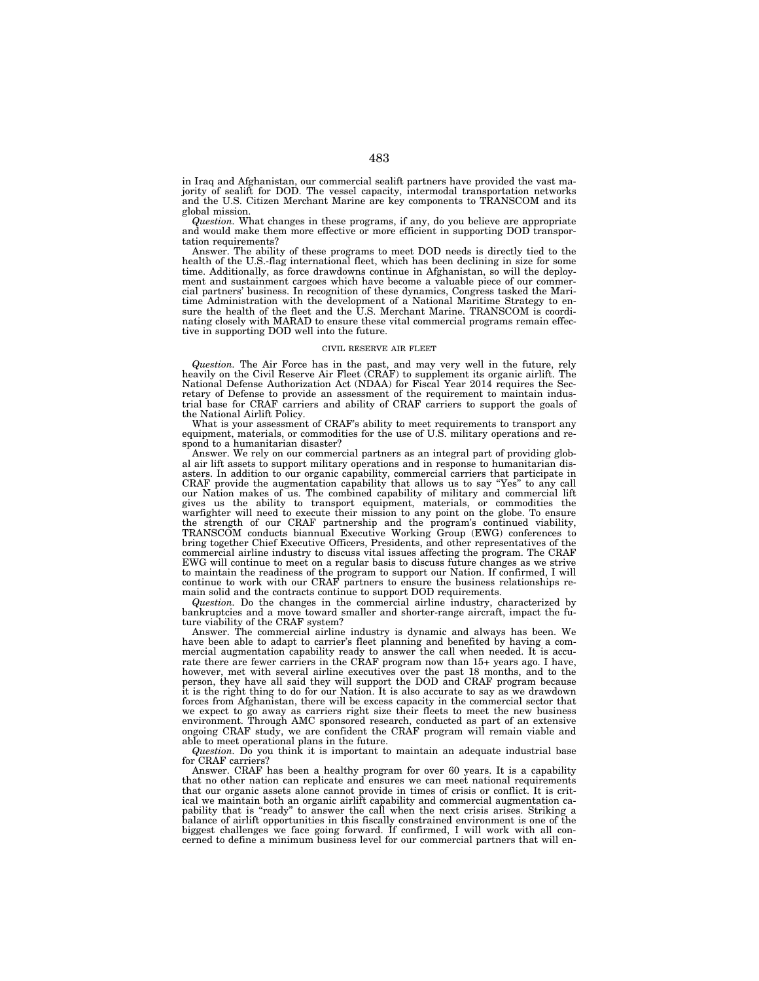in Iraq and Afghanistan, our commercial sealift partners have provided the vast majority of sealift for DOD. The vessel capacity, intermodal transportation networks and the U.S. Citizen Merchant Marine are key components to TRANSCOM and its global mission.

*Question.* What changes in these programs, if any, do you believe are appropriate and would make them more effective or more efficient in supporting DOD transportation requirements?

Answer. The ability of these programs to meet DOD needs is directly tied to the health of the U.S.-flag international fleet, which has been declining in size for some time. Additionally, as force drawdowns continue in Afghanistan, so will the deployment and sustainment cargoes which have become a valuable piece of our commercial partners' business. In recognition of these dynamics, Congress tasked the Maritime Administration with the development of a National Maritime Strategy to ensure the health of the fleet and the U.S. Merchant Marine. TRANSCOM is coordinating closely with MARAD to ensure these vital commercial programs remain effective in supporting DOD well into the future.

### CIVIL RESERVE AIR FLEET

*Question.* The Air Force has in the past, and may very well in the future, rely heavily on the Civil Reserve Air Fleet (CRAF) to supplement its organic airlift. The National Defense Authorization Act (NDAA) for Fiscal Year 2014 requires the Secretary of Defense to provide an assessment of the requirement to maintain industrial base for CRAF carriers and ability of CRAF carriers to support the goals of the National Airlift Policy.

What is your assessment of CRAF's ability to meet requirements to transport any equipment, materials, or commodities for the use of U.S. military operations and respond to a humanitarian disaster?

Answer. We rely on our commercial partners as an integral part of providing global air lift assets to support military operations and in response to humanitarian disasters. In addition to our organic capability, commercial carriers that participate in CRAF provide the augmentation capability that allows us to say "Yes" to any call our Nation makes of us. The combined capability of military and commercial lift gives us the ability to transport equipment, materials, or commodities the warfighter will need to execute their mission to any point on the globe. To ensure the strength of our CRAF partnership and the program's continued viability, TRANSCOM conducts biannual Executive Working Group (EWG) conferences to bring together Chief Executive Officers, Presidents, and other representatives of the commercial airline industry to discuss vital issues affecting the program. The CRAF EWG will continue to meet on a regular basis to discuss future changes as we strive to maintain the readiness of the program to support our Nation. If confirmed, I will continue to work with our CRAF partners to ensure the business relationships remain solid and the contracts continue to support DOD requirements.

*Question.* Do the changes in the commercial airline industry, characterized by bankruptcies and a move toward smaller and shorter-range aircraft, impact the future viability of the CRAF system?

Answer. The commercial airline industry is dynamic and always has been. We have been able to adapt to carrier's fleet planning and benefited by having a commercial augmentation capability ready to answer the call when needed. It is accurate there are fewer carriers in the CRAF program now than 15+ years ago. I have, however, met with several airline executives over the past 18 months, and to the person, they have all said they will support the DOD and CRAF program because it is the right thing to do for our Nation. It is also accurate to say as we drawdown forces from Afghanistan, there will be excess capacity in the commercial sector that we expect to go away as carriers right size their fleets to meet the new business environment. Through AMC sponsored research, conducted as part of an extensive ongoing CRAF study, we are confident the CRAF program will remain viable and able to meet operational plans in the future.

*Question.* Do you think it is important to maintain an adequate industrial base for CRAF carriers?

Answer. CRAF has been a healthy program for over 60 years. It is a capability that no other nation can replicate and ensures we can meet national requirements that our organic assets alone cannot provide in times of crisis or conflict. It is critical we maintain both an organic airlift capability and commercial augmentation capability that is "ready" to answer the call when the next crisis arises. Striking a balance of airlift opportunities in this fiscally constrained environment is one of the biggest challenges we face going forward. If confirmed, I will work with all concerned to define a minimum business level for our commercial partners that will en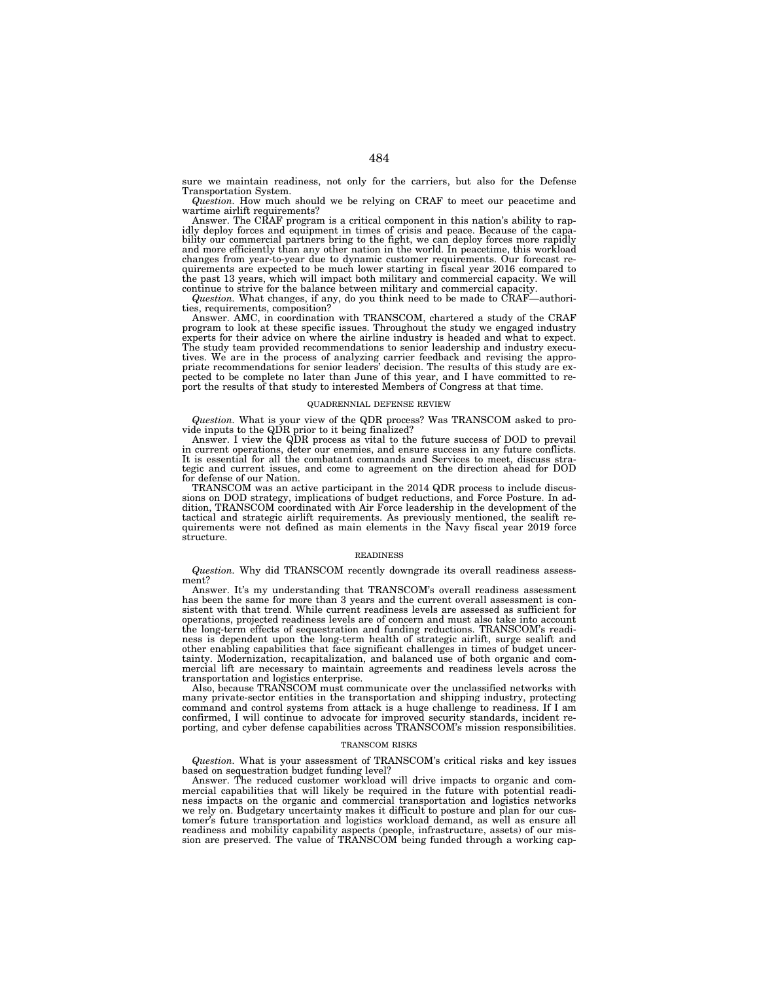sure we maintain readiness, not only for the carriers, but also for the Defense Transportation System.

*Question.* How much should we be relying on CRAF to meet our peacetime and wartime airlift requirements?

Answer. The CRAF program is a critical component in this nation's ability to rapidly deploy forces and equipment in times of crisis and peace. Because of the capa-bility our commercial partners bring to the fight, we can deploy forces more rapidly and more efficiently than any other nation in the world. In peacetime, this workload changes from year-to-year due to dynamic customer requirements. Our forecast requirements are expected to be much lower starting in fiscal year 2016 compared to the past 13 years, which will impact both military and commercial capacity. We will continue to strive for the balance between military and commercial capacity.

*Question.* What changes, if any, do you think need to be made to CRAF—authorities, requirements, composition?

Answer. AMC, in coordination with TRANSCOM, chartered a study of the CRAF program to look at these specific issues. Throughout the study we engaged industry experts for their advice on where the airline industry is headed and what to expect. The study team provided recommendations to senior leadership and industry executives. We are in the process of analyzing carrier feedback and revising the appropriate recommendations for senior leaders' decision. The results of this study are expected to be complete no later than June of this year, and I have committed to report the results of that study to interested Members of Congress at that time.

#### QUADRENNIAL DEFENSE REVIEW

*Question.* What is your view of the QDR process? Was TRANSCOM asked to pro-vide inputs to the QDR prior to it being finalized?

Answer. I view the QDR process as vital to the future success of DOD to prevail in current operations, deter our enemies, and ensure success in any future conflicts. It is essential for all the combatant commands and Services to meet, discuss strategic and current issues, and come to agreement on the direction ahead for DOD

for defense of our Nation.<br>TRANSCOM was an active participant in the 2014 QDR process to include discussions on DOD strategy, implications of budget reductions, and Force Posture. In addition. TRANSCOM coordinated with Air Force leadership in the development of the tactical and strategic airlift requirements. As previously mentioned, the sealift re-quirements were not defined as main elements in the Navy fiscal year 2019 force structure.

#### READINESS

*Question.* Why did TRANSCOM recently downgrade its overall readiness assessment?

Answer. It's my understanding that TRANSCOM's overall readiness assessment has been the same for more than 3 years and the current overall assessment is consistent with that trend. While current readiness levels are assessed as sufficient for operations, projected readiness levels are of concern and must also take into account the long-term effects of sequestration and funding reductions. TRANSCOM's readi-ness is dependent upon the long-term health of strategic airlift, surge sealift and other enabling capabilities that face significant challenges in times of budget uncertainty. Modernization, recapitalization, and balanced use of both organic and commercial lift are necessary to maintain agreements and readiness levels across the

transportation and logistics enterprise. Also, because TRANSCOM must communicate over the unclassified networks with many private-sector entities in the transportation and shipping industry, protecting command and control systems from attack is a huge challenge to readiness. If I am confirmed, I will continue to advocate for improved security standards, incident reporting, and cyber defense capabilities across TRANSCOM's mission responsibilities.

### TRANSCOM RISKS

*Question.* What is your assessment of TRANSCOM's critical risks and key issues based on sequestration budget funding level?

Answer. The reduced customer workload will drive impacts to organic and commercial capabilities that will likely be required in the future with potential readiness impacts on the organic and commercial transportation and logistics networks we rely on. Budgetary uncertainty makes it difficult to posture and plan for our customer's future transportation and logistics workload demand, as well as ensure all readiness and mobility capability aspects (people, infrastructure, assets) of our mission are preserved. The value of TRANSCOM being funded through a working cap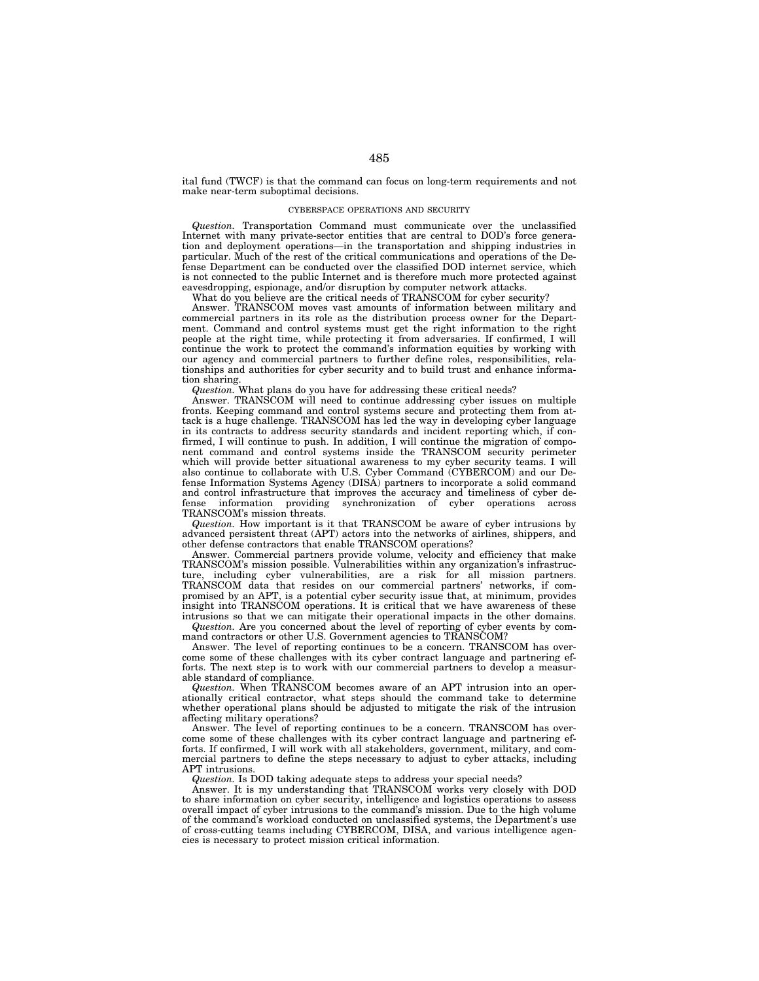ital fund (TWCF) is that the command can focus on long-term requirements and not make near-term suboptimal decisions.

# CYBERSPACE OPERATIONS AND SECURITY

*Question.* Transportation Command must communicate over the unclassified Internet with many private-sector entities that are central to DOD's force generation and deployment operations—in the transportation and shipping industries in particular. Much of the rest of the critical communications and operations of the Defense Department can be conducted over the classified DOD internet service, which is not connected to the public Internet and is therefore much more protected against eavesdropping, espionage, and/or disruption by computer network attacks.

What do you believe are the critical needs of TRANSCOM for cyber security?

Answer. TRANSCOM moves vast amounts of information between military and commercial partners in its role as the distribution process owner for the Department. Command and control systems must get the right information to the right people at the right time, while protecting it from adversaries. If confirmed, I will continue the work to protect the command's information equities by working with our agency and commercial partners to further define roles, responsibilities, relationships and authorities for cyber security and to build trust and enhance information sharing.

*Question.* What plans do you have for addressing these critical needs?

Answer. TRANSCOM will need to continue addressing cyber issues on multiple fronts. Keeping command and control systems secure and protecting them from attack is a huge challenge. TRANSCOM has led the way in developing cyber language in its contracts to address security standards and incident reporting which, if confirmed, I will continue to push. In addition, I will continue the migration of component command and control systems inside the TRANSCOM security perimeter which will provide better situational awareness to my cyber security teams. I will also continue to collaborate with U.S. Cyber Command (CYBERCOM) and our Defense Information Systems Agency (DISA) partners to incorporate a solid command and control infrastructure that improves the accuracy and timeliness of cyber de-<br>fense information providing synchronization of cyber operations across information providing synchronization of cyber operations TRANSCOM's mission threats.

*Question.* How important is it that TRANSCOM be aware of cyber intrusions by advanced persistent threat (APT) actors into the networks of airlines, shippers, and other defense contractors that enable TRANSCOM operations?

Answer. Commercial partners provide volume, velocity and efficiency that make TRANSCOM's mission possible. Vulnerabilities within any organization's infrastructure, including cyber vulnerabilities, are a risk for all mission partners. TRANSCOM data that resides on our commercial partners' networks, if compromised by an APT, is a potential cyber security issue that, at minimum, provides insight into TRANSCOM operations. It is critical that we have awareness of these intrusions so that we can mitigate their operational impacts in the other domains.

*Question.* Are you concerned about the level of reporting of cyber events by command contractors or other U.S. Government agencies to TRANSCOM?

Answer. The level of reporting continues to be a concern. TRANSCOM has overcome some of these challenges with its cyber contract language and partnering efforts. The next step is to work with our commercial partners to develop a measurable standard of compliance.

*Question.* When TRANSCOM becomes aware of an APT intrusion into an operationally critical contractor, what steps should the command take to determine whether operational plans should be adjusted to mitigate the risk of the intrusion affecting military operations?

Answer. The level of reporting continues to be a concern. TRANSCOM has overcome some of these challenges with its cyber contract language and partnering efforts. If confirmed, I will work with all stakeholders, government, military, and commercial partners to define the steps necessary to adjust to cyber attacks, including APT intrusions.

*Question.* Is DOD taking adequate steps to address your special needs?

Answer. It is my understanding that TRANSCOM works very closely with DOD to share information on cyber security, intelligence and logistics operations to assess overall impact of cyber intrusions to the command's mission. Due to the high volume of the command's workload conducted on unclassified systems, the Department's use of cross-cutting teams including CYBERCOM, DISA, and various intelligence agencies is necessary to protect mission critical information.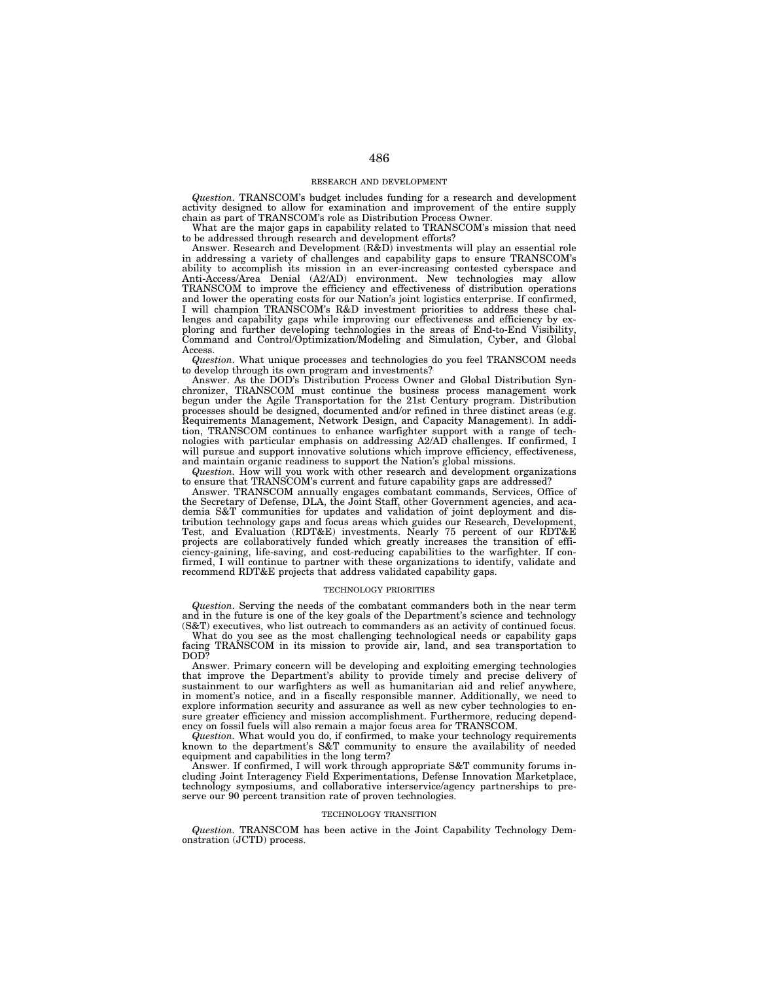### RESEARCH AND DEVELOPMENT

*Question.* TRANSCOM's budget includes funding for a research and development activity designed to allow for examination and improvement of the entire supply chain as part of TRANSCOM's role as Distribution Process Owner.

What are the major gaps in capability related to TRANSCOM's mission that need to be addressed through research and development efforts?

Answer. Research and Development  $(R&D)$  investments will play an essential role in addressing a variety of challenges and capability gaps to ensure TRANSCOM's ability to accomplish its mission in an ever-increasing contested cyberspace and Anti-Access/Area Denial (A2/AD) environment. New technologies may allow TRANSCOM to improve the efficiency and effectiveness of distribution operations and lower the operating costs for our Nation's joint logistics enterprise. If confirmed, I will champion TRANSCOM's R&D investment priorities to address these challenges and capability gaps while improving our effectiveness and efficiency by exploring and further developing technologies in the areas of End-to-End Visibility, Command and Control/Optimization/Modeling and Simulation, Cyber, and Global Access.

*Question.* What unique processes and technologies do you feel TRANSCOM needs to develop through its own program and investments?

Answer. As the DOD's Distribution Process Owner and Global Distribution Synchronizer, TRANSCOM must continue the business process management work begun under the Agile Transportation for the 21st Century program. Distribution processes should be designed, documented and/or refined in three distinct areas (e.g. Requirements Management, Network Design, and Capacity Management). In addition, TRANSCOM continues to enhance warfighter support with a range of technologies with particular emphasis on addressing A2/AD challenges. If confirmed, I will pursue and support innovative solutions which improve efficiency, effectiveness, and maintain organic readiness to support the Nation's global missions.

*Question.* How will you work with other research and development organizations to ensure that TRANSCOM's current and future capability gaps are addressed?

Answer. TRANSCOM annually engages combatant commands, Services, Office of the Secretary of Defense, DLA, the Joint Staff, other Government agencies, and academia S&T communities for updates and validation of joint deployment and distribution technology gaps and focus areas which guides our Research, Development, Test, and Evaluation (RDT&E) investments. Nearly 75 percent of our RDT&E projects are collaboratively funded which greatly increases the transition of efficiency-gaining, life-saving, and cost-reducing capabilities to the warfighter. If confirmed, I will continue to partner with these organizations to identify, validate and recommend RDT&E projects that address validated capability gaps.

#### TECHNOLOGY PRIORITIES

*Question.* Serving the needs of the combatant commanders both in the near term and in the future is one of the key goals of the Department's science and technology (S&T) executives, who list outreach to commanders as an activity of continued focus.

What do you see as the most challenging technological needs or capability gaps facing TRANSCOM in its mission to provide air, land, and sea transportation to DOD?

Answer. Primary concern will be developing and exploiting emerging technologies that improve the Department's ability to provide timely and precise delivery of sustainment to our warfighters as well as humanitarian aid and relief anywhere, in moment's notice, and in a fiscally responsible manner. Additionally, we need to explore information security and assurance as well as new cyber technologies to ensure greater efficiency and mission accomplishment. Furthermore, reducing dependency on fossil fuels will also remain a major focus area for TRANSCOM.

*Question.* What would you do, if confirmed, to make your technology requirements known to the department's S&T community to ensure the availability of needed equipment and capabilities in the long term?

Answer. If confirmed, I will work through appropriate S&T community forums including Joint Interagency Field Experimentations, Defense Innovation Marketplace, technology symposiums, and collaborative interservice/agency partnerships to preserve our 90 percent transition rate of proven technologies.

#### TECHNOLOGY TRANSITION

*Question.* TRANSCOM has been active in the Joint Capability Technology Demonstration (JCTD) process.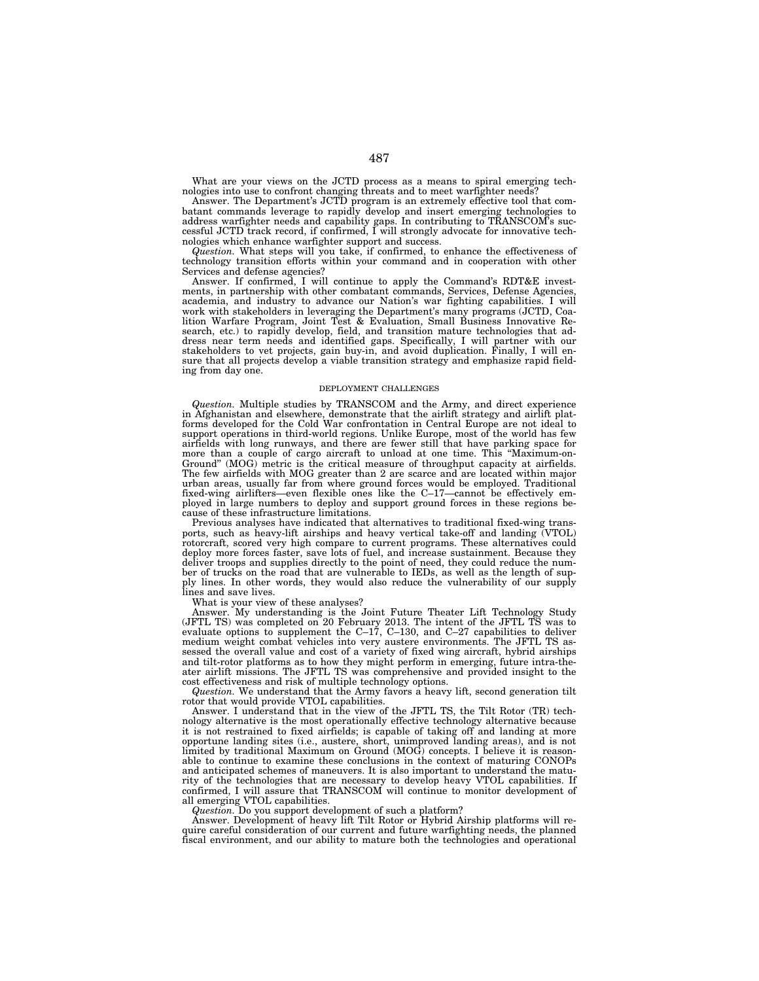What are your views on the JCTD process as a means to spiral emerging technologies into use to confront changing threats and to meet warfighter needs?

Answer. The Department's JCTD program is an extremely effective tool that combatant commands leverage to rapidly develop and insert emerging technologies to address warfighter needs and capability gaps. In contributing to TRANSCOM's successful JCTD track record, if confirmed, I will strongly advocate for innovative technologies which enhance warfighter support and success.

*Question.* What steps will you take, if confirmed, to enhance the effectiveness of technology transition efforts within your command and in cooperation with other Services and defense agencies?

Answer. If confirmed, I will continue to apply the Command's RDT&E investments, in partnership with other combatant commands, Services, Defense Agencies, academia, and industry to advance our Nation's war fighting capabilities. I will work with stakeholders in leveraging the Department's many programs (JCTD, Coalition Warfare Program, Joint Test & Evaluation, Small Business Innovative Research, etc.) to rapidly develop, field, and transition mature technologies that address near term needs and identified gaps. Specifically, I will partner with our stakeholders to vet projects, gain buy-in, and avoid duplication. Finally, I will ensure that all projects develop a viable transition strategy and emphasize rapid fielding from day one.

### DEPLOYMENT CHALLENGES

*Question.* Multiple studies by TRANSCOM and the Army, and direct experience in Afghanistan and elsewhere, demonstrate that the airlift strategy and airlift platforms developed for the Cold War confrontation in Central Europe are not ideal to support operations in third-world regions. Unlike Europe, most of the world has few airfields with long runways, and there are fewer still that have parking space for more than a couple of cargo aircraft to unload at one time. This ''Maximum-on-Ground'' (MOG) metric is the critical measure of throughput capacity at airfields. The few airfields with MOG greater than 2 are scarce and are located within major urban areas, usually far from where ground forces would be employed. Traditional fixed-wing airlifters—even flexible ones like the C–17—cannot be effectively employed in large numbers to deploy and support ground forces in these regions because of these infrastructure limitations.

Previous analyses have indicated that alternatives to traditional fixed-wing transports, such as heavy-lift airships and heavy vertical take-off and landing (VTOL) rotorcraft, scored very high compare to current programs. These alternatives could deploy more forces faster, save lots of fuel, and increase sustainment. Because they deliver troops and supplies directly to the point of need, they could reduce the number of trucks on the road that are vulnerable to IEDs, as well as the length of supply lines. In other words, they would also reduce the vulnerability of our supply lines and save lives.

What is your view of these analyses?

Answer. My understanding is the Joint Future Theater Lift Technology Study (JFTL TS) was completed on 20 February 2013. The intent of the JFTL TS was to evaluate options to supplement the C–17, C–130, and C–27 capabilities to deliver medium weight combat vehicles into very austere environments. The JFTL TS assessed the overall value and cost of a variety of fixed wing aircraft, hybrid airships and tilt-rotor platforms as to how they might perform in emerging, future intra-theater airlift missions. The JFTL TS was comprehensive and provided insight to the cost effectiveness and risk of multiple technology options.

*Question.* We understand that the Army favors a heavy lift, second generation tilt rotor that would provide VTOL capabilities.

Answer. I understand that in the view of the JFTL TS, the Tilt Rotor (TR) technology alternative is the most operationally effective technology alternative because it is not restrained to fixed airfields; is capable of taking off and landing at more opportune landing sites (i.e., austere, short, unimproved landing areas), and is not limited by traditional Maximum on Ground (MOG) concepts. I believe it is reasonable to continue to examine these conclusions in the context of maturing CONOPs and anticipated schemes of maneuvers. It is also important to understand the maturity of the technologies that are necessary to develop heavy VTOL capabilities. If confirmed, I will assure that TRANSCOM will continue to monitor development of all emerging VTOL capabilities.

*Question.* Do you support development of such a platform?

Answer. Development of heavy lift Tilt Rotor or Hybrid Airship platforms will require careful consideration of our current and future warfighting needs, the planned fiscal environment, and our ability to mature both the technologies and operational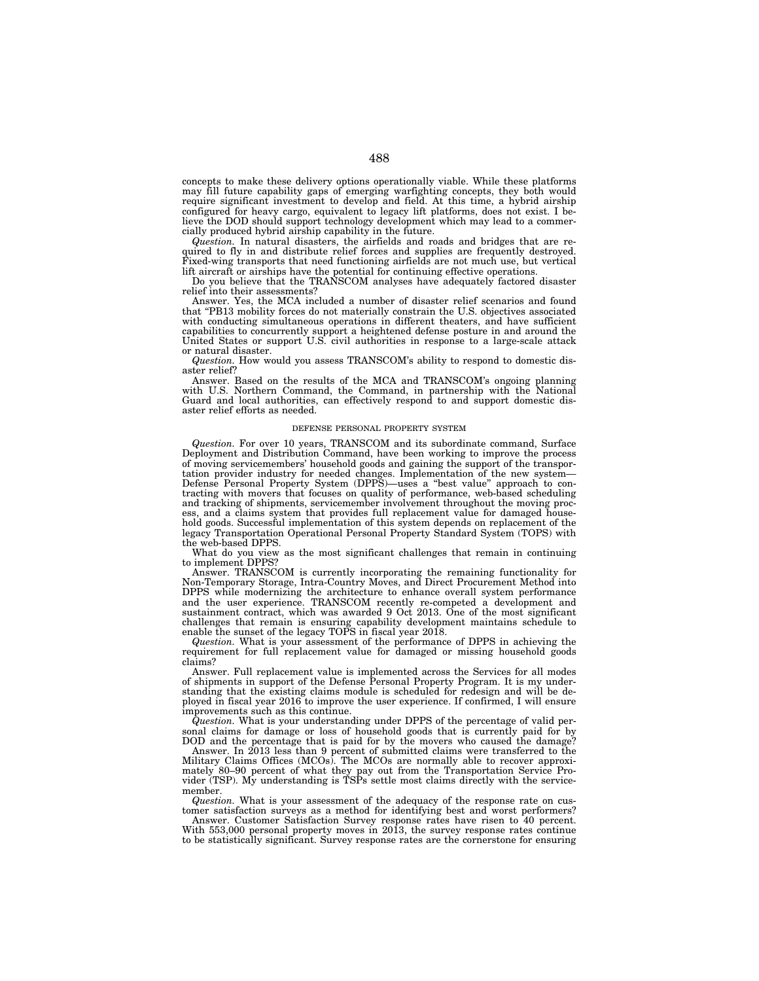concepts to make these delivery options operationally viable. While these platforms may fill future capability gaps of emerging warfighting concepts, they both would require significant investment to develop and field. At this time, a hybrid airship configured for heavy cargo, equivalent to legacy lift platforms, does not exist. I believe the DOD should support technology development which may lead to a commercially produced hybrid airship capability in the future.

*Question.* In natural disasters, the airfields and roads and bridges that are required to fly in and distribute relief forces and supplies are frequently destroyed. Fixed-wing transports that need functioning airfields are not much use, but vertical lift aircraft or airships have the potential for continuing effective operations.

Do you believe that the TRANSCOM analyses have adequately factored disaster relief into their assessments?

Answer. Yes, the MCA included a number of disaster relief scenarios and found that ''PB13 mobility forces do not materially constrain the U.S. objectives associated with conducting simultaneous operations in different theaters, and have sufficient capabilities to concurrently support a heightened defense posture in and around the United States or support U.S. civil authorities in response to a large-scale attack or natural disaster.

*Question.* How would you assess TRANSCOM's ability to respond to domestic disaster relief?

Answer. Based on the results of the MCA and TRANSCOM's ongoing planning with U.S. Northern Command, the Command, in partnership with the National Guard and local authorities, can effectively respond to and support domestic disaster relief efforts as needed.

# DEFENSE PERSONAL PROPERTY SYSTEM

*Question.* For over 10 years, TRANSCOM and its subordinate command, Surface Deployment and Distribution Command, have been working to improve the process of moving servicemembers' household goods and gaining the support of the transportation provider industry for needed changes. Implementation of the new system— Defense Personal Property System (DPPS)—uses a ''best value'' approach to contracting with movers that focuses on quality of performance, web-based scheduling and tracking of shipments, servicemember involvement throughout the moving process, and a claims system that provides full replacement value for damaged household goods. Successful implementation of this system depends on replacement of the legacy Transportation Operational Personal Property Standard System (TOPS) with the web-based DPPS.

What do you view as the most significant challenges that remain in continuing to implement DPPS?

Answer. TRANSCOM is currently incorporating the remaining functionality for Non-Temporary Storage, Intra-Country Moves, and Direct Procurement Method into DPPS while modernizing the architecture to enhance overall system performance and the user experience. TRANSCOM recently re-competed a development and sustainment contract, which was awarded 9 Oct 2013. One of the most significant challenges that remain is ensuring capability development maintains schedule to enable the sunset of the legacy TOPS in fiscal year 2018.

*Question.* What is your assessment of the performance of DPPS in achieving the requirement for full replacement value for damaged or missing household goods claims?

Answer. Full replacement value is implemented across the Services for all modes of shipments in support of the Defense Personal Property Program. It is my understanding that the existing claims module is scheduled for redesign and will be deployed in fiscal year 2016 to improve the user experience. If confirmed, I will ensure improvements such as this continue.

*Question.* What is your understanding under DPPS of the percentage of valid personal claims for damage or loss of household goods that is currently paid for by DOD and the percentage that is paid for by the movers who caused the damage?

Answer. In 2013 less than 9 percent of submitted claims were transferred to the Military Claims Offices (MCOs). The MCOs are normally able to recover approximately 80–90 percent of what they pay out from the Transportation Service Provider (TSP). My understanding is TSPs settle most claims directly with the servicemember.

*Question.* What is your assessment of the adequacy of the response rate on customer satisfaction surveys as a method for identifying best and worst performers?

Answer. Customer Satisfaction Survey response rates have risen to 40 percent. With 553,000 personal property moves in 2013, the survey response rates continue to be statistically significant. Survey response rates are the cornerstone for ensuring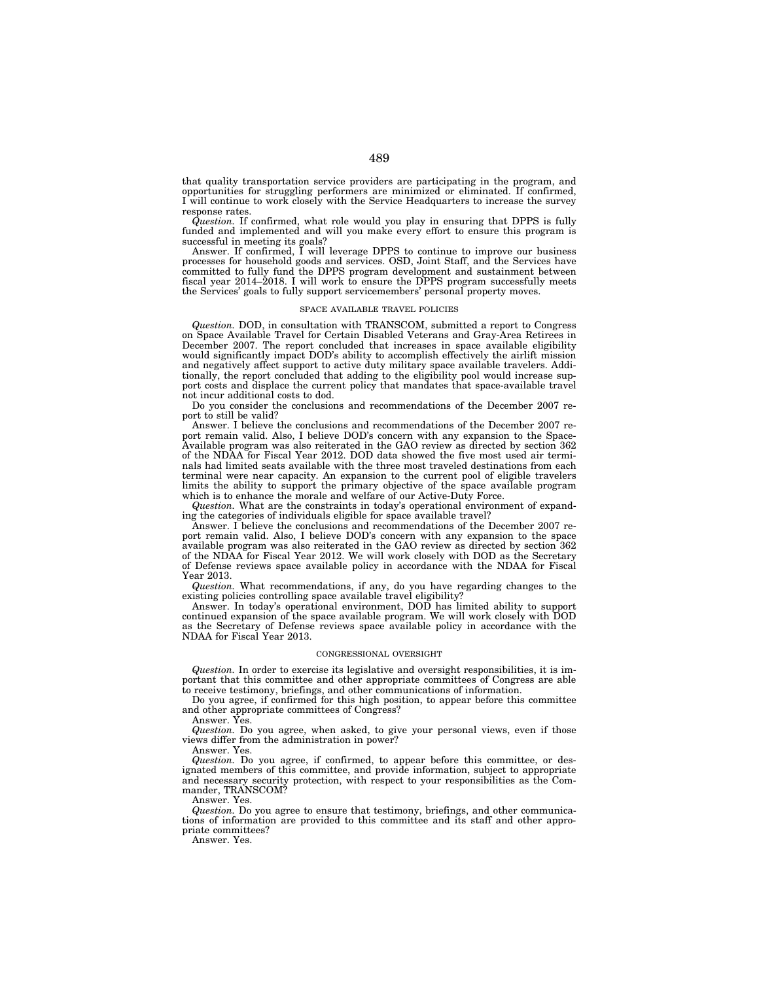that quality transportation service providers are participating in the program, and opportunities for struggling performers are minimized or eliminated. If confirmed, I will continue to work closely with the Service Headquarters to increase the survey response rates.

*Question.* If confirmed, what role would you play in ensuring that DPPS is fully funded and implemented and will you make every effort to ensure this program is successful in meeting its goals?

Answer. If confirmed, I will leverage DPPS to continue to improve our business processes for household goods and services. OSD, Joint Staff, and the Services have committed to fully fund the DPPS program development and sustainment between fiscal year 2014–2018. I will work to ensure the DPPS program successfully meets the Services' goals to fully support servicemembers' personal property moves.

#### SPACE AVAILABLE TRAVEL POLICIES

*Question.* DOD, in consultation with TRANSCOM, submitted a report to Congress on Space Available Travel for Certain Disabled Veterans and Gray-Area Retirees in December 2007. The report concluded that increases in space available eligibility would significantly impact DOD's ability to accomplish effectively the airlift mission and negatively affect support to active duty military space available travelers. Additionally, the report concluded that adding to the eligibility pool would increase support costs and displace the current policy that mandates that space-available travel not incur additional costs to dod.

Do you consider the conclusions and recommendations of the December 2007 report to still be valid?

Answer. I believe the conclusions and recommendations of the December 2007 report remain valid. Also, I believe DOD's concern with any expansion to the Space-Available program was also reiterated in the GAO review as directed by section 362 of the NDAA for Fiscal Year 2012. DOD data showed the five most used air terminals had limited seats available with the three most traveled destinations from each terminal were near capacity. An expansion to the current pool of eligible travelers limits the ability to support the primary objective of the space available program which is to enhance the morale and welfare of our Active-Duty Force.

*Question.* What are the constraints in today's operational environment of expanding the categories of individuals eligible for space available travel?

Answer. I believe the conclusions and recommendations of the December 2007 report remain valid. Also, I believe DOD's concern with any expansion to the space available program was also reiterated in the GAO review as directed by section 362 of the NDAA for Fiscal Year 2012. We will work closely with DOD as the Secretary of Defense reviews space available policy in accordance with the NDAA for Fiscal Year 2013.

*Question.* What recommendations, if any, do you have regarding changes to the existing policies controlling space available travel eligibility?

Answer. In today's operational environment, DOD has limited ability to support continued expansion of the space available program. We will work closely with DOD as the Secretary of Defense reviews space available policy in accordance with the NDAA for Fiscal Year 2013.

## CONGRESSIONAL OVERSIGHT

*Question.* In order to exercise its legislative and oversight responsibilities, it is important that this committee and other appropriate committees of Congress are able to receive testimony, briefings, and other communications of information.

Do you agree, if confirmed for this high position, to appear before this committee and other appropriate committees of Congress?

Answer. Yes.

*Question.* Do you agree, when asked, to give your personal views, even if those views differ from the administration in power?

Answer. Yes.

*Question.* Do you agree, if confirmed, to appear before this committee, or designated members of this committee, and provide information, subject to appropriate and necessary security protection, with respect to your responsibilities as the Commander, TRANSCOM?

Answer. Yes.

*Question.* Do you agree to ensure that testimony, briefings, and other communications of information are provided to this committee and its staff and other appropriate committees?

Answer. Yes.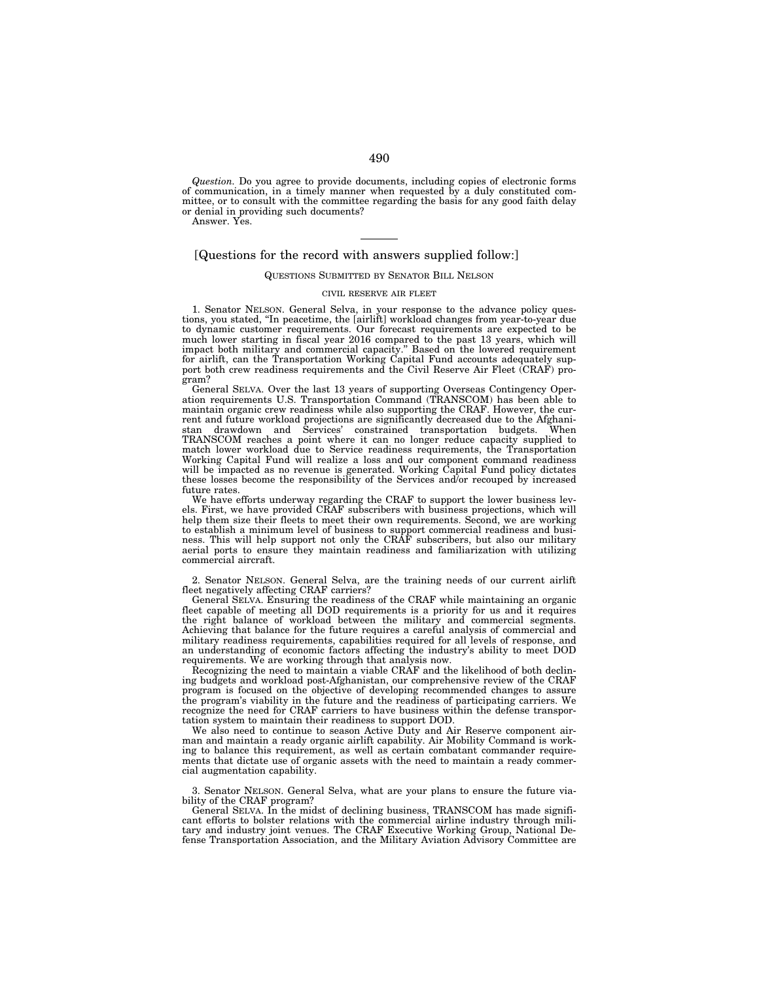*Question.* Do you agree to provide documents, including copies of electronic forms of communication, in a timely manner when requested by a duly constituted committee, or to consult with the committee regarding the basis for any good faith delay or denial in providing such documents?

Answer. Yes.

# [Questions for the record with answers supplied follow:]

# QUESTIONS SUBMITTED BY SENATOR BILL NELSON

### CIVIL RESERVE AIR FLEET

1. Senator NELSON. General Selva, in your response to the advance policy questions, you stated, ''In peacetime, the [airlift] workload changes from year-to-year due to dynamic customer requirements. Our forecast requirements are expected to be much lower starting in fiscal year 2016 compared to the past 13 years, which will impact both military and commercial capacity.'' Based on the lowered requirement for airlift, can the Transportation Working Capital Fund accounts adequately support both crew readiness requirements and the Civil Reserve Air Fleet (CRAF) program?

General SELVA. Over the last 13 years of supporting Overseas Contingency Operation requirements U.S. Transportation Command (TRANSCOM) has been able to maintain organic crew readiness while also supporting the CRAF. However, the current and future workload projections are significantly decreased due to the Afghanistan drawdown and Services' constrained transportation budgets. When TRANSCOM reaches a point where it can no longer reduce capacity supplied to match lower workload due to Service readiness requirements, the Transportation Working Capital Fund will realize a loss and our component command readiness will be impacted as no revenue is generated. Working Capital Fund policy dictates these losses become the responsibility of the Services and/or recouped by increased future rates.

We have efforts underway regarding the CRAF to support the lower business levels. First, we have provided CRAF subscribers with business projections, which will help them size their fleets to meet their own requirements. Second, we are working to establish a minimum level of business to support commercial readiness and business. This will help support not only the CRAF subscribers, but also our military aerial ports to ensure they maintain readiness and familiarization with utilizing commercial aircraft.

2. Senator NELSON. General Selva, are the training needs of our current airlift fleet negatively affecting CRAF carriers?

General SELVA. Ensuring the readiness of the CRAF while maintaining an organic fleet capable of meeting all DOD requirements is a priority for us and it requires the right balance of workload between the military and commercial segments. Achieving that balance for the future requires a careful analysis of commercial and military readiness requirements, capabilities required for all levels of response, and an understanding of economic factors affecting the industry's ability to meet DOD requirements. We are working through that analysis now.

Recognizing the need to maintain a viable CRAF and the likelihood of both declining budgets and workload post-Afghanistan, our comprehensive review of the CRAF program is focused on the objective of developing recommended changes to assure the program's viability in the future and the readiness of participating carriers. We recognize the need for CRAF carriers to have business within the defense transportation system to maintain their readiness to support DOD.

We also need to continue to season Active Duty and Air Reserve component airman and maintain a ready organic airlift capability. Air Mobility Command is working to balance this requirement, as well as certain combatant commander requirements that dictate use of organic assets with the need to maintain a ready commercial augmentation capability.

3. Senator NELSON. General Selva, what are your plans to ensure the future viability of the CRAF program?

General SELVA. In the midst of declining business, TRANSCOM has made significant efforts to bolster relations with the commercial airline industry through mili-tary and industry joint venues. The CRAF Executive Working Group, National Defense Transportation Association, and the Military Aviation Advisory Committee are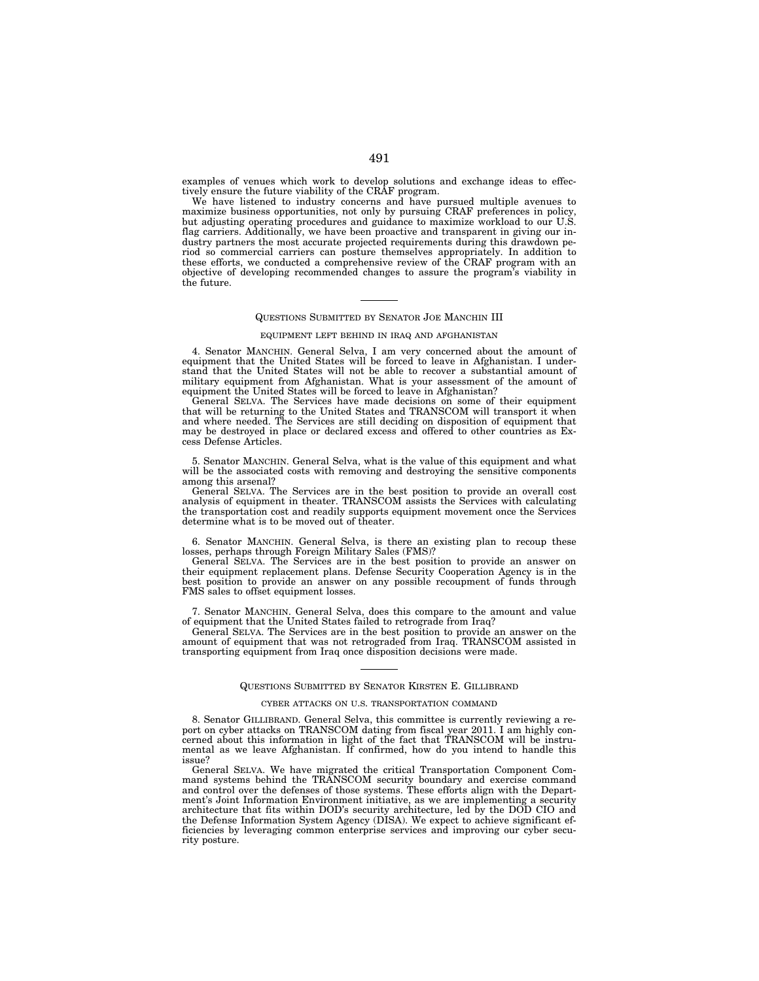examples of venues which work to develop solutions and exchange ideas to effectively ensure the future viability of the CRAF program.

We have listened to industry concerns and have pursued multiple avenues to maximize business opportunities, not only by pursuing CRAF preferences in policy, but adjusting operating procedures and guidance to maximize workload to our U.S. flag carriers. Additionally, we have been proactive and transparent in giving our industry partners the most accurate projected requirements during this drawdown period so commercial carriers can posture themselves appropriately. In addition to these efforts, we conducted a comprehensive review of the CRAF program with an objective of developing recommended changes to assure the program's viability in the future.

# QUESTIONS SUBMITTED BY SENATOR JOE MANCHIN III

### EQUIPMENT LEFT BEHIND IN IRAQ AND AFGHANISTAN

4. Senator MANCHIN. General Selva, I am very concerned about the amount of equipment that the United States will be forced to leave in Afghanistan. I understand that the United States will not be able to recover a substantial amount of military equipment from Afghanistan. What is your assessment of the amount of equipment the United States will be forced to leave in Afghanistan?

General SELVA. The Services have made decisions on some of their equipment that will be returning to the United States and TRANSCOM will transport it when and where needed. The Services are still deciding on disposition of equipment that may be destroyed in place or declared excess and offered to other countries as Excess Defense Articles.

5. Senator MANCHIN. General Selva, what is the value of this equipment and what will be the associated costs with removing and destroying the sensitive components among this arsenal?

General SELVA. The Services are in the best position to provide an overall cost analysis of equipment in theater. TRANSCOM assists the Services with calculating the transportation cost and readily supports equipment movement once the Services determine what is to be moved out of theater.

6. Senator MANCHIN. General Selva, is there an existing plan to recoup these losses, perhaps through Foreign Military Sales (FMS)?

General SELVA. The Services are in the best position to provide an answer on their equipment replacement plans. Defense Security Cooperation Agency is in the best position to provide an answer on any possible recoupment of funds through FMS sales to offset equipment losses.

7. Senator MANCHIN. General Selva, does this compare to the amount and value of equipment that the United States failed to retrograde from Iraq?

General SELVA. The Services are in the best position to provide an answer on the amount of equipment that was not retrograded from Iraq. TRANSCOM assisted in transporting equipment from Iraq once disposition decisions were made.

# QUESTIONS SUBMITTED BY SENATOR KIRSTEN E. GILLIBRAND

# CYBER ATTACKS ON U.S. TRANSPORTATION COMMAND

8. Senator GILLIBRAND. General Selva, this committee is currently reviewing a report on cyber attacks on TRANSCOM dating from fiscal year 2011. I am highly concerned about this information in light of the fact that TRANSCOM will be instrumental as we leave Afghanistan. If confirmed, how do you intend to handle this issue?

General SELVA. We have migrated the critical Transportation Component Command systems behind the TRANSCOM security boundary and exercise command and control over the defenses of those systems. These efforts align with the Department's Joint Information Environment initiative, as we are implementing a security architecture that fits within DOD's security architecture, led by the DOD CIO and the Defense Information System Agency (DISA). We expect to achieve significant efficiencies by leveraging common enterprise services and improving our cyber security posture.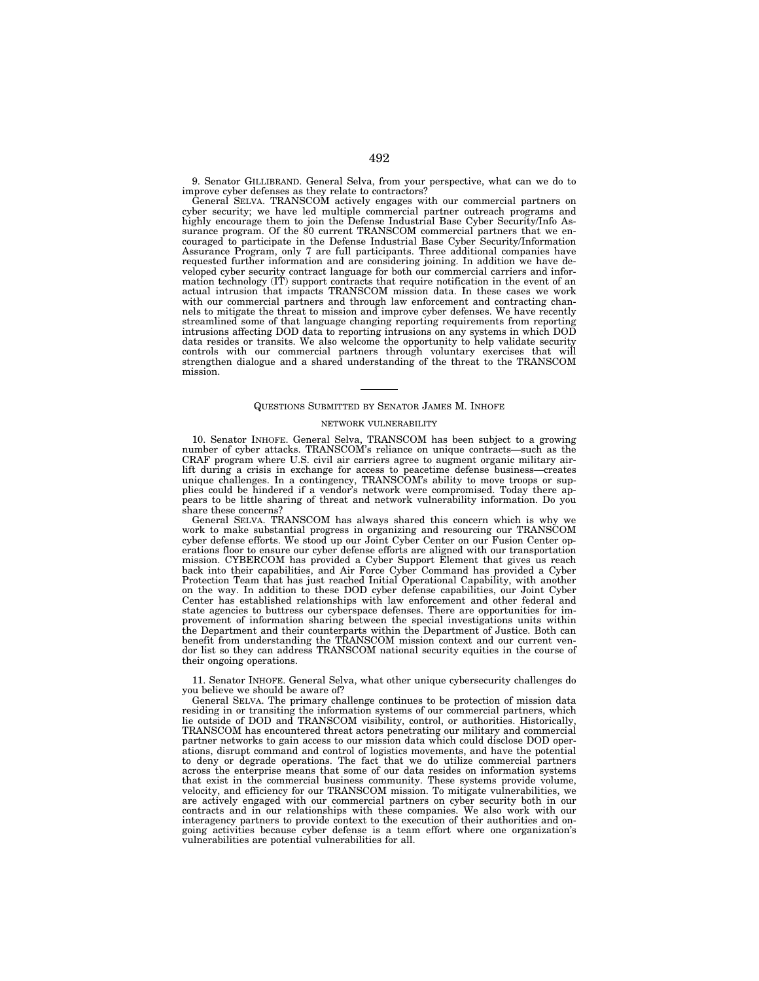9. Senator GILLIBRAND. General Selva, from your perspective, what can we do to improve cyber defenses as they relate to contractors?

General SELVA. TRANSCOM actively engages with our commercial partners on cyber security; we have led multiple commercial partner outreach programs and highly encourage them to join the Defense Industrial Base Cyber Security/Info Assurance program. Of the 80 current TRANSCOM commercial partners that we encouraged to participate in the Defense Industrial Base Cyber Security/Information Assurance Program, only 7 are full participants. Three additional companies have requested further information and are considering joining. In addition we have developed cyber security contract language for both our commercial carriers and information technology (IT) support contracts that require notification in the event of an actual intrusion that impacts TRANSCOM mission data. In these cases we work with our commercial partners and through law enforcement and contracting channels to mitigate the threat to mission and improve cyber defenses. We have recently streamlined some of that language changing reporting requirements from reporting intrusions affecting DOD data to reporting intrusions on any systems in which DOD data resides or transits. We also welcome the opportunity to help validate security controls with our commercial partners through voluntary exercises that will strengthen dialogue and a shared understanding of the threat to the TRANSCOM mission.

## QUESTIONS SUBMITTED BY SENATOR JAMES M. INHOFE

#### NETWORK VULNERABILITY

10. Senator INHOFE. General Selva, TRANSCOM has been subject to a growing number of cyber attacks. TRANSCOM's reliance on unique contracts—such as the CRAF program where U.S. civil air carriers agree to augment organic military airlift during a crisis in exchange for access to peacetime defense business—creates unique challenges. In a contingency, TRANSCOM's ability to move troops or supplies could be hindered if a vendor's network were compromised. Today there appears to be little sharing of threat and network vulnerability information. Do you share these concerns?

General SELVA. TRANSCOM has always shared this concern which is why we work to make substantial progress in organizing and resourcing our TRANSCOM cyber defense efforts. We stood up our Joint Cyber Center on our Fusion Center operations floor to ensure our cyber defense efforts are aligned with our transportation mission. CYBERCOM has provided a Cyber Support Element that gives us reach back into their capabilities, and Air Force Cyber Command has provided a Cyber Protection Team that has just reached Initial Operational Capability, with another on the way. In addition to these DOD cyber defense capabilities, our Joint Cyber Center has established relationships with law enforcement and other federal and state agencies to buttress our cyberspace defenses. There are opportunities for improvement of information sharing between the special investigations units within the Department and their counterparts within the Department of Justice. Both can benefit from understanding the TRANSCOM mission context and our current vendor list so they can address TRANSCOM national security equities in the course of their ongoing operations.

11. Senator INHOFE. General Selva, what other unique cybersecurity challenges do you believe we should be aware of?

General SELVA. The primary challenge continues to be protection of mission data residing in or transiting the information systems of our commercial partners, which lie outside of DOD and TRANSCOM visibility, control, or authorities. Historically, TRANSCOM has encountered threat actors penetrating our military and commercial partner networks to gain access to our mission data which could disclose DOD operations, disrupt command and control of logistics movements, and have the potential to deny or degrade operations. The fact that we do utilize commercial partners across the enterprise means that some of our data resides on information systems that exist in the commercial business community. These systems provide volume, velocity, and efficiency for our TRANSCOM mission. To mitigate vulnerabilities, we are actively engaged with our commercial partners on cyber security both in our contracts and in our relationships with these companies. We also work with our interagency partners to provide context to the execution of their authorities and ongoing activities because cyber defense is a team effort where one organization's vulnerabilities are potential vulnerabilities for all.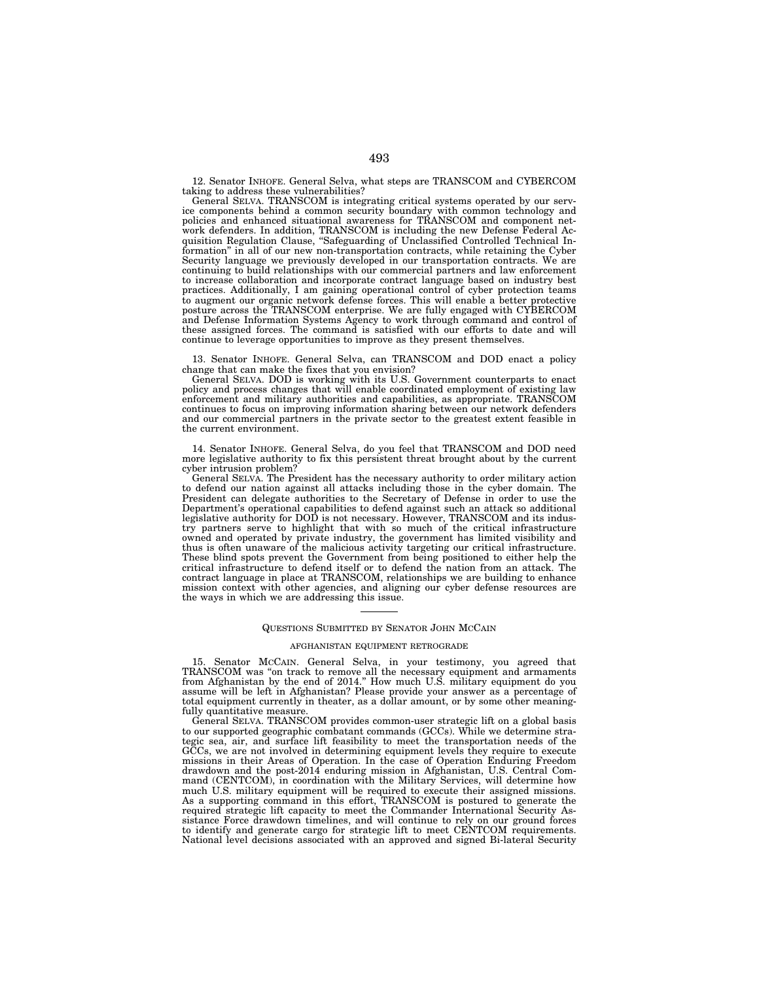12. Senator INHOFE. General Selva, what steps are TRANSCOM and CYBERCOM taking to address these vulnerabilities?

General SELVA. TRANSCOM is integrating critical systems operated by our service components behind a common security boundary with common technology and policies and enhanced situational awareness for TRANSCOM and component network defenders. In addition, TRANSCOM is including the new Defense Federal Acquisition Regulation Clause, ''Safeguarding of Unclassified Controlled Technical Information'' in all of our new non-transportation contracts, while retaining the Cyber Security language we previously developed in our transportation contracts. We are continuing to build relationships with our commercial partners and law enforcement to increase collaboration and incorporate contract language based on industry best practices. Additionally, I am gaining operational control of cyber protection teams to augment our organic network defense forces. This will enable a better protective posture across the TRANSCOM enterprise. We are fully engaged with CYBERCOM and Defense Information Systems Agency to work through command and control of these assigned forces. The command is satisfied with our efforts to date and will continue to leverage opportunities to improve as they present themselves.

13. Senator INHOFE. General Selva, can TRANSCOM and DOD enact a policy change that can make the fixes that you envision?

General SELVA. DOD is working with its U.S. Government counterparts to enact policy and process changes that will enable coordinated employment of existing law enforcement and military authorities and capabilities, as appropriate. TRANSCOM continues to focus on improving information sharing between our network defenders and our commercial partners in the private sector to the greatest extent feasible in the current environment.

14. Senator INHOFE. General Selva, do you feel that TRANSCOM and DOD need more legislative authority to fix this persistent threat brought about by the current cyber intrusion problem?

General SELVA. The President has the necessary authority to order military action to defend our nation against all attacks including those in the cyber domain. The President can delegate authorities to the Secretary of Defense in order to use the Department's operational capabilities to defend against such an attack so additional legislative authority for DOD is not necessary. However, TRANSCOM and its industry partners serve to highlight that with so much of the critical infrastructure owned and operated by private industry, the government has limited visibility and thus is often unaware of the malicious activity targeting our critical infrastructure. These blind spots prevent the Government from being positioned to either help the critical infrastructure to defend itself or to defend the nation from an attack. The contract language in place at TRANSCOM, relationships we are building to enhance mission context with other agencies, and aligning our cyber defense resources are the ways in which we are addressing this issue.

# QUESTIONS SUBMITTED BY SENATOR JOHN MCCAIN

### AFGHANISTAN EQUIPMENT RETROGRADE

15. Senator MCCAIN. General Selva, in your testimony, you agreed that TRANSCOM was ''on track to remove all the necessary equipment and armaments from Afghanistan by the end of 2014.'' How much U.S. military equipment do you assume will be left in Afghanistan? Please provide your answer as a percentage of total equipment currently in theater, as a dollar amount, or by some other meaningfully quantitative measure.

General SELVA. TRANSCOM provides common-user strategic lift on a global basis to our supported geographic combatant commands (GCCs). While we determine strategic sea, air, and surface lift feasibility to meet the transportation needs of the GCCs, we are not involved in determining equipment levels they require to execute missions in their Areas of Operation. In the case of Operation Enduring Freedom drawdown and the post-2014 enduring mission in Afghanistan, U.S. Central Command (CENTCOM), in coordination with the Military Services, will determine how much U.S. military equipment will be required to execute their assigned missions. As a supporting command in this effort, TRANSCOM is postured to generate the required strategic lift capacity to meet the Commander International Security Assistance Force drawdown timelines, and will continue to rely on our ground forces to identify and generate cargo for strategic lift to meet CENTCOM requirements. National level decisions associated with an approved and signed Bi-lateral Security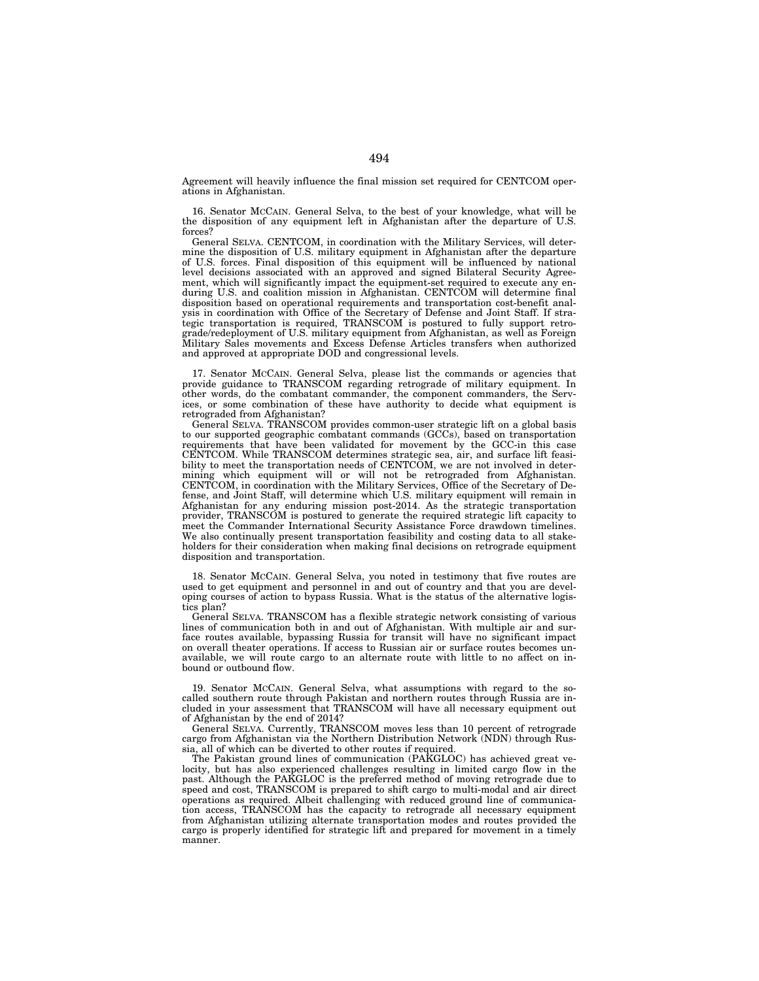Agreement will heavily influence the final mission set required for CENTCOM operations in Afghanistan.

16. Senator MCCAIN. General Selva, to the best of your knowledge, what will be the disposition of any equipment left in Afghanistan after the departure of U.S. forces?

General SELVA. CENTCOM, in coordination with the Military Services, will determine the disposition of U.S. military equipment in Afghanistan after the departure of U.S. forces. Final disposition of this equipment will be influenced by national level decisions associated with an approved and signed Bilateral Security Agreement, which will significantly impact the equipment-set required to execute any enduring U.S. and coalition mission in Afghanistan. CENTCOM will determine final disposition based on operational requirements and transportation cost-benefit analysis in coordination with Office of the Secretary of Defense and Joint Staff. If strategic transportation is required, TRANSCOM is postured to fully support retrograde/redeployment of U.S. military equipment from Afghanistan, as well as Foreign Military Sales movements and Excess Defense Articles transfers when authorized and approved at appropriate DOD and congressional levels.

17. Senator MCCAIN. General Selva, please list the commands or agencies that provide guidance to TRANSCOM regarding retrograde of military equipment. In other words, do the combatant commander, the component commanders, the Services, or some combination of these have authority to decide what equipment is retrograded from Afghanistan?

General SELVA. TRANSCOM provides common-user strategic lift on a global basis to our supported geographic combatant commands (GCCs), based on transportation requirements that have been validated for movement by the GCC-in this case CENTCOM. While TRANSCOM determines strategic sea, air, and surface lift feasibility to meet the transportation needs of CENTCOM, we are not involved in determining which equipment will or will not be retrograded from Afghanistan. CENTCOM, in coordination with the Military Services, Office of the Secretary of Defense, and Joint Staff, will determine which U.S. military equipment will remain in Afghanistan for any enduring mission post-2014. As the strategic transportation provider, TRANSCOM is postured to generate the required strategic lift capacity to meet the Commander International Security Assistance Force drawdown timelines. We also continually present transportation feasibility and costing data to all stakeholders for their consideration when making final decisions on retrograde equipment disposition and transportation.

18. Senator MCCAIN. General Selva, you noted in testimony that five routes are used to get equipment and personnel in and out of country and that you are developing courses of action to bypass Russia. What is the status of the alternative logistics plan?

General SELVA. TRANSCOM has a flexible strategic network consisting of various lines of communication both in and out of Afghanistan. With multiple air and surface routes available, bypassing Russia for transit will have no significant impact on overall theater operations. If access to Russian air or surface routes becomes unavailable, we will route cargo to an alternate route with little to no affect on inbound or outbound flow.

19. Senator MCCAIN. General Selva, what assumptions with regard to the socalled southern route through Pakistan and northern routes through Russia are included in your assessment that TRANSCOM will have all necessary equipment out of Afghanistan by the end of 2014?

General SELVA. Currently, TRANSCOM moves less than 10 percent of retrograde cargo from Afghanistan via the Northern Distribution Network (NDN) through Russia, all of which can be diverted to other routes if required.

The Pakistan ground lines of communication (PAKGLOC) has achieved great velocity, but has also experienced challenges resulting in limited cargo flow in the past. Although the PAKGLOC is the preferred method of moving retrograde due to speed and cost, TRANSCOM is prepared to shift cargo to multi-modal and air direct operations as required. Albeit challenging with reduced ground line of communication access, TRANSCOM has the capacity to retrograde all necessary equipment from Afghanistan utilizing alternate transportation modes and routes provided the cargo is properly identified for strategic lift and prepared for movement in a timely manner.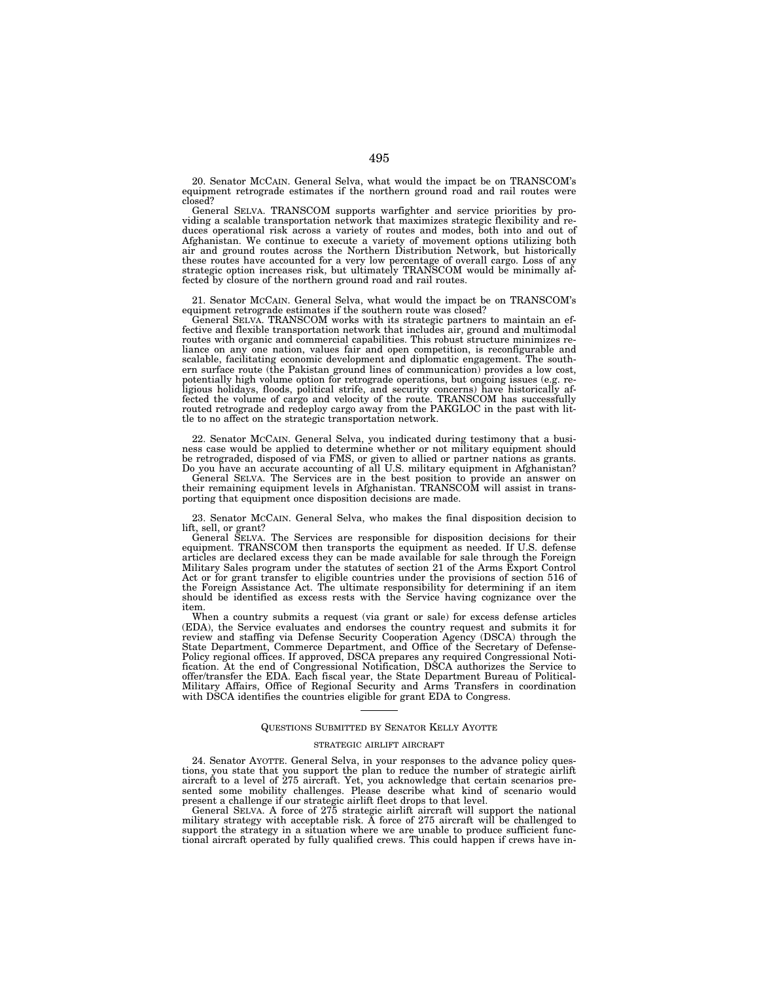20. Senator MCCAIN. General Selva, what would the impact be on TRANSCOM's equipment retrograde estimates if the northern ground road and rail routes were closed?

General SELVA. TRANSCOM supports warfighter and service priorities by providing a scalable transportation network that maximizes strategic flexibility and reduces operational risk across a variety of routes and modes, both into and out of Afghanistan. We continue to execute a variety of movement options utilizing both air and ground routes across the Northern Distribution Network, but historically these routes have accounted for a very low percentage of overall cargo. Loss of any strategic option increases risk, but ultimately TRANSCOM would be minimally affected by closure of the northern ground road and rail routes.

21. Senator MCCAIN. General Selva, what would the impact be on TRANSCOM's equipment retrograde estimates if the southern route was closed?

General SELVA. TRANSCOM works with its strategic partners to maintain an effective and flexible transportation network that includes air, ground and multimodal routes with organic and commercial capabilities. This robust structure minimizes reliance on any one nation, values fair and open competition, is reconfigurable and scalable, facilitating economic development and diplomatic engagement. The southern surface route (the Pakistan ground lines of communication) provides a low cost, potentially high volume option for retrograde operations, but ongoing issues (e.g. religious holidays, floods, political strife, and security concerns) have historically affected the volume of cargo and velocity of the route. TRANSCOM has successfully routed retrograde and redeploy cargo away from the PAKGLOC in the past with little to no affect on the strategic transportation network.

22. Senator MCCAIN. General Selva, you indicated during testimony that a business case would be applied to determine whether or not military equipment should be retrograded, disposed of via FMS, or given to allied or partner nations as grants. Do you have an accurate accounting of all U.S. military equipment in Afghanistan?

General SELVA. The Services are in the best position to provide an answer on their remaining equipment levels in Afghanistan. TRANSCOM will assist in transporting that equipment once disposition decisions are made.

23. Senator MCCAIN. General Selva, who makes the final disposition decision to lift, sell, or grant?

General SELVA. The Services are responsible for disposition decisions for their equipment. TRANSCOM then transports the equipment as needed. If U.S. defense articles are declared excess they can be made available for sale through the Foreign Military Sales program under the statutes of section 21 of the Arms Export Control Act or for grant transfer to eligible countries under the provisions of section 516 of the Foreign Assistance Act. The ultimate responsibility for determining if an item should be identified as excess rests with the Service having cognizance over the item.

When a country submits a request (via grant or sale) for excess defense articles (EDA), the Service evaluates and endorses the country request and submits it for review and staffing via Defense Security Cooperation Agency (DSCA) through the State Department, Commerce Department, and Office of the Secretary of Defense-Policy regional offices. If approved, DSCA prepares any required Congressional Notification. At the end of Congressional Notification, DSCA authorizes the Service to offer/transfer the EDA. Each fiscal year, the State Department Bureau of Political-Military Affairs, Office of Regional Security and Arms Transfers in coordination with DSCA identifies the countries eligible for grant EDA to Congress.

#### QUESTIONS SUBMITTED BY SENATOR KELLY AYOTTE

### STRATEGIC AIRLIFT AIRCRAFT

24. Senator AYOTTE. General Selva, in your responses to the advance policy questions, you state that you support the plan to reduce the number of strategic airlift aircraft to a level of 275 aircraft. Yet, you acknowledge that certain scenarios presented some mobility challenges. Please describe what kind of scenario would present a challenge if our strategic airlift fleet drops to that level.

General SELVA. A force of 275 strategic airlift aircraft will support the national military strategy with acceptable risk. A force of 275 aircraft will be challenged to support the strategy in a situation where we are unable to produce sufficient functional aircraft operated by fully qualified crews. This could happen if crews have in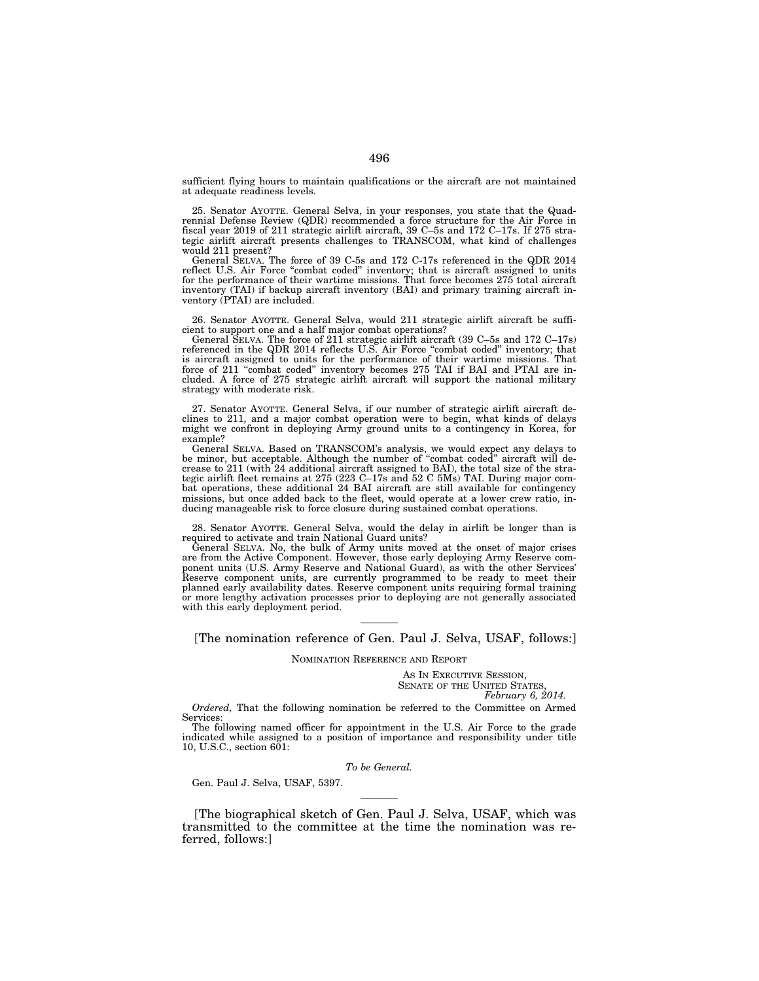sufficient flying hours to maintain qualifications or the aircraft are not maintained at adequate readiness levels.

25. Senator AYOTTE. General Selva, in your responses, you state that the Quadrennial Defense Review (QDR) recommended a force structure for the Air Force in fiscal year 2019 of 211 strategic airlift aircraft, 39 C–5s and 172 C–17s. If 275 strategic airlift aircraft presents challenges to TRANSCOM, what kind of challenges would 211 present?

General SELVA. The force of 39 C-5s and 172 C-17s referenced in the QDR 2014 reflect U.S. Air Force "combat coded" inventory; that is aircraft assigned to units for the performance of their wartime missions. That force becomes 275 total aircraft inventory (TAI) if backup aircraft inventory (BAI) and primary training aircraft inventory (PTAI) are included.

26. Senator AYOTTE. General Selva, would 211 strategic airlift aircraft be sufficient to support one and a half major combat operations?

General SELVA. The force of 211 strategic airlift aircraft (39 C–5s and 172 C–17s) referenced in the QDR 2014 reflects U.S. Air Force "combat coded" inventory; that is aircraft assigned to units for the performance of their wartime missions. That force of 211 ''combat coded'' inventory becomes 275 TAI if BAI and PTAI are included. A force of 275 strategic airlift aircraft will support the national military strategy with moderate risk.

27. Senator AYOTTE. General Selva, if our number of strategic airlift aircraft declines to 211, and a major combat operation were to begin, what kinds of delays might we confront in deploying Army ground units to a contingency in Korea, for example?

General SELVA. Based on TRANSCOM's analysis, we would expect any delays to be minor, but acceptable. Although the number of ''combat coded'' aircraft will decrease to 211 (with 24 additional aircraft assigned to BAI), the total size of the strategic airlift fleet remains at 275 (223 C–17s and 52 C 5Ms) TAI. During major combat operations, these additional 24 BAI aircraft are still available for contingency missions, but once added back to the fleet, would operate at a lower crew ratio, inducing manageable risk to force closure during sustained combat operations.

28. Senator AYOTTE. General Selva, would the delay in airlift be longer than is required to activate and train National Guard units?

General SELVA. No, the bulk of Army units moved at the onset of major crises are from the Active Component. However, those early deploying Army Reserve component units (U.S. Army Reserve and National Guard), as with the other Services' Reserve component units, are currently programmed to be ready to meet their planned early availability dates. Reserve component units requiring formal training or more lengthy activation processes prior to deploying are not generally associated with this early deployment period.

[The nomination reference of Gen. Paul J. Selva, USAF, follows:]

NOMINATION REFERENCE AND REPORT

AS IN EXECUTIVE SESSION, SENATE OF THE UNITED STATES, *February 6, 2014.* 

*Ordered,* That the following nomination be referred to the Committee on Armed Services:

The following named officer for appointment in the U.S. Air Force to the grade indicated while assigned to a position of importance and responsibility under title 10, U.S.C., section  $6\overline{0}1$ :

*To be General.* 

Gen. Paul J. Selva, USAF, 5397.

[The biographical sketch of Gen. Paul J. Selva, USAF, which was transmitted to the committee at the time the nomination was referred, follows:]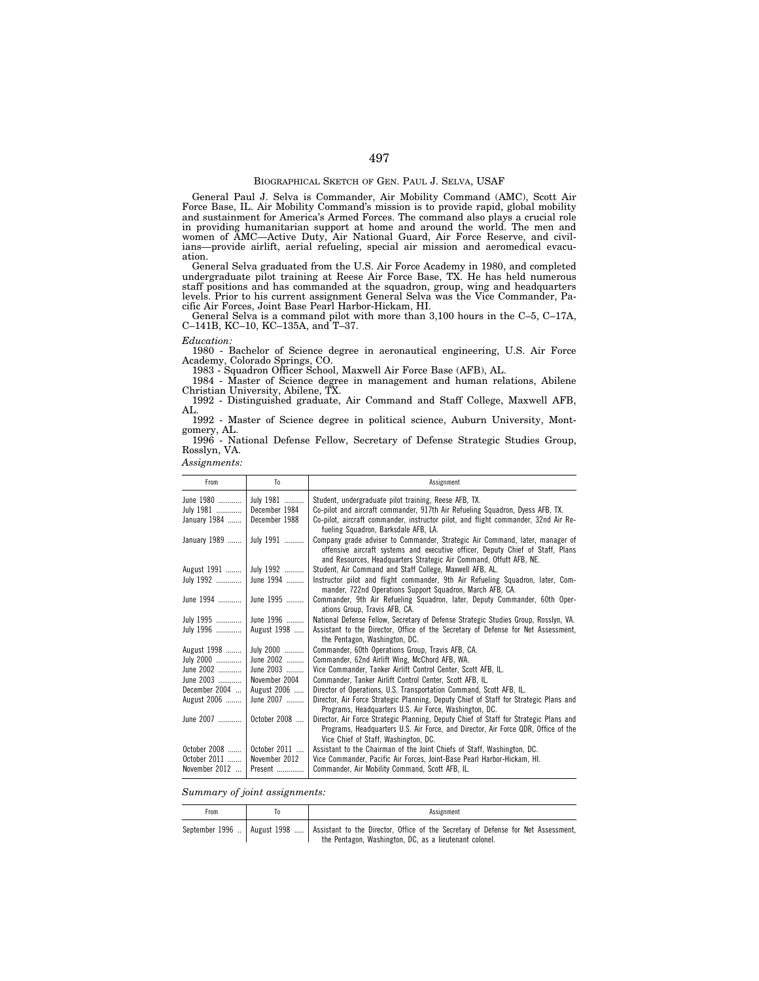General Paul J. Selva is Commander, Air Mobility Command (AMC), Scott Air Force Base, IL. Air Mobility Command's mission is to provide rapid, global mobility and sustainment for America's Armed Forces. The command also plays a crucial role in providing humanitarian support at home and around the world. The men and women of AMC—Active Duty, Air National Guard, Air Force Reserve, and civilians—provide airlift, aerial refueling, special air mission and aeromedical evacuation.

General Selva graduated from the U.S. Air Force Academy in 1980, and completed undergraduate pilot training at Reese Air Force Base, TX. He has held numerous staff positions and has commanded at the squadron, group, wing and headquarters levels. Prior to his current assignment General Selva was the Vice Commander, Pacific Air Forces, Joint Base Pearl Harbor-Hickam, HI.

General Selva is a command pilot with more than 3,100 hours in the C–5, C–17A, C–141B, KC–10, KC–135A, and T–37.

### *Education:*

1980 - Bachelor of Science degree in aeronautical engineering, U.S. Air Force Academy, Colorado Springs, CO.

1983 - Squadron Officer School, Maxwell Air Force Base (AFB), AL.

1984 - Master of Science degree in management and human relations, Abilene Christian University, Abilene, TX.

1992 - Distinguished graduate, Air Command and Staff College, Maxwell AFB, AL.

1992 - Master of Science degree in political science, Auburn University, Montgomery, AL.

1996 - National Defense Fellow, Secretary of Defense Strategic Studies Group, Rosslyn, VA.

*Assignments:* 

| From                          | To                       | Assignment                                                                                                                                                                                                                           |
|-------------------------------|--------------------------|--------------------------------------------------------------------------------------------------------------------------------------------------------------------------------------------------------------------------------------|
| June 1980                     | July 1981                | Student, undergraduate pilot training, Reese AFB, TX.                                                                                                                                                                                |
| July 1981                     | December 1984            | Co-pilot and aircraft commander, 917th Air Refueling Squadron, Dyess AFB, TX.                                                                                                                                                        |
| January 1984                  | December 1988            | Co-pilot, aircraft commander, instructor pilot, and flight commander, 32nd Air Re-<br>fueling Squadron, Barksdale AFB, LA.                                                                                                           |
| January 1989                  | July 1991                | Company grade adviser to Commander, Strategic Air Command, later, manager of<br>offensive aircraft systems and executive officer, Deputy Chief of Staff, Plans<br>and Resources, Headquarters Strategic Air Command, Offutt AFB, NE. |
| August 1991                   | July 1992                | Student, Air Command and Staff College, Maxwell AFB, AL.                                                                                                                                                                             |
| July 1992                     | June 1994                | Instructor pilot and flight commander. 9th Air Refueling Squadron, later, Com-<br>mander, 722nd Operations Support Squadron, March AFB, CA.                                                                                          |
| June 1994                     | June 1995                | Commander, 9th Air Refueling Squadron, later, Deputy Commander, 60th Oper-<br>ations Group, Travis AFB, CA.                                                                                                                          |
| July 1995                     | June 1996                | National Defense Fellow, Secretary of Defense Strategic Studies Group, Rosslyn, VA.                                                                                                                                                  |
| July 1996                     | August 1998              | Assistant to the Director, Office of the Secretary of Defense for Net Assessment,<br>the Pentagon, Washington, DC.                                                                                                                   |
| August 1998                   | July 2000                | Commander, 60th Operations Group, Travis AFB, CA.                                                                                                                                                                                    |
| July 2000                     | June 2002                | Commander, 62nd Airlift Wing, McChord AFB, WA.                                                                                                                                                                                       |
| June 2002                     | June 2003                | Vice Commander, Tanker Airlift Control Center, Scott AFB, IL.                                                                                                                                                                        |
| June 2003                     | November 2004            | Commander, Tanker Airlift Control Center, Scott AFB, IL.                                                                                                                                                                             |
| December 2004                 | August 2006              | Director of Operations, U.S. Transportation Command, Scott AFB, IL.                                                                                                                                                                  |
| August 2006                   | June 2007                | Director, Air Force Strategic Planning, Deputy Chief of Staff for Strategic Plans and<br>Programs, Headquarters U.S. Air Force, Washington, DC.                                                                                      |
| June 2007                     | October 2008             | Director, Air Force Strategic Planning, Deputy Chief of Staff for Strategic Plans and<br>Programs, Headquarters U.S. Air Force, and Director, Air Force QDR, Office of the<br>Vice Chief of Staff, Washington, DC.                   |
| October 2008                  | October 2011             | Assistant to the Chairman of the Joint Chiefs of Staff, Washington, DC.                                                                                                                                                              |
| October 2011<br>November 2012 | November 2012<br>Present | Vice Commander, Pacific Air Forces, Joint-Base Pearl Harbor-Hickam, HI.<br>Commander, Air Mobility Command, Scott AFB, IL.                                                                                                           |

*Summary of joint assignments:* 

| From | Assignment                                                                                                                                                                   |
|------|------------------------------------------------------------------------------------------------------------------------------------------------------------------------------|
|      | September 1996    August 1998    Assistant to the Director, Office of the Secretary of Defense for Net Assessment,<br>the Pentagon, Washington, DC, as a lieutenant colonel. |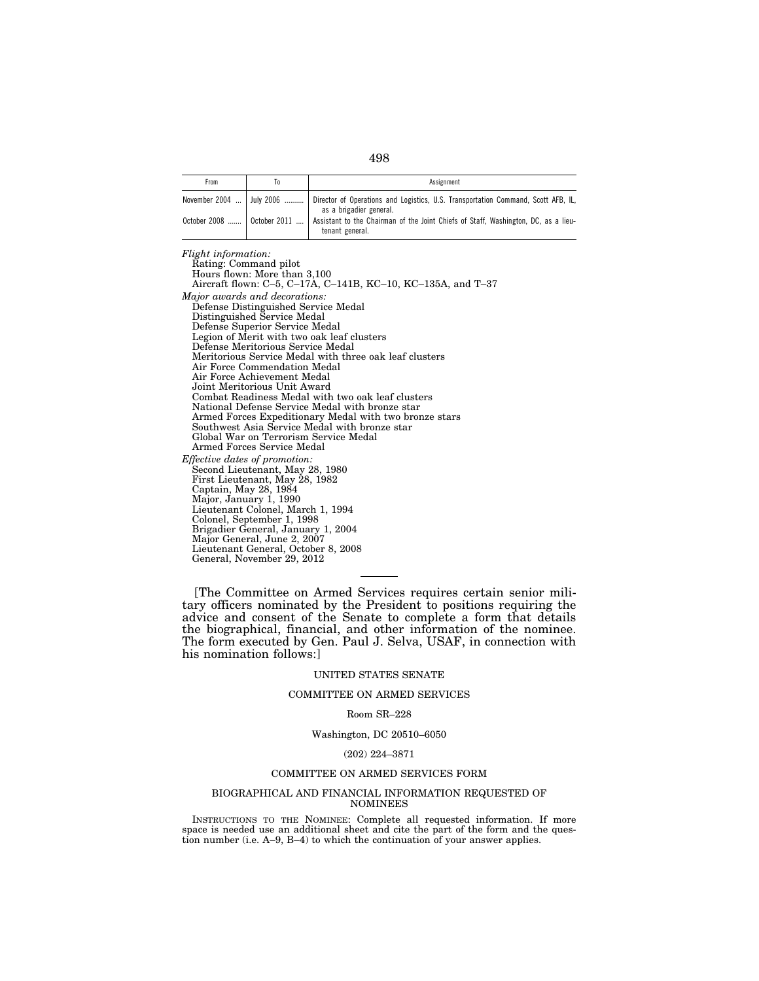| ۰.<br>I<br>v<br>۰.<br>×<br>× |
|------------------------------|
|------------------------------|

| From                         | 10 | Assignment                                                                                                   |
|------------------------------|----|--------------------------------------------------------------------------------------------------------------|
| November 2004    July 2006   |    | Director of Operations and Logistics, U.S. Transportation Command, Scott AFB, IL,<br>as a brigadier general. |
| October 2008    October 2011 |    | Assistant to the Chairman of the Joint Chiefs of Staff, Washington, DC, as a lieu-<br>tenant general.        |

*Flight information:*  Rating: Command pilot Hours flown: More than 3,100 Aircraft flown: C–5, C–17A, C–141B, KC–10, KC–135A, and T–37 *Major awards and decorations:*  Defense Distinguished Service Medal Distinguished Service Medal Defense Superior Service Medal Legion of Merit with two oak leaf clusters Defense Meritorious Service Medal Meritorious Service Medal with three oak leaf clusters Air Force Commendation Medal Air Force Achievement Medal Joint Meritorious Unit Award Combat Readiness Medal with two oak leaf clusters National Defense Service Medal with bronze star Armed Forces Expeditionary Medal with two bronze stars Southwest Asia Service Medal with bronze star Global War on Terrorism Service Medal Armed Forces Service Medal *Effective dates of promotion:*  Second Lieutenant, May 28, 1980 First Lieutenant, May 28, 1982 Captain, May 28, 1984 Major, January 1, 1990 Lieutenant Colonel, March 1, 1994 Colonel, September 1, 1998 Brigadier General, January 1, 2004 Major General, June 2, 2007 Lieutenant General, October 8, 2008 General, November 29, 2012

[The Committee on Armed Services requires certain senior military officers nominated by the President to positions requiring the advice and consent of the Senate to complete a form that details the biographical, financial, and other information of the nominee. The form executed by Gen. Paul J. Selva, USAF, in connection with his nomination follows:]

# UNITED STATES SENATE

# COMMITTEE ON ARMED SERVICES

### Room SR–228

# Washington, DC 20510–6050

# (202) 224–3871

### COMMITTEE ON ARMED SERVICES FORM

### BIOGRAPHICAL AND FINANCIAL INFORMATION REQUESTED OF NOMINEES

INSTRUCTIONS TO THE NOMINEE: Complete all requested information. If more space is needed use an additional sheet and cite the part of the form and the question number (i.e.  $A=9$ ,  $B=4$ ) to which the continuation of your answer applies.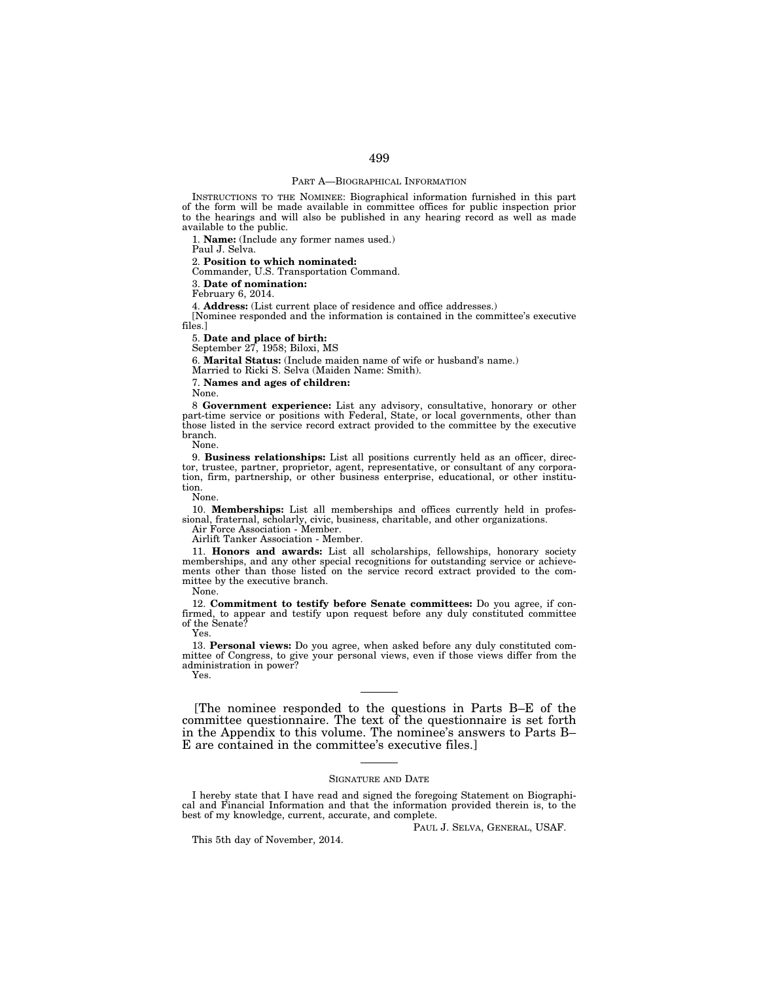## PART A—BIOGRAPHICAL INFORMATION

INSTRUCTIONS TO THE NOMINEE: Biographical information furnished in this part of the form will be made available in committee offices for public inspection prior to the hearings and will also be published in any hearing record as well as made available to the public.

1. **Name:** (Include any former names used.)

Paul J. Selva.

2. **Position to which nominated:** 

Commander, U.S. Transportation Command.

3. **Date of nomination:** 

February 6, 2014.

4. **Address:** (List current place of residence and office addresses.)

[Nominee responded and the information is contained in the committee's executive files.]

5. **Date and place of birth:** 

September 27, 1958; Biloxi, MS

6. **Marital Status:** (Include maiden name of wife or husband's name.)

Married to Ricki S. Selva (Maiden Name: Smith).

7. **Names and ages of children:** 

None.

8 **Government experience:** List any advisory, consultative, honorary or other part-time service or positions with Federal, State, or local governments, other than those listed in the service record extract provided to the committee by the executive branch.

None.

9. **Business relationships:** List all positions currently held as an officer, director, trustee, partner, proprietor, agent, representative, or consultant of any corporation, firm, partnership, or other business enterprise, educational, or other institution.

None.

10. **Memberships:** List all memberships and offices currently held in professional, fraternal, scholarly, civic, business, charitable, and other organizations.

Air Force Association - Member.

Airlift Tanker Association - Member.

11. **Honors and awards:** List all scholarships, fellowships, honorary society memberships, and any other special recognitions for outstanding service or achievements other than those listed on the service record extract provided to the committee by the executive branch.

None.

12. **Commitment to testify before Senate committees:** Do you agree, if confirmed, to appear and testify upon request before any duly constituted committee of the Senate? Yes.

13. **Personal views:** Do you agree, when asked before any duly constituted committee of Congress, to give your personal views, even if those views differ from the administration in power?

Yes.

[The nominee responded to the questions in Parts B–E of the committee questionnaire. The text of the questionnaire is set forth in the Appendix to this volume. The nominee's answers to Parts B– E are contained in the committee's executive files.]

### SIGNATURE AND DATE

I hereby state that I have read and signed the foregoing Statement on Biographical and Financial Information and that the information provided therein is, to the best of my knowledge, current, accurate, and complete.

PAUL J. SELVA, GENERAL, USAF.

This 5th day of November, 2014.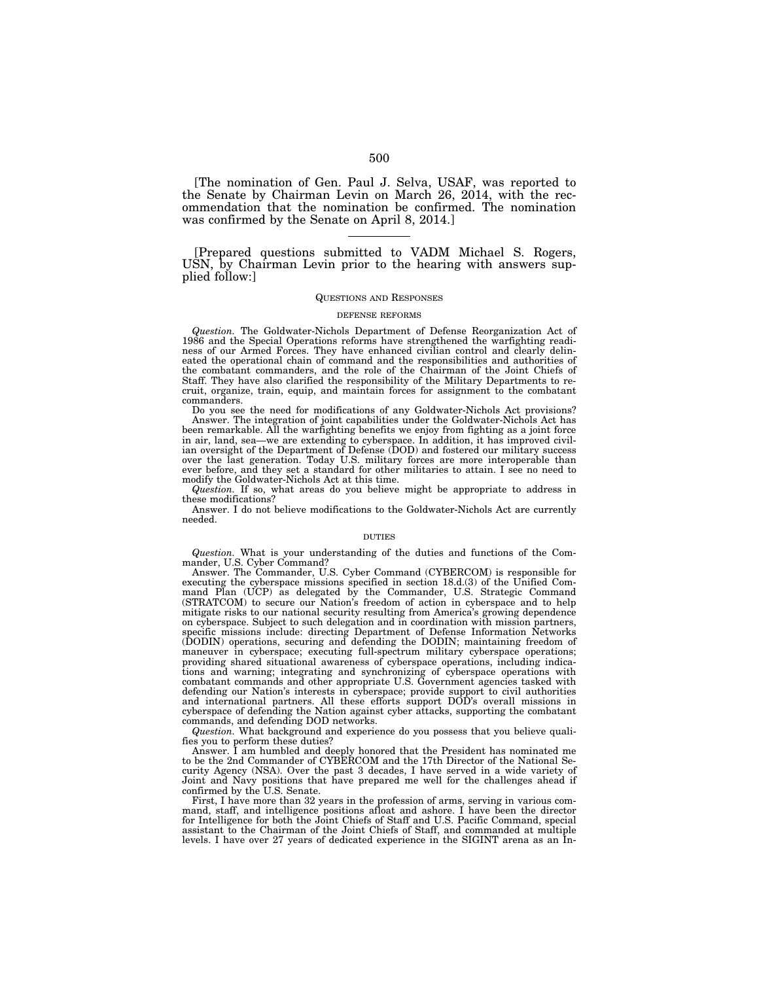[The nomination of Gen. Paul J. Selva, USAF, was reported to the Senate by Chairman Levin on March 26, 2014, with the recommendation that the nomination be confirmed. The nomination was confirmed by the Senate on April 8, 2014.]

[Prepared questions submitted to VADM Michael S. Rogers, USN, by Chairman Levin prior to the hearing with answers supplied follow:]

### QUESTIONS AND RESPONSES

#### DEFENSE REFORMS

*Question.* The Goldwater-Nichols Department of Defense Reorganization Act of 1986 and the Special Operations reforms have strengthened the warfighting readiness of our Armed Forces. They have enhanced civilian control and clearly delineated the operational chain of command and the responsibilities and authorities of the combatant commanders, and the role of the Chairman of the Joint Chiefs of Staff. They have also clarified the responsibility of the Military Departments to recruit, organize, train, equip, and maintain forces for assignment to the combatant commanders.

Do you see the need for modifications of any Goldwater-Nichols Act provisions? Answer. The integration of joint capabilities under the Goldwater-Nichols Act has been remarkable. All the warfighting benefits we enjoy from fighting as a joint force in air, land, sea—we are extending to cyberspace. In addition, it has improved civilian oversight of the Department of Defense (DOD) and fostered our military success over the last generation. Today U.S. military forces are more interoperable than ever before, and they set a standard for other militaries to attain. I see no need to modify the Goldwater-Nichols Act at this time.

*Question.* If so, what areas do you believe might be appropriate to address in these modifications?

Answer. I do not believe modifications to the Goldwater-Nichols Act are currently needed.

### DUTIES

*Question.* What is your understanding of the duties and functions of the Commander, U.S. Cyber Command?

Answer. The Commander, U.S. Cyber Command (CYBERCOM) is responsible for executing the cyberspace missions specified in section 18.d.(3) of the Unified Command Plan (UCP) as delegated by the Commander, U.S. Strategic Command (STRATCOM) to secure our Nation's freedom of action in cyberspace and to help mitigate risks to our national security resulting from America's growing dependence on cyberspace. Subject to such delegation and in coordination with mission partners, specific missions include: directing Department of Defense Information Networks (DODIN) operations, securing and defending the DODIN; maintaining freedom of maneuver in cyberspace; executing full-spectrum military cyberspace operations; providing shared situational awareness of cyberspace operations, including indications and warning; integrating and synchronizing of cyberspace operations with combatant commands and other appropriate U.S. Government agencies tasked with defending our Nation's interests in cyberspace; provide support to civil authorities and international partners. All these efforts support DOD's overall missions in cyberspace of defending the Nation against cyber attacks, supporting the combatant commands, and defending DOD networks.

*Question.* What background and experience do you possess that you believe qualifies you to perform these duties?

Answer. I am humbled and deeply honored that the President has nominated me to be the 2nd Commander of CYBERCOM and the 17th Director of the National Security Agency (NSA). Over the past 3 decades, I have served in a wide variety of Joint and Navy positions that have prepared me well for the challenges ahead if confirmed by the U.S. Senate.

First, I have more than 32 years in the profession of arms, serving in various command, staff, and intelligence positions afloat and ashore. I have been the director for Intelligence for both the Joint Chiefs of Staff and U.S. Pacific Command, special assistant to the Chairman of the Joint Chiefs of Staff, and commanded at multiple levels. I have over 27 years of dedicated experience in the SIGINT arena as an In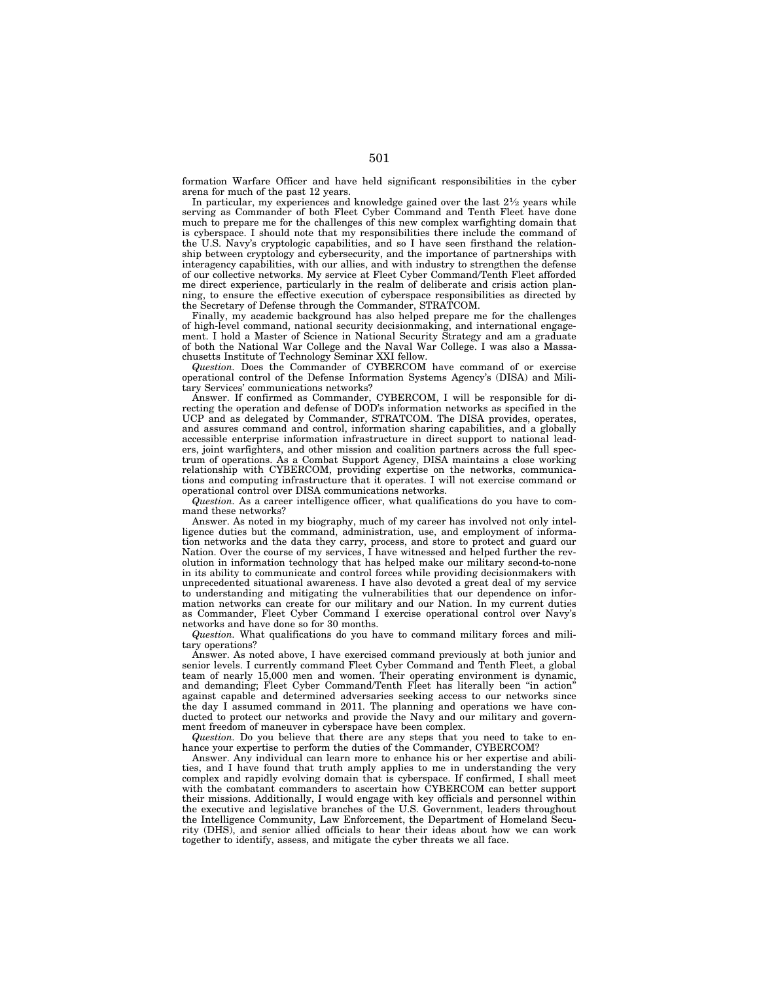formation Warfare Officer and have held significant responsibilities in the cyber arena for much of the past 12 years.

In particular, my experiences and knowledge gained over the last 21/2 years while serving as Commander of both Fleet Cyber Command and Tenth Fleet have done much to prepare me for the challenges of this new complex warfighting domain that is cyberspace. I should note that my responsibilities there include the command of the U.S. Navy's cryptologic capabilities, and so I have seen firsthand the relationship between cryptology and cybersecurity, and the importance of partnerships with interagency capabilities, with our allies, and with industry to strengthen the defense of our collective networks. My service at Fleet Cyber Command/Tenth Fleet afforded me direct experience, particularly in the realm of deliberate and crisis action planning, to ensure the effective execution of cyberspace responsibilities as directed by the Secretary of Defense through the Commander, STRATCOM.

Finally, my academic background has also helped prepare me for the challenges of high-level command, national security decisionmaking, and international engagement. I hold a Master of Science in National Security Strategy and am a graduate of both the National War College and the Naval War College. I was also a Massachusetts Institute of Technology Seminar XXI fellow.

*Question.* Does the Commander of CYBERCOM have command of or exercise operational control of the Defense Information Systems Agency's (DISA) and Military Services' communications networks?

Answer. If confirmed as Commander, CYBERCOM, I will be responsible for directing the operation and defense of DOD's information networks as specified in the UCP and as delegated by Commander, STRATCOM. The DISA provides, operates, and assures command and control, information sharing capabilities, and a globally accessible enterprise information infrastructure in direct support to national leaders, joint warfighters, and other mission and coalition partners across the full spectrum of operations. As a Combat Support Agency, DISA maintains a close working relationship with CYBERCOM, providing expertise on the networks, communications and computing infrastructure that it operates. I will not exercise command or operational control over DISA communications networks.

*Question.* As a career intelligence officer, what qualifications do you have to command these networks?

Answer. As noted in my biography, much of my career has involved not only intelligence duties but the command, administration, use, and employment of information networks and the data they carry, process, and store to protect and guard our Nation. Over the course of my services, I have witnessed and helped further the revolution in information technology that has helped make our military second-to-none in its ability to communicate and control forces while providing decisionmakers with unprecedented situational awareness. I have also devoted a great deal of my service to understanding and mitigating the vulnerabilities that our dependence on information networks can create for our military and our Nation. In my current duties as Commander, Fleet Cyber Command I exercise operational control over Navy's networks and have done so for 30 months.

*Question.* What qualifications do you have to command military forces and military operations?

Answer. As noted above, I have exercised command previously at both junior and senior levels. I currently command Fleet Cyber Command and Tenth Fleet, a global team of nearly 15,000 men and women. Their operating environment is dynamic, and demanding; Fleet Cyber Command/Tenth Fleet has literally been ''in action'' against capable and determined adversaries seeking access to our networks since the day I assumed command in 2011. The planning and operations we have conducted to protect our networks and provide the Navy and our military and government freedom of maneuver in cyberspace have been complex.

*Question.* Do you believe that there are any steps that you need to take to enhance your expertise to perform the duties of the Commander, CYBERCOM?

Answer. Any individual can learn more to enhance his or her expertise and abilities, and I have found that truth amply applies to me in understanding the very complex and rapidly evolving domain that is cyberspace. If confirmed, I shall meet with the combatant commanders to ascertain how CYBERCOM can better support their missions. Additionally, I would engage with key officials and personnel within the executive and legislative branches of the U.S. Government, leaders throughout the Intelligence Community, Law Enforcement, the Department of Homeland Security (DHS), and senior allied officials to hear their ideas about how we can work together to identify, assess, and mitigate the cyber threats we all face.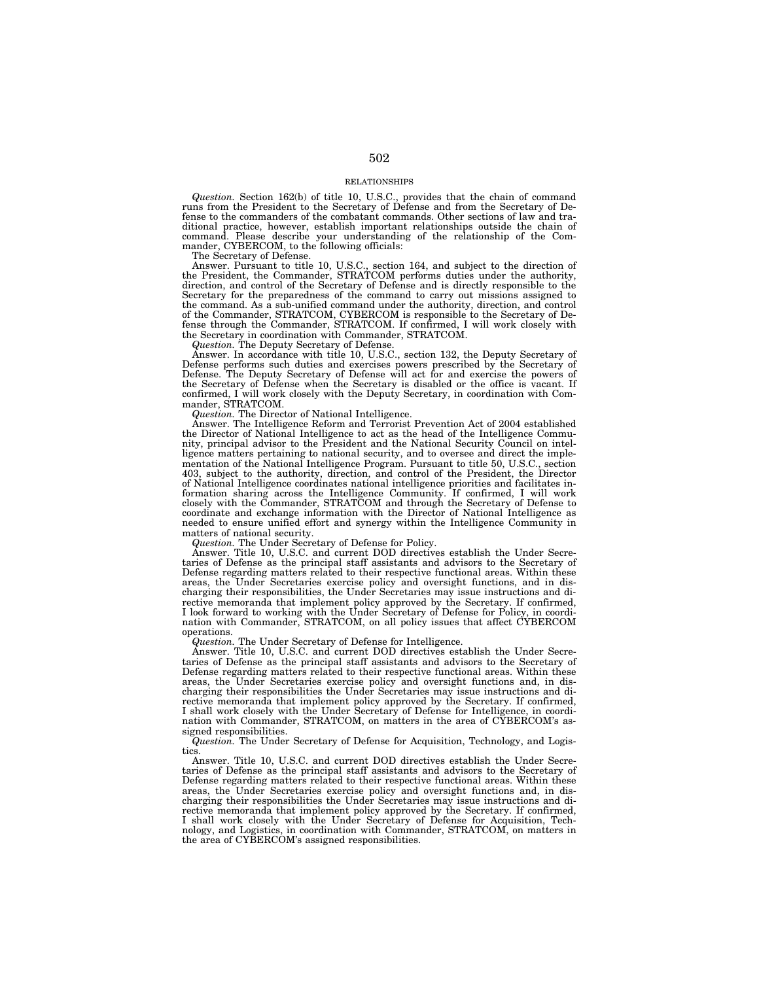## RELATIONSHIPS

*Question.* Section 162(b) of title 10, U.S.C., provides that the chain of command runs from the President to the Secretary of Defense and from the Secretary of Defense to the commanders of the combatant commands. Other sections of law and traditional practice, however, establish important relationships outside the chain of command. Please describe your understanding of the relationship of the Com-mander, CYBERCOM, to the following officials:

The Secretary of Defense.

Answer. Pursuant to title 10, U.S.C., section 164, and subject to the direction of the President, the Commander, STRATCOM performs duties under the authority, direction, and control of the Secretary of Defense and is directly responsible to the Secretary for the preparedness of the command to carry out missions assigned to the command. As a sub-unified command under the authority, direction, and control of the Commander, STRATCOM, CYBERCOM is responsible to the Secretary of Defense through the Commander, STRATCOM. If confirmed, I will work closely with the Secretary in coordination with Commander, STRATCOM.

*Question.* The Deputy Secretary of Defense.

Answer. In accordance with title 10, U.S.C., section 132, the Deputy Secretary of Defense performs such duties and exercises powers prescribed by the Secretary of Defense. The Deputy Secretary of Defense will act for and exercise the powers of the Secretary of Defense when the Secretary is disabled or the office is vacant. If confirmed, I will work closely with the Deputy Secretary, in coordination with Commander, STRATCOM.

*Question.* The Director of National Intelligence.

Answer. The Intelligence Reform and Terrorist Prevention Act of 2004 established the Director of National Intelligence to act as the head of the Intelligence Community, principal advisor to the President and the National Security Council on intelligence matters pertaining to national security, and to oversee and direct the implementation of the National Intelligence Program. Pursuant to title 50, U.S.C., section 403, subject to the authority, direction, and control of the President, the Director of National Intelligence coordinates national intelligence priorities and facilitates information sharing across the Intelligence Community. If confirmed, I will work closely with the Commander, STRATCOM and through the Secretary of Defense to coordinate and exchange information with the Director of National Intelligence as needed to ensure unified effort and synergy within the Intelligence Community in matters of national security.

*Question.* The Under Secretary of Defense for Policy.

Answer. Title 10, U.S.C. and current DOD directives establish the Under Secretaries of Defense as the principal staff assistants and advisors to the Secretary of Defense regarding matters related to their respective functional areas. Within these areas, the Under Secretaries exercise policy and oversight functions, and in discharging their responsibilities, the Under Secretaries may issue instructions and directive memoranda that implement policy approved by the Secretary. If confirmed, I look forward to working with the Under Secretary of Defense for Policy, in coordination with Commander, STRATCOM, on all policy issues that affect CYBERCOM operations.

*Question.* The Under Secretary of Defense for Intelligence.

Answer. Title 10, U.S.C. and current DOD directives establish the Under Secretaries of Defense as the principal staff assistants and advisors to the Secretary of Defense regarding matters related to their respective functional areas. Within these areas, the Under Secretaries exercise policy and oversight functions and, in discharging their responsibilities the Under Secretaries may issue instructions and directive memoranda that implement policy approved by the Secretary. If confirmed, I shall work closely with the Under Secretary of Defense for Intelligence, in coordination with Commander, STRATCOM, on matters in the area of CYBERCOM's assigned responsibilities.

*Question.* The Under Secretary of Defense for Acquisition, Technology, and Logistics.

Answer. Title 10, U.S.C. and current DOD directives establish the Under Secretaries of Defense as the principal staff assistants and advisors to the Secretary of Defense regarding matters related to their respective functional areas. Within these areas, the Under Secretaries exercise policy and oversight functions and, in discharging their responsibilities the Under Secretaries may issue instructions and directive memoranda that implement policy approved by the Secretary. If confirmed, I shall work closely with the Under Secretary of Defense for Acquisition, Technology, and Logistics, in coordination with Commander, STRATCOM, on matters in the area of CYBERCOM's assigned responsibilities.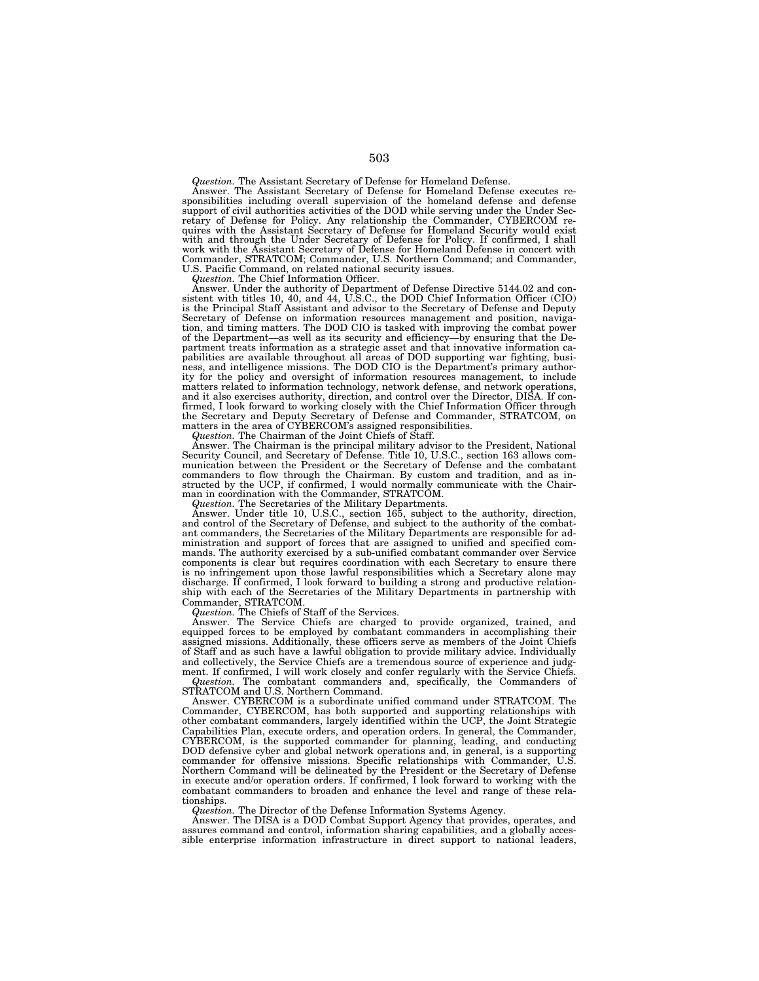*Question.* The Assistant Secretary of Defense for Homeland Defense.

Answer. The Assistant Secretary of Defense for Homeland Defense executes re-sponsibilities including overall supervision of the homeland defense and defense support of civil authorities activities of the DOD while serving under the Under Sec-retary of Defense for Policy. Any relationship the Commander, CYBERCOM requires with the Assistant Secretary of Defense for Homeland Security would exist with and through the Under Secretary of Defense for Policy. If confirmed, I shall work with the Assistant Secretary of Defense for Homeland Defense in concert with Commander, STRATCOM; Commander, U.S. Northern Command; and Commander, U.S. Pacific Command, on related national security issues.

*Question.* The Chief Information Officer.

Answer. Under the authority of Department of Defense Directive 5144.02 and con-sistent with titles 10, 40, and 44, U.S.C., the DOD Chief Information Officer (CIO) is the Principal Staff Assistant and advisor to the Secretary of Defense and Deputy Secretary of Defense on information resources management and position, navigation, and timing matters. The DOD CIO is tasked with improving the combat power of the Department—as well as its security and efficiency—by ensuring that the Department treats information as a strategic asset and that innovative information capabilities are available throughout all areas of DOD supporting war fighting, business, and intelligence missions. The DOD CIO is the Department's primary author-ity for the policy and oversight of information resources management, to include matters related to information technology, network defense, and network operations, and it also exercises authority, direction, and control over the Director, DISA. If confirmed, I look forward to working closely with the Chief Information Officer through the Secretary and Deputy Secretary of Defense and Commander, STRATCOM, on matters in the area of CYBERCOM's assigned responsibilities.

*Question.* The Chairman of the Joint Chiefs of Staff.

Answer. The Chairman is the principal military advisor to the President, National Security Council, and Secretary of Defense. Title 10, U.S.C., section 163 allows com-munication between the President or the Secretary of Defense and the combatant commanders to flow through the Chairman. By custom and tradition, and as in-structed by the UCP, if confirmed, I would normally communicate with the Chairman in coordination with the Commander, STRATCOM.

*Question.* The Secretaries of the Military Departments.

Answer. Under title 10, U.S.C., section 165, subject to the authority, direction, and control of the Secretary of Defense, and subject to the authority of the combat-ant commanders, the Secretaries of the Military Departments are responsible for administration and support of forces that are assigned to unified and specified commands. The authority exercised by a sub-unified combatant commander over Service components is clear but requires coordination with each Secretary to ensure there is no infringement upon those lawful responsibilities which a Secretary alone may discharge. If confirmed, I look forward to building a strong and productive relationship with each of the Secretaries of the Military Departments in partnership with Commander, STRATCOM.

*Question.* The Chiefs of Staff of the Services.

Answer. The Service Chiefs are charged to provide organized, trained, and equipped forces to be employed by combatant commanders in accomplishing their assigned missions. Additionally, these officers serve as members of the Joint Chiefs of Staff and as such have a lawful obligation to provide military advice. Individually and collectively, the Service Chiefs are a tremendous source of experience and judgment. If confirmed, I will work closely and confer regularly with the Service Chiefs. *Question.* The combatant commanders and, specifically, the Commanders of STRATCOM and U.S. Northern Command.

Answer. CYBERCOM is a subordinate unified command under STRATCOM. The Commander, CYBERCOM, has both supported and supporting relationships with other combatant commanders, largely identified within the UCP, the Joint Strategic Capabilities Plan, execute orders, and operation orders. In general, the Commander, CYBERCOM, is the supported commander for planning, leading, and conducting DOD defensive cyber and global network operations and, in general, is a supporting commander for offensive missions. Specific relationships with Commander, U.S. Northern Command will be delineated by the President or the Secretary of Defense in execute and/or operation orders. If confirmed, I look forward to working with the combatant commanders to broaden and enhance the level and range of these relationships.

*Question.* The Director of the Defense Information Systems Agency.

Answer. The DISA is a DOD Combat Support Agency that provides, operates, and assures command and control, information sharing capabilities, and a globally accessible enterprise information infrastructure in direct support to national leaders,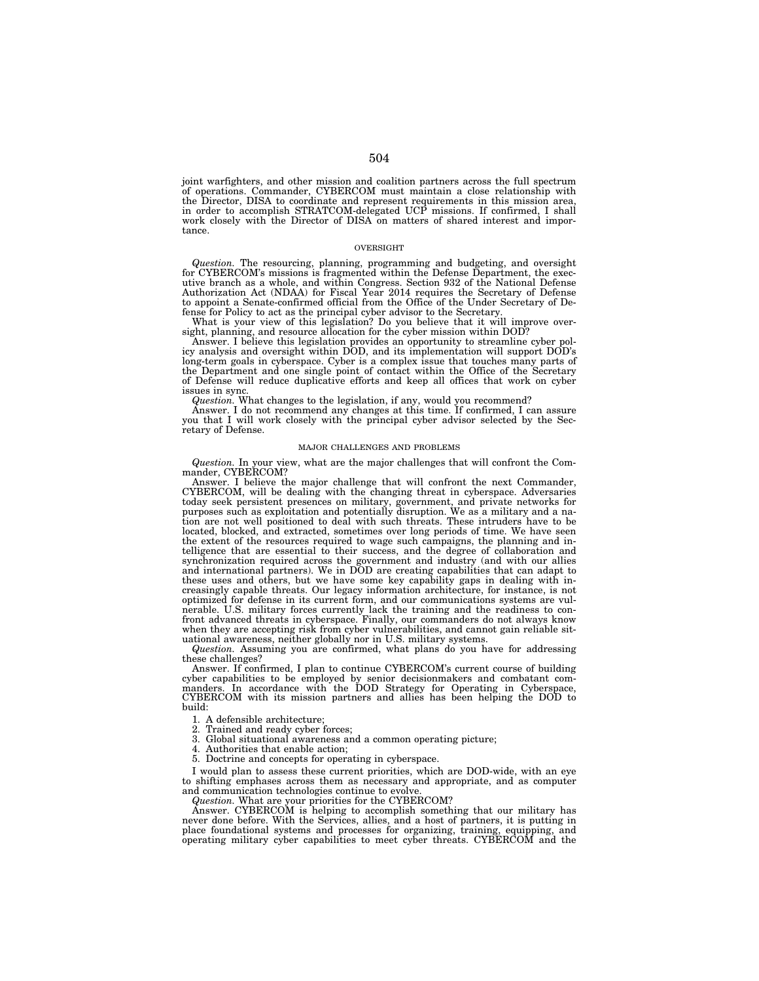joint warfighters, and other mission and coalition partners across the full spectrum of operations. Commander, CYBERCOM must maintain a close relationship with the Director, DISA to coordinate and represent requirements in this mission area, in order to accomplish STRATCOM-delegated UCP missions. If confirmed, I shall work closely with the Director of DISA on matters of shared interest and importance.

### OVERSIGHT

*Question.* The resourcing, planning, programming and budgeting, and oversight for CYBERCOM's missions is fragmented within the Defense Department, the executive branch as a whole, and within Congress. Section 932 of the National Defense Authorization Act (NDAA) for Fiscal Year 2014 requires the Secretary of Defense to appoint a Senate-confirmed official from the Office of the Under Secretary of De-

fense for Policy to act as the principal cyber advisor to the Secretary. What is your view of this legislation? Do you believe that it will improve oversight, planning, and resource allocation for the cyber mission within DOD?

Answer. I believe this legislation provides an opportunity to streamline cyber pol-icy analysis and oversight within DOD, and its implementation will support DOD's long-term goals in cyberspace. Cyber is a complex issue that touches many parts of the Department and one single point of contact within the Office of the Secretary of Defense will reduce duplicative efforts and keep all offices that work on cyber issues in sync.

*Question.* What changes to the legislation, if any, would you recommend? Answer. I do not recommend any changes at this time. If confirmed, I can assure you that I will work closely with the principal cyber advisor selected by the Secretary of Defense.

# MAJOR CHALLENGES AND PROBLEMS

*Question.* In your view, what are the major challenges that will confront the Com-mander, CYBERCOM?

Answer. I believe the major challenge that will confront the next Commander, CYBERCOM, will be dealing with the changing threat in cyberspace. Adversaries today seek persistent presences on military, government, and private networks for purposes such as exploitation and potentially disruption. We as a military and a na-tion are not well positioned to deal with such threats. These intruders have to be located, blocked, and extracted, sometimes over long periods of time. We have seen the extent of the resources required to wage such campaigns, the planning and intelligence that are essential to their success, and the degree of collaboration and synchronization required across the government and industry (and with our allies and international partners). We in DOD are creating capabilities that can adapt to these uses and others, but we have some key capability gaps in dealing with increasingly capable threats. Our legacy information architecture, for instance, is not optimized for defense in its current form, and our communications systems are vulnerable. U.S. military forces currently lack the training and the readiness to con-front advanced threats in cyberspace. Finally, our commanders do not always know when they are accepting risk from cyber vulnerabilities, and cannot gain reliable sit-uational awareness, neither globally nor in U.S. military systems.

*Question.* Assuming you are confirmed, what plans do you have for addressing these challenges?

Answer. If confirmed, I plan to continue CYBERCOM's current course of building cyber capabilities to be employed by senior decisionmakers and combatant com-<br>manders. In accordance with the DOD Strategy for Operating in Cyberspace,<br>CYBERCOM with its mission partners and allies has been helping the DOD build:

1. A defensible architecture;<br>2. Trained and ready cyber f

2. Trained and ready cyber forces;<br>3. Global situational awareness ar

Global situational awareness and a common operating picture;

4. Authorities that enable action;

5. Doctrine and concepts for operating in cyberspace.

I would plan to assess these current priorities, which are DOD-wide, with an eye to shifting emphases across them as necessary and appropriate, and as computer and communication technologies continue to evolve.

*Question.* What are your priorities for the CYBERCOM?

Answer. CYBERCOM is helping to accomplish something that our military has never done before. With the Services, allies, and a host of partners, it is putting in place foundational systems and processes for organizing, training, equipping, and operating military cyber capabilities to meet cyber threats. CYBERCOM and the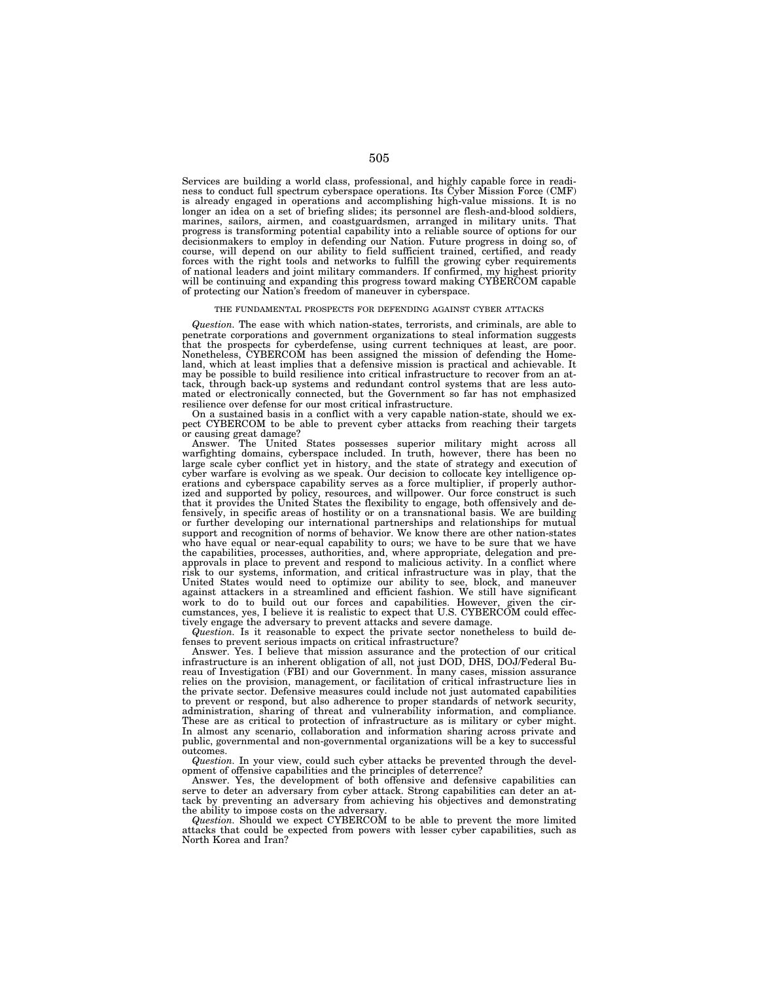Services are building a world class, professional, and highly capable force in readiness to conduct full spectrum cyberspace operations. Its Cyber Mission Force (CMF) is already engaged in operations and accomplishing high-value missions. It is no longer an idea on a set of briefing slides; its personnel are flesh-and-blood soldiers, marines, sailors, airmen, and coastguardsmen, arranged in military units. That progress is transforming potential capability into a reliable source of options for our decisionmakers to employ in defending our Nation. Future progress in doing so, of course, will depend on our ability to field sufficient trained, certified, and ready forces with the right tools and networks to fulfill the growing cyber requirements of national leaders and joint military commanders. If confirmed, my highest priority will be continuing and expanding this progress toward making CYBERCOM capable of protecting our Nation's freedom of maneuver in cyberspace.

#### THE FUNDAMENTAL PROSPECTS FOR DEFENDING AGAINST CYBER ATTACKS

*Question.* The ease with which nation-states, terrorists, and criminals, are able to penetrate corporations and government organizations to steal information suggests that the prospects for cyberdefense, using current techniques at least, are poor. Nonetheless, CYBERCOM has been assigned the mission of defending the Homeland, which at least implies that a defensive mission is practical and achievable. It may be possible to build resilience into critical infrastructure to recover from an attack, through back-up systems and redundant control systems that are less automated or electronically connected, but the Government so far has not emphasized resilience over defense for our most critical infrastructure.

On a sustained basis in a conflict with a very capable nation-state, should we expect CYBERCOM to be able to prevent cyber attacks from reaching their targets or causing great damage?

Answer. The United States possesses superior military might across all warfighting domains, cyberspace included. In truth, however, there has been no large scale cyber conflict yet in history, and the state of strategy and execution of cyber warfare is evolving as we speak. Our decision to collocate key intelligence operations and cyberspace capability serves as a force multiplier, if properly authorized and supported by policy, resources, and willpower. Our force construct is such that it provides the United States the flexibility to engage, both offensively and defensively, in specific areas of hostility or on a transnational basis. We are building or further developing our international partnerships and relationships for mutual support and recognition of norms of behavior. We know there are other nation-states who have equal or near-equal capability to ours; we have to be sure that we have the capabilities, processes, authorities, and, where appropriate, delegation and preapprovals in place to prevent and respond to malicious activity. In a conflict where risk to our systems, information, and critical infrastructure was in play, that the United States would need to optimize our ability to see, block, and maneuver against attackers in a streamlined and efficient fashion. We still have significant work to do to build out our forces and capabilities. However, given the circumstances, yes, I believe it is realistic to expect that U.S. CYBERCOM could effectively engage the adversary to prevent attacks and severe damage.

*Question.* Is it reasonable to expect the private sector nonetheless to build defenses to prevent serious impacts on critical infrastructure?

Answer. Yes. I believe that mission assurance and the protection of our critical infrastructure is an inherent obligation of all, not just DOD, DHS, DOJ/Federal Bureau of Investigation (FBI) and our Government. In many cases, mission assurance relies on the provision, management, or facilitation of critical infrastructure lies in the private sector. Defensive measures could include not just automated capabilities to prevent or respond, but also adherence to proper standards of network security, administration, sharing of threat and vulnerability information, and compliance. These are as critical to protection of infrastructure as is military or cyber might. In almost any scenario, collaboration and information sharing across private and public, governmental and non-governmental organizations will be a key to successful outcomes.

*Question.* In your view, could such cyber attacks be prevented through the development of offensive capabilities and the principles of deterrence?

Answer. Yes, the development of both offensive and defensive capabilities can serve to deter an adversary from cyber attack. Strong capabilities can deter an attack by preventing an adversary from achieving his objectives and demonstrating the ability to impose costs on the adversary.

*Question.* Should we expect CYBERCOM to be able to prevent the more limited attacks that could be expected from powers with lesser cyber capabilities, such as North Korea and Iran?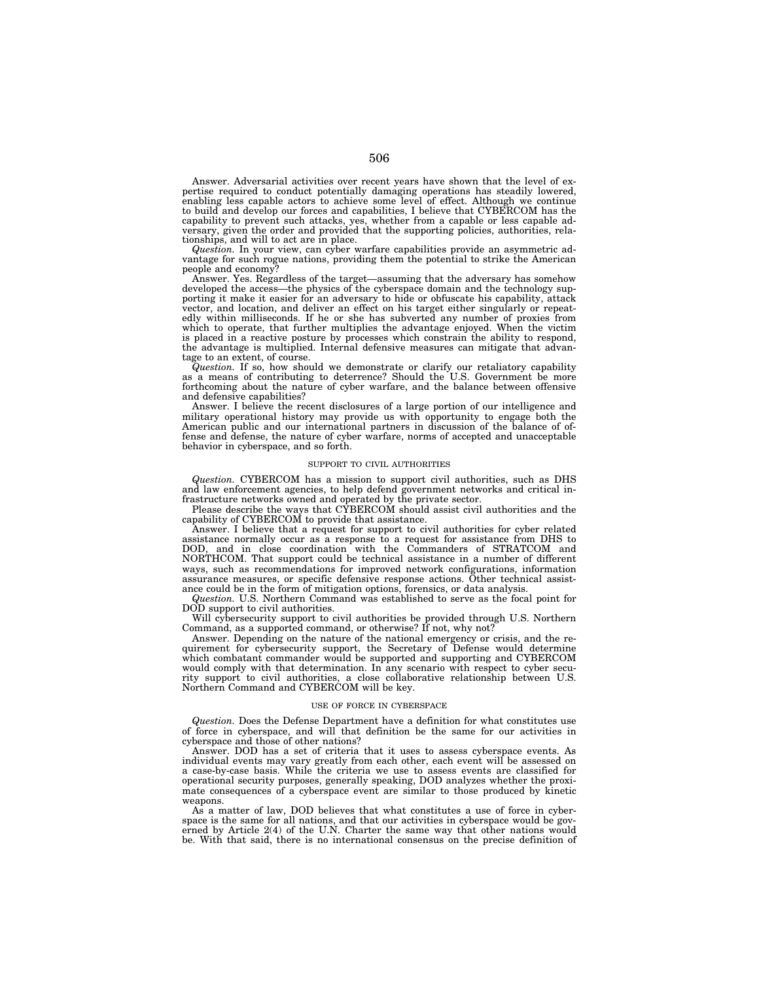Answer. Adversarial activities over recent years have shown that the level of expertise required to conduct potentially damaging operations has steadily lowered, enabling less capable actors to achieve some level of effect. Although we continue to build and develop our forces and capabilities, I believe that CYBERCOM has the capability to prevent such attacks, yes, whether from a capable or less capable ad-versary, given the order and provided that the supporting policies, authorities, relationships, and will to act are in place.

*Question.* In your view, can cyber warfare capabilities provide an asymmetric advantage for such rogue nations, providing them the potential to strike the American people and economy?

Answer. Yes. Regardless of the target—assuming that the adversary has somehow developed the access—the physics of the cyberspace domain and the technology supporting it make it easier for an adversary to hide or obfuscate his capability, attack vector, and location, and deliver an effect on his target either singularly or repeat-edly within milliseconds. If he or she has subverted any number of proxies from which to operate, that further multiplies the advantage enjoyed. When the victim is placed in a reactive posture by processes which constrain the ability to respond, the advantage is multiplied. Internal defensive measures can mitigate that advantage to an extent, of course.

*Question.* If so, how should we demonstrate or clarify our retaliatory capability as a means of contributing to deterrence? Should the U.S. Government be more forthcoming about the nature of cyber warfare, and the balance between offensive and defensive capabilities?

Answer. I believe the recent disclosures of a large portion of our intelligence and military operational history may provide us with opportunity to engage both the American public and our international partners in discussion of the balance of offense and defense, the nature of cyber warfare, norms of accepted and unacceptable behavior in cyberspace, and so forth.

## SUPPORT TO CIVIL AUTHORITIES

*Question.* CYBERCOM has a mission to support civil authorities, such as DHS and law enforcement agencies, to help defend government networks and critical infrastructure networks owned and operated by the private sector.

Please describe the ways that CYBERCOM should assist civil authorities and the capability of CYBERCOM to provide that assistance.

Answer. I believe that a request for support to civil authorities for cyber related assistance normally occur as a response to a request for assistance from DHS to DOD, and in close coordination with the Commanders of STRATCOM and NORTHCOM. That support could be technical assistance in a number of different ways, such as recommendations for improved network configurations, information assurance measures, or specific defensive response actions. Other technical assistance could be in the form of mitigation options, forensics, or data analysis.

*Question.* U.S. Northern Command was established to serve as the focal point for DOD support to civil authorities.

Will cybersecurity support to civil authorities be provided through U.S. Northern Command, as a supported command, or otherwise? If not, why not?

Answer. Depending on the nature of the national emergency or crisis, and the requirement for cybersecurity support, the Secretary of Defense would determine which combatant commander would be supported and supporting and CYBERCOM would comply with that determination. In any scenario with respect to cyber security support to civil authorities, a close collaborative relationship between U.S. Northern Command and CYBERCOM will be key.

### USE OF FORCE IN CYBERSPACE

*Question.* Does the Defense Department have a definition for what constitutes use of force in cyberspace, and will that definition be the same for our activities in cyberspace and those of other nations?

Answer. DOD has a set of criteria that it uses to assess cyberspace events. As individual events may vary greatly from each other, each event will be assessed on a case-by-case basis. While the criteria we use to assess events are classified for operational security purposes, generally speaking, DOD analyzes whether the proximate consequences of a cyberspace event are similar to those produced by kinetic weapons.

As a matter of law, DOD believes that what constitutes a use of force in cyberspace is the same for all nations, and that our activities in cyberspace would be gov-erned by Article 2(4) of the U.N. Charter the same way that other nations would be. With that said, there is no international consensus on the precise definition of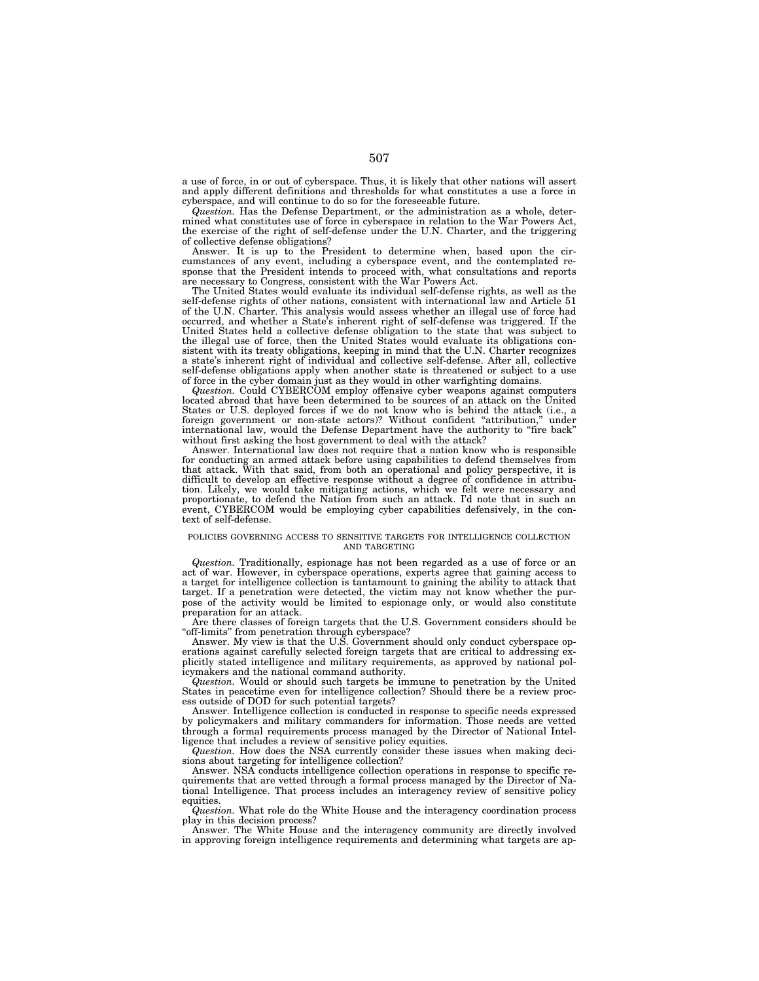a use of force, in or out of cyberspace. Thus, it is likely that other nations will assert and apply different definitions and thresholds for what constitutes a use a force in cyberspace, and will continue to do so for the foreseeable future.

*Question.* Has the Defense Department, or the administration as a whole, determined what constitutes use of force in cyberspace in relation to the War Powers Act, the exercise of the right of self-defense under the U.N. Charter, and the triggering of collective defense obligations?

Answer. It is up to the President to determine when, based upon the circumstances of any event, including a cyberspace event, and the contemplated response that the President intends to proceed with, what consultations and reports are necessary to Congress, consistent with the War Powers Act.

The United States would evaluate its individual self-defense rights, as well as the self-defense rights of other nations, consistent with international law and Article 51 of the U.N. Charter. This analysis would assess whether an illegal use of force had occurred, and whether a State's inherent right of self-defense was triggered. If the United States held a collective defense obligation to the state that was subject to the illegal use of force, then the United States would evaluate its obligations consistent with its treaty obligations, keeping in mind that the U.N. Charter recognizes a state's inherent right of individual and collective self-defense. After all, collective self-defense obligations apply when another state is threatened or subject to a use of force in the cyber domain just as they would in other warfighting domains.

*Question.* Could CYBERCOM employ offensive cyber weapons against computers located abroad that have been determined to be sources of an attack on the United States or U.S. deployed forces if we do not know who is behind the attack (i.e., a foreign government or non-state actors)? Without confident ''attribution,'' under international law, would the Defense Department have the authority to ''fire back'' without first asking the host government to deal with the attack?

Answer. International law does not require that a nation know who is responsible for conducting an armed attack before using capabilities to defend themselves from that attack. With that said, from both an operational and policy perspective, it is difficult to develop an effective response without a degree of confidence in attribution. Likely, we would take mitigating actions, which we felt were necessary and proportionate, to defend the Nation from such an attack. I'd note that in such an event, CYBERCOM would be employing cyber capabilities defensively, in the context of self-defense.

## POLICIES GOVERNING ACCESS TO SENSITIVE TARGETS FOR INTELLIGENCE COLLECTION AND TARGETING

*Question.* Traditionally, espionage has not been regarded as a use of force or an act of war. However, in cyberspace operations, experts agree that gaining access to a target for intelligence collection is tantamount to gaining the ability to attack that target. If a penetration were detected, the victim may not know whether the purpose of the activity would be limited to espionage only, or would also constitute preparation for an attack.

Are there classes of foreign targets that the U.S. Government considers should be ''off-limits'' from penetration through cyberspace?

Answer. My view is that the U.S. Government should only conduct cyberspace operations against carefully selected foreign targets that are critical to addressing explicitly stated intelligence and military requirements, as approved by national policymakers and the national command authority.

*Question.* Would or should such targets be immune to penetration by the United States in peacetime even for intelligence collection? Should there be a review process outside of DOD for such potential targets?

Answer. Intelligence collection is conducted in response to specific needs expressed by policymakers and military commanders for information. Those needs are vetted through a formal requirements process managed by the Director of National Intelligence that includes a review of sensitive policy equities.

*Question.* How does the NSA currently consider these issues when making decisions about targeting for intelligence collection?

Answer. NSA conducts intelligence collection operations in response to specific requirements that are vetted through a formal process managed by the Director of National Intelligence. That process includes an interagency review of sensitive policy equities.

*Question.* What role do the White House and the interagency coordination process play in this decision process?

Answer. The White House and the interagency community are directly involved in approving foreign intelligence requirements and determining what targets are ap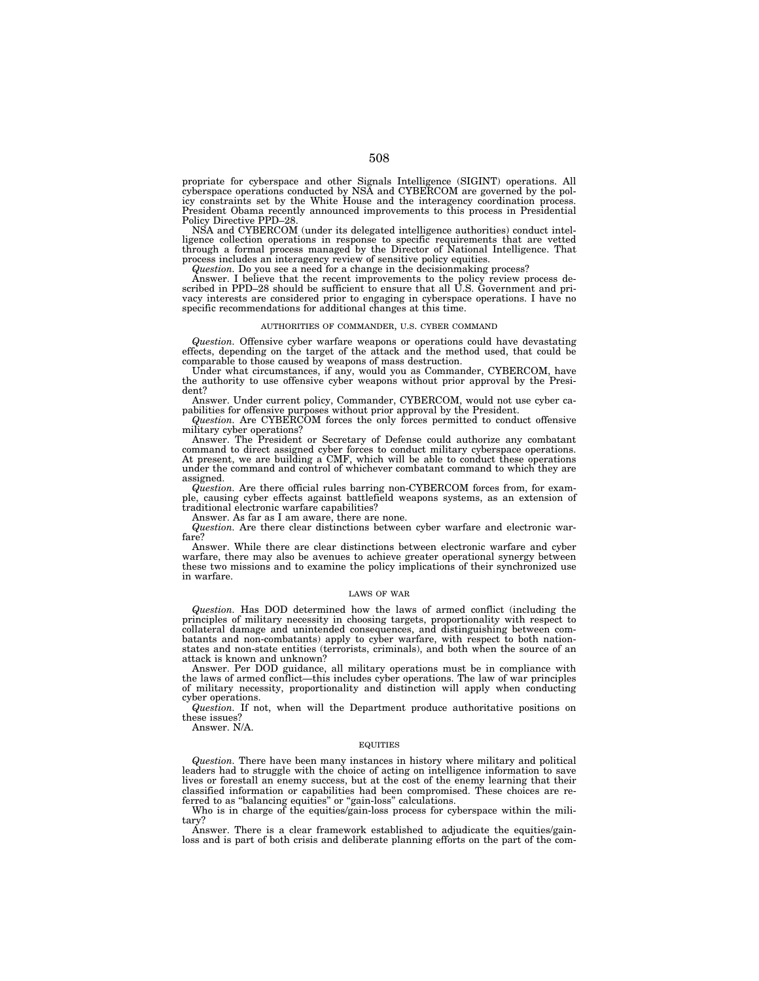propriate for cyberspace and other Signals Intelligence (SIGINT) operations. All cyberspace operations conducted by NSA and CYBERCOM are governed by the policy constraints set by the White House and the interagency coordination process. President Obama recently announced improvements to this process in Presidential Policy Directive PPD–28.

NSA and CYBERCOM (under its delegated intelligence authorities) conduct intelligence collection operations in response to specific requirements that are vetted through a formal process managed by the Director of National Intelligence. That process includes an interagency review of sensitive policy equities.

*Question.* Do you see a need for a change in the decisionmaking process?

Answer. I believe that the recent improvements to the policy review process described in PPD–28 should be sufficient to ensure that all U.S. Government and privacy interests are considered prior to engaging in cyberspace operations. I have no specific recommendations for additional changes at this time.

## AUTHORITIES OF COMMANDER, U.S. CYBER COMMAND

*Question.* Offensive cyber warfare weapons or operations could have devastating effects, depending on the target of the attack and the method used, that could be comparable to those caused by weapons of mass destruction.

Under what circumstances, if any, would you as Commander, CYBERCOM, have the authority to use offensive cyber weapons without prior approval by the President?

Answer. Under current policy, Commander, CYBERCOM, would not use cyber capabilities for offensive purposes without prior approval by the President.

*Question.* Are CYBERCOM forces the only forces permitted to conduct offensive military cyber operations?

Answer. The President or Secretary of Defense could authorize any combatant command to direct assigned cyber forces to conduct military cyberspace operations. At present, we are building a CMF, which will be able to conduct these operations under the command and control of whichever combatant command to which they are assigned.

*Question.* Are there official rules barring non-CYBERCOM forces from, for example, causing cyber effects against battlefield weapons systems, as an extension of traditional electronic warfare capabilities?

Answer. As far as I am aware, there are none. *Question.* Are there clear distinctions between cyber warfare and electronic warfare?

Answer. While there are clear distinctions between electronic warfare and cyber warfare, there may also be avenues to achieve greater operational synergy between these two missions and to examine the policy implications of their synchronized use in warfare.

## LAWS OF WAR

*Question.* Has DOD determined how the laws of armed conflict (including the principles of military necessity in choosing targets, proportionality with respect to collateral damage and unintended consequences, and distinguishing between com-batants and non-combatants) apply to cyber warfare, with respect to both nationstates and non-state entities (terrorists, criminals), and both when the source of an attack is known and unknown?

Answer. Per DOD guidance, all military operations must be in compliance with the laws of armed conflict—this includes cyber operations. The law of war principles of military necessity, proportionality and distinction will apply when conducting cyber operations.

*Question.* If not, when will the Department produce authoritative positions on these issues?

Answer. N/A.

## EQUITIES

*Question.* There have been many instances in history where military and political leaders had to struggle with the choice of acting on intelligence information to save lives or forestall an enemy success, but at the cost of the enemy learning that their classified information or capabilities had been compromised. These choices are referred to as "balancing equities" or "gain-loss" calculations.

Who is in charge of the equities/gain-loss process for cyberspace within the military?

Answer. There is a clear framework established to adjudicate the equities/gainloss and is part of both crisis and deliberate planning efforts on the part of the com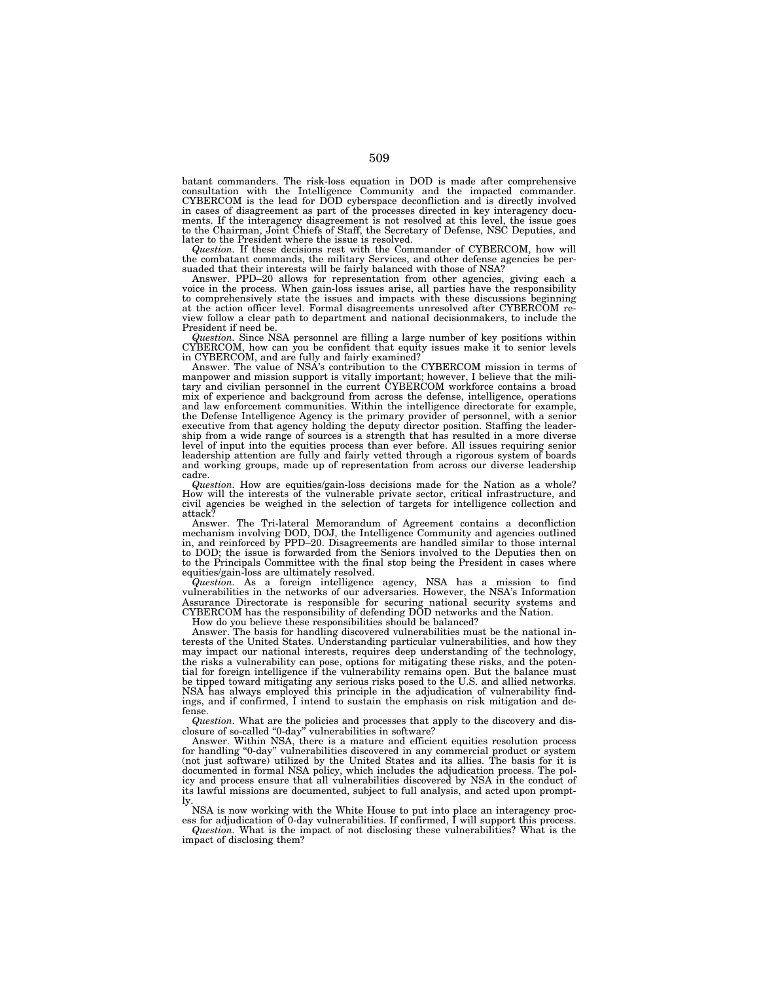batant commanders. The risk-loss equation in DOD is made after comprehensive consultation with the Intelligence Community and the impacted commander. CYBERCOM is the lead for DOD cyberspace deconfliction and is directly involved in cases of disagreement as part of the processes directed in key interagency documents. If the interagency disagreement is not resolved at this level, the issue goes to the Chairman, Joint Chiefs of Staff, the Secretary of Defense, NSC Deputies, and later to the President where the issue is resolved.

*Question.* If these decisions rest with the Commander of CYBERCOM, how will the combatant commands, the military Services, and other defense agencies be per-suaded that their interests will be fairly balanced with those of NSA?

Answer. PPD–20 allows for representation from other agencies, giving each a voice in the process. When gain-loss issues arise, all parties have the responsibility to comprehensively state the issues and impacts with these discussions beginning at the action officer level. Formal disagreements unresolved after CYBERCOM review follow a clear path to department and national decisionmakers, to include the President if need be.

*Question.* Since NSA personnel are filling a large number of key positions within CYBERCOM, how can you be confident that equity issues make it to senior levels in CYBERCOM, and are fully and fairly examined?

Answer. The value of NSA's contribution to the CYBERCOM mission in terms of manpower and mission support is vitally important; however, I believe that the military and civilian personnel in the current CYBERCOM workforce contains a broad mix of experience and background from across the defense, intelligence, operations and law enforcement communities. Within the intelligence directorate for example, the Defense Intelligence Agency is the primary provider of personnel, with a senior executive from that agency holding the deputy director position. Staffing the leader-ship from a wide range of sources is a strength that has resulted in a more diverse level of input into the equities process than ever before. All issues requiring senior leadership attention are fully and fairly vetted through a rigorous system of boards and working groups, made up of representation from across our diverse leadership cadre.

*Question.* How are equities/gain-loss decisions made for the Nation as a whole? How will the interests of the vulnerable private sector, critical infrastructure, and civil agencies be weighed in the selection of targets for intelligence collection and attack?

Answer. The Tri-lateral Memorandum of Agreement contains a deconfliction mechanism involving DOD, DOJ, the Intelligence Community and agencies outlined in, and reinforced by PPD–20. Disagreements are handled similar to those internal to DOD; the issue is forwarded from the Seniors involved to the Deputies then on to the Principals Committee with the final stop being the President in cases where equities/gain-loss are ultimately resolved.

*Question.* As a foreign intelligence agency, NSA has a mission to find vulnerabilities in the networks of our adversaries. However, the NSA's Information Assurance Directorate is responsible for securing national security systems and CYBERCOM has the responsibility of defending DOD networks and the Nation.

How do you believe these responsibilities should be balanced?

Answer. The basis for handling discovered vulnerabilities must be the national interests of the United States. Understanding particular vulnerabilities, and how they may impact our national interests, requires deep understanding of the technology, the risks a vulnerability can pose, options for mitigating these risks, and the potential for foreign intelligence if the vulnerability remains open. But the balance must be tipped toward mitigating any serious risks posed to the U.S. and allied networks. NSA has always employed this principle in the adjudication of vulnerability findings, and if confirmed, I intend to sustain the emphasis on risk mitigation and defense.

*Question.* What are the policies and processes that apply to the discovery and disclosure of so-called ''0-day'' vulnerabilities in software?

Answer. Within NSA, there is a mature and efficient equities resolution process for handling "0-day" vulnerabilities discovered in any commercial product or system (not just software) utilized by the United States and its allies. The basis for it is documented in formal NSA policy, which includes the adjudication process. The policy and process ensure that all vulnerabilities discovered by NSA in the conduct of its lawful missions are documented, subject to full analysis, and acted upon promptly.

NSA is now working with the White House to put into place an interagency proc-

ess for adjudication of 0-day vulnerabilities. If confirmed, I will support this process. *Question.* What is the impact of not disclosing these vulnerabilities? What is the impact of disclosing them?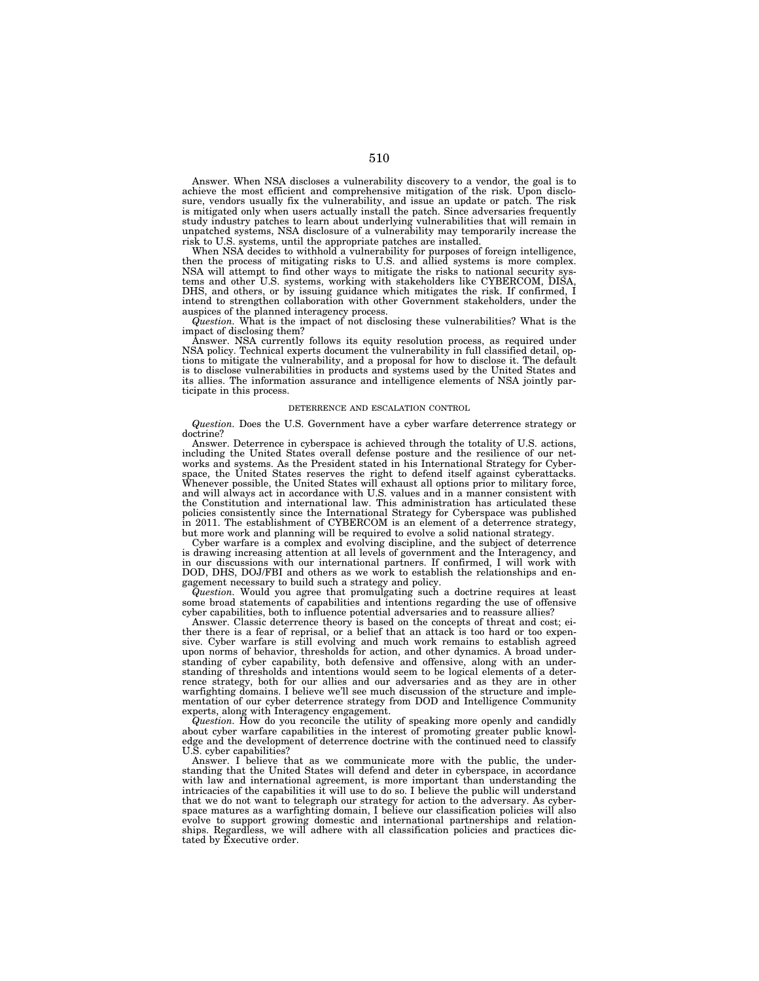Answer. When NSA discloses a vulnerability discovery to a vendor, the goal is to achieve the most efficient and comprehensive mitigation of the risk. Upon disclosure, vendors usually fix the vulnerability, and issue an update or patch. The risk is mitigated only when users actually install the patch. Since adversaries frequently study industry patches to learn about underlying vulnerabilities that will remain in unpatched systems, NSA disclosure of a vulnerability may temporarily increase the risk to U.S. systems, until the appropriate patches are installed.

When NSA decides to withhold a vulnerability for purposes of foreign intelligence, then the process of mitigating risks to U.S. and allied systems is more complex. NSA will attempt to find other ways to mitigate the risks to national security systems and other U.S. systems, working with stakeholders like CYBERCOM, DISA, DHS, and others, or by issuing guidance which mitigates the risk. If confirmed, I intend to strengthen collaboration with other Government stakeholders, under the auspices of the planned interagency process.

*Question.* What is the impact of not disclosing these vulnerabilities? What is the impact of disclosing them?

Answer. NSA currently follows its equity resolution process, as required under NSA policy. Technical experts document the vulnerability in full classified detail, options to mitigate the vulnerability, and a proposal for how to disclose it. The default is to disclose vulnerabilities in products and systems used by the United States and its allies. The information assurance and intelligence elements of NSA jointly participate in this process.

## DETERRENCE AND ESCALATION CONTROL

*Question.* Does the U.S. Government have a cyber warfare deterrence strategy or doctrine?

Answer. Deterrence in cyberspace is achieved through the totality of U.S. actions, including the United States overall defense posture and the resilience of our networks and systems. As the President stated in his International Strategy for Cyberspace, the United States reserves the right to defend itself against cyberattacks. Whenever possible, the United States will exhaust all options prior to military force, and will always act in accordance with U.S. values and in a manner consistent with the Constitution and international law. This administration has articulated these policies consistently since the International Strategy for Cyberspace was published in 2011. The establishment of CYBERCOM is an element of a deterrence strategy, but more work and planning will be required to evolve a solid national strategy.

Cyber warfare is a complex and evolving discipline, and the subject of deterrence is drawing increasing attention at all levels of government and the Interagency, and in our discussions with our international partners. If confirmed, I will work with DOD, DHS, DOJ/FBI and others as we work to establish the relationships and engagement necessary to build such a strategy and policy.

*Question.* Would you agree that promulgating such a doctrine requires at least some broad statements of capabilities and intentions regarding the use of offensive cyber capabilities, both to influence potential adversaries and to reassure allies?

Answer. Classic deterrence theory is based on the concepts of threat and cost; either there is a fear of reprisal, or a belief that an attack is too hard or too expensive. Cyber warfare is still evolving and much work remains to establish agreed upon norms of behavior, thresholds for action, and other dynamics. A broad understanding of cyber capability, both defensive and offensive, along with an understanding of thresholds and intentions would seem to be logical elements of a deterrence strategy, both for our allies and our adversaries and as they are in other warfighting domains. I believe we'll see much discussion of the structure and implementation of our cyber deterrence strategy from DOD and Intelligence Community experts, along with Interagency engagement.

*Question.* How do you reconcile the utility of speaking more openly and candidly about cyber warfare capabilities in the interest of promoting greater public knowledge and the development of deterrence doctrine with the continued need to classify U.S. cyber capabilities?

Answer. I believe that as we communicate more with the public, the understanding that the United States will defend and deter in cyberspace, in accordance with law and international agreement, is more important than understanding the intricacies of the capabilities it will use to do so. I believe the public will understand that we do not want to telegraph our strategy for action to the adversary. As cyberspace matures as a warfighting domain, I believe our classification policies will also evolve to support growing domestic and international partnerships and relation-ships. Regardless, we will adhere with all classification policies and practices dictated by Executive order.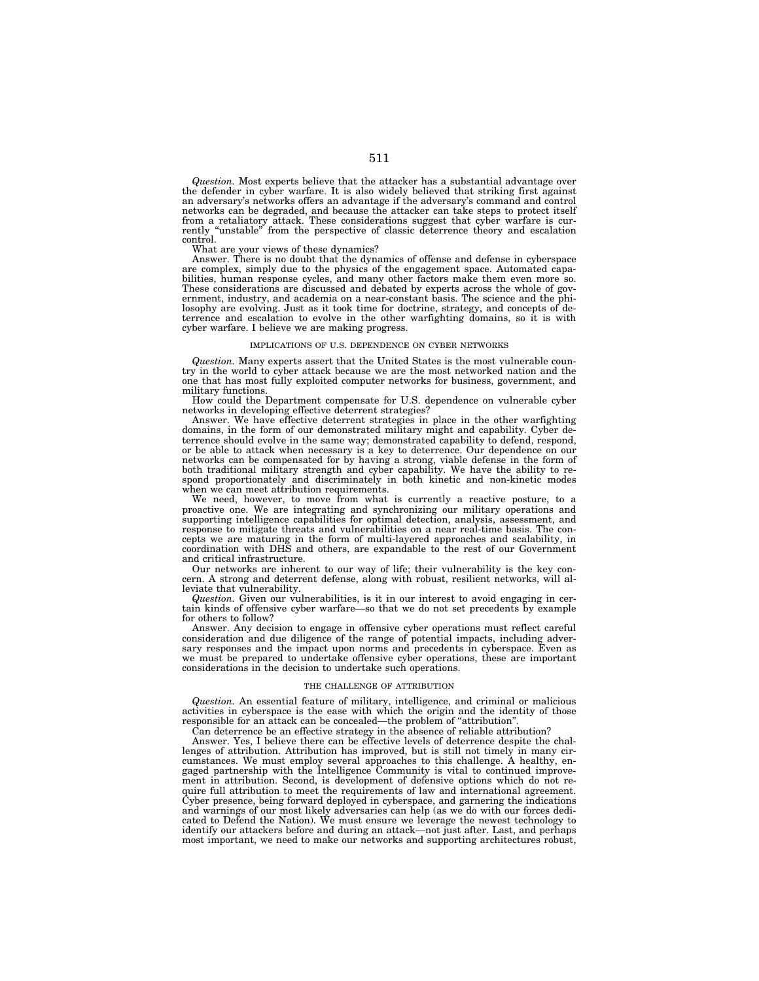*Question.* Most experts believe that the attacker has a substantial advantage over the defender in cyber warfare. It is also widely believed that striking first against an adversary's networks offers an advantage if the adversary's command and control networks can be degraded, and because the attacker can take steps to protect itself<br>from a retaliatory attack. These considerations suggest that cyber warfare is cur-<br>rently "unstable" from the perspective of classic deter control.

What are your views of these dynamics?

Answer. There is no doubt that the dynamics of offense and defense in cyberspace are complex, simply due to the physics of the engagement space. Automated capabilities, human response cycles, and many other factors make them even more so. These considerations are discussed and debated by experts across the whole of gov-ernment, industry, and academia on a near-constant basis. The science and the philosophy are evolving. Just as it took time for doctrine, strategy, and concepts of de-terrence and escalation to evolve in the other warfighting domains, so it is with cyber warfare. I believe we are making progress.

### IMPLICATIONS OF U.S. DEPENDENCE ON CYBER NETWORKS

*Question.* Many experts assert that the United States is the most vulnerable country in the world to cyber attack because we are the most networked nation and the one that has most fully exploited computer networks for business, government, and military functions.

How could the Department compensate for U.S. dependence on vulnerable cyber networks in developing effective deterrent strategies?

Answer. We have effective deterrent strategies in place in the other warfighting domains, in the form of our demonstrated military might and capability. Cyber deterrence should evolve in the same way; demonstrated capability to defend, respond, or be able to attack when necessary is a key to deterrence. Our dependence on our networks can be compensated for by having a strong, viable defense in the form of both traditional military strength and cyber capability. We have the ability to respond proportionately and discriminately in both kinetic and non-kinetic modes when we can meet attribution requirements.

We need, however, to move from what is currently a reactive posture, to a proactive one. We are integrating and synchronizing our military operations and supporting intelligence capabilities for optimal detection, analysis, assessment, and response to mitigate threats and vulnerabilities on a near real-time basis. The concepts we are maturing in the form of multi-layered approaches and scalability, in  $coordination$  with DHS and others, are expandable to the rest of our Government and critical infrastructure.

Our networks are inherent to our way of life; their vulnerability is the key concern. A strong and deterrent defense, along with robust, resilient networks, will alleviate that vulnerability.

*Question.* Given our vulnerabilities, is it in our interest to avoid engaging in certain kinds of offensive cyber warfare—so that we do not set precedents by example for others to follow?

Answer. Any decision to engage in offensive cyber operations must reflect careful consideration and due diligence of the range of potential impacts, including adversary responses and the impact upon norms and precedents in cyberspace. Even as we must be prepared to undertake offensive cyber operations, these are important considerations in the decision to undertake such operations.

### THE CHALLENGE OF ATTRIBUTION

*Question.* An essential feature of military, intelligence, and criminal or malicious activities in cyberspace is the ease with which the origin and the identity of those responsible for an attack can be concealed—the problem of ''attribution''.

Can deterrence be an effective strategy in the absence of reliable attribution?

Answer. Yes, I believe there can be effective levels of deterrence despite the challenges of attribution. Attribution has improved, but is still not timely in many circumstances. We must employ several approaches to this challenge. A healthy, engaged partnership with the Intelligence Community is vital to continued improvement in attribution. Second, is development of defensive options which do not require full attribution to meet the requirements of law and international agreement. Cyber presence, being forward deployed in cyberspace, and garnering the indications and warnings of our most likely adversaries can help (as we do with our forces dedicated to Defend the Nation). We must ensure we leverage the newest technology to identify our attackers before and during an attack—not just after. Last, and perhaps most important, we need to make our networks and supporting architectures robust,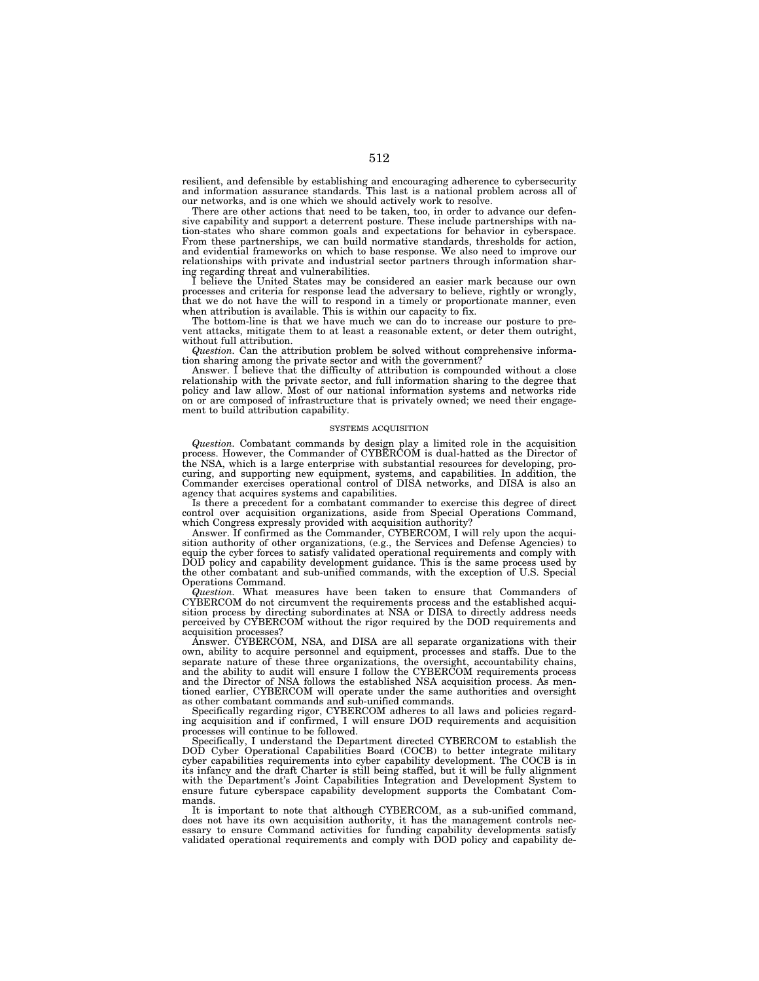resilient, and defensible by establishing and encouraging adherence to cybersecurity and information assurance standards. This last is a national problem across all of our networks, and is one which we should actively work to resolve.

There are other actions that need to be taken, too, in order to advance our defensive capability and support a deterrent posture. These include partnerships with nation-states who share common goals and expectations for behavior in cyberspace. From these partnerships, we can build normative standards, thresholds for action, and evidential frameworks on which to base response. We also need to improve our relationships with private and industrial sector partners through information sharing regarding threat and vulnerabilities.

I believe the United States may be considered an easier mark because our own processes and criteria for response lead the adversary to believe, rightly or wrongly, that we do not have the will to respond in a timely or proportionate manner, even when attribution is available. This is within our capacity to fix.

The bottom-line is that we have much we can do to increase our posture to prevent attacks, mitigate them to at least a reasonable extent, or deter them outright, without full attribution.

*Question.* Can the attribution problem be solved without comprehensive information sharing among the private sector and with the government?

Answer. I believe that the difficulty of attribution is compounded without a close relationship with the private sector, and full information sharing to the degree that policy and law allow. Most of our national information systems and networks ride on or are composed of infrastructure that is privately owned; we need their engagement to build attribution capability.

## SYSTEMS ACQUISITION

*Question.* Combatant commands by design play a limited role in the acquisition process. However, the Commander of CYBERCOM is dual-hatted as the Director of the NSA, which is a large enterprise with substantial resources for developing, procuring, and supporting new equipment, systems, and capabilities. In addition, the Commander exercises operational control of DISA networks, and DISA is also an agency that acquires systems and capabilities.

Is there a precedent for a combatant commander to exercise this degree of direct control over acquisition organizations, aside from Special Operations Command, which Congress expressly provided with acquisition authority?

Answer. If confirmed as the Commander, CYBERCOM, I will rely upon the acquisition authority of other organizations, (e.g., the Services and Defense Agencies) to equip the cyber forces to satisfy validated operational requirements and comply with DOD policy and capability development guidance. This is the same process used by the other combatant and sub-unified commands, with the exception of U.S. Special Operations Command.

*Question.* What measures have been taken to ensure that Commanders of CYBERCOM do not circumvent the requirements process and the established acquisition process by directing subordinates at NSA or DISA to directly address needs perceived by CYBERCOM without the rigor required by the DOD requirements and acquisition processes?

Answer. CYBERCOM, NSA, and DISA are all separate organizations with their own, ability to acquire personnel and equipment, processes and staffs. Due to the separate nature of these three organizations, the oversight, accountability chains, and the ability to audit will ensure I follow the CYBERCOM requirements process and the Director of NSA follows the established NSA acquisition process. As mentioned earlier, CYBERCOM will operate under the same authorities and oversight as other combatant commands and sub-unified commands.

Specifically regarding rigor, CYBERCOM adheres to all laws and policies regarding acquisition and if confirmed, I will ensure DOD requirements and acquisition processes will continue to be followed.

Specifically, I understand the Department directed CYBERCOM to establish the DOD Cyber Operational Capabilities Board (COCB) to better integrate military cyber capabilities requirements into cyber capability development. The COCB is in its infancy and the draft Charter is still being staffed, but it will be fully alignment with the Department's Joint Capabilities Integration and Development System to ensure future cyberspace capability development supports the Combatant Commands.

It is important to note that although CYBERCOM, as a sub-unified command, does not have its own acquisition authority, it has the management controls nec-essary to ensure Command activities for funding capability developments satisfy validated operational requirements and comply with DOD policy and capability de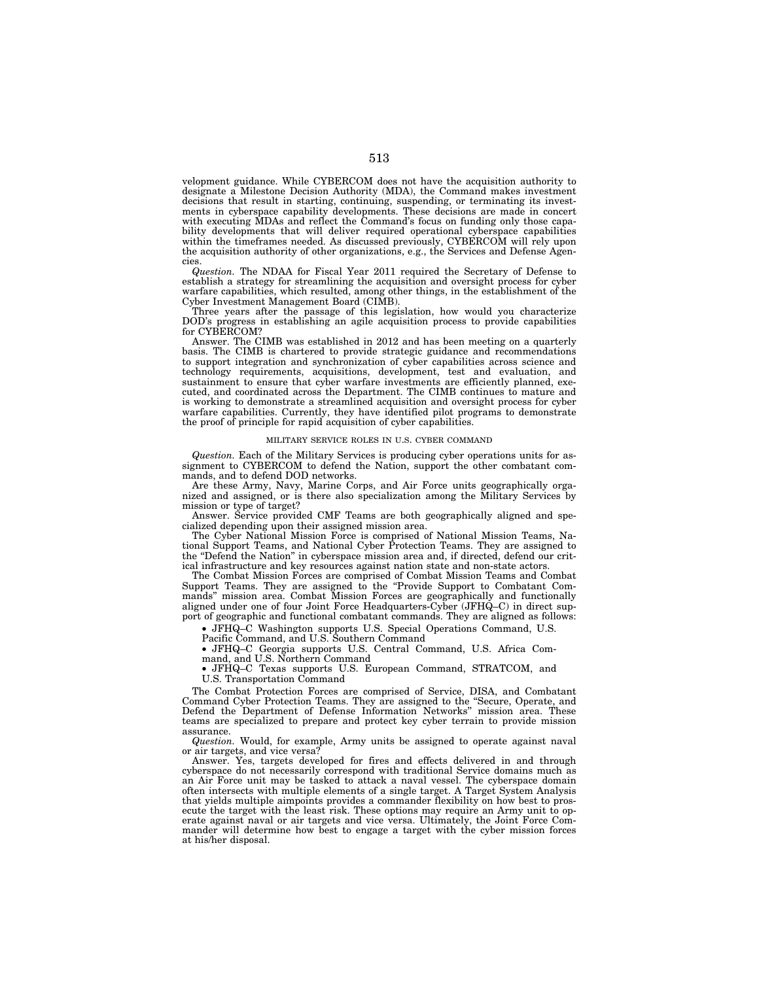velopment guidance. While CYBERCOM does not have the acquisition authority to designate a Milestone Decision Authority (MDA), the Command makes investment decisions that result in starting, continuing, suspending, or terminating its investments in cyberspace capability developments. These decisions are made in concert with executing MDAs and reflect the Command's focus on funding only those capability developments that will deliver required operational cyberspace capabilities within the timeframes needed. As discussed previously, CYBERCOM will rely upon the acquisition authority of other organizations, e.g., the Services and Defense Agencies.

*Question.* The NDAA for Fiscal Year 2011 required the Secretary of Defense to establish a strategy for streamlining the acquisition and oversight process for cyber warfare capabilities, which resulted, among other things, in the establishment of the Cyber Investment Management Board (CIMB).

Three years after the passage of this legislation, how would you characterize DOD's progress in establishing an agile acquisition process to provide capabilities for CYBERCOM?

Answer. The CIMB was established in 2012 and has been meeting on a quarterly basis. The CIMB is chartered to provide strategic guidance and recommendations to support integration and synchronization of cyber capabilities across science and technology requirements, acquisitions, development, test and evaluation, and sustainment to ensure that cyber warfare investments are efficiently planned, executed, and coordinated across the Department. The CIMB continues to mature and is working to demonstrate a streamlined acquisition and oversight process for cyber warfare capabilities. Currently, they have identified pilot programs to demonstrate the proof of principle for rapid acquisition of cyber capabilities.

### MILITARY SERVICE ROLES IN U.S. CYBER COMMAND

*Question.* Each of the Military Services is producing cyber operations units for assignment to CYBERCOM to defend the Nation, support the other combatant commands, and to defend DOD networks.

Are these Army, Navy, Marine Corps, and Air Force units geographically organized and assigned, or is there also specialization among the Military Services by mission or type of target?

Answer. Service provided CMF Teams are both geographically aligned and specialized depending upon their assigned mission area.

The Cyber National Mission Force is comprised of National Mission Teams, National Support Teams, and National Cyber Protection Teams. They are assigned to the ''Defend the Nation'' in cyberspace mission area and, if directed, defend our critical infrastructure and key resources against nation state and non-state actors.

The Combat Mission Forces are comprised of Combat Mission Teams and Combat Support Teams. They are assigned to the ''Provide Support to Combatant Commands'' mission area. Combat Mission Forces are geographically and functionally aligned under one of four Joint Force Headquarters-Cyber (JFHQ–C) in direct support of geographic and functional combatant commands. They are aligned as follows:

• JFHQ–C Washington supports U.S. Special Operations Command, U.S.

Pacific Command, and U.S. Southern Command

• JFHQ–C Georgia supports U.S. Central Command, U.S. Africa Command, and U.S. Northern Command

• JFHQ–C Texas supports U.S. European Command, STRATCOM, and U.S. Transportation Command

The Combat Protection Forces are comprised of Service, DISA, and Combatant Command Cyber Protection Teams. They are assigned to the ''Secure, Operate, and Defend the Department of Defense Information Networks'' mission area. These teams are specialized to prepare and protect key cyber terrain to provide mission assurance.

*Question.* Would, for example, Army units be assigned to operate against naval or air targets, and vice versa?

Answer. Yes, targets developed for fires and effects delivered in and through cyberspace do not necessarily correspond with traditional Service domains much as an Air Force unit may be tasked to attack a naval vessel. The cyberspace domain often intersects with multiple elements of a single target. A Target System Analysis that yields multiple aimpoints provides a commander flexibility on how best to prosecute the target with the least risk. These options may require an Army unit to operate against naval or air targets and vice versa. Ultimately, the Joint Force Commander will determine how best to engage a target with the cyber mission forces at his/her disposal.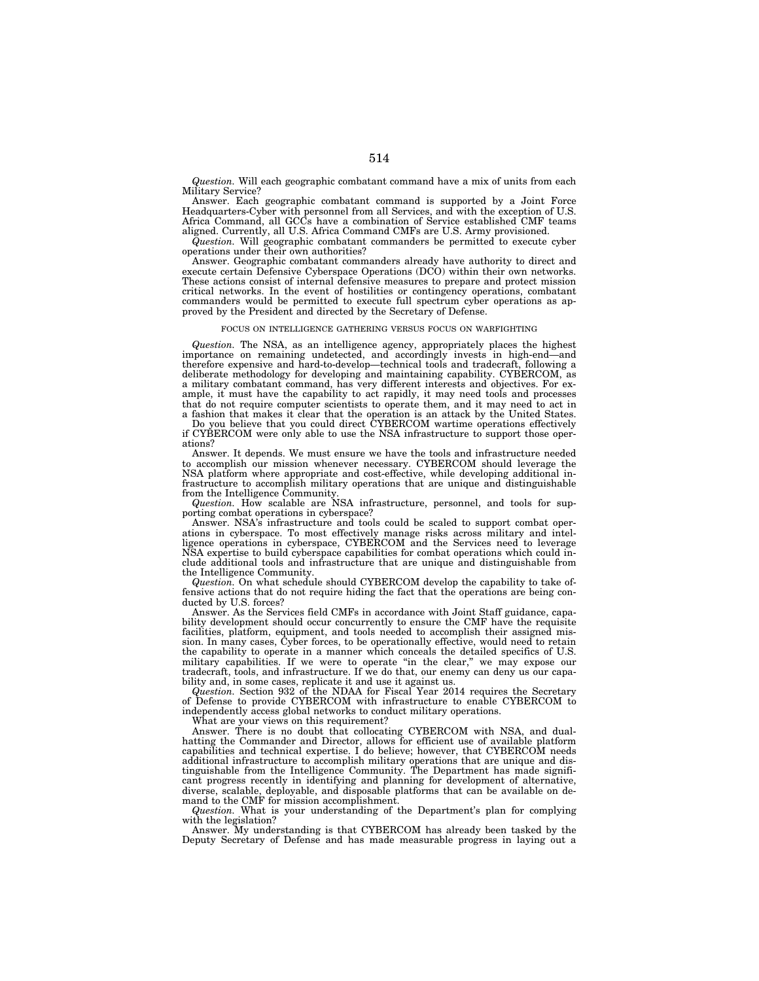*Question.* Will each geographic combatant command have a mix of units from each Military Service?

Answer. Each geographic combatant command is supported by a Joint Force Headquarters-Cyber with personnel from all Services, and with the exception of U.S. Africa Command, all GCCs have a combination of Service established CMF teams aligned. Currently, all U.S. Africa Command CMFs are U.S. Army provisioned.

*Question.* Will geographic combatant commanders be permitted to execute cyber operations under their own authorities?

Answer. Geographic combatant commanders already have authority to direct and execute certain Defensive Cyberspace Operations (DCO) within their own networks. These actions consist of internal defensive measures to prepare and protect mission critical networks. In the event of hostilities or contingency operations, combatant commanders would be permitted to execute full spectrum cyber operations as approved by the President and directed by the Secretary of Defense.

### FOCUS ON INTELLIGENCE GATHERING VERSUS FOCUS ON WARFIGHTING

*Question.* The NSA, as an intelligence agency, appropriately places the highest importance on remaining undetected, and accordingly invests in high-end—and therefore expensive and hard-to-develop—technical tools and tradecraft, following a deliberate methodology for developing and maintaining capability. CYBERCOM, as a military combatant command, has very different interests and objectives. For example, it must have the capability to act rapidly, it may need tools and processes that do not require computer scientists to operate them, and it may need to act in a fashion that makes it clear that the operation is an attack by the United States.

Do you believe that you could direct CYBERCOM wartime operations effectively if CYBERCOM were only able to use the NSA infrastructure to support those operations?

Answer. It depends. We must ensure we have the tools and infrastructure needed to accomplish our mission whenever necessary. CYBERCOM should leverage the NSA platform where appropriate and cost-effective, while developing additional infrastructure to accomplish military operations that are unique and distinguishable from the Intelligence Community.

*Question.* How scalable are NSA infrastructure, personnel, and tools for supporting combat operations in cyberspace?

Answer. NSA's infrastructure and tools could be scaled to support combat operations in cyberspace. To most effectively manage risks across military and intelligence operations in cyberspace, CYBERCOM and the Services need to leverage NSA expertise to build cyberspace capabilities for combat operations which could include additional tools and infrastructure that are unique and distinguishable from the Intelligence Community.

*Question.* On what schedule should CYBERCOM develop the capability to take offensive actions that do not require hiding the fact that the operations are being conducted by U.S. forces?

Answer. As the Services field CMFs in accordance with Joint Staff guidance, capability development should occur concurrently to ensure the CMF have the requisite facilities, platform, equipment, and tools needed to accomplish their assigned mission. In many cases, Cyber forces, to be operationally effective, would need to retain the capability to operate in a manner which conceals the detailed specifics of U.S. military capabilities. If we were to operate "in the clear," we may expose our tradecraft, tools, and infrastructure. If we do that, our enemy can deny us our capability and, in some cases, replicate it and use it against us.

*Question.* Section 932 of the NDAA for Fiscal Year 2014 requires the Secretary of Defense to provide CYBERCOM with infrastructure to enable CYBERCOM to independently access global networks to conduct military operations.

What are your views on this requirement?

Answer. There is no doubt that collocating CYBERCOM with NSA, and dualhatting the Commander and Director, allows for efficient use of available platform capabilities and technical expertise. I do believe; however, that CYBERCOM needs additional infrastructure to accomplish military operations that are unique and distinguishable from the Intelligence Community. The Department has made significant progress recently in identifying and planning for development of alternative, diverse, scalable, deployable, and disposable platforms that can be available on demand to the CMF for mission accomplishment.

*Question.* What is your understanding of the Department's plan for complying with the legislation?

Answer. My understanding is that CYBERCOM has already been tasked by the Deputy Secretary of Defense and has made measurable progress in laying out a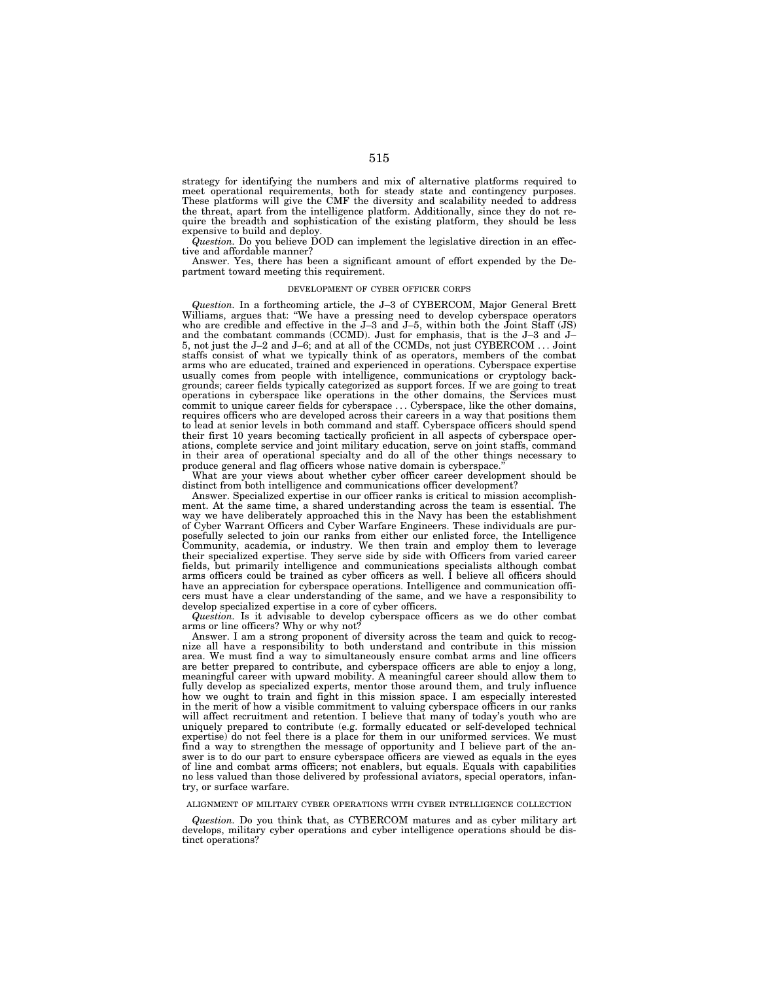strategy for identifying the numbers and mix of alternative platforms required to meet operational requirements, both for steady state and contingency purposes. These platforms will give the CMF the diversity and scalability needed to address the threat, apart from the intelligence platform. Additionally, since they do not require the breadth and sophistication of the existing platform, they should be less expensive to build and deploy.

*Question.* Do you believe DOD can implement the legislative direction in an effective and affordable manner?

Answer. Yes, there has been a significant amount of effort expended by the Department toward meeting this requirement.

### DEVELOPMENT OF CYBER OFFICER CORPS

*Question.* In a forthcoming article, the J–3 of CYBERCOM, Major General Brett Williams, argues that: "We have a pressing need to develop cyberspace operators who are credible and effective in the J–3 and J–5, within both the Joint Staff (JS) and the combatant commands (CCMD). Just for emphasis, that is the J–3 and J– 5, not just the J–2 and J–6; and at all of the CCMDs, not just CYBERCOM . . . Joint staffs consist of what we typically think of as operators, members of the combat arms who are educated, trained and experienced in operations. Cyberspace expertise usually comes from people with intelligence, communications or cryptology backgrounds; career fields typically categorized as support forces. If we are going to treat operations in cyberspace like operations in the other domains, the Services must commit to unique career fields for cyberspace . . . Cyberspace, like the other domains, requires officers who are developed across their careers in a way that positions them to lead at senior levels in both command and staff. Cyberspace officers should spend their first 10 years becoming tactically proficient in all aspects of cyberspace operations, complete service and joint military education, serve on joint staffs, command in their area of operational specialty and do all of the other things necessary to produce general and flag officers whose native domain is cyberspace.''

What are your views about whether cyber officer career development should be distinct from both intelligence and communications officer development?

Answer. Specialized expertise in our officer ranks is critical to mission accomplishment. At the same time, a shared understanding across the team is essential. The way we have deliberately approached this in the Navy has been the establishment of Cyber Warrant Officers and Cyber Warfare Engineers. These individuals are purposefully selected to join our ranks from either our enlisted force, the Intelligence Community, academia, or industry. We then train and employ them to leverage their specialized expertise. They serve side by side with Officers from varied career fields, but primarily intelligence and communications specialists although combat arms officers could be trained as cyber officers as well. I believe all officers should have an appreciation for cyberspace operations. Intelligence and communication officers must have a clear understanding of the same, and we have a responsibility to develop specialized expertise in a core of cyber officers.

*Question.* Is it advisable to develop cyberspace officers as we do other combat arms or line officers? Why or why not?

Answer. I am a strong proponent of diversity across the team and quick to recognize all have a responsibility to both understand and contribute in this mission area. We must find a way to simultaneously ensure combat arms and line officers are better prepared to contribute, and cyberspace officers are able to enjoy a long, meaningful career with upward mobility. A meaningful career should allow them to fully develop as specialized experts, mentor those around them, and truly influence how we ought to train and fight in this mission space. I am especially interested in the merit of how a visible commitment to valuing cyberspace officers in our ranks will affect recruitment and retention. I believe that many of today's youth who are uniquely prepared to contribute (e.g. formally educated or self-developed technical expertise) do not feel there is a place for them in our uniformed services. We must find a way to strengthen the message of opportunity and I believe part of the answer is to do our part to ensure cyberspace officers are viewed as equals in the eyes of line and combat arms officers; not enablers, but equals. Equals with capabilities no less valued than those delivered by professional aviators, special operators, infantry, or surface warfare.

# ALIGNMENT OF MILITARY CYBER OPERATIONS WITH CYBER INTELLIGENCE COLLECTION

*Question.* Do you think that, as CYBERCOM matures and as cyber military art develops, military cyber operations and cyber intelligence operations should be distinct operations?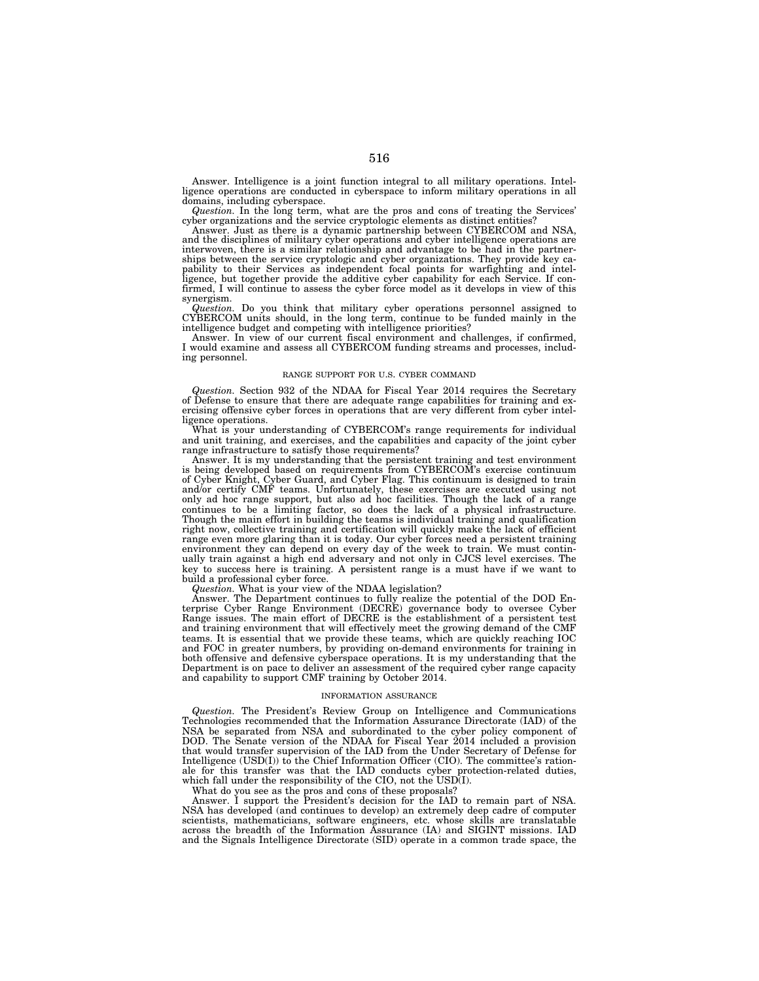Answer. Intelligence is a joint function integral to all military operations. Intelligence operations are conducted in cyberspace to inform military operations in all domains, including cyberspace.

*Question.* In the long term, what are the pros and cons of treating the Services' cyber organizations and the service cryptologic elements as distinct entities?

Answer. Just as there is a dynamic partnership between CYBERCOM and NSA, and the disciplines of military cyber operations and cyber intelligence operations are interwoven, there is a similar relationship and advantage to be had in the partner-ships between the service cryptologic and cyber organizations. They provide key capability to their Services as independent focal points for warfighting and intelligence, but together provide the additive cyber capability for each Service. If confirmed, I will continue to assess the cyber force model as it develops in view of this synergism.

*Question.* Do you think that military cyber operations personnel assigned to CYBERCOM units should, in the long term, continue to be funded mainly in the intelligence budget and competing with intelligence priorities? Answer. In view of our current fiscal environment and challenges, if confirmed,

I would examine and assess all CYBERCOM funding streams and processes, including personnel.

## RANGE SUPPORT FOR U.S. CYBER COMMAND

*Question.* Section 932 of the NDAA for Fiscal Year 2014 requires the Secretary of Defense to ensure that there are adequate range capabilities for training and exercising offensive cyber forces in operations that are very different from cyber intelligence operations.

What is your understanding of CYBERCOM's range requirements for individual and unit training, and exercises, and the capabilities and capacity of the joint cyber range infrastructure to satisfy those requirements?

Answer. It is my understanding that the persistent training and test environment is being developed based on requirements from CYBERCOM's exercise continuum of Cyber Knight, Cyber Guard, and Cyber Flag. This continuum is designed to train and/or certify CMF teams. Unfortunately, these exercises are executed using not only ad hoc range support, but also ad hoc facilities. Though the lack of a range continues to be a limiting factor, so does the lack of a physical infrastructure. Though the main effort in building the teams is individual training and qualification right now, collective training and certification will quickly make the lack of efficient range even more glaring than it is today. Our cyber forces need a persistent training environment they can depend on every day of the week to train. We must continually train against a high end adversary and not only in CJCS level exercises. The key to success here is training. A persistent range is a must have if we want to build a professional cyber force.

*Question.* What is your view of the NDAA legislation?

Answer. The Department continues to fully realize the potential of the DOD Enterprise Cyber Range Environment (DECRE) governance body to oversee Cyber Range issues. The main effort of DECRE is the establishment of a persistent test and training environment that will effectively meet the growing demand of the CMF teams. It is essential that we provide these teams, which are quickly reaching IOC and FOC in greater numbers, by providing on-demand environments for training in both offensive and defensive cyberspace operations. It is my understanding that the Department is on pace to deliver an assessment of the required cyber range capacity and capability to support CMF training by October 2014.

## INFORMATION ASSURANCE

*Question.* The President's Review Group on Intelligence and Communications Technologies recommended that the Information Assurance Directorate (IAD) of the NSA be separated from NSA and subordinated to the cyber policy component of DOD. The Senate version of the NDAA for Fiscal Year 2014 included a provision that would transfer supervision of the IAD from the Under Secretary of Defense for Intelligence (USD(I)) to the Chief Information Officer (CIO). The committee's rationale for this transfer was that the IAD conducts cyber protection-related duties, which fall under the responsibility of the CIO, not the USD(I).

What do you see as the pros and cons of these proposals?

Answer. I support the President's decision for the IAD to remain part of NSA. NSA has developed (and continues to develop) an extremely deep cadre of computer scientists, mathematicians, software engineers, etc. whose skills are translatable across the breadth of the Information Assurance (IA) and SIGINT missions. IAD and the Signals Intelligence Directorate (SID) operate in a common trade space, the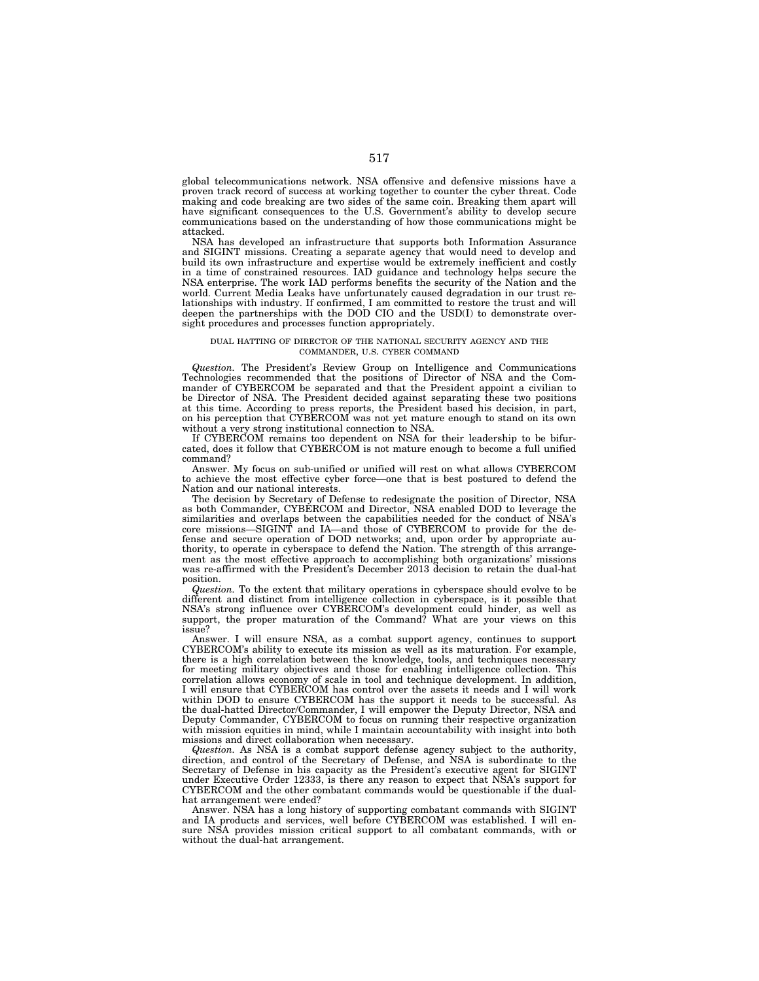global telecommunications network. NSA offensive and defensive missions have a proven track record of success at working together to counter the cyber threat. Code making and code breaking are two sides of the same coin. Breaking them apart will have significant consequences to the U.S. Government's ability to develop secure communications based on the understanding of how those communications might be attacked.

NSA has developed an infrastructure that supports both Information Assurance and SIGINT missions. Creating a separate agency that would need to develop and build its own infrastructure and expertise would be extremely inefficient and costly in a time of constrained resources. IAD guidance and technology helps secure the NSA enterprise. The work IAD performs benefits the security of the Nation and the world. Current Media Leaks have unfortunately caused degradation in our trust relationships with industry. If confirmed, I am committed to restore the trust and will deepen the partnerships with the DOD CIO and the USD(I) to demonstrate oversight procedures and processes function appropriately.

# DUAL HATTING OF DIRECTOR OF THE NATIONAL SECURITY AGENCY AND THE COMMANDER, U.S. CYBER COMMAND

*Question.* The President's Review Group on Intelligence and Communications Technologies recommended that the positions of Director of NSA and the Commander of CYBERCOM be separated and that the President appoint a civilian to be Director of NSA. The President decided against separating these two positions at this time. According to press reports, the President based his decision, in part, on his perception that CYBERCOM was not yet mature enough to stand on its own without a very strong institutional connection to NSA.

If CYBERCOM remains too dependent on NSA for their leadership to be bifurcated, does it follow that CYBERCOM is not mature enough to become a full unified command?

Answer. My focus on sub-unified or unified will rest on what allows CYBERCOM to achieve the most effective cyber force—one that is best postured to defend the Nation and our national interests.

The decision by Secretary of Defense to redesignate the position of Director, NSA as both Commander, CYBERCOM and Director, NSA enabled DOD to leverage the similarities and overlaps between the capabilities needed for the conduct of NSA's core missions—SIGINT and IA—and those of CYBERCOM to provide for the defense and secure operation of DOD networks; and, upon order by appropriate authority, to operate in cyberspace to defend the Nation. The strength of this arrangement as the most effective approach to accomplishing both organizations' missions was re-affirmed with the President's December 2013 decision to retain the dual-hat position.

*Question.* To the extent that military operations in cyberspace should evolve to be different and distinct from intelligence collection in cyberspace, is it possible that NSA's strong influence over CYBERCOM's development could hinder, as well as support, the proper maturation of the Command? What are your views on this issue?

Answer. I will ensure NSA, as a combat support agency, continues to support CYBERCOM's ability to execute its mission as well as its maturation. For example, there is a high correlation between the knowledge, tools, and techniques necessary for meeting military objectives and those for enabling intelligence collection. This correlation allows economy of scale in tool and technique development. In addition, I will ensure that CYBERCOM has control over the assets it needs and I will work within DOD to ensure CYBERCOM has the support it needs to be successful. As the dual-hatted Director/Commander, I will empower the Deputy Director, NSA and Deputy Commander, CYBERCOM to focus on running their respective organization with mission equities in mind, while I maintain accountability with insight into both missions and direct collaboration when necessary.

*Question.* As NSA is a combat support defense agency subject to the authority, direction, and control of the Secretary of Defense, and NSA is subordinate to the Secretary of Defense in his capacity as the President's executive agent for SIGINT under Executive Order 12333, is there any reason to expect that NSA's support for CYBERCOM and the other combatant commands would be questionable if the dualhat arrangement were ended?

Answer. NSA has a long history of supporting combatant commands with SIGINT and IA products and services, well before CYBERCOM was established. I will ensure NSA provides mission critical support to all combatant commands, with or without the dual-hat arrangement.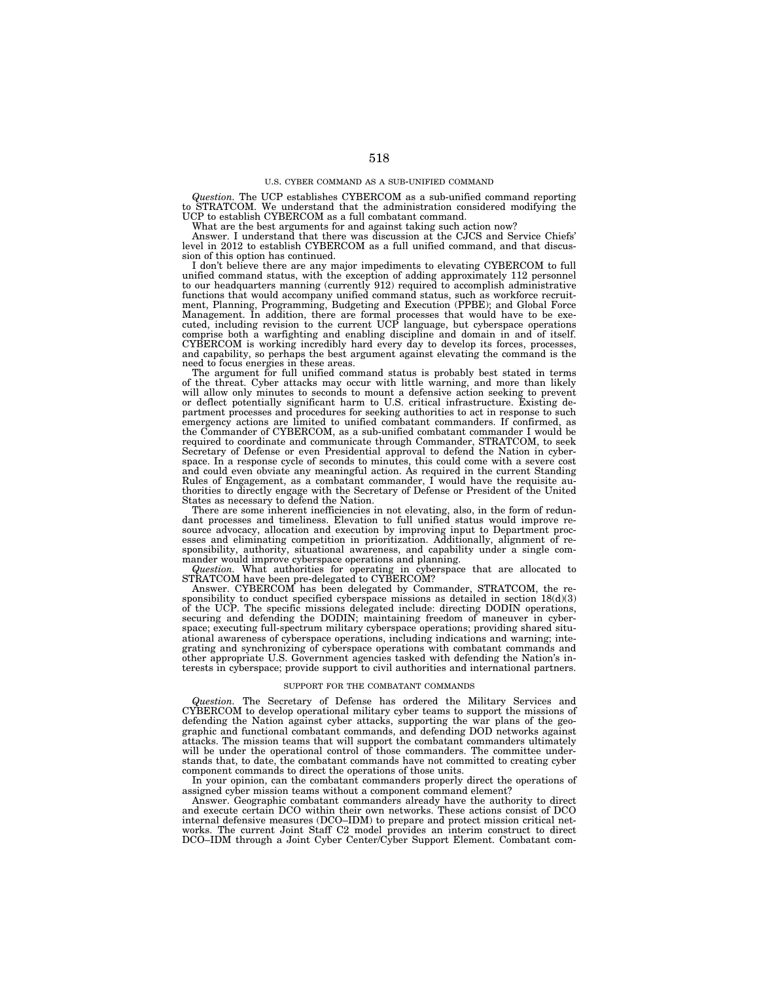## U.S. CYBER COMMAND AS A SUB-UNIFIED COMMAND

*Question.* The UCP establishes CYBERCOM as a sub-unified command reporting to STRATCOM. We understand that the administration considered modifying the UCP to establish CYBERCOM as a full combatant command.

What are the best arguments for and against taking such action now?

Answer. I understand that there was discussion at the CJCS and Service Chiefs' level in 2012 to establish CYBERCOM as a full unified command, and that discussion of this option has continued.

sion of this option has continued.<br>I don't believe there are any major impediments to elevating CYBERCOM to full<br>unified command status, with the exception of adding approximately 112 personnel<br>to our headquarters manning comprise both a warfighting and enabling discipline and domain in and of itself. CYBERCOM is working incredibly hard every day to develop its forces, processes, and capability, so perhaps the best argument against elevating the command is the need to focus energies in these areas.

The argument for full unified command status is probably best stated in terms of the threat. Cyber attacks may occur with little warning, and more than likely will allow only minutes to seconds to mount a defensive action seeking to prevent or deflect potentially significant harm to U.S. critical infrastructure. Existing department processes and procedures for seeking authorities to act in response to such emergency actions are limited to unified combatant commanders. If confirmed, as the Commander of CYBERCOM, as a sub-unified combatant commander I would be required to coordinate and communicate through Commander, STRATCOM, to seek Secretary of Defense or even Presidential approval to defend the Nation in cyberspace. In a response cycle of seconds to minutes, this could come with a severe cost and could even obviate any meaningful action. As required in the current Standing Rules of Engagement, as a combatant commander, I would have the requisite authorities to directly engage with the Secretary of Defense or President of the United States as necessary to defend the Nation.

There are some inherent inefficiencies in not elevating, also, in the form of redun-dant processes and timeliness. Elevation to full unified status would improve resource advocacy, allocation and execution by improving input to Department processes and eliminating competition in prioritization. Additionally, alignment of responsibility, authority, situational awareness, and capability under a single com-

mander would improve cyberspace operations and planning.<br>*Question*. What authorities for operating in cyberspace that are allocated to STRATCOM have been pre-delegated to CYBERCOM?

Answer. CYBERCOM has been delegated by Commander, STRATCOM, the responsibility to conduct specified cyberspace missions as detailed in section  $18(d)(3)$ of the UCP. The specific missions delegated include: directing DODIN operations, securing and defending the DODIN; maintaining freedom of maneuver in cyberspace; executing full-spectrum military cyberspace operations; providing shared situational awareness of cyberspace operations, including indications and warning; integrating and synchronizing of cyberspace operations with combatant commands and other appropriate U.S. Government agencies tasked with defending the Nation's interests in cyberspace; provide support to civil authorities and international partners.

### SUPPORT FOR THE COMBATANT COMMANDS

*Question.* The Secretary of Defense has ordered the Military Services and CYBERCOM to develop operational military cyber teams to support the missions of defending the Nation against cyber attacks, supporting the war plans of the geographic and functional combatant commands, and defending DOD networks against attacks. The mission teams that will support the combatant commanders ultimately will be under the operational control of those commanders. The committee understands that, to date, the combatant commands have not committed to creating cyber component commands to direct the operations of those units.

In your opinion, can the combatant commanders properly direct the operations of assigned cyber mission teams without a component command element?

Answer. Geographic combatant commanders already have the authority to direct and execute certain DCO within their own networks. These actions consist of DCO internal defensive measures (DCO–IDM) to prepare and protect mission critical net-works. The current Joint Staff C2 model provides an interim construct to direct DCO–IDM through a Joint Cyber Center/Cyber Support Element. Combatant com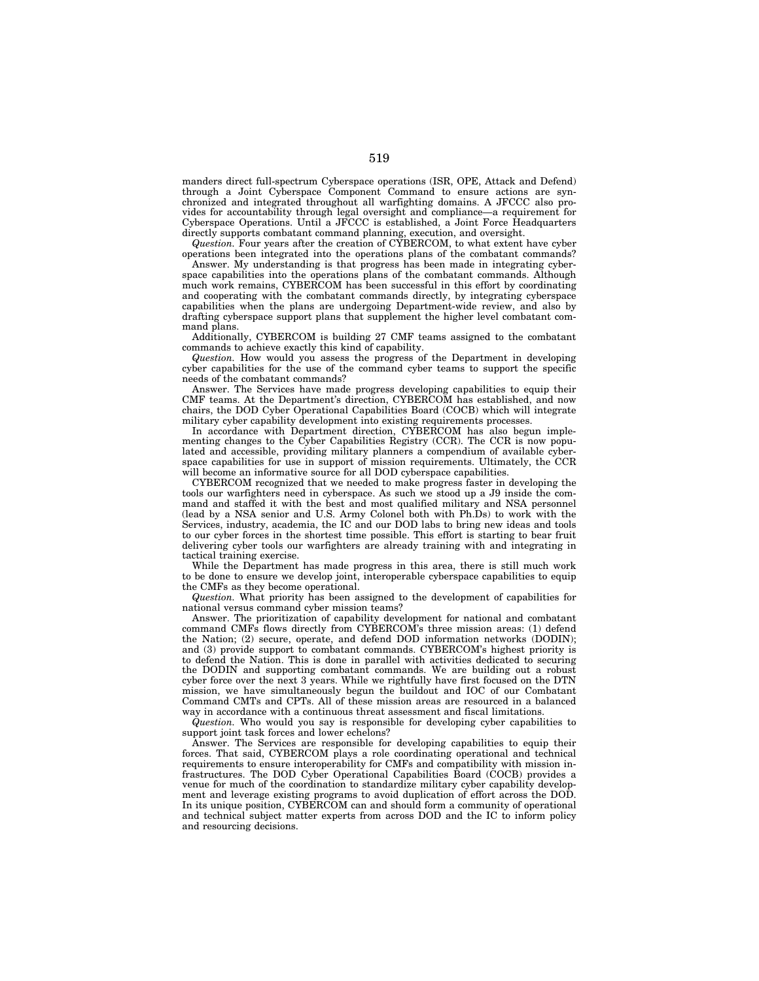manders direct full-spectrum Cyberspace operations (ISR, OPE, Attack and Defend) through a Joint Cyberspace Component Command to ensure actions are synchronized and integrated throughout all warfighting domains. A JFCCC also provides for accountability through legal oversight and compliance—a requirement for Cyberspace Operations. Until a JFCCC is established, a Joint Force Headquarters directly supports combatant command planning, execution, and oversight.

*Question.* Four years after the creation of CYBERCOM, to what extent have cyber operations been integrated into the operations plans of the combatant commands?

Answer. My understanding is that progress has been made in integrating cyberspace capabilities into the operations plans of the combatant commands. Although much work remains, CYBERCOM has been successful in this effort by coordinating and cooperating with the combatant commands directly, by integrating cyberspace capabilities when the plans are undergoing Department-wide review, and also by drafting cyberspace support plans that supplement the higher level combatant command plans.

Additionally, CYBERCOM is building 27 CMF teams assigned to the combatant commands to achieve exactly this kind of capability.

*Question.* How would you assess the progress of the Department in developing cyber capabilities for the use of the command cyber teams to support the specific needs of the combatant commands?

Answer. The Services have made progress developing capabilities to equip their CMF teams. At the Department's direction, CYBERCOM has established, and now chairs, the DOD Cyber Operational Capabilities Board (COCB) which will integrate military cyber capability development into existing requirements processes.

In accordance with Department direction, CYBERCOM has also begun implementing changes to the Cyber Capabilities Registry (CCR). The CCR is now populated and accessible, providing military planners a compendium of available cyberspace capabilities for use in support of mission requirements. Ultimately, the CCR will become an informative source for all DOD cyberspace capabilities.

CYBERCOM recognized that we needed to make progress faster in developing the tools our warfighters need in cyberspace. As such we stood up a J9 inside the command and staffed it with the best and most qualified military and NSA personnel (lead by a NSA senior and U.S. Army Colonel both with Ph.Ds) to work with the Services, industry, academia, the IC and our DOD labs to bring new ideas and tools to our cyber forces in the shortest time possible. This effort is starting to bear fruit delivering cyber tools our warfighters are already training with and integrating in tactical training exercise.

While the Department has made progress in this area, there is still much work to be done to ensure we develop joint, interoperable cyberspace capabilities to equip the CMFs as they become operational.

*Question.* What priority has been assigned to the development of capabilities for national versus command cyber mission teams?

Answer. The prioritization of capability development for national and combatant command CMFs flows directly from CYBERCOM's three mission areas: (1) defend the Nation; (2) secure, operate, and defend DOD information networks (DODIN); and (3) provide support to combatant commands. CYBERCOM's highest priority is to defend the Nation. This is done in parallel with activities dedicated to securing the DODIN and supporting combatant commands. We are building out a robust cyber force over the next 3 years. While we rightfully have first focused on the DTN mission, we have simultaneously begun the buildout and IOC of our Combatant Command CMTs and CPTs. All of these mission areas are resourced in a balanced way in accordance with a continuous threat assessment and fiscal limitations.

*Question.* Who would you say is responsible for developing cyber capabilities to support joint task forces and lower echelons?

Answer. The Services are responsible for developing capabilities to equip their forces. That said, CYBERCOM plays a role coordinating operational and technical requirements to ensure interoperability for CMFs and compatibility with mission infrastructures. The DOD Cyber Operational Capabilities Board (COCB) provides a venue for much of the coordination to standardize military cyber capability development and leverage existing programs to avoid duplication of effort across the DOD. In its unique position, CYBERCOM can and should form a community of operational and technical subject matter experts from across DOD and the IC to inform policy and resourcing decisions.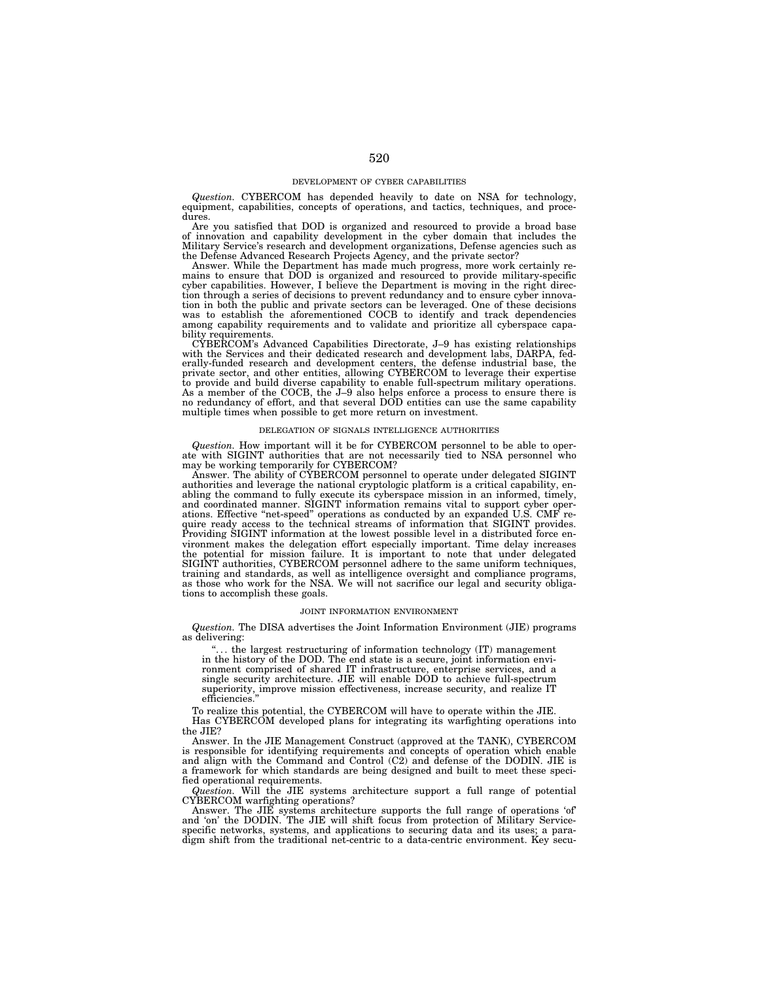### DEVELOPMENT OF CYBER CAPABILITIES

*Question.* CYBERCOM has depended heavily to date on NSA for technology, equipment, capabilities, concepts of operations, and tactics, techniques, and procedures.

Are you satisfied that DOD is organized and resourced to provide a broad base of innovation and capability development in the cyber domain that includes the Military Service's research and development organizations, Defense agencies such as the Defense Advanced Research Projects Agency, and the private sector?

Answer. While the Department has made much progress, more work certainly remains to ensure that DOD is organized and resourced to provide military-specific cyber capabilities. However, I believe the Department is moving in the right direction through a series of decisions to prevent redundancy and to ensure cyber innovation in both the public and private sectors can be leveraged. One of these decisions<br>was to establish the aforementioned COCB to identify and track dependencies<br>among capability requirements and to validate and prioritize bility requirements.

CYBERCOM's Advanced Capabilities Directorate, J–9 has existing relationships with the Services and their dedicated research and development labs, DARPA, federally-funded research and development centers, the defense industrial base, the private sector, and other entities, allowing CYBERCOM to leverage their expertise to provide and build diverse capability to enable full-spectrum military operations. As a member of the COCB, the J–9 also helps enforce a process to ensure there is no redundancy of effort, and that several DOD entities can use the same capability multiple times when possible to get more return on investment.

## DELEGATION OF SIGNALS INTELLIGENCE AUTHORITIES

*Question.* How important will it be for CYBERCOM personnel to be able to operate with SIGINT authorities that are not necessarily tied to NSA personnel who may be working temporarily for CYBERCOM?

Answer. The ability of CYBERCOM personnel to operate under delegated SIGINT authorities and leverage the national cryptologic platform is a critical capability, enabling the command to fully execute its cyberspace mission in an informed, timely, and coordinated manner. SIGINT information remains vital to support cyber operations. Effective ''net-speed'' operations as conducted by an expanded U.S. CMF require ready access to the technical streams of information that SIGINT provides. Providing SIGINT information at the lowest possible level in a distributed force environment makes the delegation effort especially important. Time delay increases the potential for mission failure. It is important to note that under delegated SIGINT authorities, CYBERCOM personnel adhere to the same uniform techniques, training and standards, as well as intelligence oversight and compliance programs, as those who work for the NSA. We will not sacrifice our legal and security obligations to accomplish these goals.

## JOINT INFORMATION ENVIRONMENT

*Question.* The DISA advertises the Joint Information Environment (JIE) programs as delivering:

... the largest restructuring of information technology (IT) management in the history of the DOD. The end state is a secure, joint information environment comprised of shared IT infrastructure, enterprise services, and a single security architecture. JIE will enable DOD to achieve full-spectrum superiority, improve mission effectiveness, increase security, and realize IT efficiencies

To realize this potential, the CYBERCOM will have to operate within the JIE.

Has CYBERCOM developed plans for integrating its warfighting operations into the JIE?

Answer. In the JIE Management Construct (approved at the TANK), CYBERCOM is responsible for identifying requirements and concepts of operation which enable and align with the Command and Control (C2) and defense of the DODIN. JIE is a framework for which standards are being designed and built to meet these specified operational requirements.

*Question.* Will the JIE systems architecture support a full range of potential CYBERCOM warfighting operations?

Answer. The JIE systems architecture supports the full range of operations 'of' and 'on' the DODIN. The JIE will shift focus from protection of Military Servicespecific networks, systems, and applications to securing data and its uses; a paradigm shift from the traditional net-centric to a data-centric environment. Key secu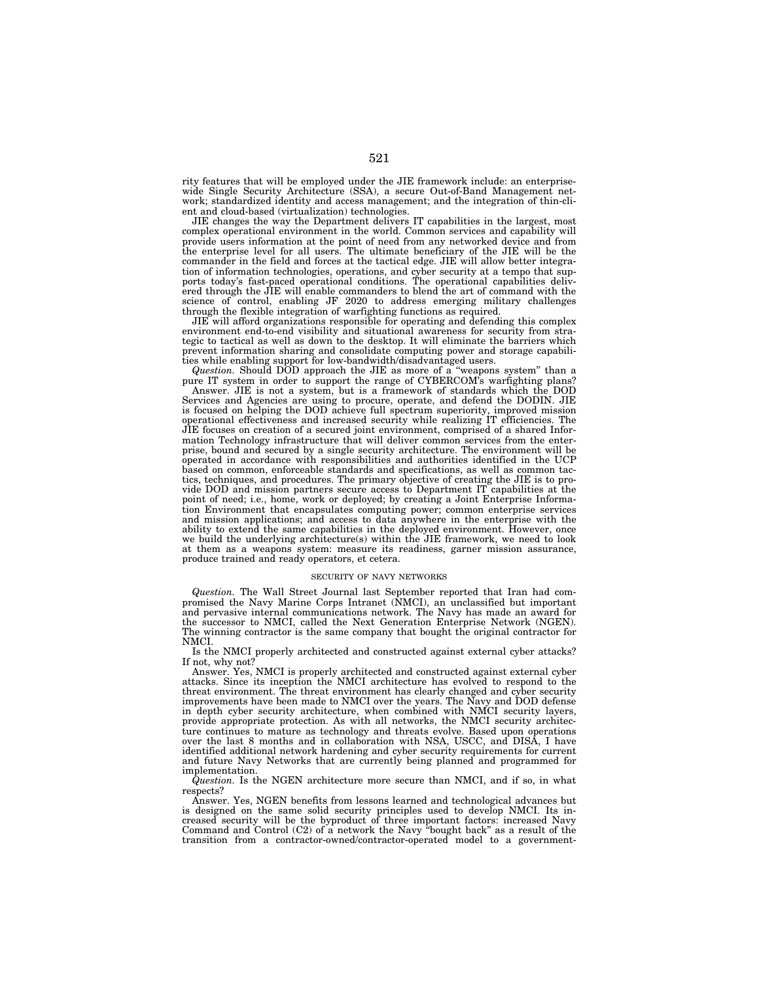rity features that will be employed under the JIE framework include: an enterprisewide Single Security Architecture (SSA), a secure Out-of-Band Management network; standardized identity and access management; and the integration of thin-client and cloud-based (virtualization) technologies.

JIE changes the way the Department delivers IT capabilities in the largest, most complex operational environment in the world. Common services and capability will provide users information at the point of need from any networked device and from the enterprise level for all users. The ultimate beneficiary of the JIE will be the commander in the field and forces at the tactical edge. JIE will allow better integration of information technologies, operations, and cyber security at a tempo that supports today's fast-paced operational conditions. The operational capabilities delivered through the JIE will enable commanders to blend the art of command with the science of control, enabling JF 2020 to address emerging military challenges through the flexible integration of warfighting functions as required.

JIE will afford organizations responsible for operating and defending this complex environment end-to-end visibility and situational awareness for security from strategic to tactical as well as down to the desktop. It will eliminate the barriers which prevent information sharing and consolidate computing power and storage capabilities while enabling support for low-bandwidth/disadvantaged users.

*Question.* Should DOD approach the JIE as more of a ''weapons system'' than a pure IT system in order to support the range of CYBERCOM's warfighting plans? Answer. JIE is not a system, but is a framework of standards which the DOD Services and Agencies are using to procure, operate, and defend the DODIN. JIE is focused on helping the DOD achieve full spectrum superiority, improved mission operational effectiveness and increased security while realizing IT efficiencies. The JIE focuses on creation of a secured joint environment, comprised of a shared Information Technology infrastructure that will deliver common services from the enterprise, bound and secured by a single security architecture. The environment will be operated in accordance with responsibilities and authorities identified in the UCP based on common, enforceable standards and specifications, as well as common tactics, techniques, and procedures. The primary objective of creating the JIE is to provide DOD and mission partners secure access to Department IT capabilities at the point of need; i.e., home, work or deployed; by creating a Joint Enterprise Information Environment that encapsulates computing power; common enterprise services and mission applications; and access to data anywhere in the enterprise with the ability to extend the same capabilities in the deployed environment. However, once we build the underlying architecture(s) within the JIE framework, we need to look at them as a weapons system: measure its readiness, garner mission assurance, produce trained and ready operators, et cetera.

#### SECURITY OF NAVY NETWORKS

*Question.* The Wall Street Journal last September reported that Iran had compromised the Navy Marine Corps Intranet (NMCI), an unclassified but important and pervasive internal communications network. The Navy has made an award for the successor to NMCI, called the Next Generation Enterprise Network (NGEN). The winning contractor is the same company that bought the original contractor for NMCI.

Is the NMCI properly architected and constructed against external cyber attacks? If not, why\_not?

Answer. Yes, NMCI is properly architected and constructed against external cyber attacks. Since its inception the NMCI architecture has evolved to respond to the threat environment. The threat environment has clearly changed and cyber security improvements have been made to NMCI over the years. The Navy and DOD defense in depth cyber security architecture, when combined with NMCI security layers, provide appropriate protection. As with all networks, the NMCI security architecture continues to mature as technology and threats evolve. Based upon operations over the last 8 months and in collaboration with NSA, USCC, and DISA, I have identified additional network hardening and cyber security requirements for current and future Navy Networks that are currently being planned and programmed for implementation.

*Question.* Is the NGEN architecture more secure than NMCI, and if so, in what respects?

Answer. Yes, NGEN benefits from lessons learned and technological advances but is designed on the same solid security principles used to develop NMCI. Its increased security will be the byproduct of three important factors: increased Navy Command and Control (C2) of a network the Navy ''bought back'' as a result of the transition from a contractor-owned/contractor-operated model to a government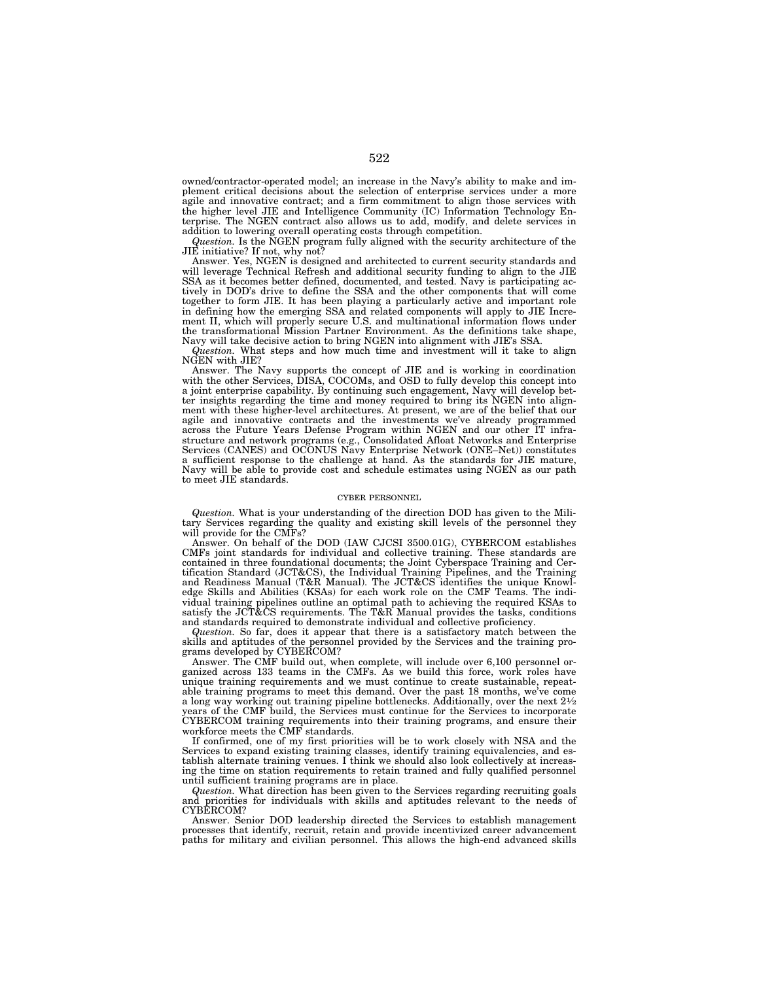owned/contractor-operated model; an increase in the Navy's ability to make and implement critical decisions about the selection of enterprise services under a more agile and innovative contract; and a firm commitment to align those services with the higher level JIE and Intelligence Community (IC) Information Technology Enterprise. The NGEN contract also allows us to add, modify, and delete services in addition to lowering overall operating costs through competition.

*Question.* Is the NGEN program fully aligned with the security architecture of the JIE initiative? If not, why not?

Answer. Yes, NGEN is designed and architected to current security standards and will leverage Technical Refresh and additional security funding to align to the JIE SSA as it becomes better defined, documented, and tested. Navy is participating actively in DOD's drive to define the SSA and the other components that will come together to form JIE. It has been playing a particularly active and important role in defining how the emerging SSA and related components will apply to JIE Increment II, which will properly secure U.S. and multinational information flows under the transformational Mission Partner Environment. As the definitions take shape, Navy will take decisive action to bring NGEN into alignment with JIE's SSA.

*Question.* What steps and how much time and investment will it take to align NGEN with JIE?

Answer. The Navy supports the concept of JIE and is working in coordination with the other Services, DISA, COCOMs, and OSD to fully develop this concept into a joint enterprise capability. By continuing such engagement, Navy will develop better insights regarding the time and money required to bring its NGEN into alignment with these higher-level architectures. At present, we are of the belief that our agile and innovative contracts and the investments we've already programmed across the Future Years Defense Program within NGEN and our other IT infrastructure and network programs (e.g., Consolidated Afloat Networks and Enterprise Services (CANES) and OCONUS Navy Enterprise Network (ONE–Net)) constitutes a sufficient response to the challenge at hand. As the standards for JIE mature, Navy will be able to provide cost and schedule estimates using NGEN as our path to meet JIE standards.

## CYBER PERSONNEL

*Question.* What is your understanding of the direction DOD has given to the Military Services regarding the quality and existing skill levels of the personnel they will provide for the CMFs?

Answer. On behalf of the DOD (IAW CJCSI 3500.01G), CYBERCOM establishes CMFs joint standards for individual and collective training. These standards are contained in three foundational documents; the Joint Cyberspace Training and Certification Standard (JCT&CS), the Individual Training Pipelines, and the Training and Readiness Manual (T&R Manual). The JCT&CS identifies the unique Knowledge Skills and Abilities (KSAs) for each work role on the CMF Teams. The individual training pipelines outline an optimal path to achieving the required KSAs to satisfy the JCT&CS requirements. The T&R Manual provides the tasks, conditions and standards required to demonstrate individual and collective proficiency.

*Question.* So far, does it appear that there is a satisfactory match between the skills and aptitudes of the personnel provided by the Services and the training programs developed by CYBERCOM?

Answer. The CMF build out, when complete, will include over 6,100 personnel organized across 133 teams in the CMFs. As we build this force, work roles have unique training requirements and we must continue to create sustainable, repeatable training programs to meet this demand. Over the past 18 months, we've come a long way working out training pipeline bottlenecks. Additionally, over the next 21⁄2 years of the CMF build, the Services must continue for the Services to incorporate CYBERCOM training requirements into their training programs, and ensure their workforce meets the CMF standards.

If confirmed, one of my first priorities will be to work closely with NSA and the Services to expand existing training classes, identify training equivalencies, and establish alternate training venues. I think we should also look collectively at increasing the time on station requirements to retain trained and fully qualified personnel until sufficient training programs are in place.

*Question.* What direction has been given to the Services regarding recruiting goals and priorities for individuals with skills and aptitudes relevant to the needs of CYBERCOM?

Answer. Senior DOD leadership directed the Services to establish management processes that identify, recruit, retain and provide incentivized career advancement paths for military and civilian personnel. This allows the high-end advanced skills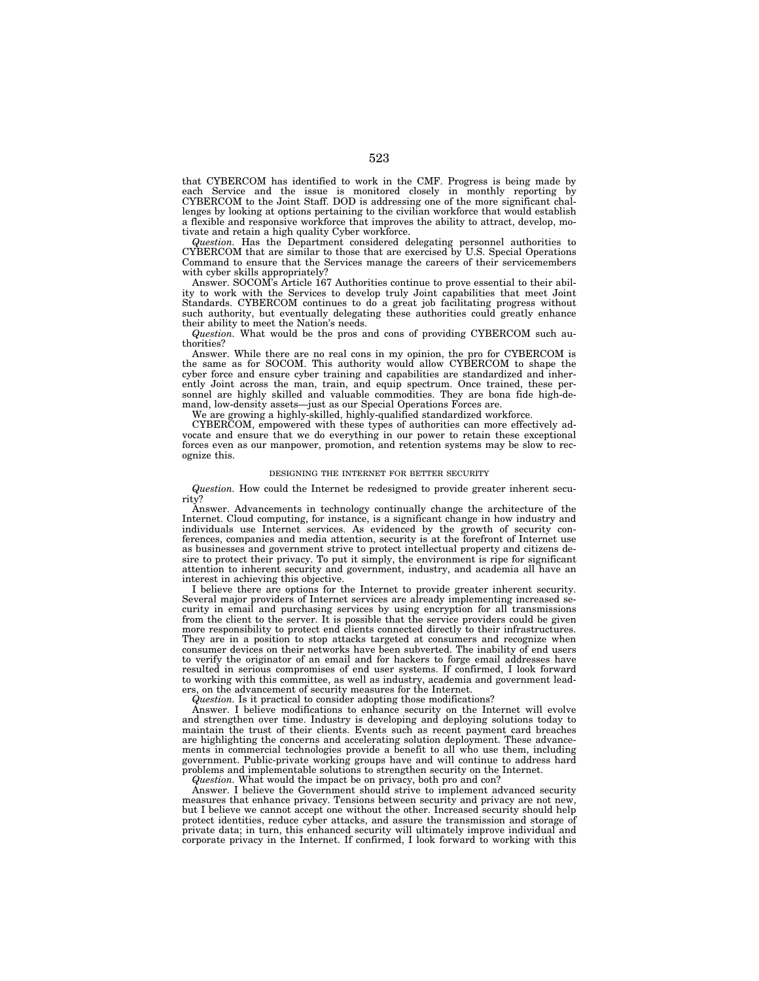that CYBERCOM has identified to work in the CMF. Progress is being made by each Service and the issue is monitored closely in monthly reporting by CYBERCOM to the Joint Staff. DOD is addressing one of the more significant challenges by looking at options pertaining to the civilian workforce that would establish a flexible and responsive workforce that improves the ability to attract, develop, motivate and retain a high quality Cyber workforce.

*Question.* Has the Department considered delegating personnel authorities to CYBERCOM that are similar to those that are exercised by U.S. Special Operations Command to ensure that the Services manage the careers of their servicemembers with cyber skills appropriately?

Answer. SOCOM's Article 167 Authorities continue to prove essential to their ability to work with the Services to develop truly Joint capabilities that meet Joint Standards. CYBERCOM continues to do a great job facilitating progress without such authority, but eventually delegating these authorities could greatly enhance their ability to meet the Nation's needs.

*Question.* What would be the pros and cons of providing CYBERCOM such authorities?

Answer. While there are no real cons in my opinion, the pro for CYBERCOM is the same as for SOCOM. This authority would allow CYBERCOM to shape the cyber force and ensure cyber training and capabilities are standardized and inherently Joint across the man, train, and equip spectrum. Once trained, these personnel are highly skilled and valuable commodities. They are bona fide high-demand, low-density assets—just as our Special Operations Forces are.

We are growing a highly-skilled, highly-qualified standardized workforce.

CYBERCOM, empowered with these types of authorities can more effectively advocate and ensure that we do everything in our power to retain these exceptional forces even as our manpower, promotion, and retention systems may be slow to recognize this.

### DESIGNING THE INTERNET FOR BETTER SECURITY

*Question.* How could the Internet be redesigned to provide greater inherent security?

Advancements in technology continually change the architecture of the Internet. Cloud computing, for instance, is a significant change in how industry and individuals use Internet services. As evidenced by the growth of security conferences, companies and media attention, security is at the forefront of Internet use as businesses and government strive to protect intellectual property and citizens desire to protect their privacy. To put it simply, the environment is ripe for significant attention to inherent security and government, industry, and academia all have an interest in achieving this objective.

I believe there are options for the Internet to provide greater inherent security. Several major providers of Internet services are already implementing increased security in email and purchasing services by using encryption for all transmissions from the client to the server. It is possible that the service providers could be given more responsibility to protect end clients connected directly to their infrastructures. They are in a position to stop attacks targeted at consumers and recognize when consumer devices on their networks have been subverted. The inability of end users to verify the originator of an email and for hackers to forge email addresses have resulted in serious compromises of end user systems. If confirmed, I look forward to working with this committee, as well as industry, academia and government leaders, on the advancement of security measures for the Internet.

*Question.* Is it practical to consider adopting those modifications?

Answer. I believe modifications to enhance security on the Internet will evolve and strengthen over time. Industry is developing and deploying solutions today to maintain the trust of their clients. Events such as recent payment card breaches are highlighting the concerns and accelerating solution deployment. These advancements in commercial technologies provide a benefit to all who use them, including government. Public-private working groups have and will continue to address hard problems and implementable solutions to strengthen security on the Internet.

*Question.* What would the impact be on privacy, both pro and con?

Answer. I believe the Government should strive to implement advanced security measures that enhance privacy. Tensions between security and privacy are not new, but I believe we cannot accept one without the other. Increased security should help protect identities, reduce cyber attacks, and assure the transmission and storage of private data; in turn, this enhanced security will ultimately improve individual and corporate privacy in the Internet. If confirmed, I look forward to working with this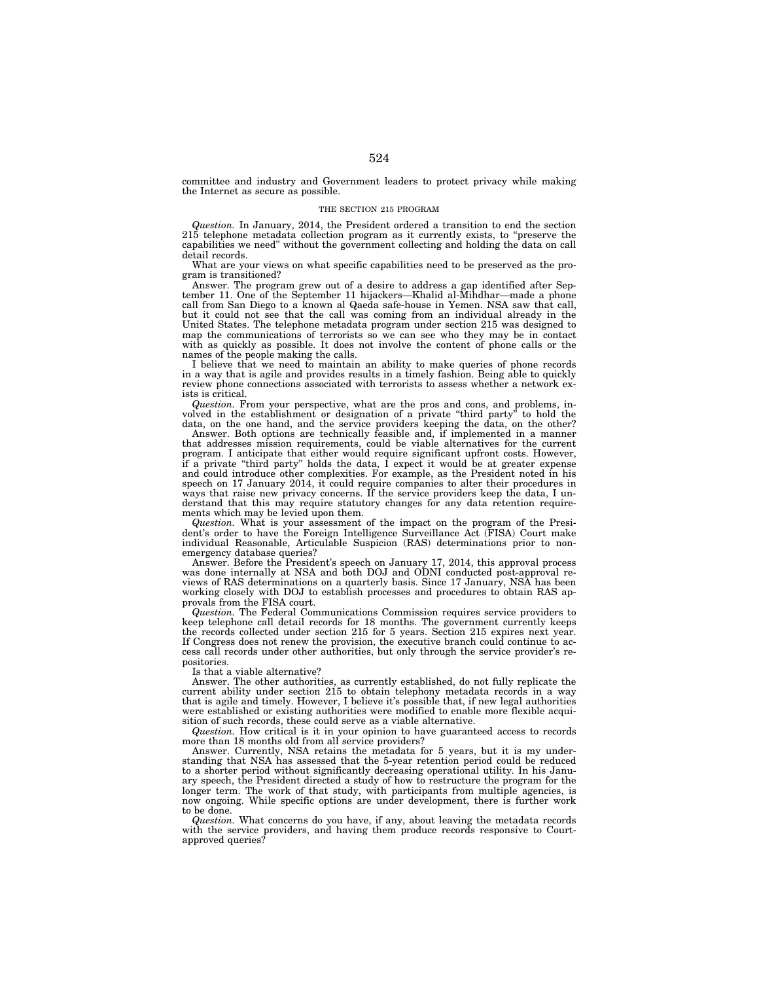committee and industry and Government leaders to protect privacy while making the Internet as secure as possible.

## THE SECTION 215 PROGRAM

*Question.* In January, 2014, the President ordered a transition to end the section 215 telephone metadata collection program as it currently exists, to ''preserve the capabilities we need'' without the government collecting and holding the data on call detail records.

What are your views on what specific capabilities need to be preserved as the program is transitioned?

Answer. The program grew out of a desire to address a gap identified after September 11. One of the September 11 hijackers—Khalid al-Mihdhar—made a phone call from San Diego to a known al Qaeda safe-house in Yemen. NSA saw that call, but it could not see that the call was coming from an individual already in the United States. The telephone metadata program under section 215 was designed to map the communications of terrorists so we can see who they may be in contact with as quickly as possible. It does not involve the content of phone calls or the names of the people making the calls.

I believe that we need to maintain an ability to make queries of phone records in a way that is agile and provides results in a timely fashion. Being able to quickly review phone connections associated with terrorists to assess whether a network exists is critical.

*Question.* From your perspective, what are the pros and cons, and problems, involved in the establishment or designation of a private ''third party'' to hold the data, on the one hand, and the service providers keeping the data, on the other?

Answer. Both options are technically feasible and, if implemented in a manner that addresses mission requirements, could be viable alternatives for the current program. I anticipate that either would require significant upfront costs. However, if a private ''third party'' holds the data, I expect it would be at greater expense and could introduce other complexities. For example, as the President noted in his speech on 17 January 2014, it could require companies to alter their procedures in ways that raise new privacy concerns. If the service providers keep the data, I understand that this may require statutory changes for any data retention requirements which may be levied upon them.

*Question.* What is your assessment of the impact on the program of the President's order to have the Foreign Intelligence Surveillance Act (FISA) Court make individual Reasonable, Articulable Suspicion (RAS) determinations prior to nonemergency database queries?

Answer. Before the President's speech on January 17, 2014, this approval process was done internally at NSA and both DOJ and ODNI conducted post-approval reviews of RAS determinations on a quarterly basis. Since 17 January, NSA has been working closely with DOJ to establish processes and procedures to obtain RAS approvals from the FISA court.

*Question.* The Federal Communications Commission requires service providers to keep telephone call detail records for 18 months. The government currently keeps the records collected under section 215 for 5 years. Section 215 expires next year. If Congress does not renew the provision, the executive branch could continue to access call records under other authorities, but only through the service provider's repositories.

Is that a viable alternative?

Answer. The other authorities, as currently established, do not fully replicate the current ability under section 215 to obtain telephony metadata records in a way that is agile and timely. However, I believe it's possible that, if new legal authorities were established or existing authorities were modified to enable more flexible acquisition of such records, these could serve as a viable alternative.

*Question.* How critical is it in your opinion to have guaranteed access to records more than 18 months old from all service providers?

Answer. Currently, NSA retains the metadata for 5 years, but it is my understanding that NSA has assessed that the 5-year retention period could be reduced to a shorter period without significantly decreasing operational utility. In his January speech, the President directed a study of how to restructure the program for the longer term. The work of that study, with participants from multiple agencies, is now ongoing. While specific options are under development, there is further work to be done.

*Question.* What concerns do you have, if any, about leaving the metadata records with the service providers, and having them produce records responsive to Courtapproved queries?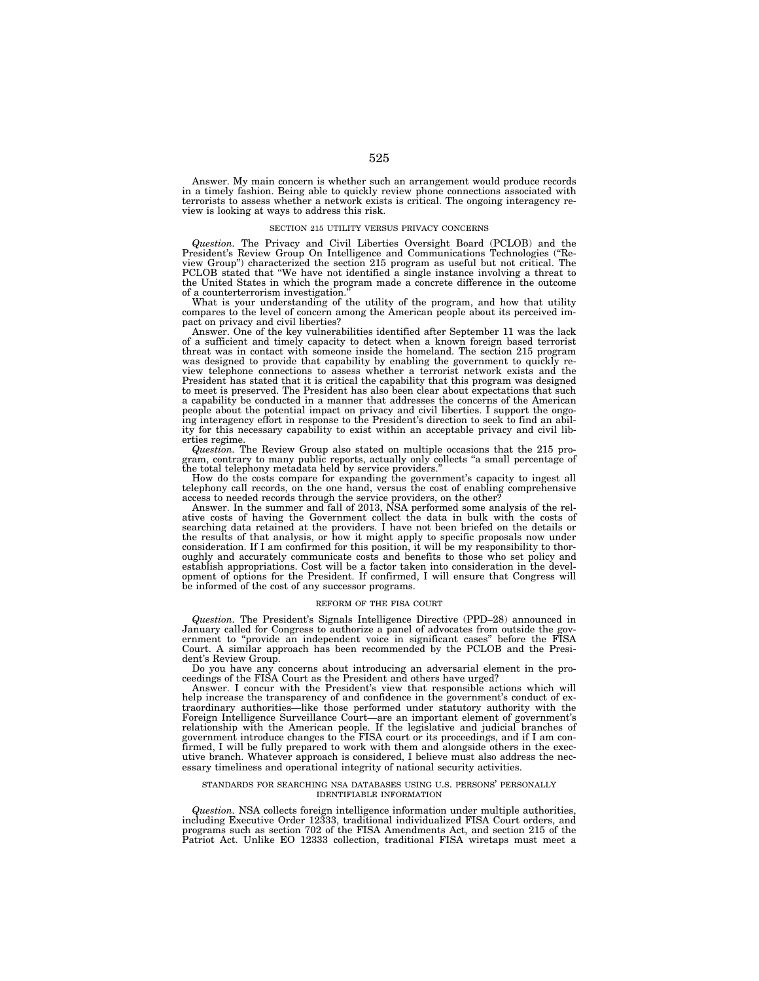Answer. My main concern is whether such an arrangement would produce records in a timely fashion. Being able to quickly review phone connections associated with terrorists to assess whether a network exists is critical. The ongoing interagency review is looking at ways to address this risk.

### SECTION 215 UTILITY VERSUS PRIVACY CONCERNS

*Question.* The Privacy and Civil Liberties Oversight Board (PCLOB) and the President's Review Group On Intelligence and Communications Technologies (''Review Group'') characterized the section 215 program as useful but not critical. The PCLOB stated that ''We have not identified a single instance involving a threat to the United States in which the program made a concrete difference in the outcome

of a counterterrorism investigation.'' What is your understanding of the utility of the program, and how that utility compares to the level of concern among the American people about its perceived impact on privacy and civil liberties?

Answer. One of the key vulnerabilities identified after September 11 was the lack of a sufficient and timely capacity to detect when a known foreign based terrorist threat was in contact with someone inside the homeland. The section 215 program was designed to provide that capability by enabling the government to quickly review telephone connections to assess whether a terrorist network exists and the President has stated that it is critical the capability that this program was designed to meet is preserved. The President has also been clear about expectations that such a capability be conducted in a manner that addresses the concerns of the American people about the potential impact on privacy and civil liberties. I support the ongoing interagency effort in response to the President's direction to seek to find an ability for this necessary capability to exist within an acceptable privacy and civil liberties regime. *Question.* The Review Group also stated on multiple occasions that the 215 pro-

gram, contrary to many public reports, actually only collects ''a small percentage of the total telephony metadata held by service providers.''

How do the costs compare for expanding the government's capacity to ingest all telephony call records, on the one hand, versus the cost of enabling comprehensive

access to needed records through the service providers, on the other? Answer. In the summer and fall of 2013, NSA performed some analysis of the relative costs of having the Government collect the data in bulk with the costs of searching data retained at the providers. I have not been briefed on the details or the results of that analysis, or how it might apply to specific proposals now under consideration. If I am confirmed for this position, it will be my responsibility to thoroughly and accurately communicate costs and benefits to those who set policy and establish appropriations. Cost will be a factor taken into consideration in the development of options for the President. If confirmed, I will ensure that Congress will be informed of the cost of any successor programs.

# REFORM OF THE FISA COURT

*Question.* The President's Signals Intelligence Directive (PPD–28) announced in January called for Congress to authorize a panel of advocates from outside the gov-ernment to ''provide an independent voice in significant cases'' before the FISA Court. A similar approach has been recommended by the PCLOB and the President's Review Group.

Do you have any concerns about introducing an adversarial element in the proceedings of the FISA Court as the President and others have urged?

Answer. I concur with the President's view that responsible actions which will help increase the transparency of and confidence in the government's conduct of extraordinary authorities—like those performed under statutory authority with the Foreign Intelligence Surveillance Court—are an important element of government's relationship with the American people. If the legislative and judicial branches of government introduce changes to the FISA court or its proceedings, and if I am confirmed, I will be fully prepared to work with them and alongside others in the executive branch. Whatever approach is considered, I believe must also address the necessary timeliness and operational integrity of national security activities.

### STANDARDS FOR SEARCHING NSA DATABASES USING U.S. PERSONS' PERSONALLY IDENTIFIABLE INFORMATION

*Question.* NSA collects foreign intelligence information under multiple authorities, including Executive Order 12333, traditional individualized FISA Court orders, and programs such as section 702 of the FISA Amendments Act, and section 215 of the Patriot Act. Unlike EO 12333 collection, traditional FISA wiretaps must meet a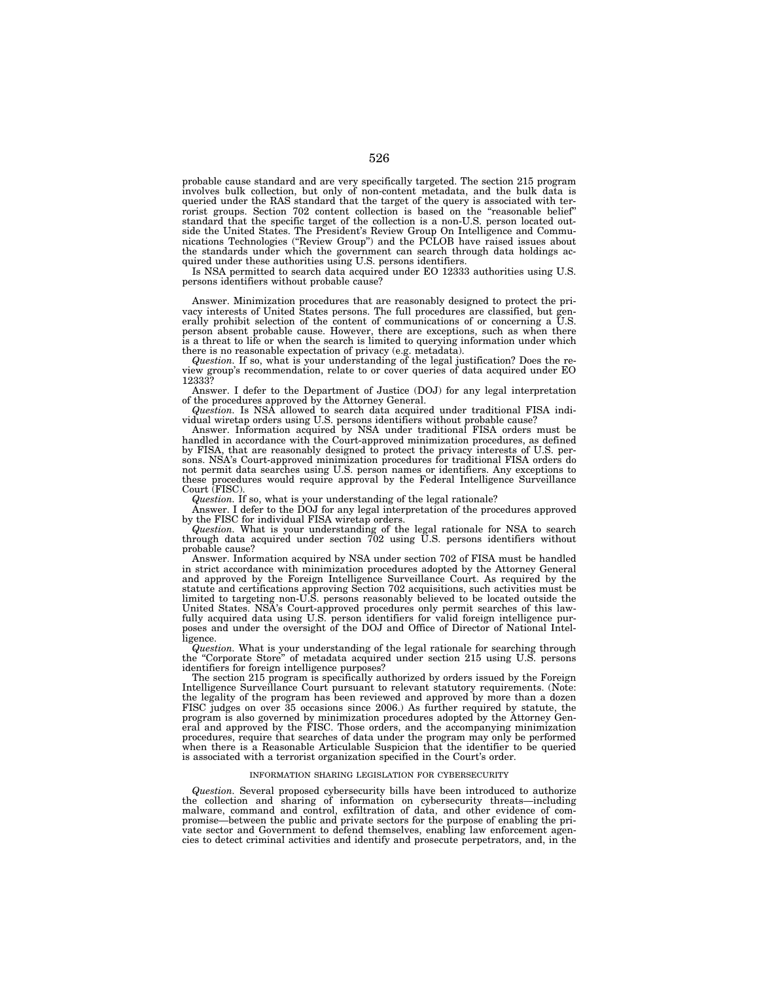probable cause standard and are very specifically targeted. The section 215 program involves bulk collection, but only of non-content metadata, and the bulk data is queried under the RAS standard that the target of the query is associated with terrorist groups. Section 702 content collection is based on the "reasonable belief" standard that the specific target of the collection is a non-U.S. person located outside the United States. The President's Review Group On Intelligence and Communications Technologies (''Review Group'') and the PCLOB have raised issues about the standards under which the government can search through data holdings acquired under these authorities using U.S. persons identifiers.

Is NSA permitted to search data acquired under EO 12333 authorities using U.S. persons identifiers without probable cause?

Answer. Minimization procedures that are reasonably designed to protect the privacy interests of United States persons. The full procedures are classified, but generally prohibit selection of the content of communications of or concerning a U.S. person absent probable cause. However, there are exceptions, such as when there is a threat to life or when the search is limited to querying information under which there is no reasonable expectation of privacy (e.g. metadata).

*Question.* If so, what is your understanding of the legal justification? Does the review group's recommendation, relate to or cover queries of data acquired under EO 12333?

Answer. I defer to the Department of Justice (DOJ) for any legal interpretation of the procedures approved by the Attorney General.

*Question.* Is NSA allowed to search data acquired under traditional FISA individual wiretap orders using U.S. persons identifiers without probable cause?

Answer. Information acquired by NSA under traditional FISA orders must be handled in accordance with the Court-approved minimization procedures, as defined by FISA, that are reasonably designed to protect the privacy interests of U.S. persons. NSA's Court-approved minimization procedures for traditional FISA orders do not permit data searches using U.S. person names or identifiers. Any exceptions to these procedures would require approval by the Federal Intelligence Surveillance Court (FISC).

*Question.* If so, what is your understanding of the legal rationale?

Answer. I defer to the DOJ for any legal interpretation of the procedures approved by the FISC for individual FISA wiretap orders.

*Question.* What is your understanding of the legal rationale for NSA to search through data acquired under section 702 using U.S. persons identifiers without probable cause?

Answer. Information acquired by NSA under section 702 of FISA must be handled in strict accordance with minimization procedures adopted by the Attorney General and approved by the Foreign Intelligence Surveillance Court. As required by the statute and certifications approving Section 702 acquisitions, such activities must be limited to targeting non-U.S. persons reasonably believed to be located outside the United States. NSA's Court-approved procedures only permit searches of this lawfully acquired data using U.S. person identifiers for valid foreign intelligence purposes and under the oversight of the DOJ and Office of Director of National Intelligence.

*Question.* What is your understanding of the legal rationale for searching through the ''Corporate Store'' of metadata acquired under section 215 using U.S. persons identifiers for foreign intelligence purposes?

The section 215 program is specifically authorized by orders issued by the Foreign Intelligence Surveillance Court pursuant to relevant statutory requirements. (Note: the legality of the program has been reviewed and approved by more than a dozen FISC judges on over 35 occasions since 2006.) As further required by statute, the program is also governed by minimization procedures adopted by the Attorney General and approved by the FISC. Those orders, and the accompanying minimization procedures, require that searches of data under the program may only be performed when there is a Reasonable Articulable Suspicion that the identifier to be queried is associated with a terrorist organization specified in the Court's order.

# INFORMATION SHARING LEGISLATION FOR CYBERSECURITY

*Question.* Several proposed cybersecurity bills have been introduced to authorize the collection and sharing of information on cybersecurity threats—including malware, command and control, exfiltration of data, and other evidence of compromise—between the public and private sectors for the purpose of enabling the private sector and Government to defend themselves, enabling law enforcement agencies to detect criminal activities and identify and prosecute perpetrators, and, in the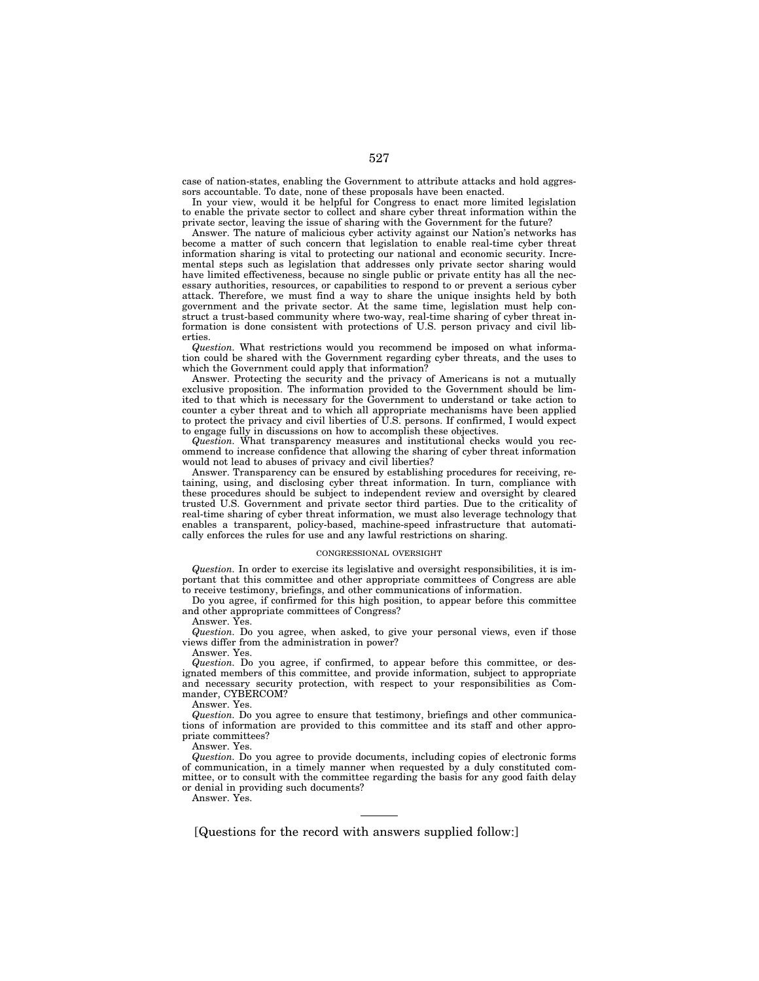case of nation-states, enabling the Government to attribute attacks and hold aggressors accountable. To date, none of these proposals have been enacted.

In your view, would it be helpful for Congress to enact more limited legislation to enable the private sector to collect and share cyber threat information within the private sector, leaving the issue of sharing with the Government for the future?

Answer. The nature of malicious cyber activity against our Nation's networks has become a matter of such concern that legislation to enable real-time cyber threat information sharing is vital to protecting our national and economic security. Incremental steps such as legislation that addresses only private sector sharing would have limited effectiveness, because no single public or private entity has all the necessary authorities, resources, or capabilities to respond to or prevent a serious cyber attack. Therefore, we must find a way to share the unique insights held by both government and the private sector. At the same time, legislation must help construct a trust-based community where two-way, real-time sharing of cyber threat information is done consistent with protections of U.S. person privacy and civil liberties.

*Question.* What restrictions would you recommend be imposed on what information could be shared with the Government regarding cyber threats, and the uses to which the Government could apply that information?

Answer. Protecting the security and the privacy of Americans is not a mutually exclusive proposition. The information provided to the Government should be limited to that which is necessary for the Government to understand or take action to counter a cyber threat and to which all appropriate mechanisms have been applied to protect the privacy and civil liberties of U.S. persons. If confirmed, I would expect to engage fully in discussions on how to accomplish these objectives.

*Question.* What transparency measures and institutional checks would you recommend to increase confidence that allowing the sharing of cyber threat information would not lead to abuses of privacy and civil liberties?

Answer. Transparency can be ensured by establishing procedures for receiving, retaining, using, and disclosing cyber threat information. In turn, compliance with these procedures should be subject to independent review and oversight by cleared trusted U.S. Government and private sector third parties. Due to the criticality of real-time sharing of cyber threat information, we must also leverage technology that enables a transparent, policy-based, machine-speed infrastructure that automatically enforces the rules for use and any lawful restrictions on sharing.

## CONGRESSIONAL OVERSIGHT

*Question.* In order to exercise its legislative and oversight responsibilities, it is important that this committee and other appropriate committees of Congress are able to receive testimony, briefings, and other communications of information.

Do you agree, if confirmed for this high position, to appear before this committee and other appropriate committees of Congress?

Answer. Yes.

*Question.* Do you agree, when asked, to give your personal views, even if those views differ from the administration in power?

Answer. Yes.

*Question.* Do you agree, if confirmed, to appear before this committee, or designated members of this committee, and provide information, subject to appropriate and necessary security protection, with respect to your responsibilities as Commander, CYBERCOM?

Answer. Yes.

*Question.* Do you agree to ensure that testimony, briefings and other communications of information are provided to this committee and its staff and other appropriate committees?

Answer. Yes.

*Question.* Do you agree to provide documents, including copies of electronic forms of communication, in a timely manner when requested by a duly constituted committee, or to consult with the committee regarding the basis for any good faith delay or denial in providing such documents?

Answer. Yes.

[Questions for the record with answers supplied follow:]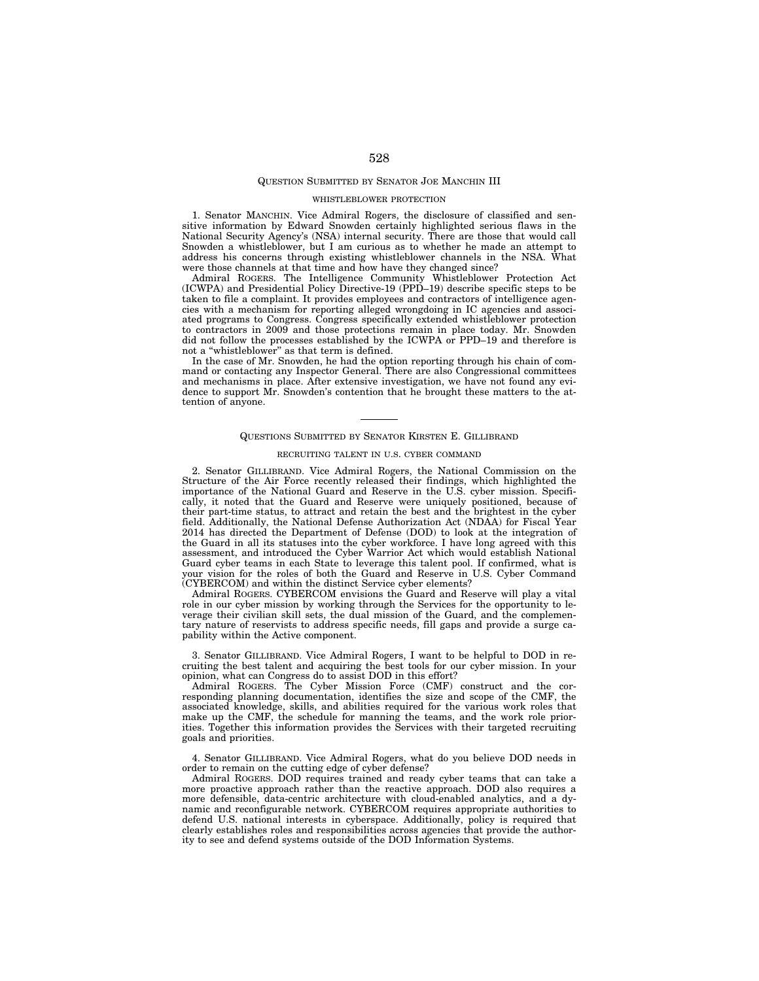# QUESTION SUBMITTED BY SENATOR JOE MANCHIN III

## WHISTLEBLOWER PROTECTION

1. Senator MANCHIN. Vice Admiral Rogers, the disclosure of classified and sensitive information by Edward Snowden certainly highlighted serious flaws in the National Security Agency's (NSA) internal security. There are those that would call Snowden a whistleblower, but I am curious as to whether he made an attempt to address his concerns through existing whistleblower channels in the NSA. What were those channels at that time and how have they changed since?

Admiral ROGERS. The Intelligence Community Whistleblower Protection Act (ICWPA) and Presidential Policy Directive-19 (PPD–19) describe specific steps to be taken to file a complaint. It provides employees and contractors of intelligence agencies with a mechanism for reporting alleged wrongdoing in IC agencies and associated programs to Congress. Congress specifically extended whistleblower protection to contractors in 2009 and those protections remain in place today. Mr. Snowden did not follow the processes established by the ICWPA or PPD–19 and therefore is not a "whistleblower" as that term is defined.

In the case of Mr. Snowden, he had the option reporting through his chain of command or contacting any Inspector General. There are also Congressional committees and mechanisms in place. After extensive investigation, we have not found any evidence to support Mr. Snowden's contention that he brought these matters to the attention of anyone.

### QUESTIONS SUBMITTED BY SENATOR KIRSTEN E. GILLIBRAND

# RECRUITING TALENT IN U.S. CYBER COMMAND

2. Senator GILLIBRAND. Vice Admiral Rogers, the National Commission on the Structure of the Air Force recently released their findings, which highlighted the importance of the National Guard and Reserve in the U.S. cyber mission. Specifically, it noted that the Guard and Reserve were uniquely positioned, because of their part-time status, to attract and retain the best and the brightest in the cyber field. Additionally, the National Defense Authorization Act (NDAA) for Fiscal Year 2014 has directed the Department of Defense (DOD) to look at the integration of the Guard in all its statuses into the cyber workforce. I have long agreed with this assessment, and introduced the Cyber Warrior Act which would establish National Guard cyber teams in each State to leverage this talent pool. If confirmed, what is your vision for the roles of both the Guard and Reserve in U.S. Cyber Command (CYBERCOM) and within the distinct Service cyber elements?

Admiral ROGERS. CYBERCOM envisions the Guard and Reserve will play a vital role in our cyber mission by working through the Services for the opportunity to leverage their civilian skill sets, the dual mission of the Guard, and the complementary nature of reservists to address specific needs, fill gaps and provide a surge capability within the Active component.

3. Senator GILLIBRAND. Vice Admiral Rogers, I want to be helpful to DOD in recruiting the best talent and acquiring the best tools for our cyber mission. In your opinion, what can Congress do to assist DOD in this effort?

Admiral ROGERS. The Cyber Mission Force (CMF) construct and the corresponding planning documentation, identifies the size and scope of the CMF, the associated knowledge, skills, and abilities required for the various work roles that make up the CMF, the schedule for manning the teams, and the work role priorities. Together this information provides the Services with their targeted recruiting goals and priorities.

4. Senator GILLIBRAND. Vice Admiral Rogers, what do you believe DOD needs in order to remain on the cutting edge of cyber defense?

Admiral ROGERS. DOD requires trained and ready cyber teams that can take a more proactive approach rather than the reactive approach. DOD also requires a more defensible, data-centric architecture with cloud-enabled analytics, and a dynamic and reconfigurable network. CYBERCOM requires appropriate authorities to defend U.S. national interests in cyberspace. Additionally, policy is required that clearly establishes roles and responsibilities across agencies that provide the authority to see and defend systems outside of the DOD Information Systems.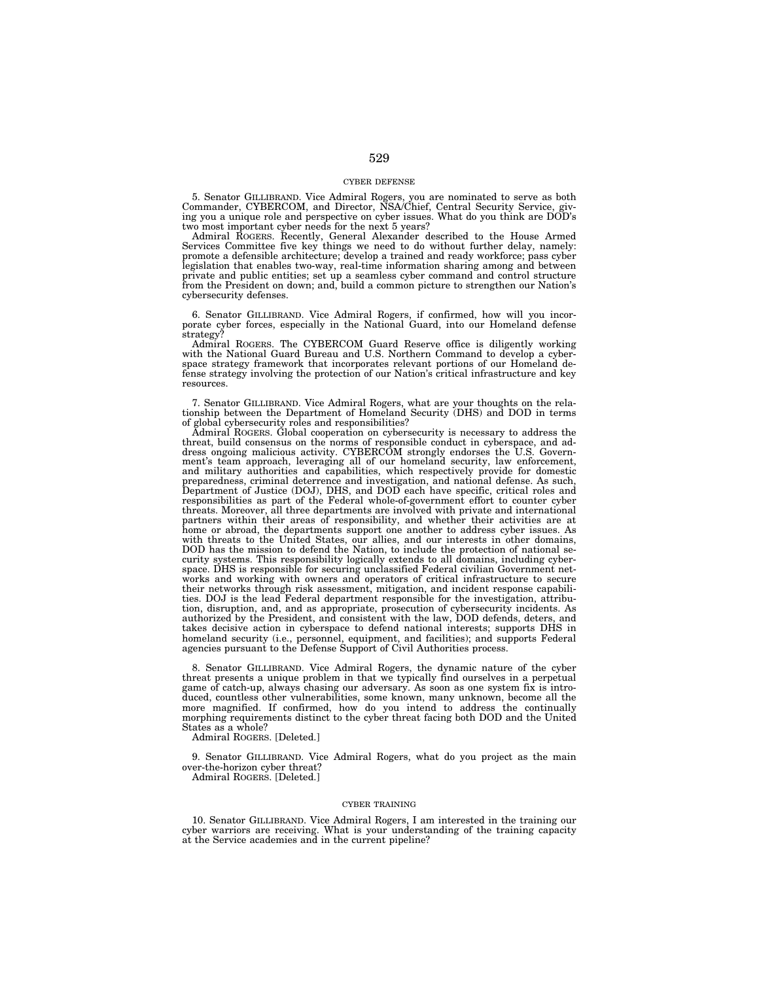## CYBER DEFENSE

5. Senator GILLIBRAND. Vice Admiral Rogers, you are nominated to serve as both Commander, CYBERCOM, and Director, NSA/Chief, Central Security Service, giving you a unique role and perspective on cyber issues. What do you think are DOD's two most important cyber needs for the next 5 years?

Admiral ROGERS. Recently, General Alexander described to the House Armed<br>Services Committee five key things we need to do without further delay, namely:<br>promote a defensible architecture; develop a trained and ready workfo legislation that enables two-way, real-time information sharing among and between private and public entities; set up a seamless cyber command and control structure from the President on down; and, build a common picture to strengthen our Nation's cybersecurity defenses.

6. Senator GILLIBRAND. Vice Admiral Rogers, if confirmed, how will you incorporate cyber forces, especially in the National Guard, into our Homeland defense strategy<sup>®</sup>

Admiral ROGERS. The CYBERCOM Guard Reserve office is diligently working with the National Guard Bureau and U.S. Northern Command to develop a cyberspace strategy framework that incorporates relevant portions of our Homeland defense strategy involving the protection of our Nation's critical infrastructure and key resources.

7. Senator GILLIBRAND. Vice Admiral Rogers, what are your thoughts on the relationship between the Department of Homeland Security (DHS) and DOD in terms of global cybersecurity roles and responsibilities?

Admiral ROGERS. Global cooperation on cybersecurity is necessary to address the threat, build consensus on the norms of responsible conduct in cyberspace, and address ongoing malicious activity. CYBERCOM strongly endorses the U.S. Government's team approach, leveraging all of our homeland security, law enforcement, and military authorities and capabilities, which respectively provide for domestic preparedness, criminal deterrence and investigation, and national defense. As such,<br>Department of Justice (DOJ), DHS, and DOD each have specific, critical roles and<br>responsibilities as part of the Federal whole-of-governme threats. Moreover, all three departments are involved with private and international partners within their areas of responsibility, and whether their activities are at home or abroad, the departments support one another to address cyber issues. As with threats to the United States, our allies, and our interests in other domains, DOD has the mission to defend the Nation, to include the protection of national security systems. This responsibility logically extends to all domains, including cyberspace. DHS is responsible for securing unclassified Federal civilian Government net-works and working with owners and operators of critical infrastructure to secure their networks through risk assessment, mitigation, and incident response capabilities. DOJ is the lead Federal department responsible for the investigation, attribution, disruption, and, and as appropriate, prosecution of cybersecurity incidents. As authorized by the President, and consistent with the law, DOD defends, deters, and takes decisive action in cyberspace to defend national interests; supports DHS in homeland security (i.e., personnel, equipment, and facilities); and supports Federal agencies pursuant to the Defense Support of Civil Authorities process.

8. Senator GILLIBRAND. Vice Admiral Rogers, the dynamic nature of the cyber threat presents a unique problem in that we typically find ourselves in a perpetual game of catch-up, always chasing our adversary. As soon as one system fix is introduced, countless other vulnerabilities, some known, many unknown, become all the more magnified. If confirmed, how do you intend to address the continually morphing requirements distinct to the cyber threat facing both DOD and the United States as a whole?

Admiral ROGERS. [Deleted.]

9. Senator GILLIBRAND. Vice Admiral Rogers, what do you project as the main over-the-horizon cyber threat? Admiral ROGERS. [Deleted.]

# CYBER TRAINING

10. Senator GILLIBRAND. Vice Admiral Rogers, I am interested in the training our cyber warriors are receiving. What is your understanding of the training capacity at the Service academies and in the current pipeline?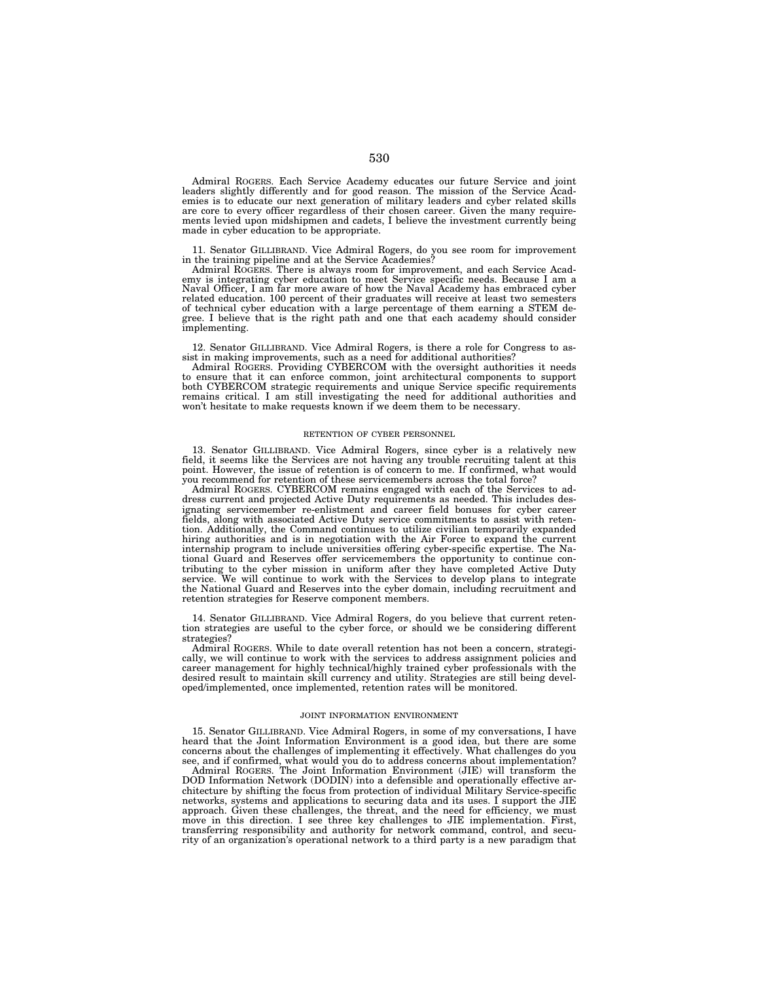Admiral ROGERS. Each Service Academy educates our future Service and joint leaders slightly differently and for good reason. The mission of the Service Academies is to educate our next generation of military leaders and cyber related skills are core to every officer regardless of their chosen career. Given the many requirements levied upon midshipmen and cadets, I believe the investment currently being made in cyber education to be appropriate.

11. Senator GILLIBRAND. Vice Admiral Rogers, do you see room for improvement in the training pipeline and at the Service Academies?

Admiral ROGERS. There is always room for improvement, and each Service Acad-emy is integrating cyber education to meet Service specific needs. Because I am a Naval Officer, I am far more aware of how the Naval Academy has embraced cyber related education. 100 percent of their graduates will receive at least two semesters of technical cyber education with a large percentage of them earning a STEM de-gree. I believe that is the right path and one that each academy should consider implementing.

12. Senator GILLIBRAND. Vice Admiral Rogers, is there a role for Congress to as-

sist in making improvements, such as a need for additional authorities? Admiral ROGERS. Providing CYBERCOM with the oversight authorities it needs to ensure that it can enforce common, joint architectural components to support both CYBERCOM strategic requirements and unique Service specific requirements remains critical. I am still investigating the need for additional authorities and won't hesitate to make requests known if we deem them to be necessary.

## RETENTION OF CYBER PERSONNEL

13. Senator GILLIBRAND. Vice Admiral Rogers, since cyber is a relatively new field, it seems like the Services are not having any trouble recruiting talent at this point. However, the issue of retention is of concern to me. If confirmed, what would you recommend for retention of these servicemembers across the total force?

Admiral ROGERS. CYBERCOM remains engaged with each of the Services to address current and projected Active Duty requirements as needed. This includes designating servicemember re-enlistment and career field bonuses for cyber career fields, along with associated Active Duty service commitments to assist with retention. Additionally, the Command continues to utilize civilian temporarily expanded hiring authorities and is in negotiation with the Air Force to expand the current internship program to include universities offering cyber-specific expertise. The National Guard and Reserves offer servicemembers the opportunity to continue contributing to the cyber mission in uniform after they have completed Active Duty service. We will continue to work with the Services to develop plans to integrate the National Guard and Reserves into the cyber domain, including recruitment and retention strategies for Reserve component members.

14. Senator GILLIBRAND. Vice Admiral Rogers, do you believe that current retention strategies are useful to the cyber force, or should we be considering different strategies?

Admiral ROGERS. While to date overall retention has not been a concern, strategically, we will continue to work with the services to address assignment policies and career management for highly technical/highly trained cyber professionals with the desired result to maintain skill currency and utility. Strategies are still being developed/implemented, once implemented, retention rates will be monitored.

#### JOINT INFORMATION ENVIRONMENT

15. Senator GILLIBRAND. Vice Admiral Rogers, in some of my conversations, I have heard that the Joint Information Environment is a good idea, but there are some concerns about the challenges of implementing it effectively. What challenges do you see, and if confirmed, what would you do to address concerns about implementation?

Admiral ROGERS. The Joint Information Environment (JIE) will transform the DOD Information Network (DODIN) into a defensible and operationally effective architecture by shifting the focus from protection of individual Military Service-specific networks, systems and applications to securing data and its uses. I support the JIE approach. Given these challenges, the threat, and the need for efficiency, we must move in this direction. I see three key challenges to JIE implementation. First, transferring responsibility and authority for network command, control, and security of an organization's operational network to a third party is a new paradigm that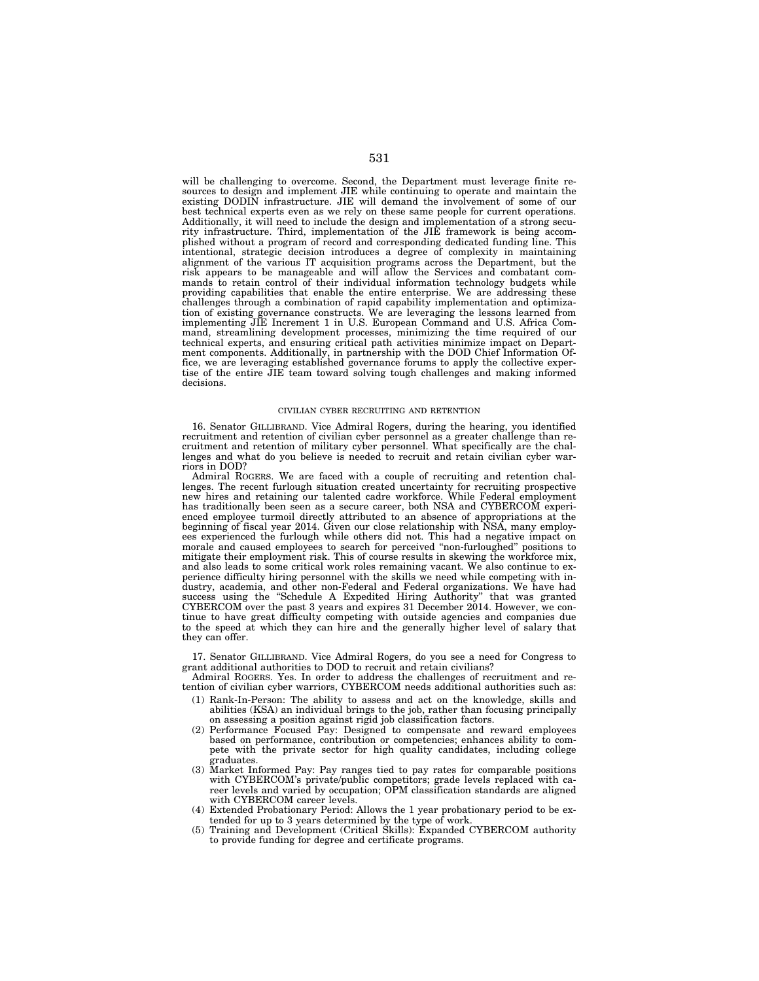will be challenging to overcome. Second, the Department must leverage finite resources to design and implement JIE while continuing to operate and maintain the existing DODIN infrastructure. JIE will demand the involvement of some of our best technical experts even as we rely on these same people for current operations. Additionally, it will need to include the design and implementation of a strong security infrastructure. Third, implementation of the JIE framework is being accomplished without a program of record and corresponding dedicated funding line. This intentional, strategic decision introduces a degree of complexity in maintaining alignment of the various IT acquisition programs across the Department, but the risk appears to be manageable and will allow the Services and combatant commands to retain control of their individual information technology budgets while providing capabilities that enable the entire enterprise. We are addressing these challenges through a combination of rapid capability implementation and optimization of existing governance constructs. We are leveraging the lessons learned from implementing JIE Increment 1 in U.S. European Command and U.S. Africa Command, streamlining development processes, minimizing the time required of our technical experts, and ensuring critical path activities minimize impact on Department components. Additionally, in partnership with the DOD Chief Information Office, we are leveraging established governance forums to apply the collective expertise of the entire JIE team toward solving tough challenges and making informed decisions.

### CIVILIAN CYBER RECRUITING AND RETENTION

16. Senator GILLIBRAND. Vice Admiral Rogers, during the hearing, you identified recruitment and retention of civilian cyber personnel as a greater challenge than recruitment and retention of military cyber personnel. What specifically are the challenges and what do you believe is needed to recruit and retain civilian cyber warriors in DOD?

Admiral ROGERS. We are faced with a couple of recruiting and retention challenges. The recent furlough situation created uncertainty for recruiting prospective new hires and retaining our talented cadre workforce. While Federal employment has traditionally been seen as a secure career, both NSA and CYBERCOM experienced employee turmoil directly attributed to an absence of appropriations at the beginning of fiscal year 2014. Given our close relationship with NSA, many employees experienced the furlough while others did not. This had a negative impact on morale and caused employees to search for perceived ''non-furloughed'' positions to mitigate their employment risk. This of course results in skewing the workforce mix, and also leads to some critical work roles remaining vacant. We also continue to experience difficulty hiring personnel with the skills we need while competing with industry, academia, and other non-Federal and Federal organizations. We have had success using the "Schedule A Expedited Hiring Authority" that was granted CYBERCOM over the past 3 years and expires 31 December 2014. However, we continue to have great difficulty competing with outside agencies and companies due to the speed at which they can hire and the generally higher level of salary that they can offer.

17. Senator GILLIBRAND. Vice Admiral Rogers, do you see a need for Congress to grant additional authorities to DOD to recruit and retain civilians?

Admiral ROGERS. Yes. In order to address the challenges of recruitment and retention of civilian cyber warriors, CYBERCOM needs additional authorities such as:

- (1) Rank-In-Person: The ability to assess and act on the knowledge, skills and abilities (KSA) an individual brings to the job, rather than focusing principally on assessing a position against rigid job classification factors.
- (2) Performance Focused Pay: Designed to compensate and reward employees based on performance, contribution or competencies; enhances ability to compete with the private sector for high quality candidates, including college graduates.
- (3) Market Informed Pay: Pay ranges tied to pay rates for comparable positions with CYBERCOM's private/public competitors; grade levels replaced with career levels and varied by occupation; OPM classification standards are aligned with CYBERCOM career levels.
- (4) Extended Probationary Period: Allows the 1 year probationary period to be extended for up to 3 years determined by the type of work.
- (5) Training and Development (Critical Skills): Expanded CYBERCOM authority to provide funding for degree and certificate programs.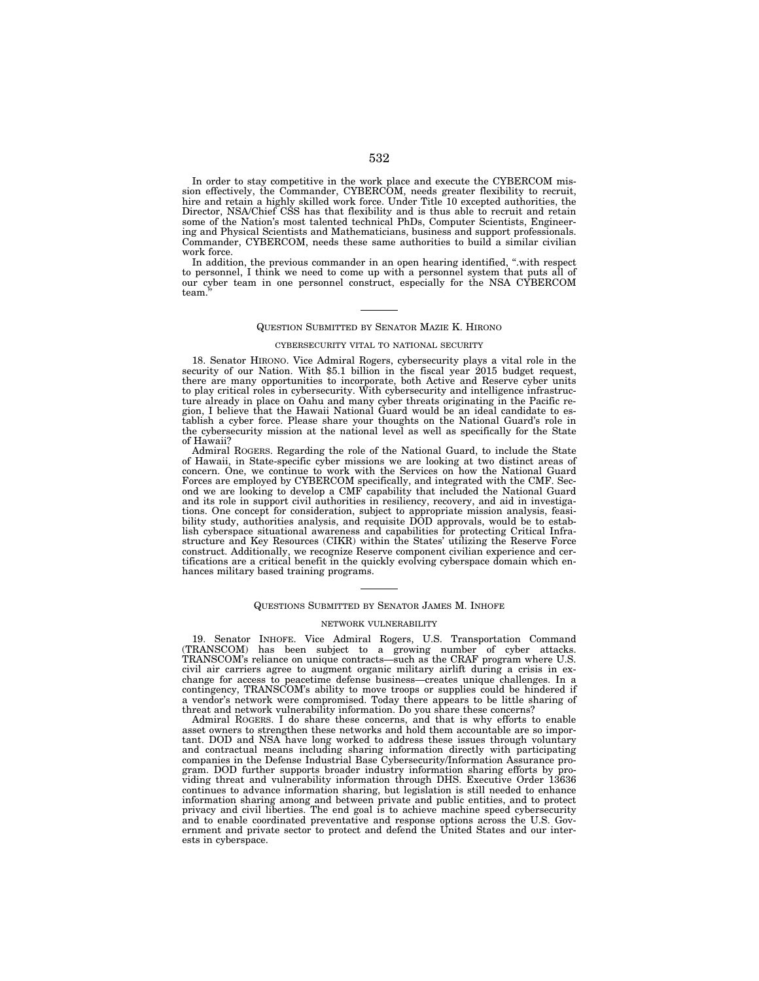In order to stay competitive in the work place and execute the CYBERCOM mission effectively, the Commander, CYBERCOM, needs greater flexibility to recruit, hire and retain a highly skilled work force. Under Title 10 excepted authorities, the Director, NSA/Chief CSS has that flexibility and is thus able to recruit and retain some of the Nation's most talented technical PhDs, Computer Scientists, Engineering and Physical Scientists and Mathematicians, business and support professionals. Commander, CYBERCOM, needs these same authorities to build a similar civilian work force.

In addition, the previous commander in an open hearing identified, ''.with respect to personnel, I think we need to come up with a personnel system that puts all of our cyber team in one personnel construct, especially for the NSA CYBERCOM team.

## QUESTION SUBMITTED BY SENATOR MAZIE K. HIRONO

### CYBERSECURITY VITAL TO NATIONAL SECURITY

18. Senator HIRONO. Vice Admiral Rogers, cybersecurity plays a vital role in the security of our Nation. With \$5.1 billion in the fiscal year 2015 budget request, there are many opportunities to incorporate, both Active and Reserve cyber units to play critical roles in cybersecurity. With cybersecurity and intelligence infrastructure already in place on Oahu and many cyber threats originating in the Pacific region, I believe that the Hawaii National Guard would be an ideal candidate to establish a cyber force. Please share your thoughts on the National Guard's role in the cybersecurity mission at the national level as well as specifically for the State of Hawaii?

Admiral ROGERS. Regarding the role of the National Guard, to include the State of Hawaii, in State-specific cyber missions we are looking at two distinct areas of concern. One, we continue to work with the Services on how the National Guard Forces are employed by CYBERCOM specifically, and integrated with the CMF. Second we are looking to develop a CMF capability that included the National Guard and its role in support civil authorities in resiliency, recovery, and aid in investigations. One concept for consideration, subject to appropriate mission analysis, feasibility study, authorities analysis, and requisite DOD approvals, would be to establish cyberspace situational awareness and capabilities for protecting Critical Infrastructure and Key Resources (CIKR) within the States' utilizing the Reserve Force construct. Additionally, we recognize Reserve component civilian experience and certifications are a critical benefit in the quickly evolving cyberspace domain which enhances military based training programs.

## QUESTIONS SUBMITTED BY SENATOR JAMES M. INHOFE

### NETWORK VULNERABILITY

19. Senator INHOFE. Vice Admiral Rogers, U.S. Transportation Command (TRANSCOM) has been subject to a growing number of cyber attacks. TRANSCOM's reliance on unique contracts—such as the CRAF program where U.S. civil air carriers agree to augment organic military airlift during a crisis in exchange for access to peacetime defense business—creates unique challenges. In a contingency, TRANSCOM's ability to move troops or supplies could be hindered if a vendor's network were compromised. Today there appears to be little sharing of threat and network vulnerability information. Do you share these concerns?

Admiral ROGERS. I do share these concerns, and that is why efforts to enable asset owners to strengthen these networks and hold them accountable are so important. DOD and NSA have long worked to address these issues through voluntary and contractual means including sharing information directly with participating companies in the Defense Industrial Base Cybersecurity/Information Assurance program. DOD further supports broader industry information sharing efforts by providing threat and vulnerability information through DHS. Executive Order 13636 continues to advance information sharing, but legislation is still needed to enhance information sharing among and between private and public entities, and to protect privacy and civil liberties. The end goal is to achieve machine speed cybersecurity and to enable coordinated preventative and response options across the U.S. Government and private sector to protect and defend the United States and our interests in cyberspace.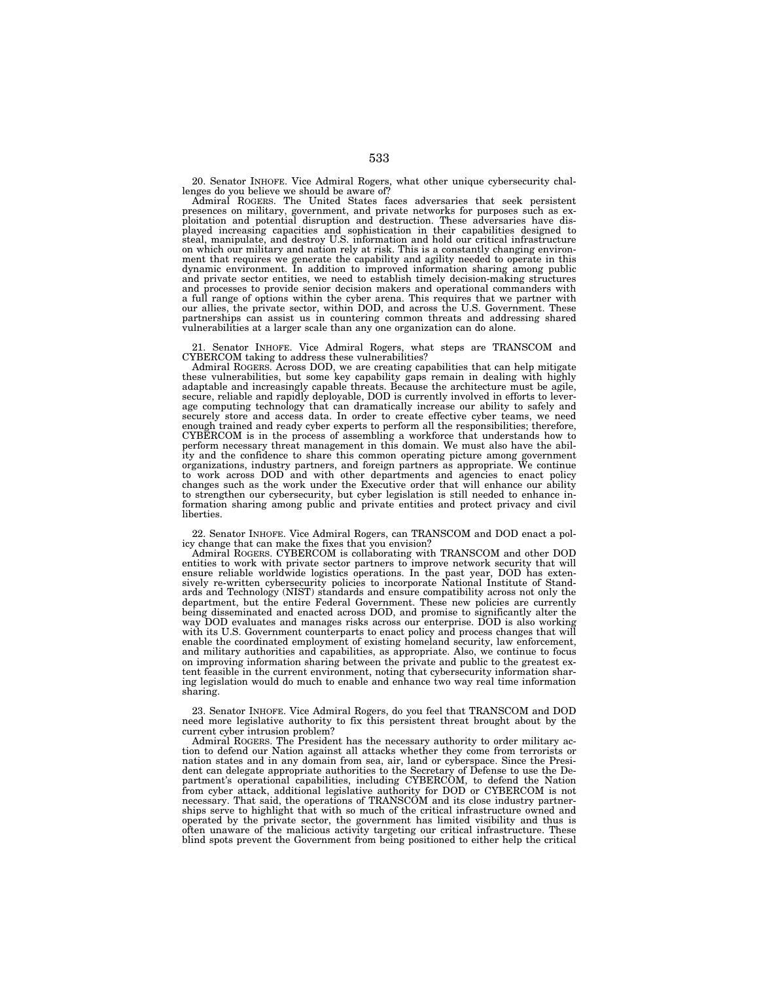20. Senator INHOFE. Vice Admiral Rogers, what other unique cybersecurity challenges do you believe we should be aware of? Admiral ROGERS. The United States faces adversaries that seek persistent

presences on military, government, and private networks for purposes such as exploitation and potential disruption and destruction. These adversaries have dis-<br>played increasing capacities and sophistication in their capabilities designed to<br>steal, manipulate, and destroy U.S. information and hold ou on which our military and nation rely at risk. This is a constantly changing environment that requires we generate the capability and agility needed to operate in this dynamic environment. In addition to improved information sharing among public and private sector entities, we need to establish timely decision-making structures and processes to provide senior decision makers and operational commanders with a full range of options within the cyber arena. This requires that we partner with our allies, the private sector, within DOD, and across the U.S. Government. These partnerships can assist us in countering common threats and addressing shared vulnerabilities at a larger scale than any one organization can do alone.

21. Senator INHOFE. Vice Admiral Rogers, what steps are TRANSCOM and CYBERCOM taking to address these vulnerabilities?

Admiral ROGERS. Across DOD, we are creating capabilities that can help mitigate these vulnerabilities, but some key capability gaps remain in dealing with highly adaptable and increasingly capable threats. Because the architecture must be agile, secure, reliable and rapidly deployable, DOD is currently involved in efforts to leverage computing technology that can dramatically increase our ability to safely and securely store and access data. In order to create effective cyber teams, we need enough trained and ready cyber experts to perform all the responsibilities; therefore, CYBERCOM is in the process of assembling a workforce that understands how to perform necessary threat management in this domain. We must also have the ability and the confidence to share this common operating picture among government<br>organizations, industry partners, and foreign partners as appropriate. We continue<br>to work across DOD and with other departments and agencies t changes such as the work under the Executive order that will enhance our ability to strengthen our cybersecurity, but cyber legislation is still needed to enhance information sharing among public and private entities and protect privacy and civil liberties.

22. Senator INHOFE. Vice Admiral Rogers, can TRANSCOM and DOD enact a pol-

icy change that can make the fixes that you envision? Admiral ROGERS. CYBERCOM is collaborating with TRANSCOM and other DOD entities to work with private sector partners to improve network security that will ensure reliable worldwide logistics operations. In the past year, DOD has extensively re-written cybersecurity policies to incorporate National Institute of Stand-ards and Technology (NIST) standards and ensure compatibility across not only the department, but the entire Federal Government. These new policies are currently being disseminated and enacted across DOD, and promise to significantly alter the way DOD evaluates and manages risks across our enterprise. DOD is also working with its U.S. Government counterparts to enact policy and process changes that will enable the coordinated employment of existing homeland security, law enforcement, and military authorities and capabilities, as appropriate. Also, we continue to focus on improving information sharing between the private and public to the greatest extent feasible in the current environment, noting that cybersecurity information sharing legislation would do much to enable and enhance two way real time information sharing.

23. Senator INHOFE. Vice Admiral Rogers, do you feel that TRANSCOM and DOD need more legislative authority to fix this persistent threat brought about by the current cyber intrusion problem?

Admiral ROGERS. The President has the necessary authority to order military action to defend our Nation against all attacks whether they come from terrorists or nation states and in any domain from sea, air, land or cyberspace. Since the President can delegate appropriate authorities to the Secretary of Defense to use the Department's operational capabilities, including CYBERCOM, to defend the Nation from cyber attack, additional legislative authority for DOD or CYBERCOM is not necessary. That said, the operations of TRANSCOM and its close industry partnerships serve to highlight that with so much of the critical infrastructure owned and operated by the private sector, the government has limited visibility and thus is often unaware of the malicious activity targeting our critical infrastructure. These blind spots prevent the Government from being positioned to either help the critical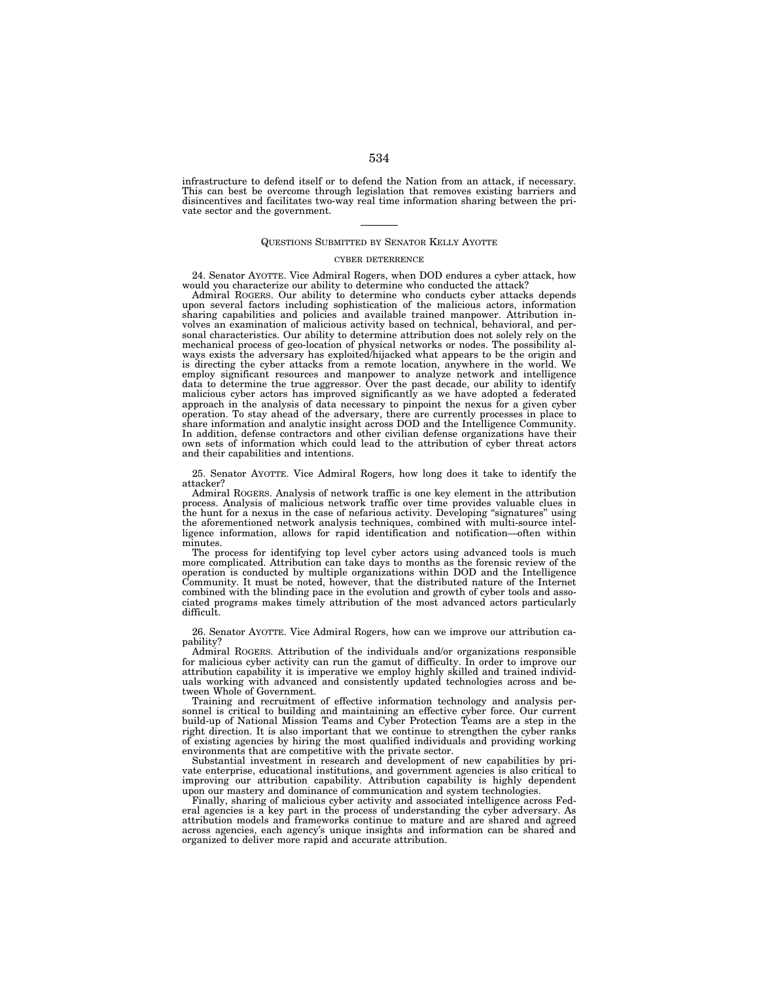infrastructure to defend itself or to defend the Nation from an attack, if necessary. This can best be overcome through legislation that removes existing barriers and disincentives and facilitates two-way real time information sharing between the private sector and the government.

# QUESTIONS SUBMITTED BY SENATOR KELLY AYOTTE

### CYBER DETERRENCE

24. Senator AYOTTE. Vice Admiral Rogers, when DOD endures a cyber attack, how would you characterize our ability to determine who conducted the attack?

Admiral ROGERS. Our ability to determine who conducts cyber attacks depends upon several factors including sophistication of the malicious actors, information sharing capabilities and policies and available trained manpower. Attribution involves an examination of malicious activity based on technical, behavioral, and personal characteristics. Our ability to determine attribution does not solely rely on the mechanical process of geo-location of physical networks or nodes. The possibility always exists the adversary has exploited/hijacked what appears to be the origin and is directing the cyber attacks from a remote location, anywhere in the world. We employ significant resources and manpower to analyze network and intelligence data to determine the true aggressor. Over the past decade, our ability to identify malicious cyber actors has improved significantly as we have adopted a federated approach in the analysis of data necessary to pinpoint the nexus for a given cyber operation. To stay ahead of the adversary, there are currently processes in place to share information and analytic insight across DOD and the Intelligence Community. In addition, defense contractors and other civilian defense organizations have their own sets of information which could lead to the attribution of cyber threat actors and their capabilities and intentions.

25. Senator AYOTTE. Vice Admiral Rogers, how long does it take to identify the attacker?

Admiral ROGERS. Analysis of network traffic is one key element in the attribution process. Analysis of malicious network traffic over time provides valuable clues in the hunt for a nexus in the case of nefarious activity. Developing ''signatures'' using the aforementioned network analysis techniques, combined with multi-source intelligence information, allows for rapid identification and notification—often within minutes.

The process for identifying top level cyber actors using advanced tools is much more complicated. Attribution can take days to months as the forensic review of the operation is conducted by multiple organizations within DOD and the Intelligence Community. It must be noted, however, that the distributed nature of the Internet combined with the blinding pace in the evolution and growth of cyber tools and associated programs makes timely attribution of the most advanced actors particularly difficult.

26. Senator AYOTTE. Vice Admiral Rogers, how can we improve our attribution capability?

Admiral ROGERS. Attribution of the individuals and/or organizations responsible for malicious cyber activity can run the gamut of difficulty. In order to improve our attribution capability it is imperative we employ highly skilled and trained individuals working with advanced and consistently updated technologies across and between Whole of Government.

Training and recruitment of effective information technology and analysis personnel is critical to building and maintaining an effective cyber force. Our current build-up of National Mission Teams and Cyber Protection Teams are a step in the right direction. It is also important that we continue to strengthen the cyber ranks of existing agencies by hiring the most qualified individuals and providing working environments that are competitive with the private sector.

Substantial investment in research and development of new capabilities by private enterprise, educational institutions, and government agencies is also critical to improving our attribution capability. Attribution capability is highly dependent upon our mastery and dominance of communication and system technologies.

Finally, sharing of malicious cyber activity and associated intelligence across Federal agencies is a key part in the process of understanding the cyber adversary. As attribution models and frameworks continue to mature and are shared and agreed across agencies, each agency's unique insights and information can be shared and organized to deliver more rapid and accurate attribution.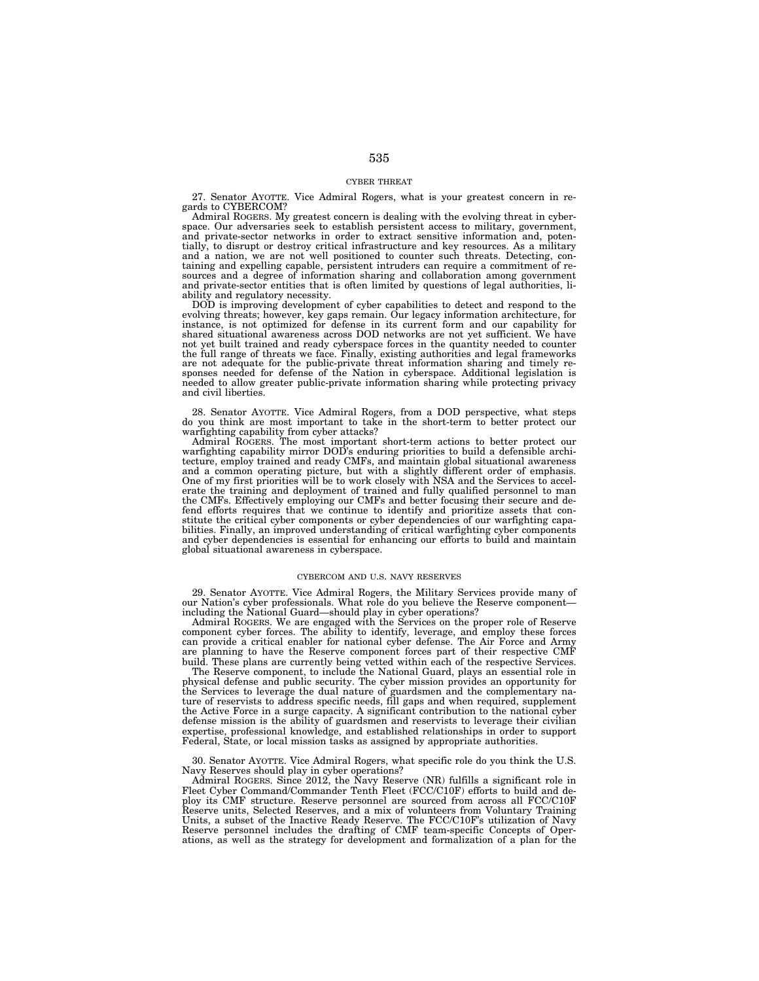## CYBER THREAT

27. Senator AYOTTE. Vice Admiral Rogers, what is your greatest concern in regards to CYBERCOM?

Admiral ROGERS. My greatest concern is dealing with the evolving threat in cyberspace. Our adversaries seek to establish persistent access to military, government, and private-sector networks in order to extract sensitive information and, potentially, to disrupt or destroy critical infrastructure and key resources. As a military and a nation, we are not well positioned to counter such threats. Detecting, containing and expelling capable, persistent intruders can require a commitment of resources and a degree of information sharing and collaboration among government and private-sector entities that is often limited by questions of legal authorities, liability and regulatory necessity.

DOD is improving development of cyber capabilities to detect and respond to the evolving threats; however, key gaps remain. Our legacy information architecture, for instance, is not optimized for defense in its current form and our capability for shared situational awareness across DOD networks are not yet sufficient. We have not yet built trained and ready cyberspace forces in the quantity needed to counter<br>the full range of threats we face. Finally, existing authorities and legal frameworks<br>are not adequate for the public-private threat infor sponses needed for defense of the Nation in cyberspace. Additional legislation is needed to allow greater public-private information sharing while protecting privacy and civil liberties.

28. Senator AYOTTE. Vice Admiral Rogers, from a DOD perspective, what steps do you think are most important to take in the short-term to better protect our warfighting capability from cyber attacks? Admiral ROGERS. The most important short-term actions to better protect our

warfighting capability mirror DOD's enduring priorities to build a defensible archi-tecture, employ trained and ready CMFs, and maintain global situational awareness and a common operating picture, but with a slightly different order of emphasis. One of my first priorities will be to work closely with NSA and the Services to accelerate the training and deployment of trained and fully qualified personnel to man the CMFs. Effectively employing our CMFs and better focusing their secure and defend efforts requires that we continue to identify and prioritize assets that constitute the critical cyber components or cyber dependencies of our warfighting capabilities. Finally, an improved understanding of critical warfighting cyber components and cyber dependencies is essential for enhancing our efforts to build and maintain global situational awareness in cyberspace.

## CYBERCOM AND U.S. NAVY RESERVES

29. Senator AYOTTE. Vice Admiral Rogers, the Military Services provide many of our Nation's cyber professionals. What role do you believe the Reserve component— including the National Guard—should play in cyber operations?

Admiral ROGERS. We are engaged with the Services on the proper role of Reserve component cyber forces. The ability to identify, leverage, and employ these forces can provide a critical enabler for national cyber defense. The Air Force and Army are planning to have the Reserve component forces part of their respective CMF build. These plans are currently being vetted within each of the respective Services.

The Reserve component, to include the National Guard, plays an essential role in physical defense and public security. The cyber mission provides an opportunity for the Services to leverage the dual nature of guardsmen and the complementary nature of reservists to address specific needs, fill gaps and when required, supplement the Active Force in a surge capacity. A significant contribution to the national cyber defense mission is the ability of guardsmen and reservists to leverage their civilian expertise, professional knowledge, and established relationships in order to support Federal, State, or local mission tasks as assigned by appropriate authorities.

30. Senator AYOTTE. Vice Admiral Rogers, what specific role do you think the U.S. Navy Reserves should play in cyber operations?

Admiral ROGERS. Since 2012, the Navy Reserve (NR) fulfills a significant role in Fleet Cyber Command/Commander Tenth Fleet (FCC/C10F) efforts to build and deploy its CMF structure. Reserve personnel are sourced from across all FCC/C10F Reserve units, Selected Reserves, and a mix of volunteers from Voluntary Training Units, a subset of the Inactive Ready Reserve. The FCC/C10F's utilization of Navy Reserve personnel includes the drafting of CMF team-specific Concepts of Operations, as well as the strategy for development and formalization of a plan for the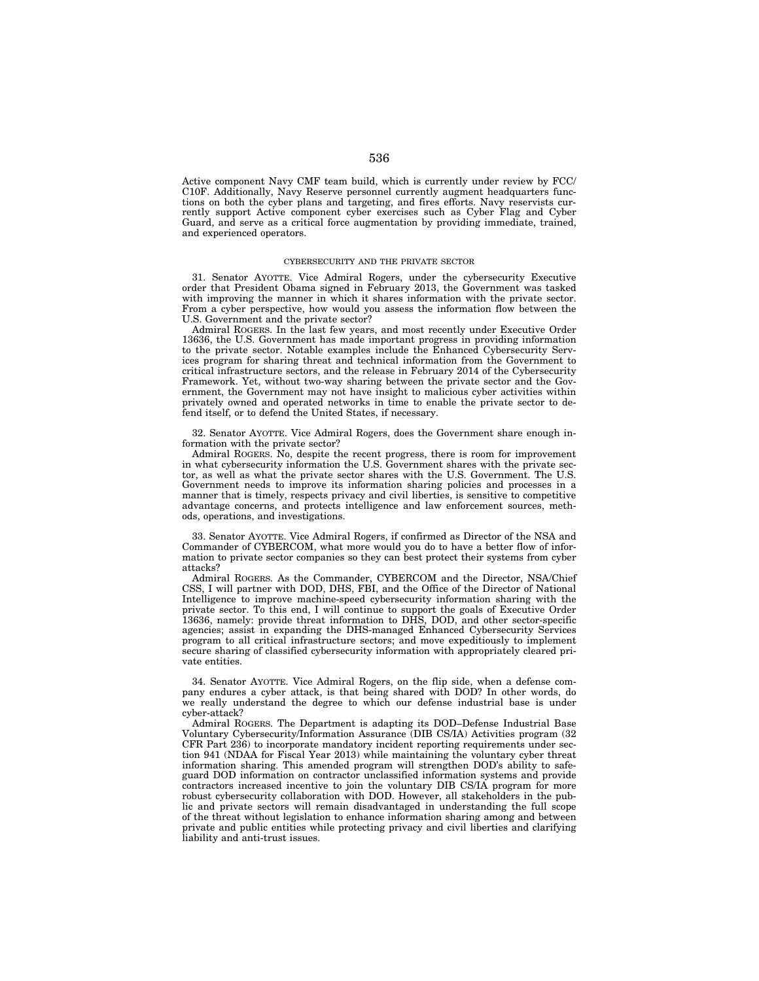Active component Navy CMF team build, which is currently under review by FCC/ C10F. Additionally, Navy Reserve personnel currently augment headquarters functions on both the cyber plans and targeting, and fires efforts. Navy reservists currently support Active component cyber exercises such as Cyber Flag and Cyber Guard, and serve as a critical force augmentation by providing immediate, trained, and experienced operators.

### CYBERSECURITY AND THE PRIVATE SECTOR

31. Senator AYOTTE. Vice Admiral Rogers, under the cybersecurity Executive order that President Obama signed in February 2013, the Government was tasked with improving the manner in which it shares information with the private sector. From a cyber perspective, how would you assess the information flow between the U.S. Government and the private sector?

Admiral ROGERS. In the last few years, and most recently under Executive Order 13636, the U.S. Government has made important progress in providing information to the private sector. Notable examples include the Enhanced Cybersecurity Services program for sharing threat and technical information from the Government to critical infrastructure sectors, and the release in February 2014 of the Cybersecurity Framework. Yet, without two-way sharing between the private sector and the Government, the Government may not have insight to malicious cyber activities within privately owned and operated networks in time to enable the private sector to defend itself, or to defend the United States, if necessary.

32. Senator AYOTTE. Vice Admiral Rogers, does the Government share enough information with the private sector?

Admiral ROGERS. No, despite the recent progress, there is room for improvement in what cybersecurity information the U.S. Government shares with the private sector, as well as what the private sector shares with the U.S. Government. The U.S. Government needs to improve its information sharing policies and processes in a manner that is timely, respects privacy and civil liberties, is sensitive to competitive advantage concerns, and protects intelligence and law enforcement sources, methods, operations, and investigations.

33. Senator AYOTTE. Vice Admiral Rogers, if confirmed as Director of the NSA and Commander of CYBERCOM, what more would you do to have a better flow of information to private sector companies so they can best protect their systems from cyber attacks?

Admiral ROGERS. As the Commander, CYBERCOM and the Director, NSA/Chief CSS, I will partner with DOD, DHS, FBI, and the Office of the Director of National Intelligence to improve machine-speed cybersecurity information sharing with the private sector. To this end, I will continue to support the goals of Executive Order 13636, namely: provide threat information to DHS, DOD, and other sector-specific agencies; assist in expanding the DHS-managed Enhanced Cybersecurity Services program to all critical infrastructure sectors; and move expeditiously to implement secure sharing of classified cybersecurity information with appropriately cleared private entities.

34. Senator AYOTTE. Vice Admiral Rogers, on the flip side, when a defense company endures a cyber attack, is that being shared with DOD? In other words, do we really understand the degree to which our defense industrial base is under cyber-attack?

Admiral ROGERS. The Department is adapting its DOD–Defense Industrial Base Voluntary Cybersecurity/Information Assurance (DIB CS/IA) Activities program (32 CFR Part 236) to incorporate mandatory incident reporting requirements under section 941 (NDAA for Fiscal Year 2013) while maintaining the voluntary cyber threat information sharing. This amended program will strengthen DOD's ability to safeguard DOD information on contractor unclassified information systems and provide contractors increased incentive to join the voluntary DIB CS/IA program for more robust cybersecurity collaboration with DOD. However, all stakeholders in the public and private sectors will remain disadvantaged in understanding the full scope of the threat without legislation to enhance information sharing among and between private and public entities while protecting privacy and civil liberties and clarifying liability and anti-trust issues.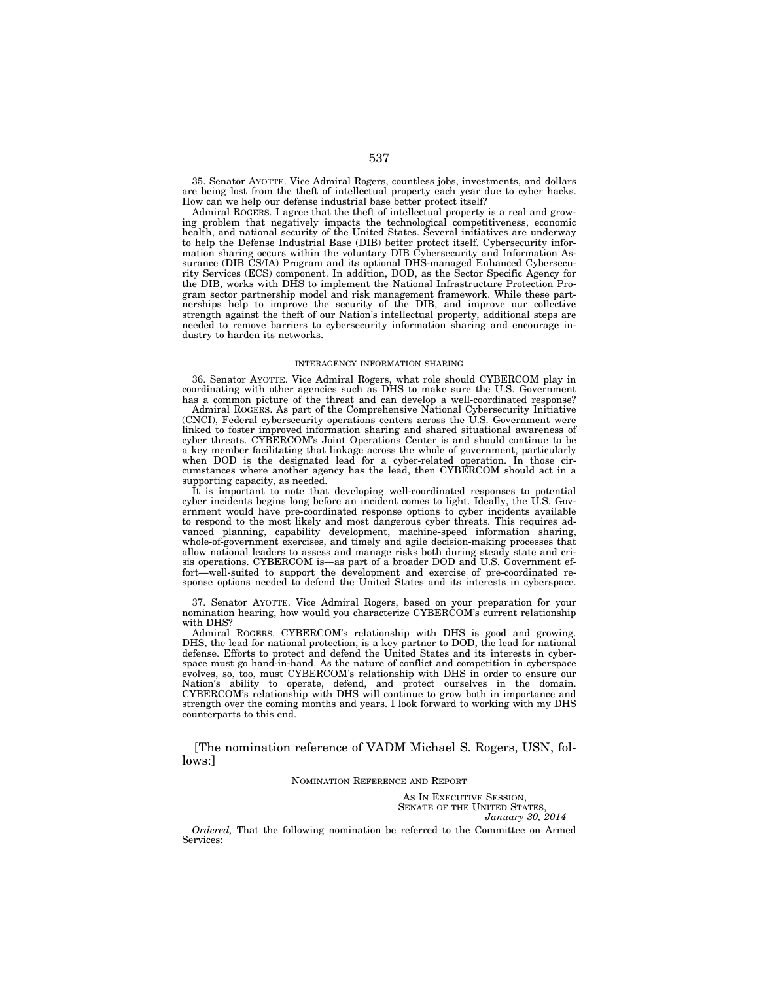35. Senator AYOTTE. Vice Admiral Rogers, countless jobs, investments, and dollars are being lost from the theft of intellectual property each year due to cyber hacks. How can we help our defense industrial base better protect itself?

Admiral ROGERS. I agree that the theft of intellectual property is a real and growing problem that negatively impacts the technological competitiveness, economic health, and national security of the United States. Several initiatives are underway to help the Defense Industrial Base (DIB) better protect itself. Cybersecurity information sharing occurs within the voluntary DIB Cybersecurity and Information Assurance (DIB CS/IA) Program and its optional DHS-managed Enhanced Cybersecurity Services (ECS) component. In addition, DOD, as the Sector Specific Agency for the DIB, works with DHS to implement the National Infrastructure Protection Program sector partnership model and risk management framework. While these partnerships help to improve the security of the DIB, and improve our collective strength against the theft of our Nation's intellectual property, additional steps are needed to remove barriers to cybersecurity information sharing and encourage industry to harden its networks.

## INTERAGENCY INFORMATION SHARING

36. Senator AYOTTE. Vice Admiral Rogers, what role should CYBERCOM play in coordinating with other agencies such as DHS to make sure the U.S. Government has a common picture of the threat and can develop a well-coordinated response?

Admiral ROGERS. As part of the Comprehensive National Cybersecurity Initiative (CNCI), Federal cybersecurity operations centers across the U.S. Government were linked to foster improved information sharing and shared situational awareness of cyber threats. CYBERCOM's Joint Operations Center is and should continue to be a key member facilitating that linkage across the whole of government, particularly when DOD is the designated lead for a cyber-related operation. In those circumstances where another agency has the lead, then CYBERCOM should act in a supporting capacity, as needed.

It is important to note that developing well-coordinated responses to potential cyber incidents begins long before an incident comes to light. Ideally, the U.S. Government would have pre-coordinated response options to cyber incidents available to respond to the most likely and most dangerous cyber threats. This requires advanced planning, capability development, machine-speed information sharing, whole-of-government exercises, and timely and agile decision-making processes that allow national leaders to assess and manage risks both during steady state and crisis operations. CYBERCOM is—as part of a broader DOD and U.S. Government effort—well-suited to support the development and exercise of pre-coordinated response options needed to defend the United States and its interests in cyberspace.

37. Senator AYOTTE. Vice Admiral Rogers, based on your preparation for your nomination hearing, how would you characterize CYBERCOM's current relationship with DHS?

Admiral ROGERS. CYBERCOM's relationship with DHS is good and growing. DHS, the lead for national protection, is a key partner to DOD, the lead for national defense. Efforts to protect and defend the United States and its interests in cyberspace must go hand-in-hand. As the nature of conflict and competition in cyberspace evolves, so, too, must CYBERCOM's relationship with DHS in order to ensure our Nation's ability to operate, defend, and protect ourselves in the domain. CYBERCOM's relationship with DHS will continue to grow both in importance and strength over the coming months and years. I look forward to working with my DHS counterparts to this end.

[The nomination reference of VADM Michael S. Rogers, USN, follows:]

NOMINATION REFERENCE AND REPORT

AS IN EXECUTIVE SESSION, SENATE OF THE UNITED STATES, *January 30, 2014* 

*Ordered,* That the following nomination be referred to the Committee on Armed Services: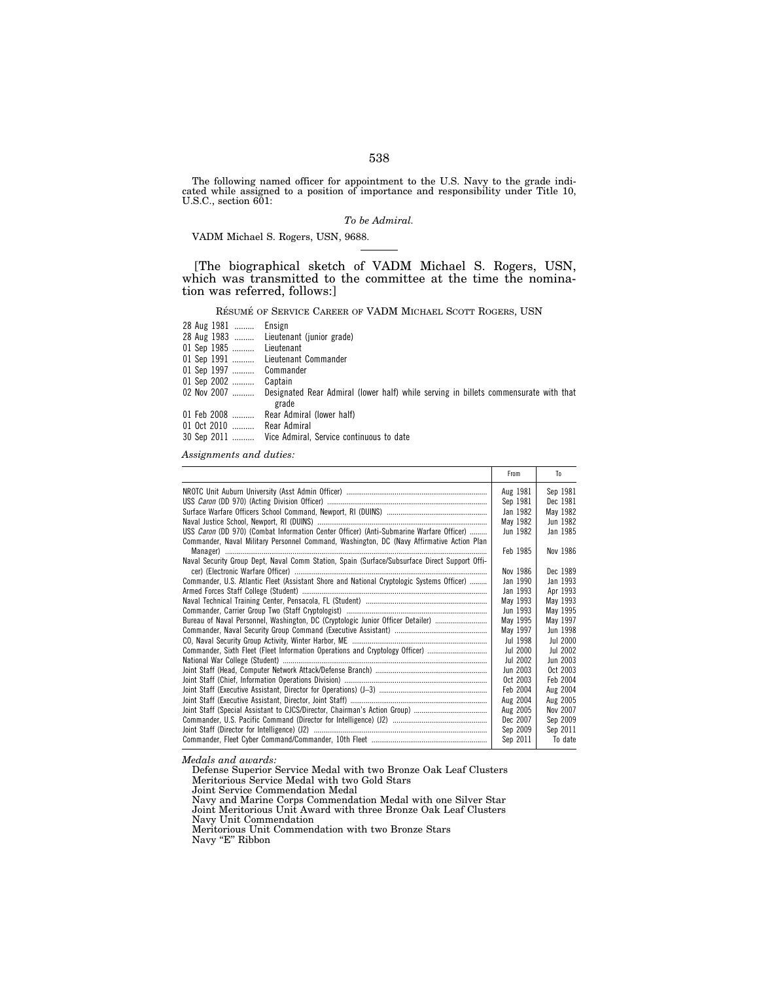The following named officer for appointment to the U.S. Navy to the grade indicated while assigned to a position of importance and responsibility under Title 10, U.S.C., section 601:

# *To be Admiral.*

VADM Michael S. Rogers, USN, 9688.

[The biographical sketch of VADM Michael S. Rogers, USN, which was transmitted to the committee at the time the nomination was referred, follows:]

RÉSUMÉ OF SERVICE CAREER OF VADM MICHAEL SCOTT ROGERS, USN

| 28 Aug 1981  Ensign       |                                                                                                   |
|---------------------------|---------------------------------------------------------------------------------------------------|
|                           | 28 Aug 1983  Lieutenant (junior grade)                                                            |
| 01 Sep 1985  Lieutenant   |                                                                                                   |
|                           | 01 Sep 1991  Lieutenant Commander                                                                 |
| 01 Sep 1997  Commander    |                                                                                                   |
| 01 Sep 2002  Captain      |                                                                                                   |
|                           | 02 Nov 2007  Designated Rear Admiral (lower half) while serving in billets commensurate with that |
|                           | grade                                                                                             |
|                           | 01 Feb 2008  Rear Admiral (lower half)                                                            |
| 01 Oct 2010  Rear Admiral |                                                                                                   |
|                           | 30 Sep 2011  Vice Admiral, Service continuous to date                                             |

*Assignments and duties:* 

|                                                                                               | From                 | To       |
|-----------------------------------------------------------------------------------------------|----------------------|----------|
|                                                                                               | Aug 1981             | Sep 1981 |
|                                                                                               | Sep 1981             | Dec 1981 |
|                                                                                               | Jan 1982             | May 1982 |
|                                                                                               | May 1982             | Jun 1982 |
| USS Caron (DD 970) (Combat Information Center Officer) (Anti-Submarine Warfare Officer)       | Jun 1982             | Jan 1985 |
| Commander, Naval Military Personnel Command, Washington, DC (Navy Affirmative Action Plan     |                      |          |
|                                                                                               | Feb 1985             | Nov 1986 |
| Naval Security Group Dept, Naval Comm Station, Spain (Surface/Subsurface Direct Support Offi- |                      |          |
|                                                                                               | Nov 1986             | Dec 1989 |
| Commander, U.S. Atlantic Fleet (Assistant Shore and National Cryptologic Systems Officer)     | Jan 1990             | Jan 1993 |
|                                                                                               | Jan 1993             | Apr 1993 |
|                                                                                               | May 1993             | May 1993 |
|                                                                                               | Jun 1993             | May 1995 |
| Bureau of Naval Personnel, Washington, DC (Cryptologic Junior Officer Detailer)               | May 1995             | May 1997 |
|                                                                                               | May 1997             | Jun 1998 |
|                                                                                               | Jul 1998             | Jul 2000 |
| Commander, Sixth Fleet (Fleet Information Operations and Cryptology Officer)                  | Jul 2000             | Jul 2002 |
|                                                                                               | Jul 2002             | Jun 2003 |
|                                                                                               | Jun 2003             | Oct 2003 |
|                                                                                               | Oct 2003             | Feb 2004 |
|                                                                                               | Feb 2004             | Aug 2004 |
|                                                                                               | Aug 2004             | Aug 2005 |
|                                                                                               | Aug 2005<br>Dec 2007 | Nov 2007 |
|                                                                                               |                      | Sep 2009 |
|                                                                                               |                      | Sep 2011 |
|                                                                                               |                      | To date  |

*Medals and awards:* 

Defense Superior Service Medal with two Bronze Oak Leaf Clusters Meritorious Service Medal with two Gold Stars

Joint Service Commendation Medal

Navy and Marine Corps Commendation Medal with one Silver Star

Joint Meritorious Unit Award with three Bronze Oak Leaf Clusters

Navy Unit Commendation

Navy ''E'' Ribbon

Meritorious Unit Commendation with two Bronze Stars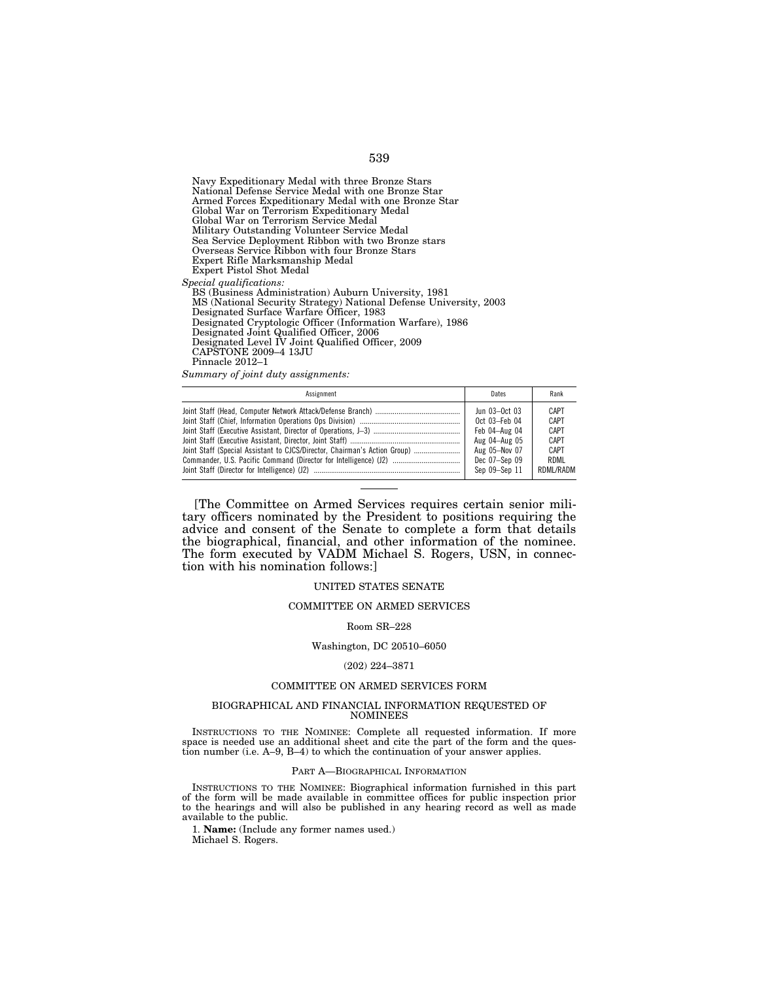Navy Expeditionary Medal with three Bronze Stars National Defense Service Medal with one Bronze Star Armed Forces Expeditionary Medal with one Bronze Star Global War on Terrorism Expeditionary Medal Global War on Terrorism Service Medal Military Outstanding Volunteer Service Medal Sea Service Deployment Ribbon with two Bronze stars Overseas Service Ribbon with four Bronze Stars Expert Rifle Marksmanship Medal Expert Pistol Shot Medal *Special qualifications:*  BS (Business Administration) Auburn University, 1981 MS (National Security Strategy) National Defense University, 2003 Designated Surface Warfare Officer, 1983 Designated Cryptologic Officer (Information Warfare), 1986 Designated Joint Qualified Officer, 2006 Designated Level IV Joint Qualified Officer, 2009 CAPSTONE 2009–4 13JU Pinnacle 2012–1

*Summary of joint duty assignments:* 

| Assignment                                                                | Dates           | Rank        |
|---------------------------------------------------------------------------|-----------------|-------------|
|                                                                           | Jun $03-0ct$ 03 | <b>CAPT</b> |
|                                                                           | Oct 03-Feb 04   | CAPT        |
|                                                                           | Feb 04-Aug 04   | <b>CAPT</b> |
|                                                                           | Aug 04-Aug 05   | CAPT        |
| Joint Staff (Special Assistant to CJCS/Director, Chairman's Action Group) | Aug 05-Nov 07   | <b>CAPT</b> |
| Commander, U.S. Pacific Command (Director for Intelligence) (J2)          | Dec 07-Sep 09   | RDML        |
|                                                                           | Sep 09-Sep 11   | RDML/RADM   |
|                                                                           |                 |             |

[The Committee on Armed Services requires certain senior military officers nominated by the President to positions requiring the advice and consent of the Senate to complete a form that details the biographical, financial, and other information of the nominee. The form executed by VADM Michael S. Rogers, USN, in connection with his nomination follows:]

## UNITED STATES SENATE

## COMMITTEE ON ARMED SERVICES

### Room SR–228

# Washington, DC 20510–6050

### (202) 224–3871

### COMMITTEE ON ARMED SERVICES FORM

### BIOGRAPHICAL AND FINANCIAL INFORMATION REQUESTED OF NOMINEES

INSTRUCTIONS TO THE NOMINEE: Complete all requested information. If more space is needed use an additional sheet and cite the part of the form and the question number (i.e.  $A=9$ ,  $B=4$ ) to which the continuation of your answer applies.

## PART A—BIOGRAPHICAL INFORMATION

INSTRUCTIONS TO THE NOMINEE: Biographical information furnished in this part of the form will be made available in committee offices for public inspection prior to the hearings and will also be published in any hearing record as well as made available to the public.

1. **Name:** (Include any former names used.) Michael S. Rogers.

# 539